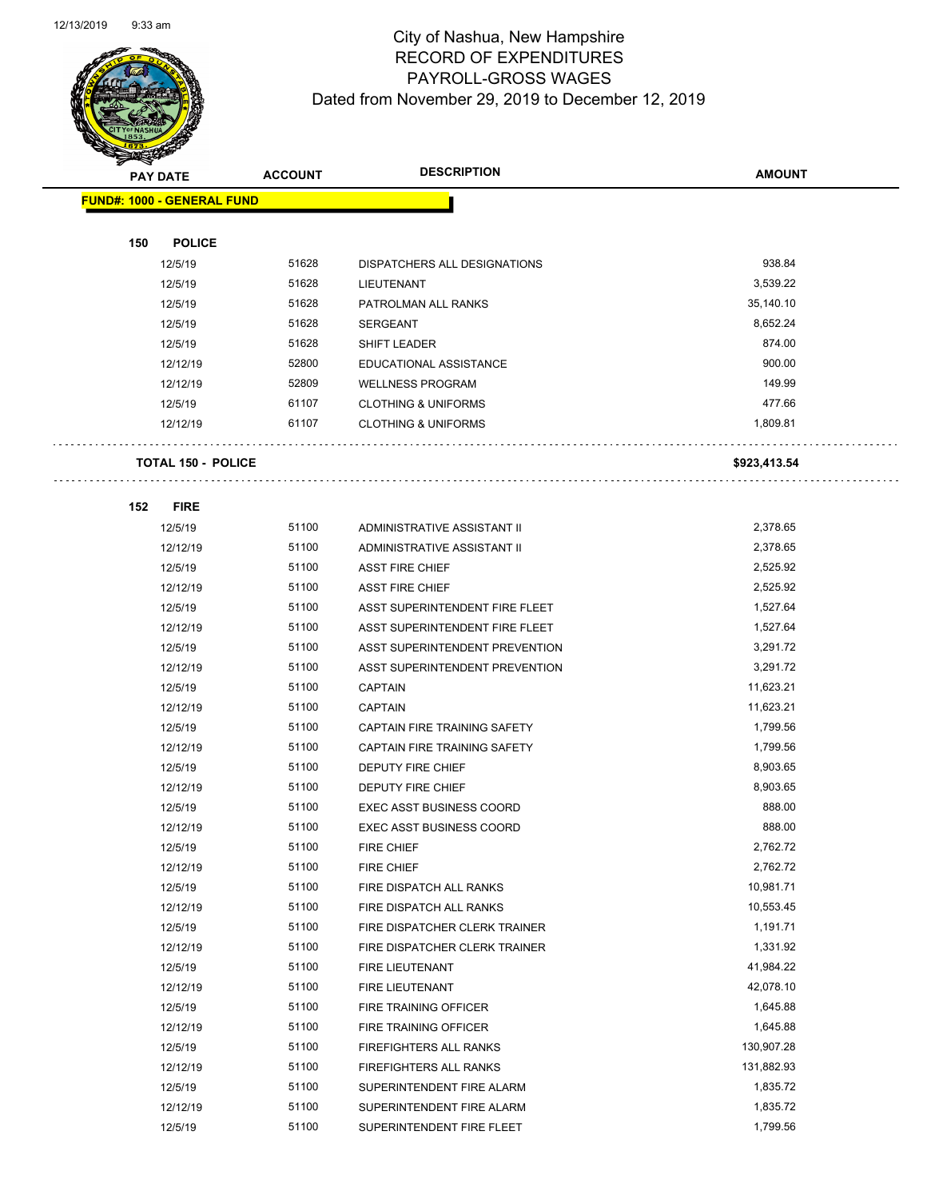

Page 45 of 97

|     | <b>PAY DATE</b>                   | <b>ACCOUNT</b> | <b>DESCRIPTION</b>              | <b>AMOUNT</b> |
|-----|-----------------------------------|----------------|---------------------------------|---------------|
|     | <b>FUND#: 1000 - GENERAL FUND</b> |                |                                 |               |
|     |                                   |                |                                 |               |
| 150 | <b>POLICE</b>                     |                |                                 |               |
|     | 12/5/19                           | 51628          | DISPATCHERS ALL DESIGNATIONS    | 938.84        |
|     | 12/5/19                           | 51628          | LIEUTENANT                      | 3,539.22      |
|     | 12/5/19                           | 51628          | PATROLMAN ALL RANKS             | 35,140.10     |
|     | 12/5/19                           | 51628          | <b>SERGEANT</b>                 | 8,652.24      |
|     | 12/5/19                           | 51628          | SHIFT LEADER                    | 874.00        |
|     | 12/12/19                          | 52800          | EDUCATIONAL ASSISTANCE          | 900.00        |
|     | 12/12/19                          | 52809          | <b>WELLNESS PROGRAM</b>         | 149.99        |
|     | 12/5/19                           | 61107          | <b>CLOTHING &amp; UNIFORMS</b>  | 477.66        |
|     | 12/12/19                          | 61107          | <b>CLOTHING &amp; UNIFORMS</b>  | 1,809.81      |
|     | <b>TOTAL 150 - POLICE</b>         |                |                                 | \$923,413.54  |
| 152 | <b>FIRE</b>                       |                |                                 |               |
|     | 12/5/19                           | 51100          | ADMINISTRATIVE ASSISTANT II     | 2,378.65      |
|     | 12/12/19                          | 51100          | ADMINISTRATIVE ASSISTANT II     | 2,378.65      |
|     | 12/5/19                           | 51100          | <b>ASST FIRE CHIEF</b>          | 2,525.92      |
|     | 12/12/19                          | 51100          | <b>ASST FIRE CHIEF</b>          | 2,525.92      |
|     | 12/5/19                           | 51100          | ASST SUPERINTENDENT FIRE FLEET  | 1,527.64      |
|     | 12/12/19                          | 51100          | ASST SUPERINTENDENT FIRE FLEET  | 1,527.64      |
|     | 12/5/19                           | 51100          | ASST SUPERINTENDENT PREVENTION  | 3,291.72      |
|     | 12/12/19                          | 51100          | ASST SUPERINTENDENT PREVENTION  | 3,291.72      |
|     | 12/5/19                           | 51100          | <b>CAPTAIN</b>                  | 11,623.21     |
|     | 12/12/19                          | 51100          | <b>CAPTAIN</b>                  | 11,623.21     |
|     | 12/5/19                           | 51100          | CAPTAIN FIRE TRAINING SAFETY    | 1,799.56      |
|     | 12/12/19                          | 51100          | CAPTAIN FIRE TRAINING SAFETY    | 1,799.56      |
|     | 12/5/19                           | 51100          | <b>DEPUTY FIRE CHIEF</b>        | 8,903.65      |
|     | 12/12/19                          | 51100          | DEPUTY FIRE CHIEF               | 8,903.65      |
|     | 12/5/19                           | 51100          | <b>EXEC ASST BUSINESS COORD</b> | 888.00        |
|     | 12/12/19                          | 51100          | <b>EXEC ASST BUSINESS COORD</b> | 888.00        |
|     | 12/5/19                           | 51100          | FIRE CHIEF                      | 2,762.72      |
|     | 12/12/19                          | 51100          | FIRE CHIEF                      | 2,762.72      |
|     | 12/5/19                           | 51100          | FIRE DISPATCH ALL RANKS         | 10,981.71     |
|     | 12/12/19                          | 51100          | FIRE DISPATCH ALL RANKS         | 10,553.45     |
|     | 12/5/19                           | 51100          | FIRE DISPATCHER CLERK TRAINER   | 1,191.71      |
|     | 12/12/19                          | 51100          | FIRE DISPATCHER CLERK TRAINER   | 1,331.92      |
|     | 12/5/19                           | 51100          | FIRE LIEUTENANT                 | 41,984.22     |
|     | 12/12/19                          | 51100          | FIRE LIEUTENANT                 | 42,078.10     |
|     | 12/5/19                           | 51100          | FIRE TRAINING OFFICER           | 1,645.88      |
|     | 12/12/19                          | 51100          | FIRE TRAINING OFFICER           | 1,645.88      |
|     | 12/5/19                           | 51100          | FIREFIGHTERS ALL RANKS          | 130,907.28    |
|     | 12/12/19                          | 51100          | FIREFIGHTERS ALL RANKS          | 131,882.93    |
|     | 12/5/19                           | 51100          | SUPERINTENDENT FIRE ALARM       | 1,835.72      |
|     | 12/12/19                          | 51100          | SUPERINTENDENT FIRE ALARM       | 1,835.72      |
|     | 12/5/19                           | 51100          | SUPERINTENDENT FIRE FLEET       | 1,799.56      |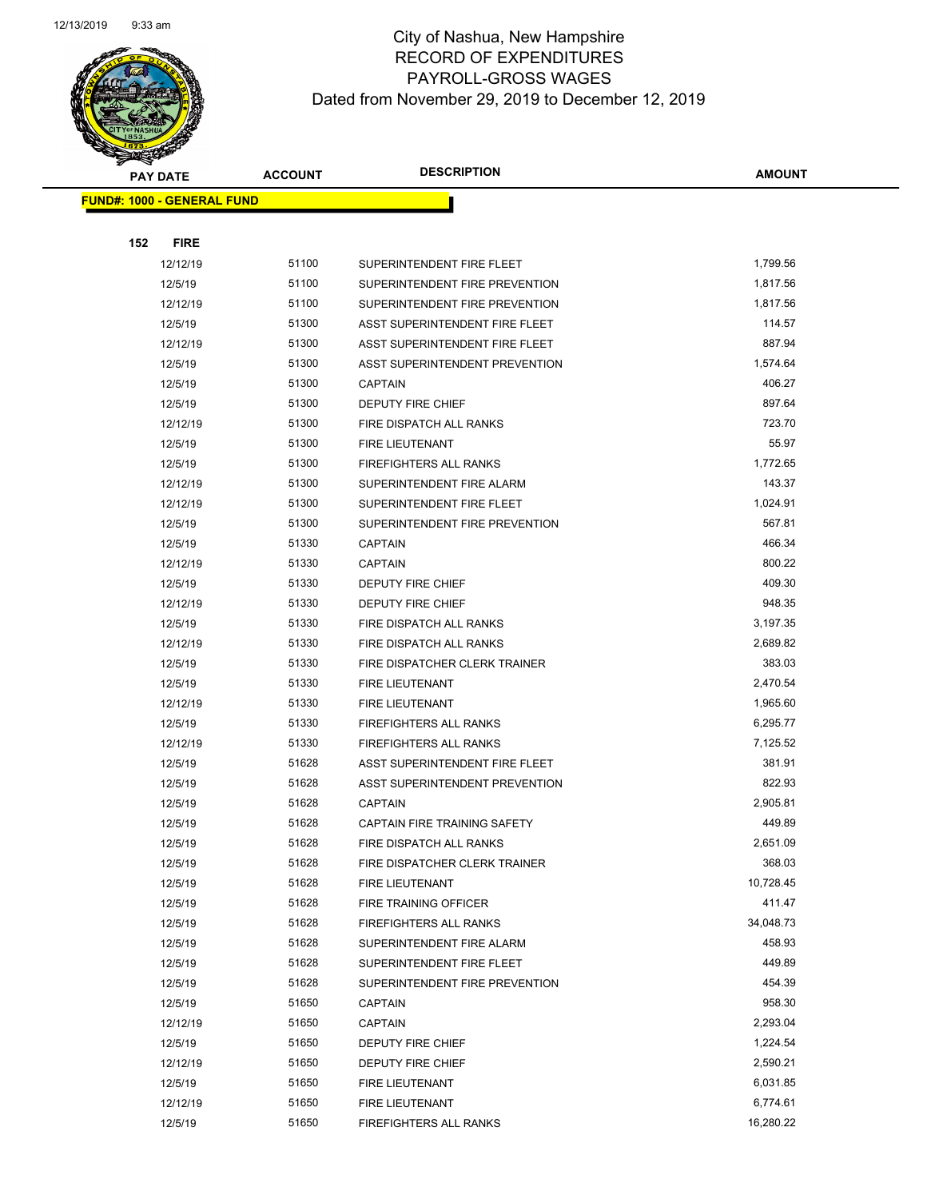

Page 46 of 97

|     | <b>PAY DATE</b>                   | <b>ACCOUNT</b> | <b>DESCRIPTION</b>             | <b>AMOUNT</b> |
|-----|-----------------------------------|----------------|--------------------------------|---------------|
|     | <b>FUND#: 1000 - GENERAL FUND</b> |                |                                |               |
|     |                                   |                |                                |               |
| 152 | <b>FIRE</b>                       |                |                                |               |
|     | 12/12/19                          | 51100          | SUPERINTENDENT FIRE FLEET      | 1,799.56      |
|     | 12/5/19                           | 51100          | SUPERINTENDENT FIRE PREVENTION | 1,817.56      |
|     | 12/12/19                          | 51100          | SUPERINTENDENT FIRE PREVENTION | 1,817.56      |
|     | 12/5/19                           | 51300          | ASST SUPERINTENDENT FIRE FLEET | 114.57        |
|     | 12/12/19                          | 51300          | ASST SUPERINTENDENT FIRE FLEET | 887.94        |
|     | 12/5/19                           | 51300          | ASST SUPERINTENDENT PREVENTION | 1,574.64      |
|     | 12/5/19                           | 51300          | <b>CAPTAIN</b>                 | 406.27        |
|     | 12/5/19                           | 51300          | DEPUTY FIRE CHIEF              | 897.64        |
|     | 12/12/19                          | 51300          | FIRE DISPATCH ALL RANKS        | 723.70        |
|     | 12/5/19                           | 51300          | FIRE LIEUTENANT                | 55.97         |
|     | 12/5/19                           | 51300          | <b>FIREFIGHTERS ALL RANKS</b>  | 1,772.65      |
|     | 12/12/19                          | 51300          | SUPERINTENDENT FIRE ALARM      | 143.37        |
|     | 12/12/19                          | 51300          | SUPERINTENDENT FIRE FLEET      | 1,024.91      |
|     | 12/5/19                           | 51300          | SUPERINTENDENT FIRE PREVENTION | 567.81        |
|     | 12/5/19                           | 51330          | <b>CAPTAIN</b>                 | 466.34        |
|     | 12/12/19                          | 51330          | <b>CAPTAIN</b>                 | 800.22        |
|     | 12/5/19                           | 51330          | DEPUTY FIRE CHIEF              | 409.30        |
|     | 12/12/19                          | 51330          | DEPUTY FIRE CHIEF              | 948.35        |
|     | 12/5/19                           | 51330          | FIRE DISPATCH ALL RANKS        | 3,197.35      |
|     | 12/12/19                          | 51330          | FIRE DISPATCH ALL RANKS        | 2,689.82      |
|     | 12/5/19                           | 51330          | FIRE DISPATCHER CLERK TRAINER  | 383.03        |
|     | 12/5/19                           | 51330          | FIRE LIEUTENANT                | 2,470.54      |
|     | 12/12/19                          | 51330          | FIRE LIEUTENANT                | 1,965.60      |
|     | 12/5/19                           | 51330          | FIREFIGHTERS ALL RANKS         | 6,295.77      |
|     | 12/12/19                          | 51330          | FIREFIGHTERS ALL RANKS         | 7,125.52      |
|     | 12/5/19                           | 51628          | ASST SUPERINTENDENT FIRE FLEET | 381.91        |
|     | 12/5/19                           | 51628          | ASST SUPERINTENDENT PREVENTION | 822.93        |
|     | 12/5/19                           | 51628          | <b>CAPTAIN</b>                 | 2,905.81      |
|     | 12/5/19                           | 51628          | CAPTAIN FIRE TRAINING SAFETY   | 449.89        |
|     | 12/5/19                           | 51628          | FIRE DISPATCH ALL RANKS        | 2,651.09      |
|     | 12/5/19                           | 51628          | FIRE DISPATCHER CLERK TRAINER  | 368.03        |
|     | 12/5/19                           | 51628          | FIRE LIEUTENANT                | 10,728.45     |
|     | 12/5/19                           | 51628          | FIRE TRAINING OFFICER          | 411.47        |
|     | 12/5/19                           | 51628          | FIREFIGHTERS ALL RANKS         | 34,048.73     |
|     | 12/5/19                           | 51628          | SUPERINTENDENT FIRE ALARM      | 458.93        |
|     | 12/5/19                           | 51628          | SUPERINTENDENT FIRE FLEET      | 449.89        |
|     | 12/5/19                           | 51628          | SUPERINTENDENT FIRE PREVENTION | 454.39        |
|     | 12/5/19                           | 51650          | <b>CAPTAIN</b>                 | 958.30        |
|     | 12/12/19                          | 51650          | <b>CAPTAIN</b>                 | 2,293.04      |
|     | 12/5/19                           | 51650          | DEPUTY FIRE CHIEF              | 1,224.54      |
|     | 12/12/19                          | 51650          | DEPUTY FIRE CHIEF              | 2,590.21      |
|     | 12/5/19                           | 51650          | FIRE LIEUTENANT                | 6,031.85      |
|     | 12/12/19                          | 51650          | FIRE LIEUTENANT                | 6,774.61      |
|     | 12/5/19                           | 51650          | FIREFIGHTERS ALL RANKS         | 16,280.22     |
|     |                                   |                |                                |               |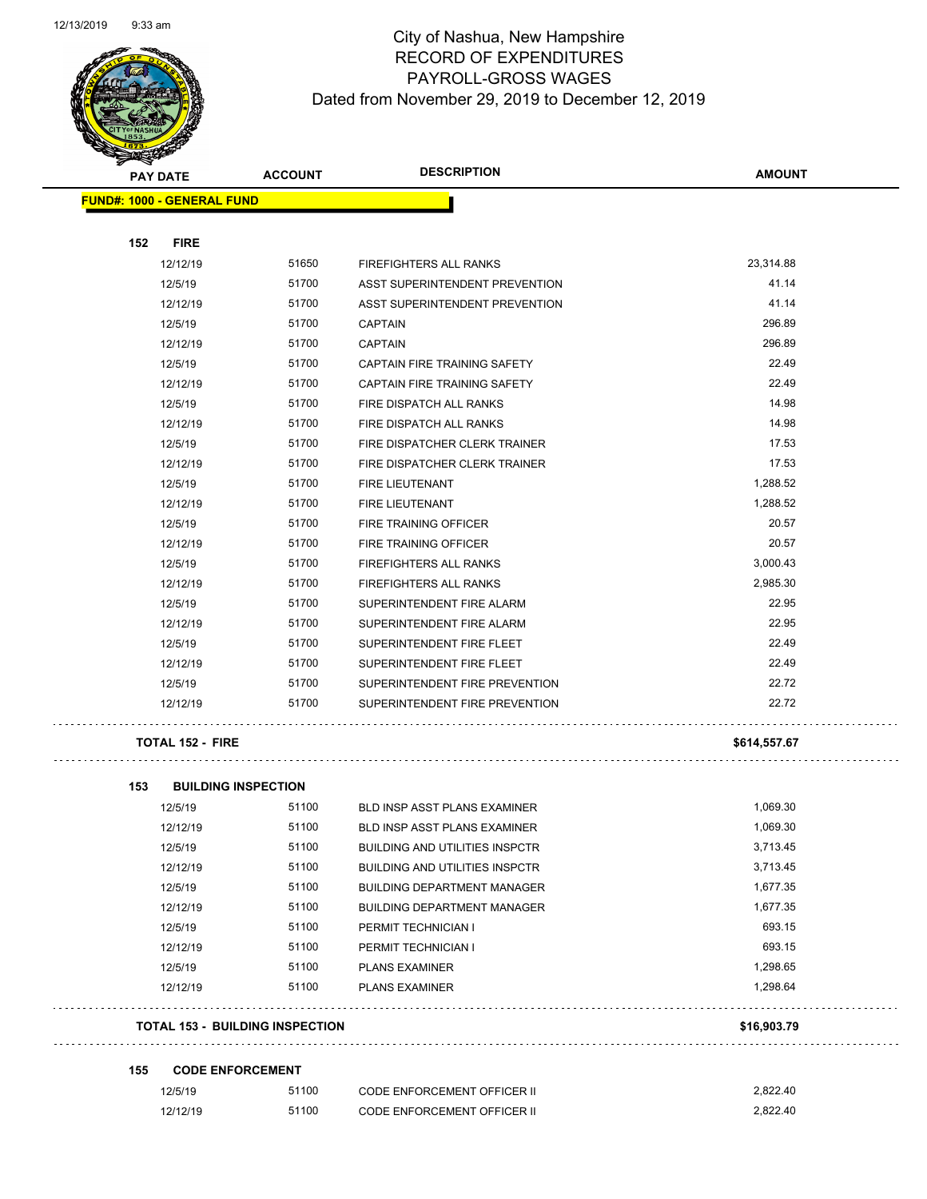

# City of Nashua, New Hampshire RECORD OF EXPENDITURES PAYROLL-GROSS WAGES Dated from November 29, 2019 to December 12, 2019

Page 47 of 97

| <b>PAY DATE</b>                   | <b>DESCRIPTION</b><br><b>ACCOUNT</b> |                                       | <b>AMOUNT</b> |  |
|-----------------------------------|--------------------------------------|---------------------------------------|---------------|--|
| <b>FUND#: 1000 - GENERAL FUND</b> |                                      |                                       |               |  |
|                                   |                                      |                                       |               |  |
| 152<br><b>FIRE</b><br>12/12/19    | 51650                                | <b>FIREFIGHTERS ALL RANKS</b>         | 23,314.88     |  |
| 12/5/19                           | 51700                                | <b>ASST SUPERINTENDENT PREVENTION</b> | 41.14         |  |
| 12/12/19                          | 51700                                | ASST SUPERINTENDENT PREVENTION        | 41.14         |  |
| 12/5/19                           | 51700                                | <b>CAPTAIN</b>                        | 296.89        |  |
| 12/12/19                          | 51700                                | <b>CAPTAIN</b>                        | 296.89        |  |
| 12/5/19                           | 51700                                | CAPTAIN FIRE TRAINING SAFETY          | 22.49         |  |
| 12/12/19                          | 51700                                | CAPTAIN FIRE TRAINING SAFETY          | 22.49         |  |
| 12/5/19                           | 51700                                | FIRE DISPATCH ALL RANKS               | 14.98         |  |
| 12/12/19                          | 51700                                | FIRE DISPATCH ALL RANKS               | 14.98         |  |
| 12/5/19                           | 51700                                | FIRE DISPATCHER CLERK TRAINER         | 17.53         |  |
| 12/12/19                          | 51700                                | FIRE DISPATCHER CLERK TRAINER         | 17.53         |  |
| 12/5/19                           | 51700                                | FIRE LIEUTENANT                       | 1,288.52      |  |
| 12/12/19                          | 51700                                | <b>FIRE LIEUTENANT</b>                | 1,288.52      |  |
| 12/5/19                           | 51700                                | FIRE TRAINING OFFICER                 | 20.57         |  |
| 12/12/19                          | 51700                                | <b>FIRE TRAINING OFFICER</b>          | 20.57         |  |
| 12/5/19                           | 51700                                | <b>FIREFIGHTERS ALL RANKS</b>         | 3,000.43      |  |
| 12/12/19                          | 51700                                | <b>FIREFIGHTERS ALL RANKS</b>         | 2,985.30      |  |
| 12/5/19                           | 51700                                | SUPERINTENDENT FIRE ALARM             | 22.95         |  |
| 12/12/19                          | 51700                                | SUPERINTENDENT FIRE ALARM             | 22.95         |  |
| 12/5/19                           | 51700                                | SUPERINTENDENT FIRE FLEET             | 22.49         |  |
| 12/12/19                          | 51700                                | SUPERINTENDENT FIRE FLEET             | 22.49         |  |
| 12/5/19                           | 51700                                | SUPERINTENDENT FIRE PREVENTION        | 22.72         |  |
| 12/12/19                          | 51700                                | SUPERINTENDENT FIRE PREVENTION        | 22.72         |  |
| <b>TOTAL 152 - FIRE</b>           |                                      |                                       | \$614,557.67  |  |

| <b>TOTAL 153 - BUILDING INSPECTION</b> |          |       |                                       | \$16,903.79 |
|----------------------------------------|----------|-------|---------------------------------------|-------------|
|                                        | 12/12/19 | 51100 | <b>PLANS EXAMINER</b>                 | 1.298.64    |
|                                        | 12/5/19  | 51100 | <b>PLANS EXAMINER</b>                 | 1,298.65    |
|                                        | 12/12/19 | 51100 | PERMIT TECHNICIAN I                   | 693.15      |
|                                        | 12/5/19  | 51100 | PERMIT TECHNICIAN I                   | 693.15      |
|                                        | 12/12/19 | 51100 | <b>BUILDING DEPARTMENT MANAGER</b>    | 1,677.35    |
|                                        | 12/5/19  | 51100 | <b>BUILDING DEPARTMENT MANAGER</b>    | 1,677.35    |
|                                        | 12/12/19 | 51100 | <b>BUILDING AND UTILITIES INSPCTR</b> | 3,713.45    |
|                                        | 12/5/19  | 51100 | <b>BUILDING AND UTILITIES INSPCTR</b> | 3,713.45    |
|                                        | 12/12/19 | 51100 | <b>BLD INSP ASST PLANS EXAMINER</b>   | 1.069.30    |
|                                        | 12/5/19  | 51100 | <b>BLD INSP ASST PLANS EXAMINER</b>   | 1,069.30    |

#### **155 CODE ENFORCEMENT**

| 12/5/19  | 51100 | <b>CODE ENFORCEMENT OFFICER II</b> | 2.822.40 |
|----------|-------|------------------------------------|----------|
| 12/12/19 | 51100 | CODE ENFORCEMENT OFFICER II        | 2.822.40 |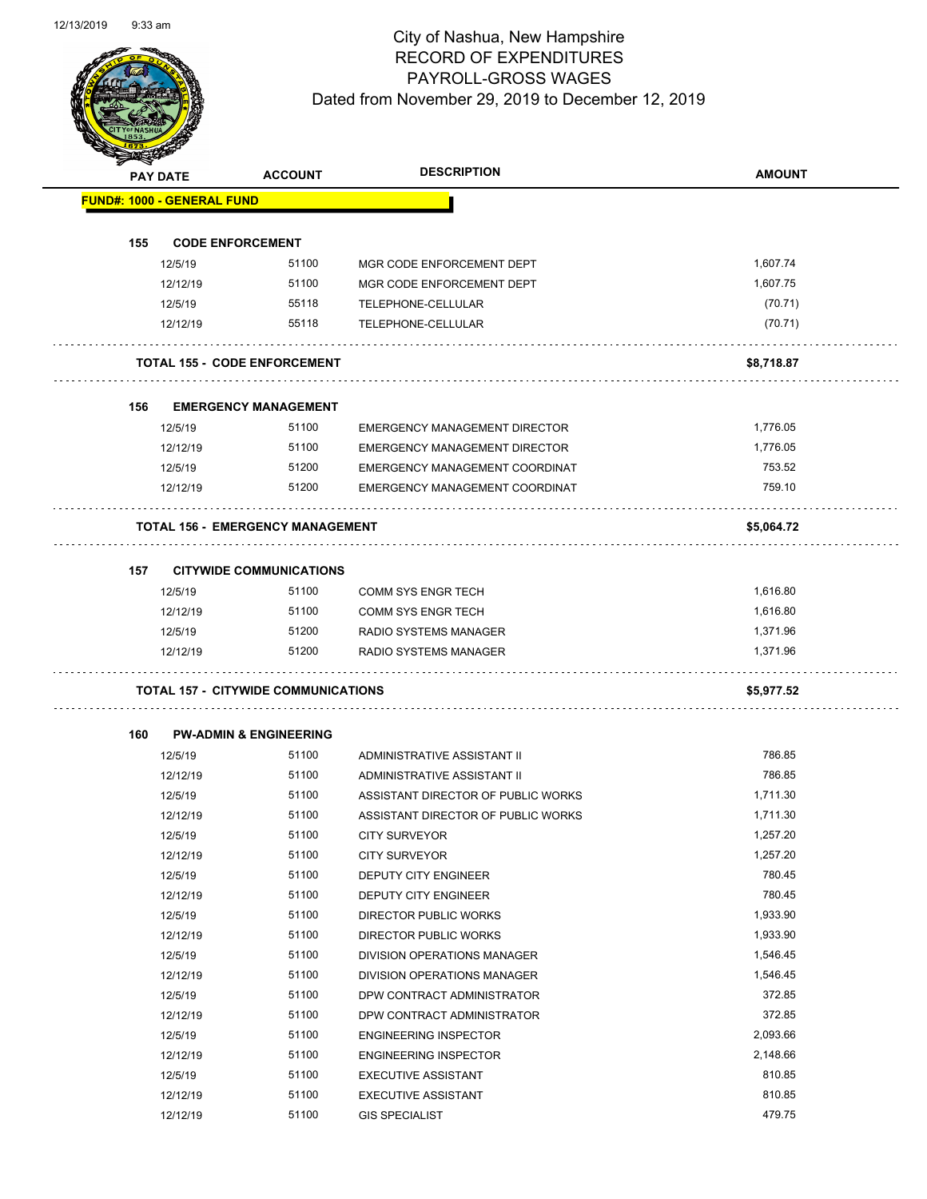Page 48 of 97

|     |                                            |                                      | <b>DESCRIPTION</b>                   |               |
|-----|--------------------------------------------|--------------------------------------|--------------------------------------|---------------|
|     | <b>PAY DATE</b>                            | <b>ACCOUNT</b>                       |                                      | <b>AMOUNT</b> |
|     | <b>FUND#: 1000 - GENERAL FUND</b>          |                                      |                                      |               |
| 155 | <b>CODE ENFORCEMENT</b>                    |                                      |                                      |               |
|     | 12/5/19                                    | 51100                                | MGR CODE ENFORCEMENT DEPT            | 1,607.74      |
|     | 12/12/19                                   | 51100                                | MGR CODE ENFORCEMENT DEPT            | 1,607.75      |
|     | 12/5/19                                    | 55118                                | TELEPHONE-CELLULAR                   | (70.71)       |
|     | 12/12/19                                   | 55118                                | TELEPHONE-CELLULAR                   | (70.71)       |
|     | <b>TOTAL 155 - CODE ENFORCEMENT</b>        |                                      |                                      | \$8,718.87    |
|     |                                            |                                      |                                      |               |
| 156 | 12/5/19                                    | <b>EMERGENCY MANAGEMENT</b><br>51100 | <b>EMERGENCY MANAGEMENT DIRECTOR</b> | 1,776.05      |
|     | 12/12/19                                   | 51100                                | <b>EMERGENCY MANAGEMENT DIRECTOR</b> | 1,776.05      |
|     | 12/5/19                                    | 51200                                | EMERGENCY MANAGEMENT COORDINAT       | 753.52        |
|     | 12/12/19                                   | 51200                                | EMERGENCY MANAGEMENT COORDINAT       | 759.10        |
|     |                                            |                                      |                                      |               |
|     | <b>TOTAL 156 - EMERGENCY MANAGEMENT</b>    |                                      |                                      | \$5,064.72    |
| 157 |                                            | <b>CITYWIDE COMMUNICATIONS</b>       |                                      |               |
|     | 12/5/19                                    | 51100                                | <b>COMM SYS ENGR TECH</b>            | 1,616.80      |
|     | 12/12/19                                   | 51100                                | <b>COMM SYS ENGR TECH</b>            | 1,616.80      |
|     | 12/5/19                                    | 51200                                | RADIO SYSTEMS MANAGER                | 1,371.96      |
|     | 12/12/19                                   | 51200                                | RADIO SYSTEMS MANAGER                | 1,371.96      |
|     | <b>TOTAL 157 - CITYWIDE COMMUNICATIONS</b> |                                      |                                      | \$5,977.52    |
| 160 | <b>PW-ADMIN &amp; ENGINEERING</b>          |                                      |                                      |               |
|     | 12/5/19                                    | 51100                                | ADMINISTRATIVE ASSISTANT II          | 786.85        |
|     | 12/12/19                                   | 51100                                | ADMINISTRATIVE ASSISTANT II          | 786.85        |
|     | 12/5/19                                    | 51100                                | ASSISTANT DIRECTOR OF PUBLIC WORKS   | 1,711.30      |
|     | 12/12/19                                   | 51100                                | ASSISTANT DIRECTOR OF PUBLIC WORKS   | 1,711.30      |
|     | 12/5/19                                    | 51100                                | CITY SURVEYOR                        | 1,257.20      |
|     | 12/12/19                                   | 51100                                | <b>CITY SURVEYOR</b>                 | 1,257.20      |
|     | 12/5/19                                    | 51100                                | DEPUTY CITY ENGINEER                 | 780.45        |
|     | 12/12/19                                   | 51100                                | DEPUTY CITY ENGINEER                 | 780.45        |
|     | 12/5/19                                    | 51100                                | DIRECTOR PUBLIC WORKS                | 1,933.90      |
|     |                                            |                                      |                                      |               |
|     | 12/12/19                                   | 51100                                | DIRECTOR PUBLIC WORKS                | 1,933.90      |
|     | 12/5/19                                    | 51100                                | DIVISION OPERATIONS MANAGER          | 1,546.45      |
|     | 12/12/19                                   | 51100                                | <b>DIVISION OPERATIONS MANAGER</b>   | 1,546.45      |
|     | 12/5/19                                    | 51100                                | DPW CONTRACT ADMINISTRATOR           | 372.85        |
|     | 12/12/19                                   | 51100                                | DPW CONTRACT ADMINISTRATOR           | 372.85        |
|     | 12/5/19                                    | 51100                                | <b>ENGINEERING INSPECTOR</b>         | 2,093.66      |
|     | 12/12/19                                   | 51100                                | <b>ENGINEERING INSPECTOR</b>         | 2,148.66      |
|     | 12/5/19                                    | 51100                                | <b>EXECUTIVE ASSISTANT</b>           | 810.85        |
|     | 12/12/19                                   | 51100                                | <b>EXECUTIVE ASSISTANT</b>           | 810.85        |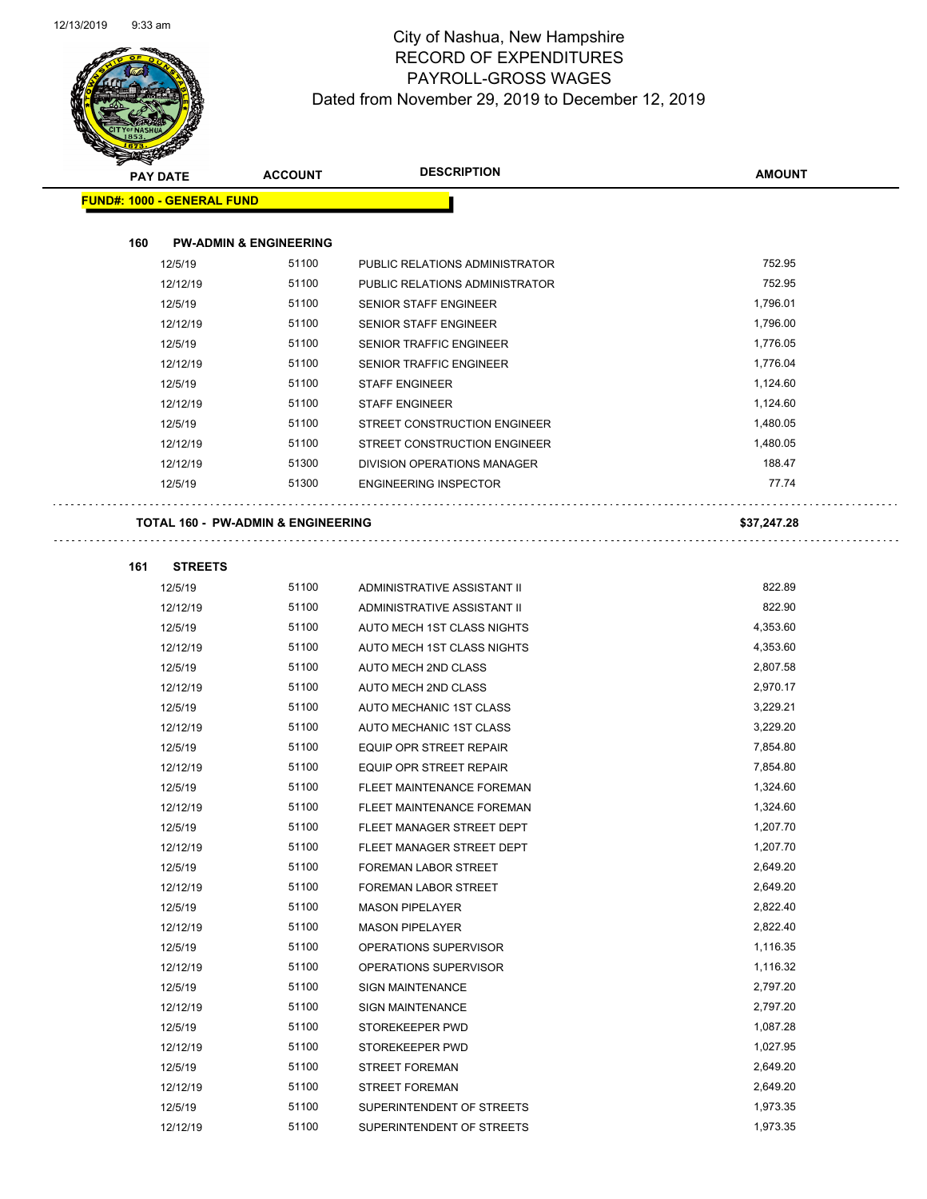

Page 49 of 97

| T<br>ॼ | <b>PAY DATE</b>                   | <b>ACCOUNT</b>                                | <b>DESCRIPTION</b>                                         | <b>AMOUNT</b> |
|--------|-----------------------------------|-----------------------------------------------|------------------------------------------------------------|---------------|
|        | <b>FUND#: 1000 - GENERAL FUND</b> |                                               |                                                            |               |
|        |                                   |                                               |                                                            |               |
| 160    |                                   | <b>PW-ADMIN &amp; ENGINEERING</b>             |                                                            |               |
|        | 12/5/19                           | 51100                                         | PUBLIC RELATIONS ADMINISTRATOR                             | 752.95        |
|        | 12/12/19                          | 51100                                         | PUBLIC RELATIONS ADMINISTRATOR                             | 752.95        |
|        | 12/5/19                           | 51100                                         | SENIOR STAFF ENGINEER                                      | 1,796.01      |
|        | 12/12/19                          | 51100                                         | <b>SENIOR STAFF ENGINEER</b>                               | 1,796.00      |
|        | 12/5/19                           | 51100                                         | SENIOR TRAFFIC ENGINEER                                    | 1,776.05      |
|        | 12/12/19                          | 51100                                         | SENIOR TRAFFIC ENGINEER                                    | 1,776.04      |
|        | 12/5/19                           | 51100                                         | <b>STAFF ENGINEER</b>                                      | 1,124.60      |
|        | 12/12/19                          | 51100                                         | <b>STAFF ENGINEER</b>                                      | 1,124.60      |
|        | 12/5/19                           | 51100                                         | STREET CONSTRUCTION ENGINEER                               | 1,480.05      |
|        | 12/12/19                          | 51100                                         | STREET CONSTRUCTION ENGINEER                               | 1,480.05      |
|        | 12/12/19                          | 51300                                         | DIVISION OPERATIONS MANAGER                                | 188.47        |
|        | 12/5/19                           | 51300                                         | <b>ENGINEERING INSPECTOR</b>                               | 77.74         |
|        |                                   |                                               |                                                            |               |
|        |                                   | <b>TOTAL 160 - PW-ADMIN &amp; ENGINEERING</b> |                                                            | \$37,247.28   |
|        |                                   |                                               |                                                            |               |
| 161    | <b>STREETS</b>                    | 51100                                         |                                                            | 822.89        |
|        | 12/5/19                           | 51100                                         | ADMINISTRATIVE ASSISTANT II<br>ADMINISTRATIVE ASSISTANT II | 822.90        |
|        | 12/12/19<br>12/5/19               | 51100                                         | AUTO MECH 1ST CLASS NIGHTS                                 | 4,353.60      |
|        | 12/12/19                          | 51100                                         | AUTO MECH 1ST CLASS NIGHTS                                 | 4,353.60      |
|        | 12/5/19                           | 51100                                         | AUTO MECH 2ND CLASS                                        | 2,807.58      |
|        | 12/12/19                          | 51100                                         | AUTO MECH 2ND CLASS                                        | 2,970.17      |
|        | 12/5/19                           | 51100                                         | AUTO MECHANIC 1ST CLASS                                    | 3,229.21      |
|        | 12/12/19                          | 51100                                         | AUTO MECHANIC 1ST CLASS                                    | 3,229.20      |
|        | 12/5/19                           | 51100                                         | EQUIP OPR STREET REPAIR                                    | 7,854.80      |
|        | 12/12/19                          | 51100                                         | EQUIP OPR STREET REPAIR                                    | 7,854.80      |
|        | 12/5/19                           | 51100                                         | FLEET MAINTENANCE FOREMAN                                  | 1,324.60      |
|        | 12/12/19                          | 51100                                         | FLEET MAINTENANCE FOREMAN                                  | 1,324.60      |
|        | 12/5/19                           | 51100                                         | FLEET MANAGER STREET DEPT                                  | 1,207.70      |
|        | 12/12/19                          | 51100                                         | FLEET MANAGER STREET DEPT                                  | 1,207.70      |
|        | 12/5/19                           | 51100                                         | FOREMAN LABOR STREET                                       | 2,649.20      |
|        | 12/12/19                          | 51100                                         | FOREMAN LABOR STREET                                       | 2,649.20      |
|        | 12/5/19                           | 51100                                         | <b>MASON PIPELAYER</b>                                     | 2,822.40      |
|        | 12/12/19                          | 51100                                         | <b>MASON PIPELAYER</b>                                     | 2,822.40      |
|        | 12/5/19                           | 51100                                         | OPERATIONS SUPERVISOR                                      | 1,116.35      |
|        | 12/12/19                          | 51100                                         | OPERATIONS SUPERVISOR                                      | 1,116.32      |
|        | 12/5/19                           | 51100                                         | <b>SIGN MAINTENANCE</b>                                    | 2,797.20      |
|        | 12/12/19                          | 51100                                         | <b>SIGN MAINTENANCE</b>                                    | 2,797.20      |
|        | 12/5/19                           | 51100                                         | STOREKEEPER PWD                                            | 1,087.28      |
|        | 12/12/19                          | 51100                                         | STOREKEEPER PWD                                            | 1,027.95      |
|        | 12/5/19                           | 51100                                         | <b>STREET FOREMAN</b>                                      | 2,649.20      |
|        | 12/12/19                          | 51100                                         | <b>STREET FOREMAN</b>                                      | 2,649.20      |
|        | 12/5/19                           | 51100                                         | SUPERINTENDENT OF STREETS                                  | 1,973.35      |
|        | 12/12/19                          | 51100                                         | SUPERINTENDENT OF STREETS                                  | 1,973.35      |
|        |                                   |                                               |                                                            |               |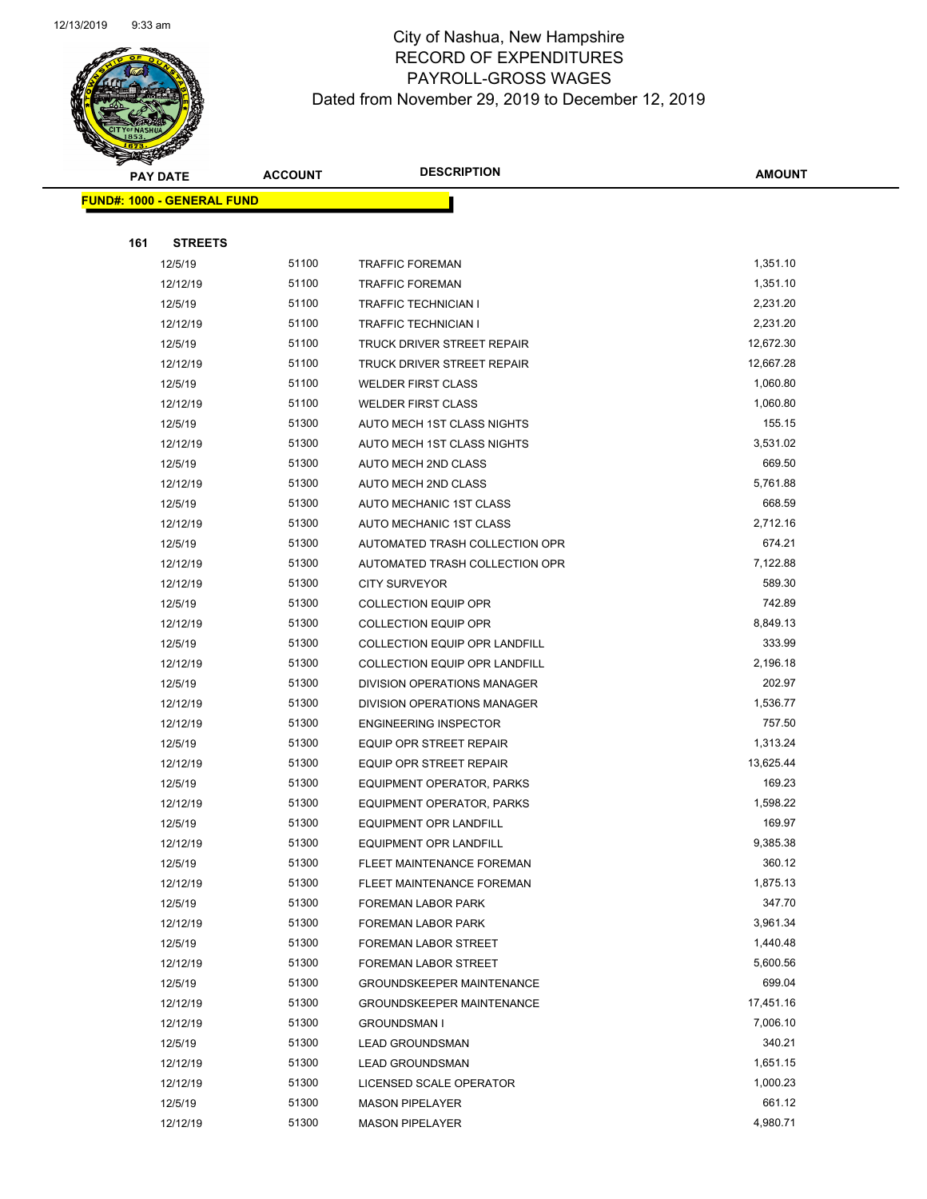

Page 50 of 97

|     | <b>PAY DATE</b>                   | <b>ACCOUNT</b> | <b>DESCRIPTION</b>               | <b>AMOUNT</b> |
|-----|-----------------------------------|----------------|----------------------------------|---------------|
|     | <b>FUND#: 1000 - GENERAL FUND</b> |                |                                  |               |
|     |                                   |                |                                  |               |
| 161 | <b>STREETS</b>                    |                |                                  |               |
|     | 12/5/19                           | 51100          | <b>TRAFFIC FOREMAN</b>           | 1,351.10      |
|     | 12/12/19                          | 51100          | <b>TRAFFIC FOREMAN</b>           | 1,351.10      |
|     | 12/5/19                           | 51100          | TRAFFIC TECHNICIAN I             | 2,231.20      |
|     | 12/12/19                          | 51100          | TRAFFIC TECHNICIAN I             | 2,231.20      |
|     | 12/5/19                           | 51100          | TRUCK DRIVER STREET REPAIR       | 12,672.30     |
|     | 12/12/19                          | 51100          | TRUCK DRIVER STREET REPAIR       | 12,667.28     |
|     | 12/5/19                           | 51100          | <b>WELDER FIRST CLASS</b>        | 1,060.80      |
|     | 12/12/19                          | 51100          | <b>WELDER FIRST CLASS</b>        | 1,060.80      |
|     | 12/5/19                           | 51300          | AUTO MECH 1ST CLASS NIGHTS       | 155.15        |
|     | 12/12/19                          | 51300          | AUTO MECH 1ST CLASS NIGHTS       | 3,531.02      |
|     | 12/5/19                           | 51300          | AUTO MECH 2ND CLASS              | 669.50        |
|     | 12/12/19                          | 51300          | AUTO MECH 2ND CLASS              | 5,761.88      |
|     | 12/5/19                           | 51300          | AUTO MECHANIC 1ST CLASS          | 668.59        |
|     | 12/12/19                          | 51300          | AUTO MECHANIC 1ST CLASS          | 2,712.16      |
|     | 12/5/19                           | 51300          | AUTOMATED TRASH COLLECTION OPR   | 674.21        |
|     | 12/12/19                          | 51300          | AUTOMATED TRASH COLLECTION OPR   | 7,122.88      |
|     | 12/12/19                          | 51300          | <b>CITY SURVEYOR</b>             | 589.30        |
|     | 12/5/19                           | 51300          | <b>COLLECTION EQUIP OPR</b>      | 742.89        |
|     | 12/12/19                          | 51300          | <b>COLLECTION EQUIP OPR</b>      | 8,849.13      |
|     | 12/5/19                           | 51300          | COLLECTION EQUIP OPR LANDFILL    | 333.99        |
|     | 12/12/19                          | 51300          | COLLECTION EQUIP OPR LANDFILL    | 2,196.18      |
|     | 12/5/19                           | 51300          | DIVISION OPERATIONS MANAGER      | 202.97        |
|     | 12/12/19                          | 51300          | DIVISION OPERATIONS MANAGER      | 1,536.77      |
|     | 12/12/19                          | 51300          | <b>ENGINEERING INSPECTOR</b>     | 757.50        |
|     | 12/5/19                           | 51300          | <b>EQUIP OPR STREET REPAIR</b>   | 1,313.24      |
|     | 12/12/19                          | 51300          | <b>EQUIP OPR STREET REPAIR</b>   | 13,625.44     |
|     | 12/5/19                           | 51300          | EQUIPMENT OPERATOR, PARKS        | 169.23        |
|     | 12/12/19                          | 51300          | EQUIPMENT OPERATOR, PARKS        | 1,598.22      |
|     | 12/5/19                           | 51300          | EQUIPMENT OPR LANDFILL           | 169.97        |
|     | 12/12/19                          | 51300          | <b>EQUIPMENT OPR LANDFILL</b>    | 9,385.38      |
|     | 12/5/19                           | 51300          | FLEET MAINTENANCE FOREMAN        | 360.12        |
|     | 12/12/19                          | 51300          | FLEET MAINTENANCE FOREMAN        | 1,875.13      |
|     | 12/5/19                           | 51300          | FOREMAN LABOR PARK               | 347.70        |
|     | 12/12/19                          | 51300          | FOREMAN LABOR PARK               | 3,961.34      |
|     | 12/5/19                           | 51300          | FOREMAN LABOR STREET             | 1,440.48      |
|     | 12/12/19                          | 51300          | FOREMAN LABOR STREET             | 5,600.56      |
|     | 12/5/19                           | 51300          | <b>GROUNDSKEEPER MAINTENANCE</b> | 699.04        |
|     | 12/12/19                          | 51300          | <b>GROUNDSKEEPER MAINTENANCE</b> | 17,451.16     |
|     | 12/12/19                          | 51300          | GROUNDSMAN I                     | 7,006.10      |
|     | 12/5/19                           | 51300          | <b>LEAD GROUNDSMAN</b>           | 340.21        |
|     | 12/12/19                          | 51300          | <b>LEAD GROUNDSMAN</b>           | 1,651.15      |
|     | 12/12/19                          | 51300          | LICENSED SCALE OPERATOR          | 1,000.23      |
|     | 12/5/19                           | 51300          | <b>MASON PIPELAYER</b>           | 661.12        |
|     | 12/12/19                          | 51300          | <b>MASON PIPELAYER</b>           | 4,980.71      |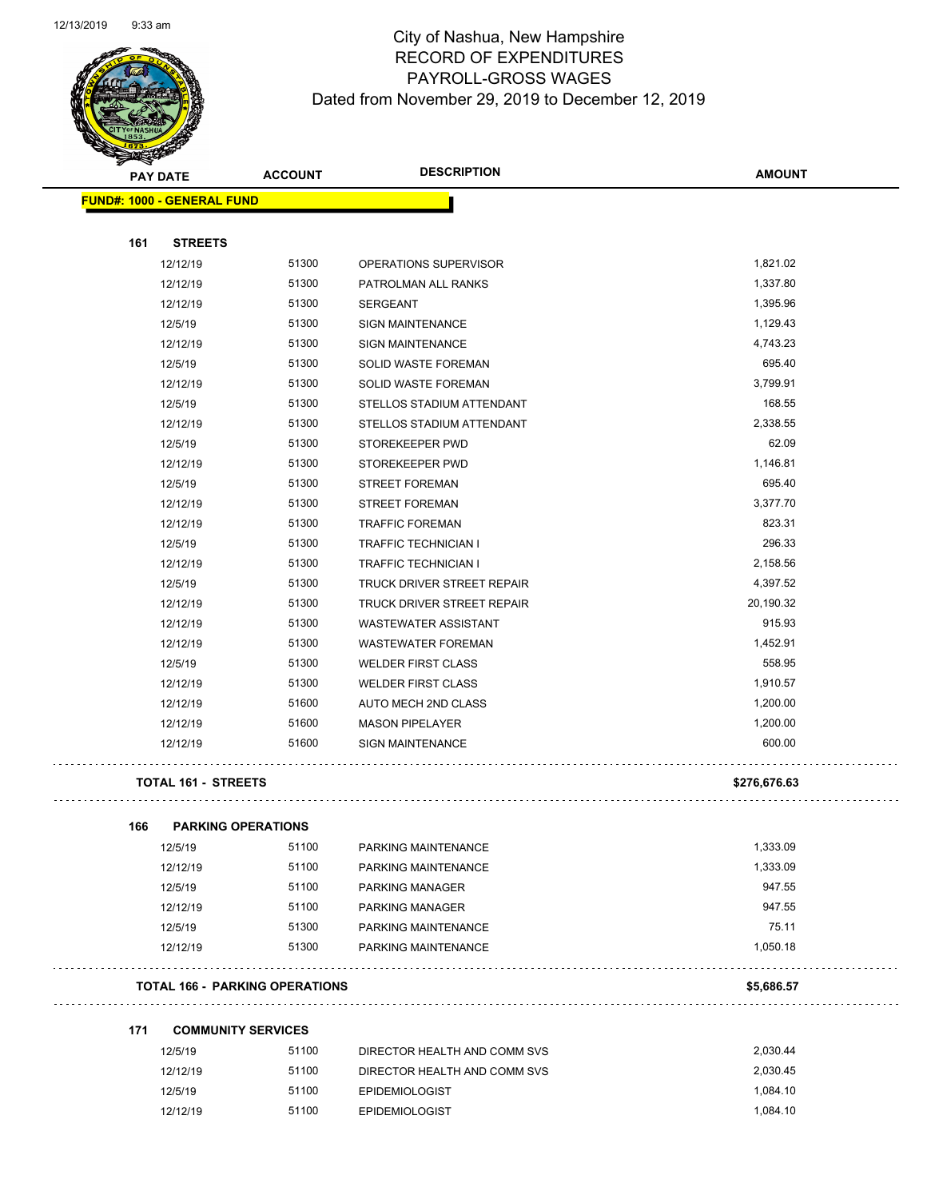

Page 51 of 97

| <b>STARBAND</b>                   |                                       |                              |               |
|-----------------------------------|---------------------------------------|------------------------------|---------------|
| <b>PAY DATE</b>                   | <b>ACCOUNT</b>                        | <b>DESCRIPTION</b>           | <b>AMOUNT</b> |
| <b>FUND#: 1000 - GENERAL FUND</b> |                                       |                              |               |
|                                   |                                       |                              |               |
| 161                               | <b>STREETS</b>                        |                              |               |
| 12/12/19                          | 51300                                 | OPERATIONS SUPERVISOR        | 1,821.02      |
| 12/12/19                          | 51300                                 | PATROLMAN ALL RANKS          | 1,337.80      |
| 12/12/19                          | 51300                                 | <b>SERGEANT</b>              | 1,395.96      |
| 12/5/19                           | 51300                                 | <b>SIGN MAINTENANCE</b>      | 1,129.43      |
| 12/12/19                          | 51300                                 | <b>SIGN MAINTENANCE</b>      | 4,743.23      |
| 12/5/19                           | 51300                                 | SOLID WASTE FOREMAN          | 695.40        |
| 12/12/19                          | 51300                                 | <b>SOLID WASTE FOREMAN</b>   | 3,799.91      |
| 12/5/19                           | 51300                                 | STELLOS STADIUM ATTENDANT    | 168.55        |
| 12/12/19                          | 51300                                 | STELLOS STADIUM ATTENDANT    | 2,338.55      |
| 12/5/19                           | 51300                                 | STOREKEEPER PWD              | 62.09         |
| 12/12/19                          | 51300                                 | STOREKEEPER PWD              | 1,146.81      |
| 12/5/19                           | 51300                                 | <b>STREET FOREMAN</b>        | 695.40        |
| 12/12/19                          | 51300                                 | STREET FOREMAN               | 3,377.70      |
| 12/12/19                          | 51300                                 | <b>TRAFFIC FOREMAN</b>       | 823.31        |
| 12/5/19                           | 51300                                 | <b>TRAFFIC TECHNICIAN I</b>  | 296.33        |
| 12/12/19                          | 51300                                 | <b>TRAFFIC TECHNICIAN I</b>  | 2,158.56      |
| 12/5/19                           | 51300                                 | TRUCK DRIVER STREET REPAIR   | 4,397.52      |
| 12/12/19                          | 51300                                 | TRUCK DRIVER STREET REPAIR   | 20,190.32     |
| 12/12/19                          | 51300                                 | <b>WASTEWATER ASSISTANT</b>  | 915.93        |
| 12/12/19                          | 51300                                 | <b>WASTEWATER FOREMAN</b>    | 1,452.91      |
| 12/5/19                           | 51300                                 | <b>WELDER FIRST CLASS</b>    | 558.95        |
| 12/12/19                          | 51300                                 | <b>WELDER FIRST CLASS</b>    | 1,910.57      |
| 12/12/19                          | 51600                                 | AUTO MECH 2ND CLASS          | 1,200.00      |
| 12/12/19                          | 51600                                 | <b>MASON PIPELAYER</b>       | 1,200.00      |
| 12/12/19                          | 51600                                 | <b>SIGN MAINTENANCE</b>      | 600.00        |
|                                   | <b>TOTAL 161 - STREETS</b>            |                              | \$276,676.63  |
| 166                               | <b>PARKING OPERATIONS</b>             |                              |               |
| 12/5/19                           | 51100                                 | PARKING MAINTENANCE          | 1,333.09      |
| 12/12/19                          | 51100                                 | PARKING MAINTENANCE          | 1,333.09      |
| 12/5/19                           | 51100                                 | PARKING MANAGER              | 947.55        |
| 12/12/19                          | 51100                                 | PARKING MANAGER              | 947.55        |
| 12/5/19                           | 51300                                 | PARKING MAINTENANCE          | 75.11         |
| 12/12/19                          | 51300                                 | PARKING MAINTENANCE          | 1,050.18      |
|                                   | <b>TOTAL 166 - PARKING OPERATIONS</b> |                              | \$5,686.57    |
| 171                               | <b>COMMUNITY SERVICES</b>             |                              |               |
| 12/5/19                           | 51100                                 | DIRECTOR HEALTH AND COMM SVS | 2,030.44      |
| 12/12/19                          | 51100                                 | DIRECTOR HEALTH AND COMM SVS | 2,030.45      |
| 12/5/19                           | 51100                                 | EPIDEMIOLOGIST               | 1,084.10      |
| 12/12/19                          | 51100                                 | <b>EPIDEMIOLOGIST</b>        | 1,084.10      |
|                                   |                                       |                              |               |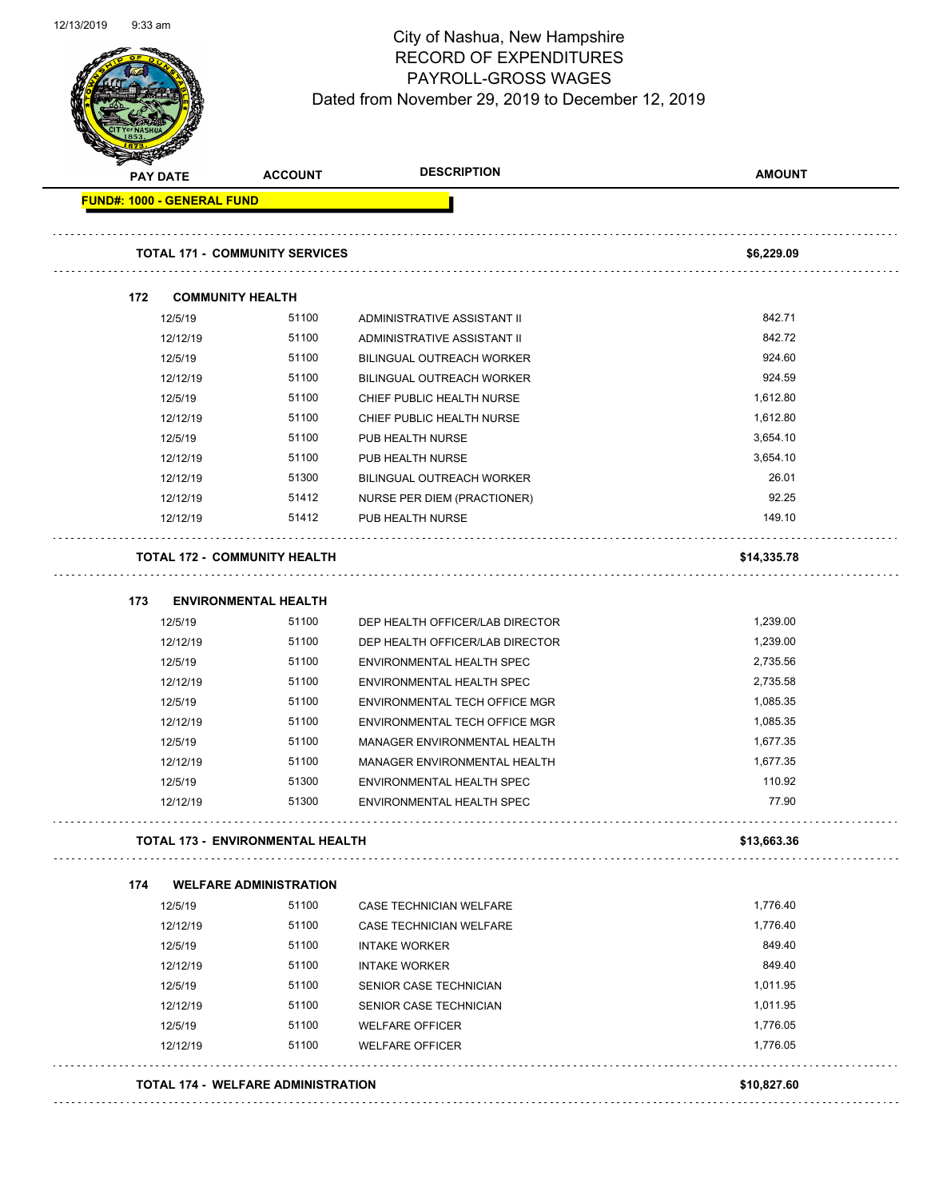

Page 52 of 97

| <b>PAY DATE</b>                   |                         | <b>ACCOUNT</b>                          | <b>DESCRIPTION</b>               | <b>AMOUNT</b> |
|-----------------------------------|-------------------------|-----------------------------------------|----------------------------------|---------------|
| <b>FUND#: 1000 - GENERAL FUND</b> |                         |                                         |                                  |               |
|                                   |                         | <b>TOTAL 171 - COMMUNITY SERVICES</b>   |                                  | \$6,229.09    |
| 172                               | <b>COMMUNITY HEALTH</b> |                                         |                                  |               |
|                                   | 12/5/19                 | 51100                                   | ADMINISTRATIVE ASSISTANT II      | 842.71        |
|                                   | 12/12/19                | 51100                                   | ADMINISTRATIVE ASSISTANT II      | 842.72        |
|                                   | 12/5/19                 | 51100                                   | BILINGUAL OUTREACH WORKER        | 924.60        |
|                                   | 12/12/19                | 51100                                   | <b>BILINGUAL OUTREACH WORKER</b> | 924.59        |
|                                   | 12/5/19                 | 51100                                   | CHIEF PUBLIC HEALTH NURSE        | 1,612.80      |
|                                   | 12/12/19                | 51100                                   | CHIEF PUBLIC HEALTH NURSE        | 1,612.80      |
|                                   | 12/5/19                 | 51100                                   | PUB HEALTH NURSE                 | 3,654.10      |
|                                   | 12/12/19                | 51100                                   | PUB HEALTH NURSE                 | 3,654.10      |
|                                   | 12/12/19                | 51300                                   | <b>BILINGUAL OUTREACH WORKER</b> | 26.01         |
|                                   | 12/12/19                | 51412                                   | NURSE PER DIEM (PRACTIONER)      | 92.25         |
|                                   | 12/12/19                | 51412                                   | PUB HEALTH NURSE                 | 149.10        |
|                                   |                         | <b>TOTAL 172 - COMMUNITY HEALTH</b>     |                                  | \$14,335.78   |
| 173                               |                         | <b>ENVIRONMENTAL HEALTH</b>             |                                  |               |
|                                   | 12/5/19                 | 51100                                   | DEP HEALTH OFFICER/LAB DIRECTOR  | 1,239.00      |
|                                   | 12/12/19                | 51100                                   | DEP HEALTH OFFICER/LAB DIRECTOR  | 1,239.00      |
|                                   | 12/5/19                 | 51100                                   | ENVIRONMENTAL HEALTH SPEC        | 2,735.56      |
|                                   | 12/12/19                | 51100                                   | ENVIRONMENTAL HEALTH SPEC        | 2,735.58      |
|                                   | 12/5/19                 | 51100                                   | ENVIRONMENTAL TECH OFFICE MGR    | 1,085.35      |
|                                   | 12/12/19                | 51100                                   | ENVIRONMENTAL TECH OFFICE MGR    | 1,085.35      |
|                                   | 12/5/19                 | 51100                                   | MANAGER ENVIRONMENTAL HEALTH     | 1,677.35      |
|                                   | 12/12/19                | 51100                                   | MANAGER ENVIRONMENTAL HEALTH     | 1,677.35      |
|                                   | 12/5/19                 | 51300                                   | ENVIRONMENTAL HEALTH SPEC        | 110.92        |
|                                   | 12/12/19                | 51300                                   | ENVIRONMENTAL HEALTH SPEC        | 77.90         |
|                                   |                         | <b>TOTAL 173 - ENVIRONMENTAL HEALTH</b> |                                  | \$13,663.36   |
| 174                               |                         | <b>WELFARE ADMINISTRATION</b>           |                                  |               |
|                                   | 12/5/19                 | 51100                                   | CASE TECHNICIAN WELFARE          | 1,776.40      |
|                                   | 12/12/19                | 51100                                   | CASE TECHNICIAN WELFARE          | 1,776.40      |
|                                   | 12/5/19                 | 51100                                   | <b>INTAKE WORKER</b>             | 849.40        |
|                                   | 12/12/19                | 51100                                   | <b>INTAKE WORKER</b>             | 849.40        |
|                                   | 12/5/19                 | 51100                                   | SENIOR CASE TECHNICIAN           | 1,011.95      |
|                                   | 12/12/19                | 51100                                   | SENIOR CASE TECHNICIAN           | 1,011.95      |
|                                   | 12/5/19                 | 51100                                   | <b>WELFARE OFFICER</b>           | 1,776.05      |
|                                   | 12/12/19                | 51100                                   | <b>WELFARE OFFICER</b>           | 1,776.05      |
|                                   |                         |                                         |                                  |               |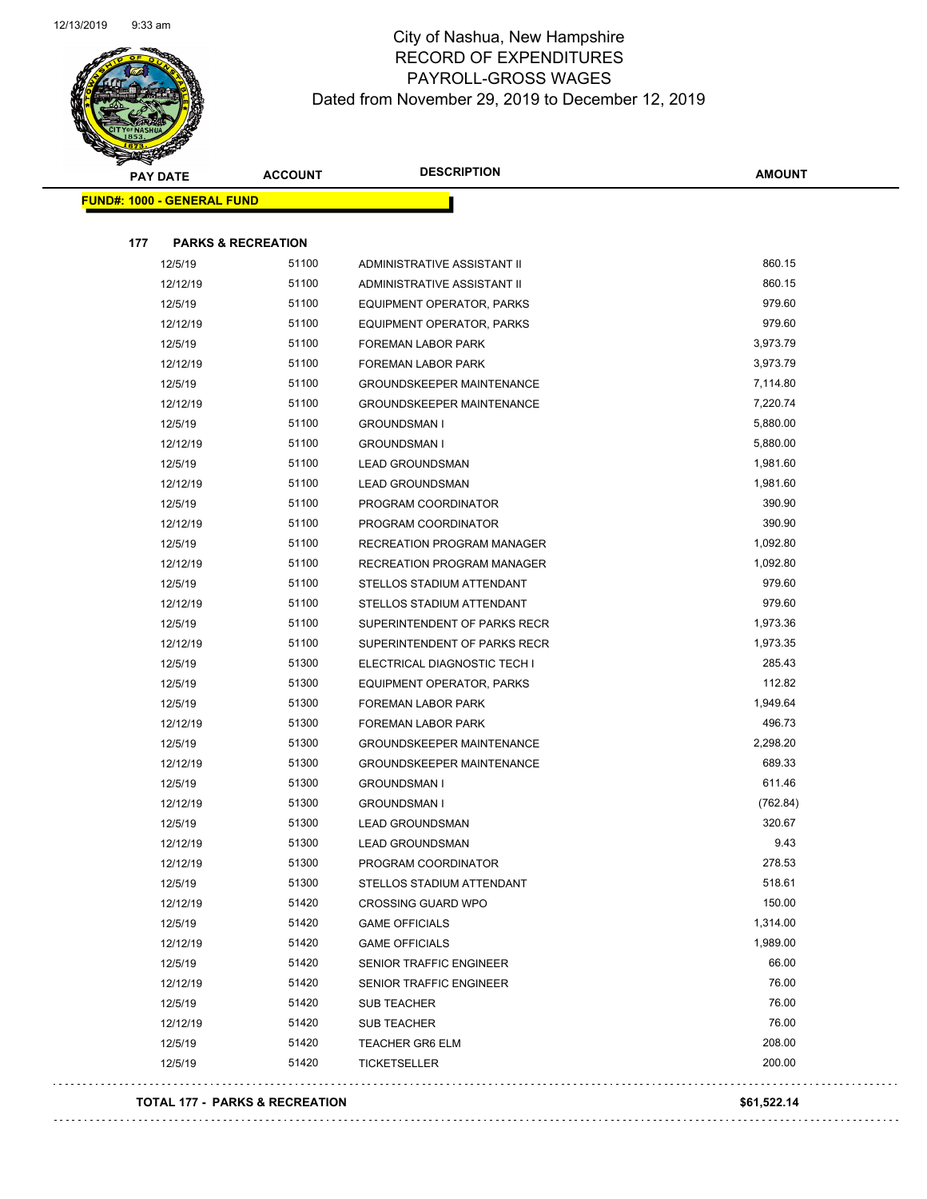

| <b>Arthur Strategy</b> | <b>PAY DATE</b>                   | <b>ACCOUNT</b>                | <b>DESCRIPTION</b>                | <b>AMOUNT</b> |
|------------------------|-----------------------------------|-------------------------------|-----------------------------------|---------------|
|                        | <b>FUND#: 1000 - GENERAL FUND</b> |                               |                                   |               |
|                        |                                   |                               |                                   |               |
| 177                    |                                   | <b>PARKS &amp; RECREATION</b> |                                   |               |
|                        | 12/5/19                           | 51100                         | ADMINISTRATIVE ASSISTANT II       | 860.15        |
|                        | 12/12/19                          | 51100                         | ADMINISTRATIVE ASSISTANT II       | 860.15        |
|                        | 12/5/19                           | 51100                         | EQUIPMENT OPERATOR, PARKS         | 979.60        |
|                        | 12/12/19                          | 51100                         | EQUIPMENT OPERATOR, PARKS         | 979.60        |
|                        | 12/5/19                           | 51100                         | FOREMAN LABOR PARK                | 3,973.79      |
|                        | 12/12/19                          | 51100                         | FOREMAN LABOR PARK                | 3,973.79      |
|                        | 12/5/19                           | 51100                         | <b>GROUNDSKEEPER MAINTENANCE</b>  | 7,114.80      |
|                        | 12/12/19                          | 51100                         | <b>GROUNDSKEEPER MAINTENANCE</b>  | 7,220.74      |
|                        | 12/5/19                           | 51100                         | <b>GROUNDSMAN I</b>               | 5,880.00      |
|                        | 12/12/19                          | 51100                         | <b>GROUNDSMAN I</b>               | 5,880.00      |
|                        | 12/5/19                           | 51100                         | <b>LEAD GROUNDSMAN</b>            | 1,981.60      |
|                        | 12/12/19                          | 51100                         | <b>LEAD GROUNDSMAN</b>            | 1,981.60      |
|                        | 12/5/19                           | 51100                         | PROGRAM COORDINATOR               | 390.90        |
|                        | 12/12/19                          | 51100                         | PROGRAM COORDINATOR               | 390.90        |
|                        | 12/5/19                           | 51100                         | RECREATION PROGRAM MANAGER        | 1,092.80      |
|                        | 12/12/19                          | 51100                         | <b>RECREATION PROGRAM MANAGER</b> | 1,092.80      |
|                        | 12/5/19                           | 51100                         | STELLOS STADIUM ATTENDANT         | 979.60        |
|                        | 12/12/19                          | 51100                         | STELLOS STADIUM ATTENDANT         | 979.60        |
|                        | 12/5/19                           | 51100                         | SUPERINTENDENT OF PARKS RECR      | 1,973.36      |
|                        | 12/12/19                          | 51100                         | SUPERINTENDENT OF PARKS RECR      | 1,973.35      |
|                        | 12/5/19                           | 51300                         | ELECTRICAL DIAGNOSTIC TECH I      | 285.43        |
|                        | 12/5/19                           | 51300                         | EQUIPMENT OPERATOR, PARKS         | 112.82        |
|                        | 12/5/19                           | 51300                         | FOREMAN LABOR PARK                | 1,949.64      |
|                        | 12/12/19                          | 51300                         | FOREMAN LABOR PARK                | 496.73        |
|                        | 12/5/19                           | 51300                         | <b>GROUNDSKEEPER MAINTENANCE</b>  | 2,298.20      |
|                        | 12/12/19                          | 51300                         | GROUNDSKEEPER MAINTENANCE         | 689.33        |
|                        | 12/5/19                           | 51300                         | <b>GROUNDSMAN I</b>               | 611.46        |
|                        | 12/12/19                          | 51300                         | <b>GROUNDSMAN I</b>               | (762.84)      |
|                        | 12/5/19                           | 51300                         | <b>LEAD GROUNDSMAN</b>            | 320.67        |
|                        | 12/12/19                          | 51300                         | <b>LEAD GROUNDSMAN</b>            | 9.43          |
|                        | 12/12/19                          | 51300                         | PROGRAM COORDINATOR               | 278.53        |
|                        | 12/5/19                           | 51300                         | STELLOS STADIUM ATTENDANT         | 518.61        |
|                        | 12/12/19                          | 51420                         | <b>CROSSING GUARD WPO</b>         | 150.00        |
|                        | 12/5/19                           | 51420                         | <b>GAME OFFICIALS</b>             | 1,314.00      |
|                        | 12/12/19                          | 51420                         | <b>GAME OFFICIALS</b>             | 1,989.00      |
|                        | 12/5/19                           | 51420                         | SENIOR TRAFFIC ENGINEER           | 66.00         |
|                        | 12/12/19                          | 51420                         | SENIOR TRAFFIC ENGINEER           | 76.00         |
|                        | 12/5/19                           | 51420                         | <b>SUB TEACHER</b>                | 76.00         |
|                        | 12/12/19                          | 51420                         | <b>SUB TEACHER</b>                | 76.00         |
|                        | 12/5/19                           | 51420                         | <b>TEACHER GR6 ELM</b>            | 208.00        |
|                        | 12/5/19                           | 51420                         | <b>TICKETSELLER</b>               | 200.00        |
|                        |                                   |                               |                                   |               |

#### **TOTAL 177 - PARKS & RECREATION \$61,522.14**

 $\Box$  .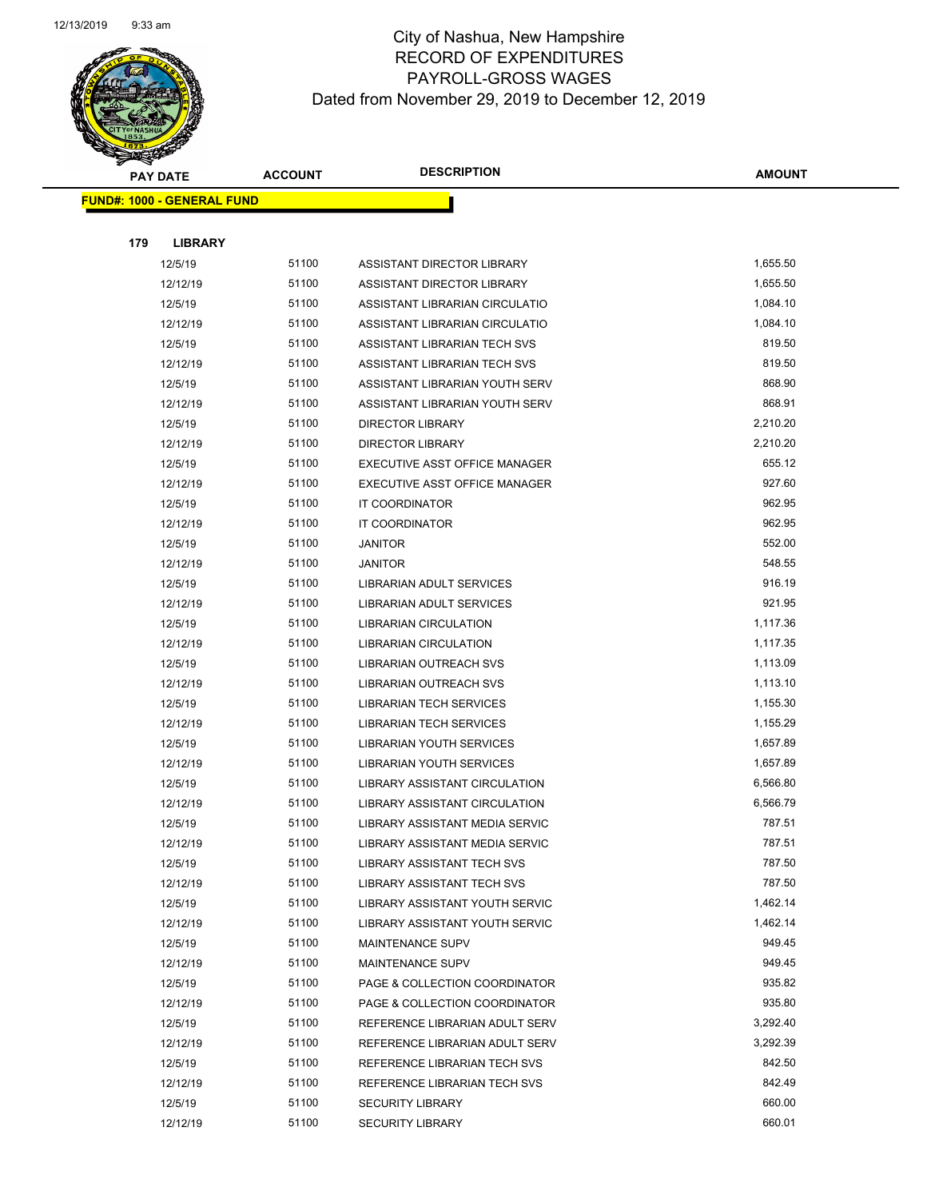

|     | <b>PAY DATE</b>                   | <b>ACCOUNT</b> | <b>DESCRIPTION</b>                   | <b>AMOUNT</b> |
|-----|-----------------------------------|----------------|--------------------------------------|---------------|
|     | <b>FUND#: 1000 - GENERAL FUND</b> |                |                                      |               |
|     |                                   |                |                                      |               |
| 179 | <b>LIBRARY</b>                    |                |                                      |               |
|     | 12/5/19                           | 51100          | ASSISTANT DIRECTOR LIBRARY           | 1,655.50      |
|     | 12/12/19                          | 51100          | ASSISTANT DIRECTOR LIBRARY           | 1,655.50      |
|     | 12/5/19                           | 51100          | ASSISTANT LIBRARIAN CIRCULATIO       | 1,084.10      |
|     | 12/12/19                          | 51100          | ASSISTANT LIBRARIAN CIRCULATIO       | 1,084.10      |
|     | 12/5/19                           | 51100          | ASSISTANT LIBRARIAN TECH SVS         | 819.50        |
|     | 12/12/19                          | 51100          | ASSISTANT LIBRARIAN TECH SVS         | 819.50        |
|     | 12/5/19                           | 51100          | ASSISTANT LIBRARIAN YOUTH SERV       | 868.90        |
|     | 12/12/19                          | 51100          | ASSISTANT LIBRARIAN YOUTH SERV       | 868.91        |
|     | 12/5/19                           | 51100          | <b>DIRECTOR LIBRARY</b>              | 2,210.20      |
|     | 12/12/19                          | 51100          | <b>DIRECTOR LIBRARY</b>              | 2,210.20      |
|     | 12/5/19                           | 51100          | EXECUTIVE ASST OFFICE MANAGER        | 655.12        |
|     | 12/12/19                          | 51100          | EXECUTIVE ASST OFFICE MANAGER        | 927.60        |
|     | 12/5/19                           | 51100          | IT COORDINATOR                       | 962.95        |
|     | 12/12/19                          | 51100          | IT COORDINATOR                       | 962.95        |
|     | 12/5/19                           | 51100          | <b>JANITOR</b>                       | 552.00        |
|     | 12/12/19                          | 51100          | <b>JANITOR</b>                       | 548.55        |
|     | 12/5/19                           | 51100          | <b>LIBRARIAN ADULT SERVICES</b>      | 916.19        |
|     | 12/12/19                          | 51100          | <b>LIBRARIAN ADULT SERVICES</b>      | 921.95        |
|     | 12/5/19                           | 51100          | <b>LIBRARIAN CIRCULATION</b>         | 1,117.36      |
|     | 12/12/19                          | 51100          | <b>LIBRARIAN CIRCULATION</b>         | 1,117.35      |
|     | 12/5/19                           | 51100          | LIBRARIAN OUTREACH SVS               | 1,113.09      |
|     | 12/12/19                          | 51100          | LIBRARIAN OUTREACH SVS               | 1,113.10      |
|     | 12/5/19                           | 51100          | LIBRARIAN TECH SERVICES              | 1,155.30      |
|     | 12/12/19                          | 51100          | <b>LIBRARIAN TECH SERVICES</b>       | 1,155.29      |
|     | 12/5/19                           | 51100          | LIBRARIAN YOUTH SERVICES             | 1,657.89      |
|     | 12/12/19                          | 51100          | LIBRARIAN YOUTH SERVICES             | 1,657.89      |
|     | 12/5/19                           | 51100          | LIBRARY ASSISTANT CIRCULATION        | 6,566.80      |
|     | 12/12/19                          | 51100          | <b>LIBRARY ASSISTANT CIRCULATION</b> | 6,566.79      |
|     | 12/5/19                           | 51100          | LIBRARY ASSISTANT MEDIA SERVIC       | 787.51        |
|     | 12/12/19                          | 51100          | LIBRARY ASSISTANT MEDIA SERVIC       | 787.51        |
|     | 12/5/19                           | 51100          | <b>LIBRARY ASSISTANT TECH SVS</b>    | 787.50        |
|     | 12/12/19                          | 51100          | <b>LIBRARY ASSISTANT TECH SVS</b>    | 787.50        |
|     | 12/5/19                           | 51100          | LIBRARY ASSISTANT YOUTH SERVIC       | 1,462.14      |
|     | 12/12/19                          | 51100          | LIBRARY ASSISTANT YOUTH SERVIC       | 1,462.14      |
|     | 12/5/19                           | 51100          | <b>MAINTENANCE SUPV</b>              | 949.45        |
|     | 12/12/19                          | 51100          | <b>MAINTENANCE SUPV</b>              | 949.45        |
|     | 12/5/19                           | 51100          | PAGE & COLLECTION COORDINATOR        | 935.82        |
|     | 12/12/19                          | 51100          | PAGE & COLLECTION COORDINATOR        | 935.80        |
|     | 12/5/19                           | 51100          | REFERENCE LIBRARIAN ADULT SERV       | 3,292.40      |
|     | 12/12/19                          | 51100          | REFERENCE LIBRARIAN ADULT SERV       | 3,292.39      |
|     | 12/5/19                           | 51100          | REFERENCE LIBRARIAN TECH SVS         | 842.50        |
|     | 12/12/19                          | 51100          | REFERENCE LIBRARIAN TECH SVS         | 842.49        |
|     | 12/5/19                           | 51100          | <b>SECURITY LIBRARY</b>              | 660.00        |
|     | 12/12/19                          | 51100          | <b>SECURITY LIBRARY</b>              | 660.01        |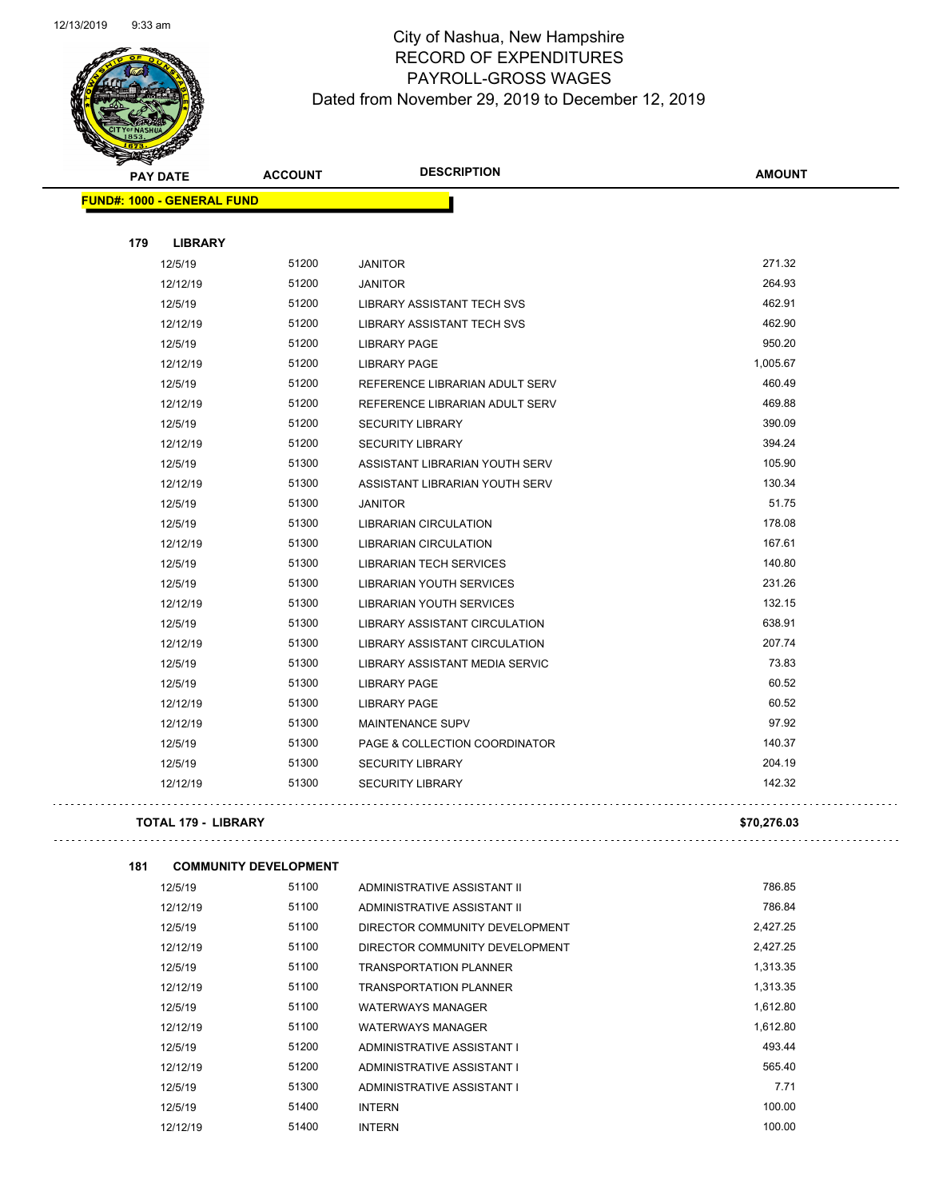

Page 55 of 97

| <b>PAY DATE</b>                   | <b>ACCOUNT</b> | <b>DESCRIPTION</b>                   | <b>AMOUNT</b> |
|-----------------------------------|----------------|--------------------------------------|---------------|
| <b>FUND#: 1000 - GENERAL FUND</b> |                |                                      |               |
|                                   |                |                                      |               |
| 179<br><b>LIBRARY</b>             |                |                                      |               |
| 12/5/19                           | 51200          | <b>JANITOR</b>                       | 271.32        |
| 12/12/19                          | 51200          | <b>JANITOR</b>                       | 264.93        |
| 12/5/19                           | 51200          | LIBRARY ASSISTANT TECH SVS           | 462.91        |
| 12/12/19                          | 51200          | <b>LIBRARY ASSISTANT TECH SVS</b>    | 462.90        |
| 12/5/19                           | 51200          | <b>LIBRARY PAGE</b>                  | 950.20        |
| 12/12/19                          | 51200          | <b>LIBRARY PAGE</b>                  | 1,005.67      |
| 12/5/19                           | 51200          | REFERENCE LIBRARIAN ADULT SERV       | 460.49        |
| 12/12/19                          | 51200          | REFERENCE LIBRARIAN ADULT SERV       | 469.88        |
| 12/5/19                           | 51200          | <b>SECURITY LIBRARY</b>              | 390.09        |
| 12/12/19                          | 51200          | <b>SECURITY LIBRARY</b>              | 394.24        |
| 12/5/19                           | 51300          | ASSISTANT LIBRARIAN YOUTH SERV       | 105.90        |
| 12/12/19                          | 51300          | ASSISTANT LIBRARIAN YOUTH SERV       | 130.34        |
| 12/5/19                           | 51300          | <b>JANITOR</b>                       | 51.75         |
| 12/5/19                           | 51300          | <b>LIBRARIAN CIRCULATION</b>         | 178.08        |
| 12/12/19                          | 51300          | <b>LIBRARIAN CIRCULATION</b>         | 167.61        |
| 12/5/19                           | 51300          | <b>LIBRARIAN TECH SERVICES</b>       | 140.80        |
| 12/5/19                           | 51300          | <b>LIBRARIAN YOUTH SERVICES</b>      | 231.26        |
| 12/12/19                          | 51300          | <b>LIBRARIAN YOUTH SERVICES</b>      | 132.15        |
| 12/5/19                           | 51300          | <b>LIBRARY ASSISTANT CIRCULATION</b> | 638.91        |
| 12/12/19                          | 51300          | <b>LIBRARY ASSISTANT CIRCULATION</b> | 207.74        |
| 12/5/19                           | 51300          | LIBRARY ASSISTANT MEDIA SERVIC       | 73.83         |
| 12/5/19                           | 51300          | <b>LIBRARY PAGE</b>                  | 60.52         |
| 12/12/19                          | 51300          | <b>LIBRARY PAGE</b>                  | 60.52         |
| 12/12/19                          | 51300          | <b>MAINTENANCE SUPV</b>              | 97.92         |
| 12/5/19                           | 51300          | PAGE & COLLECTION COORDINATOR        | 140.37        |
| 12/5/19                           | 51300          | <b>SECURITY LIBRARY</b>              | 204.19        |
| 12/12/19                          | 51300          | <b>SECURITY LIBRARY</b>              | 142.32        |
|                                   |                |                                      |               |

#### **TOTAL 179 - LIBRARY \$70,276.03**

| 181 | <b>COMMUNITY DEVELOPMENT</b> |       |                                |          |
|-----|------------------------------|-------|--------------------------------|----------|
|     | 12/5/19                      | 51100 | ADMINISTRATIVE ASSISTANT II    | 786.85   |
|     | 12/12/19                     | 51100 | ADMINISTRATIVE ASSISTANT II    | 786.84   |
|     | 12/5/19                      | 51100 | DIRECTOR COMMUNITY DEVELOPMENT | 2,427.25 |
|     | 12/12/19                     | 51100 | DIRECTOR COMMUNITY DEVELOPMENT | 2,427.25 |
|     | 12/5/19                      | 51100 | <b>TRANSPORTATION PLANNER</b>  | 1,313.35 |
|     | 12/12/19                     | 51100 | <b>TRANSPORTATION PLANNER</b>  | 1,313.35 |
|     | 12/5/19                      | 51100 | <b>WATERWAYS MANAGER</b>       | 1,612.80 |
|     | 12/12/19                     | 51100 | <b>WATERWAYS MANAGER</b>       | 1,612.80 |
|     | 12/5/19                      | 51200 | ADMINISTRATIVE ASSISTANT I     | 493.44   |
|     | 12/12/19                     | 51200 | ADMINISTRATIVE ASSISTANT I     | 565.40   |
|     | 12/5/19                      | 51300 | ADMINISTRATIVE ASSISTANT I     | 7.71     |
|     | 12/5/19                      | 51400 | <b>INTERN</b>                  | 100.00   |
|     | 12/12/19                     | 51400 | <b>INTERN</b>                  | 100.00   |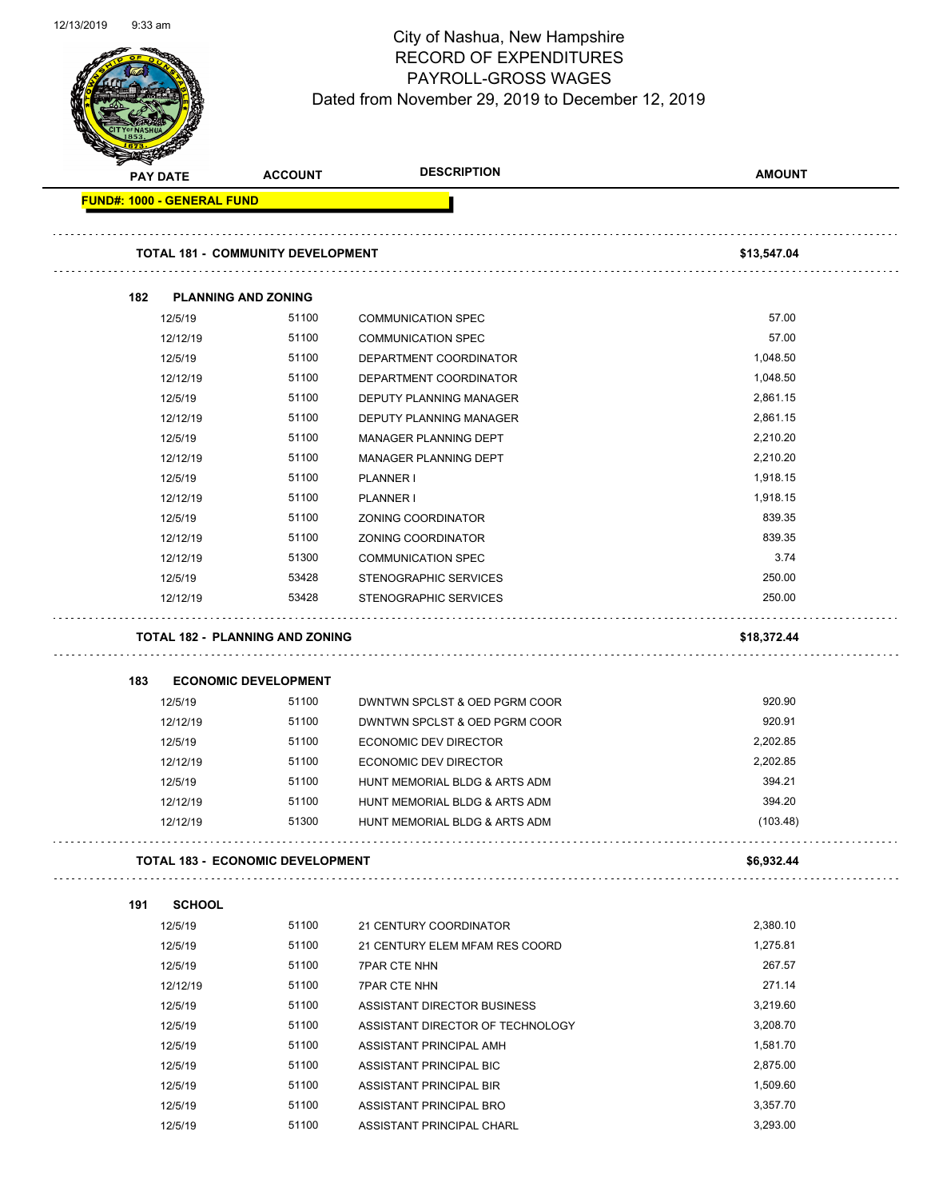Page 56 of 97

|     | <b>PAY DATE</b>                          | <b>ACCOUNT</b>              | <b>DESCRIPTION</b>               | <b>AMOUNT</b> |
|-----|------------------------------------------|-----------------------------|----------------------------------|---------------|
|     | <b>FUND#: 1000 - GENERAL FUND</b>        |                             |                                  |               |
|     |                                          |                             |                                  |               |
|     | <b>TOTAL 181 - COMMUNITY DEVELOPMENT</b> |                             |                                  | \$13,547.04   |
| 182 | <b>PLANNING AND ZONING</b>               |                             |                                  |               |
|     | 12/5/19                                  | 51100                       | <b>COMMUNICATION SPEC</b>        | 57.00         |
|     | 12/12/19                                 | 51100                       | <b>COMMUNICATION SPEC</b>        | 57.00         |
|     | 12/5/19                                  | 51100                       | DEPARTMENT COORDINATOR           | 1,048.50      |
|     | 12/12/19                                 | 51100                       | DEPARTMENT COORDINATOR           | 1,048.50      |
|     | 12/5/19                                  | 51100                       | DEPUTY PLANNING MANAGER          | 2,861.15      |
|     | 12/12/19                                 | 51100                       | DEPUTY PLANNING MANAGER          | 2,861.15      |
|     | 12/5/19                                  | 51100                       | <b>MANAGER PLANNING DEPT</b>     | 2,210.20      |
|     | 12/12/19                                 | 51100                       | MANAGER PLANNING DEPT            | 2,210.20      |
|     | 12/5/19                                  | 51100                       | <b>PLANNER I</b>                 | 1,918.15      |
|     | 12/12/19                                 | 51100                       | PLANNER I                        | 1,918.15      |
|     | 12/5/19                                  | 51100                       | ZONING COORDINATOR               | 839.35        |
|     | 12/12/19                                 | 51100                       | ZONING COORDINATOR               | 839.35        |
|     | 12/12/19                                 | 51300                       | <b>COMMUNICATION SPEC</b>        | 3.74          |
|     | 12/5/19                                  | 53428                       | STENOGRAPHIC SERVICES            | 250.00        |
|     | 12/12/19                                 | 53428                       | STENOGRAPHIC SERVICES            | 250.00        |
| 183 |                                          | <b>ECONOMIC DEVELOPMENT</b> |                                  |               |
|     | 12/5/19                                  | 51100                       | DWNTWN SPCLST & OED PGRM COOR    | 920.90        |
|     | 12/12/19                                 | 51100                       | DWNTWN SPCLST & OED PGRM COOR    | 920.91        |
|     | 12/5/19                                  | 51100                       | ECONOMIC DEV DIRECTOR            | 2,202.85      |
|     | 12/12/19                                 | 51100                       | ECONOMIC DEV DIRECTOR            | 2,202.85      |
|     | 12/5/19                                  | 51100                       | HUNT MEMORIAL BLDG & ARTS ADM    | 394.21        |
|     | 12/12/19                                 | 51100                       | HUNT MEMORIAL BLDG & ARTS ADM    | 394.20        |
|     | 12/12/19                                 | 51300                       | HUNT MEMORIAL BLDG & ARTS ADM    | (103.48)      |
|     | <b>TOTAL 183 - ECONOMIC DEVELOPMENT</b>  |                             |                                  | \$6,932.44    |
|     |                                          |                             |                                  |               |
| 191 | <b>SCHOOL</b>                            |                             |                                  |               |
|     | 12/5/19                                  | 51100                       | 21 CENTURY COORDINATOR           | 2,380.10      |
|     | 12/5/19                                  | 51100                       | 21 CENTURY ELEM MFAM RES COORD   | 1,275.81      |
|     | 12/5/19                                  | 51100                       | <b>7PAR CTE NHN</b>              | 267.57        |
|     | 12/12/19                                 | 51100                       | <b>7PAR CTE NHN</b>              | 271.14        |
|     | 12/5/19                                  | 51100                       | ASSISTANT DIRECTOR BUSINESS      | 3,219.60      |
|     | 12/5/19                                  | 51100                       | ASSISTANT DIRECTOR OF TECHNOLOGY | 3,208.70      |
|     | 12/5/19                                  | 51100                       | ASSISTANT PRINCIPAL AMH          | 1,581.70      |
|     | 12/5/19                                  | 51100                       | ASSISTANT PRINCIPAL BIC          | 2,875.00      |
|     | 12/5/19                                  | 51100                       | ASSISTANT PRINCIPAL BIR          | 1,509.60      |
|     | 12/5/19                                  | 51100                       | ASSISTANT PRINCIPAL BRO          | 3,357.70      |
|     | 12/5/19                                  | 51100                       | ASSISTANT PRINCIPAL CHARL        | 3,293.00      |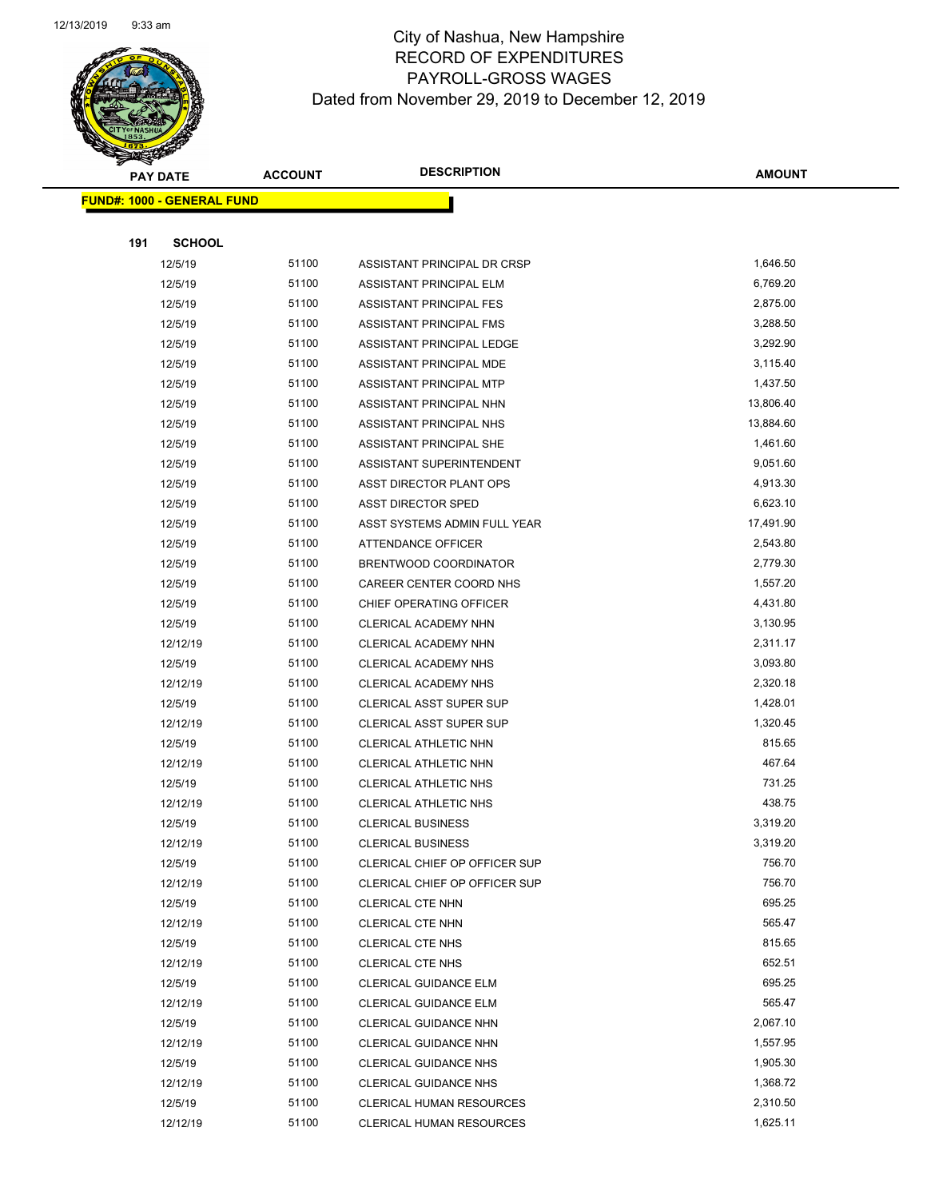

Page 57 of 97

|     | <b>PAY DATE</b>                   | <b>ACCOUNT</b> | <b>DESCRIPTION</b>              | <b>AMOUNT</b> |
|-----|-----------------------------------|----------------|---------------------------------|---------------|
|     | <b>FUND#: 1000 - GENERAL FUND</b> |                |                                 |               |
|     |                                   |                |                                 |               |
| 191 | <b>SCHOOL</b>                     |                |                                 |               |
|     | 12/5/19                           | 51100          | ASSISTANT PRINCIPAL DR CRSP     | 1,646.50      |
|     | 12/5/19                           | 51100          | ASSISTANT PRINCIPAL ELM         | 6,769.20      |
|     | 12/5/19                           | 51100          | ASSISTANT PRINCIPAL FES         | 2,875.00      |
|     | 12/5/19                           | 51100          | ASSISTANT PRINCIPAL FMS         | 3,288.50      |
|     | 12/5/19                           | 51100          | ASSISTANT PRINCIPAL LEDGE       | 3,292.90      |
|     | 12/5/19                           | 51100          | ASSISTANT PRINCIPAL MDE         | 3,115.40      |
|     | 12/5/19                           | 51100          | ASSISTANT PRINCIPAL MTP         | 1,437.50      |
|     | 12/5/19                           | 51100          | ASSISTANT PRINCIPAL NHN         | 13,806.40     |
|     | 12/5/19                           | 51100          | ASSISTANT PRINCIPAL NHS         | 13,884.60     |
|     | 12/5/19                           | 51100          | ASSISTANT PRINCIPAL SHE         | 1,461.60      |
|     | 12/5/19                           | 51100          | ASSISTANT SUPERINTENDENT        | 9,051.60      |
|     | 12/5/19                           | 51100          | ASST DIRECTOR PLANT OPS         | 4,913.30      |
|     | 12/5/19                           | 51100          | <b>ASST DIRECTOR SPED</b>       | 6,623.10      |
|     | 12/5/19                           | 51100          | ASST SYSTEMS ADMIN FULL YEAR    | 17,491.90     |
|     | 12/5/19                           | 51100          | ATTENDANCE OFFICER              | 2,543.80      |
|     | 12/5/19                           | 51100          | BRENTWOOD COORDINATOR           | 2,779.30      |
|     | 12/5/19                           | 51100          | CAREER CENTER COORD NHS         | 1,557.20      |
|     | 12/5/19                           | 51100          | CHIEF OPERATING OFFICER         | 4,431.80      |
|     | 12/5/19                           | 51100          | CLERICAL ACADEMY NHN            | 3,130.95      |
|     | 12/12/19                          | 51100          | CLERICAL ACADEMY NHN            | 2,311.17      |
|     | 12/5/19                           | 51100          | CLERICAL ACADEMY NHS            | 3,093.80      |
|     | 12/12/19                          | 51100          | CLERICAL ACADEMY NHS            | 2,320.18      |
|     | 12/5/19                           | 51100          | CLERICAL ASST SUPER SUP         | 1,428.01      |
|     | 12/12/19                          | 51100          | <b>CLERICAL ASST SUPER SUP</b>  | 1,320.45      |
|     | 12/5/19                           | 51100          | CLERICAL ATHLETIC NHN           | 815.65        |
|     | 12/12/19                          | 51100          | CLERICAL ATHLETIC NHN           | 467.64        |
|     | 12/5/19                           | 51100          | CLERICAL ATHLETIC NHS           | 731.25        |
|     | 12/12/19                          | 51100          | <b>CLERICAL ATHLETIC NHS</b>    | 438.75        |
|     | 12/5/19                           | 51100          | <b>CLERICAL BUSINESS</b>        | 3,319.20      |
|     | 12/12/19                          | 51100          | <b>CLERICAL BUSINESS</b>        | 3,319.20      |
|     | 12/5/19                           | 51100          | CLERICAL CHIEF OP OFFICER SUP   | 756.70        |
|     | 12/12/19                          | 51100          | CLERICAL CHIEF OP OFFICER SUP   | 756.70        |
|     | 12/5/19                           | 51100          | <b>CLERICAL CTE NHN</b>         | 695.25        |
|     | 12/12/19                          | 51100          | <b>CLERICAL CTE NHN</b>         | 565.47        |
|     | 12/5/19                           | 51100          | <b>CLERICAL CTE NHS</b>         | 815.65        |
|     | 12/12/19                          | 51100          | <b>CLERICAL CTE NHS</b>         | 652.51        |
|     | 12/5/19                           | 51100          | CLERICAL GUIDANCE ELM           | 695.25        |
|     | 12/12/19                          | 51100          | <b>CLERICAL GUIDANCE ELM</b>    | 565.47        |
|     | 12/5/19                           | 51100          | CLERICAL GUIDANCE NHN           | 2,067.10      |
|     | 12/12/19                          | 51100          | CLERICAL GUIDANCE NHN           | 1,557.95      |
|     | 12/5/19                           | 51100          | <b>CLERICAL GUIDANCE NHS</b>    | 1,905.30      |
|     | 12/12/19                          | 51100          | <b>CLERICAL GUIDANCE NHS</b>    | 1,368.72      |
|     | 12/5/19                           | 51100          | <b>CLERICAL HUMAN RESOURCES</b> | 2,310.50      |
|     | 12/12/19                          | 51100          | CLERICAL HUMAN RESOURCES        | 1,625.11      |
|     |                                   |                |                                 |               |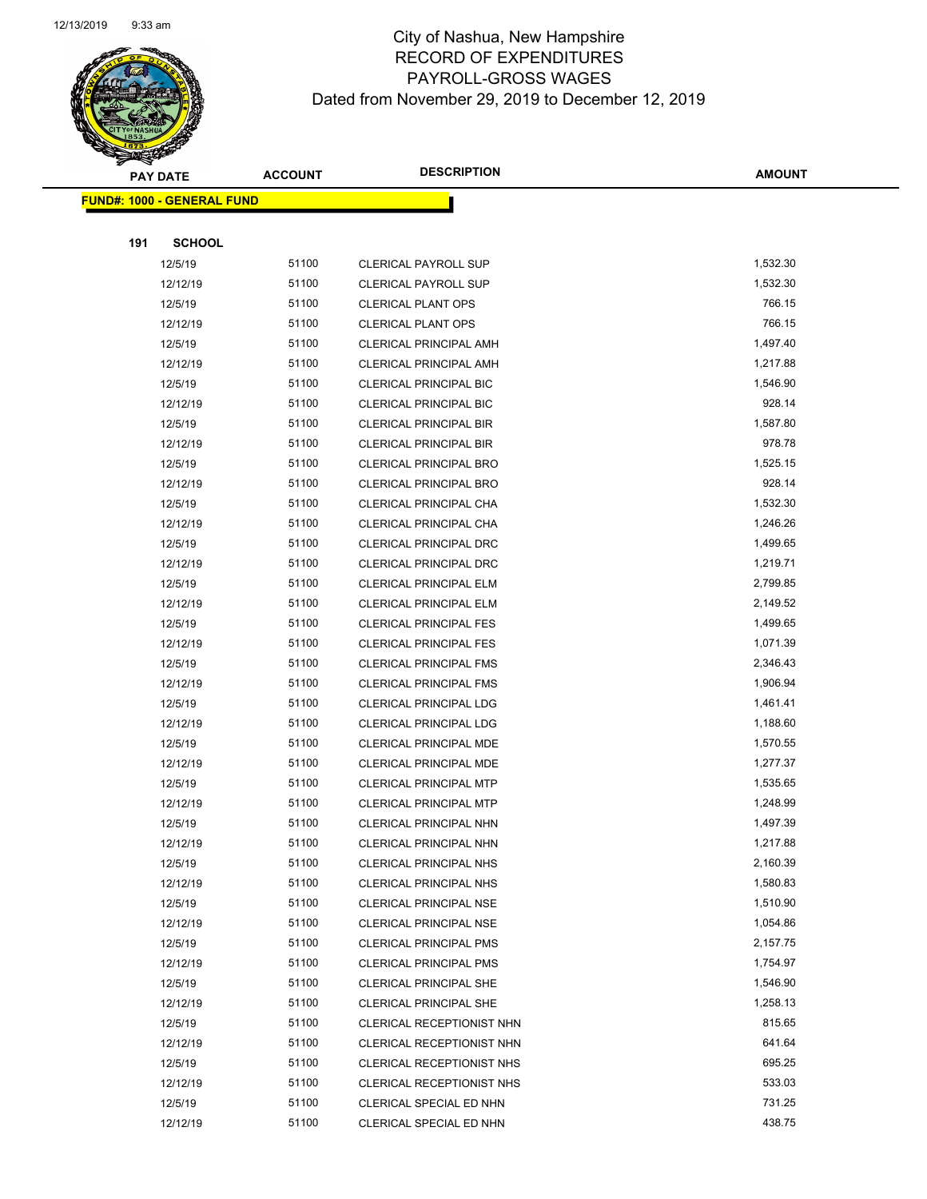

Page 58 of 97

|     | <b>PAY DATE</b>                   | <b>ACCOUNT</b> | <b>DESCRIPTION</b>            | <b>AMOUNT</b> |
|-----|-----------------------------------|----------------|-------------------------------|---------------|
|     | <b>FUND#: 1000 - GENERAL FUND</b> |                |                               |               |
|     |                                   |                |                               |               |
| 191 | <b>SCHOOL</b>                     |                |                               |               |
|     | 12/5/19                           | 51100          | <b>CLERICAL PAYROLL SUP</b>   | 1,532.30      |
|     | 12/12/19                          | 51100          | <b>CLERICAL PAYROLL SUP</b>   | 1,532.30      |
|     | 12/5/19                           | 51100          | <b>CLERICAL PLANT OPS</b>     | 766.15        |
|     | 12/12/19                          | 51100          | <b>CLERICAL PLANT OPS</b>     | 766.15        |
|     | 12/5/19                           | 51100          | <b>CLERICAL PRINCIPAL AMH</b> | 1,497.40      |
|     | 12/12/19                          | 51100          | CLERICAL PRINCIPAL AMH        | 1,217.88      |
|     | 12/5/19                           | 51100          | <b>CLERICAL PRINCIPAL BIC</b> | 1,546.90      |
|     | 12/12/19                          | 51100          | <b>CLERICAL PRINCIPAL BIC</b> | 928.14        |
|     | 12/5/19                           | 51100          | <b>CLERICAL PRINCIPAL BIR</b> | 1,587.80      |
|     | 12/12/19                          | 51100          | <b>CLERICAL PRINCIPAL BIR</b> | 978.78        |
|     | 12/5/19                           | 51100          | CLERICAL PRINCIPAL BRO        | 1,525.15      |
|     | 12/12/19                          | 51100          | <b>CLERICAL PRINCIPAL BRO</b> | 928.14        |
|     | 12/5/19                           | 51100          | CLERICAL PRINCIPAL CHA        | 1,532.30      |
|     | 12/12/19                          | 51100          | CLERICAL PRINCIPAL CHA        | 1,246.26      |
|     | 12/5/19                           | 51100          | <b>CLERICAL PRINCIPAL DRC</b> | 1,499.65      |
|     | 12/12/19                          | 51100          | CLERICAL PRINCIPAL DRC        | 1,219.71      |
|     | 12/5/19                           | 51100          | <b>CLERICAL PRINCIPAL ELM</b> | 2,799.85      |
|     | 12/12/19                          | 51100          | <b>CLERICAL PRINCIPAL ELM</b> | 2,149.52      |
|     | 12/5/19                           | 51100          | <b>CLERICAL PRINCIPAL FES</b> | 1,499.65      |
|     | 12/12/19                          | 51100          | <b>CLERICAL PRINCIPAL FES</b> | 1,071.39      |
|     | 12/5/19                           | 51100          | CLERICAL PRINCIPAL FMS        | 2,346.43      |
|     | 12/12/19                          | 51100          | <b>CLERICAL PRINCIPAL FMS</b> | 1,906.94      |
|     | 12/5/19                           | 51100          | <b>CLERICAL PRINCIPAL LDG</b> | 1,461.41      |
|     | 12/12/19                          | 51100          | <b>CLERICAL PRINCIPAL LDG</b> | 1,188.60      |
|     | 12/5/19                           | 51100          | CLERICAL PRINCIPAL MDE        | 1,570.55      |
|     | 12/12/19                          | 51100          | CLERICAL PRINCIPAL MDE        | 1,277.37      |
|     | 12/5/19                           | 51100          | <b>CLERICAL PRINCIPAL MTP</b> | 1,535.65      |
|     | 12/12/19                          | 51100          | <b>CLERICAL PRINCIPAL MTP</b> | 1,248.99      |
|     | 12/5/19                           | 51100          | CLERICAL PRINCIPAL NHN        | 1,497.39      |
|     | 12/12/19                          | 51100          | <b>CLERICAL PRINCIPAL NHN</b> | 1,217.88      |
|     | 12/5/19                           | 51100          | <b>CLERICAL PRINCIPAL NHS</b> | 2,160.39      |
|     | 12/12/19                          | 51100          | <b>CLERICAL PRINCIPAL NHS</b> | 1,580.83      |
|     | 12/5/19                           | 51100          | <b>CLERICAL PRINCIPAL NSE</b> | 1,510.90      |
|     | 12/12/19                          | 51100          | <b>CLERICAL PRINCIPAL NSE</b> | 1,054.86      |
|     | 12/5/19                           | 51100          | <b>CLERICAL PRINCIPAL PMS</b> | 2,157.75      |
|     | 12/12/19                          | 51100          | <b>CLERICAL PRINCIPAL PMS</b> | 1,754.97      |
|     | 12/5/19                           | 51100          | <b>CLERICAL PRINCIPAL SHE</b> | 1,546.90      |
|     | 12/12/19                          | 51100          | <b>CLERICAL PRINCIPAL SHE</b> | 1,258.13      |
|     | 12/5/19                           | 51100          | CLERICAL RECEPTIONIST NHN     | 815.65        |
|     | 12/12/19                          | 51100          | CLERICAL RECEPTIONIST NHN     | 641.64        |
|     | 12/5/19                           | 51100          | CLERICAL RECEPTIONIST NHS     | 695.25        |
|     | 12/12/19                          | 51100          | CLERICAL RECEPTIONIST NHS     | 533.03        |
|     | 12/5/19                           | 51100          | CLERICAL SPECIAL ED NHN       | 731.25        |
|     | 12/12/19                          | 51100          | CLERICAL SPECIAL ED NHN       | 438.75        |
|     |                                   |                |                               |               |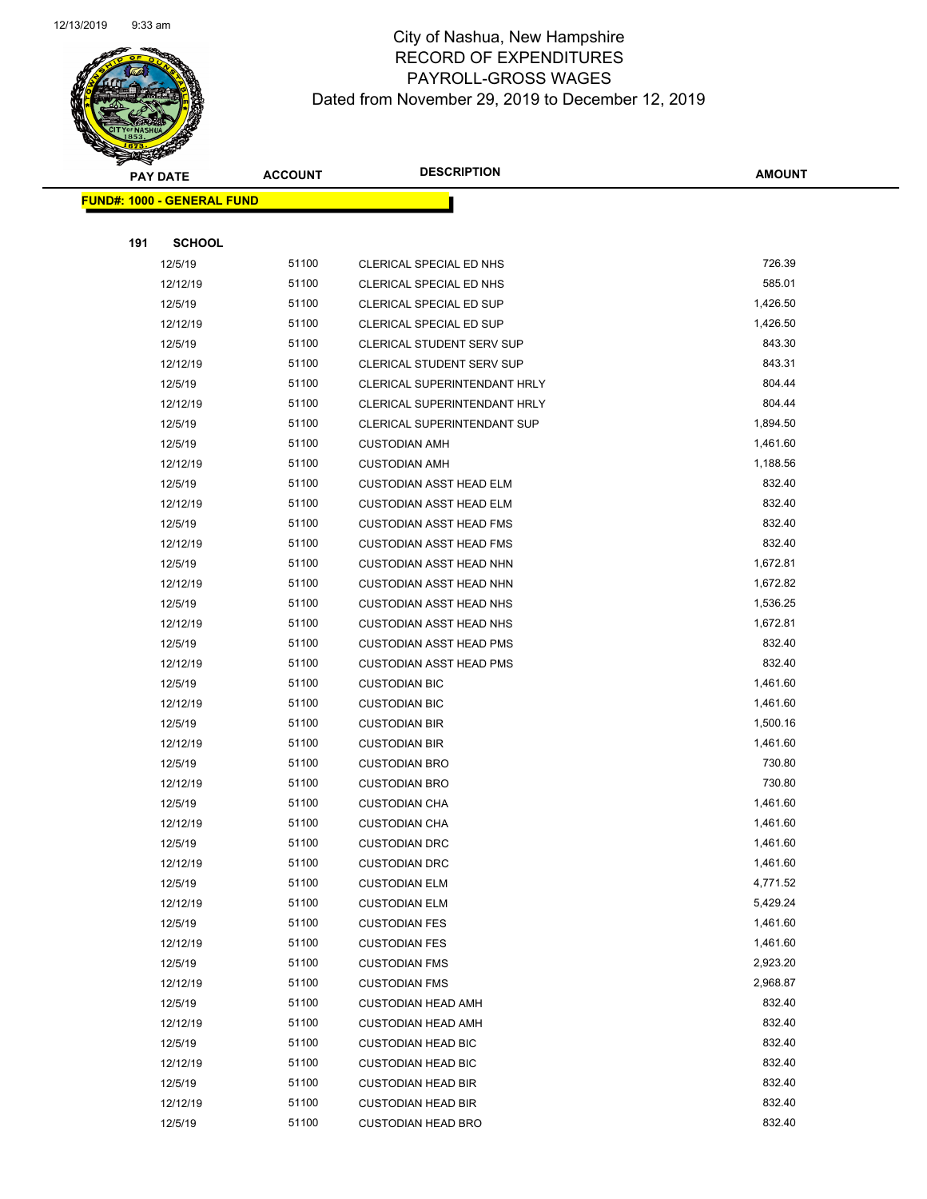

|     | <b>PAY DATE</b>                    | <b>ACCOUNT</b> | <b>DESCRIPTION</b>                  | <b>AMOUNT</b> |
|-----|------------------------------------|----------------|-------------------------------------|---------------|
|     | <u> FUND#: 1000 - GENERAL FUND</u> |                |                                     |               |
|     |                                    |                |                                     |               |
| 191 | <b>SCHOOL</b>                      |                |                                     |               |
|     | 12/5/19                            | 51100          | CLERICAL SPECIAL ED NHS             | 726.39        |
|     | 12/12/19                           | 51100          | CLERICAL SPECIAL ED NHS             | 585.01        |
|     | 12/5/19                            | 51100          | CLERICAL SPECIAL ED SUP             | 1,426.50      |
|     | 12/12/19                           | 51100          | CLERICAL SPECIAL ED SUP             | 1,426.50      |
|     | 12/5/19                            | 51100          | <b>CLERICAL STUDENT SERV SUP</b>    | 843.30        |
|     | 12/12/19                           | 51100          | <b>CLERICAL STUDENT SERV SUP</b>    | 843.31        |
|     | 12/5/19                            | 51100          | <b>CLERICAL SUPERINTENDANT HRLY</b> | 804.44        |
|     | 12/12/19                           | 51100          | CLERICAL SUPERINTENDANT HRLY        | 804.44        |
|     | 12/5/19                            | 51100          | <b>CLERICAL SUPERINTENDANT SUP</b>  | 1,894.50      |
|     | 12/5/19                            | 51100          | <b>CUSTODIAN AMH</b>                | 1,461.60      |
|     | 12/12/19                           | 51100          | <b>CUSTODIAN AMH</b>                | 1,188.56      |
|     | 12/5/19                            | 51100          | <b>CUSTODIAN ASST HEAD ELM</b>      | 832.40        |
|     | 12/12/19                           | 51100          | <b>CUSTODIAN ASST HEAD ELM</b>      | 832.40        |
|     | 12/5/19                            | 51100          | <b>CUSTODIAN ASST HEAD FMS</b>      | 832.40        |
|     | 12/12/19                           | 51100          | <b>CUSTODIAN ASST HEAD FMS</b>      | 832.40        |
|     | 12/5/19                            | 51100          | <b>CUSTODIAN ASST HEAD NHN</b>      | 1,672.81      |
|     | 12/12/19                           | 51100          | <b>CUSTODIAN ASST HEAD NHN</b>      | 1,672.82      |
|     | 12/5/19                            | 51100          | <b>CUSTODIAN ASST HEAD NHS</b>      | 1,536.25      |
|     | 12/12/19                           | 51100          | <b>CUSTODIAN ASST HEAD NHS</b>      | 1,672.81      |
|     | 12/5/19                            | 51100          | <b>CUSTODIAN ASST HEAD PMS</b>      | 832.40        |
|     | 12/12/19                           | 51100          | <b>CUSTODIAN ASST HEAD PMS</b>      | 832.40        |
|     | 12/5/19                            | 51100          | <b>CUSTODIAN BIC</b>                | 1,461.60      |
|     | 12/12/19                           | 51100          | <b>CUSTODIAN BIC</b>                | 1,461.60      |
|     | 12/5/19                            | 51100          | <b>CUSTODIAN BIR</b>                | 1,500.16      |
|     | 12/12/19                           | 51100          | <b>CUSTODIAN BIR</b>                | 1,461.60      |
|     | 12/5/19                            | 51100          | <b>CUSTODIAN BRO</b>                | 730.80        |
|     | 12/12/19                           | 51100          | <b>CUSTODIAN BRO</b>                | 730.80        |
|     | 12/5/19                            | 51100          | <b>CUSTODIAN CHA</b>                | 1,461.60      |
|     | 12/12/19                           | 51100          | <b>CUSTODIAN CHA</b>                | 1,461.60      |
|     | 12/5/19                            | 51100          | <b>CUSTODIAN DRC</b>                | 1,461.60      |
|     | 12/12/19                           | 51100          | <b>CUSTODIAN DRC</b>                | 1,461.60      |
|     | 12/5/19                            | 51100          | <b>CUSTODIAN ELM</b>                | 4,771.52      |
|     | 12/12/19                           | 51100          | <b>CUSTODIAN ELM</b>                | 5,429.24      |
|     | 12/5/19                            | 51100          | <b>CUSTODIAN FES</b>                | 1,461.60      |
|     | 12/12/19                           | 51100          | <b>CUSTODIAN FES</b>                | 1,461.60      |
|     | 12/5/19                            | 51100          | <b>CUSTODIAN FMS</b>                | 2,923.20      |
|     | 12/12/19                           | 51100          | <b>CUSTODIAN FMS</b>                | 2,968.87      |
|     | 12/5/19                            | 51100          | <b>CUSTODIAN HEAD AMH</b>           | 832.40        |
|     | 12/12/19                           | 51100          | <b>CUSTODIAN HEAD AMH</b>           | 832.40        |
|     | 12/5/19                            | 51100          | <b>CUSTODIAN HEAD BIC</b>           | 832.40        |
|     | 12/12/19                           | 51100          | <b>CUSTODIAN HEAD BIC</b>           | 832.40        |
|     | 12/5/19                            | 51100          | <b>CUSTODIAN HEAD BIR</b>           | 832.40        |
|     | 12/12/19                           | 51100          | <b>CUSTODIAN HEAD BIR</b>           | 832.40        |
|     | 12/5/19                            | 51100          | <b>CUSTODIAN HEAD BRO</b>           | 832.40        |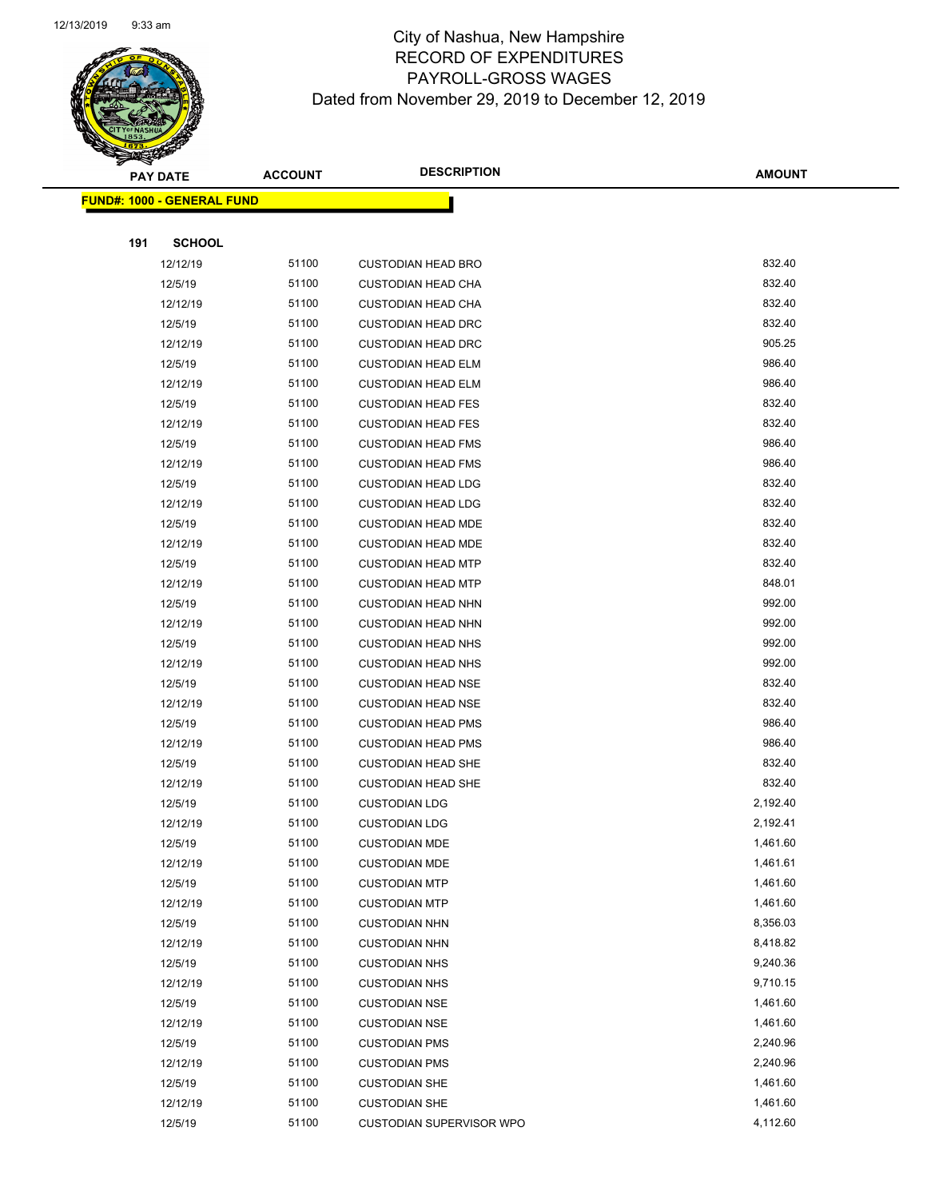

Page 60 of 97

|     | <b>PAY DATE</b>                    | <b>ACCOUNT</b> | <b>DESCRIPTION</b>              | <b>AMOUNT</b> |
|-----|------------------------------------|----------------|---------------------------------|---------------|
|     | <u> FUND#: 1000 - GENERAL FUND</u> |                |                                 |               |
|     |                                    |                |                                 |               |
| 191 | <b>SCHOOL</b>                      |                |                                 |               |
|     | 12/12/19                           | 51100          | <b>CUSTODIAN HEAD BRO</b>       | 832.40        |
|     | 12/5/19                            | 51100          | <b>CUSTODIAN HEAD CHA</b>       | 832.40        |
|     | 12/12/19                           | 51100          | <b>CUSTODIAN HEAD CHA</b>       | 832.40        |
|     | 12/5/19                            | 51100          | <b>CUSTODIAN HEAD DRC</b>       | 832.40        |
|     | 12/12/19                           | 51100          | <b>CUSTODIAN HEAD DRC</b>       | 905.25        |
|     | 12/5/19                            | 51100          | <b>CUSTODIAN HEAD ELM</b>       | 986.40        |
|     | 12/12/19                           | 51100          | <b>CUSTODIAN HEAD ELM</b>       | 986.40        |
|     | 12/5/19                            | 51100          | <b>CUSTODIAN HEAD FES</b>       | 832.40        |
|     | 12/12/19                           | 51100          | <b>CUSTODIAN HEAD FES</b>       | 832.40        |
|     | 12/5/19                            | 51100          | <b>CUSTODIAN HEAD FMS</b>       | 986.40        |
|     | 12/12/19                           | 51100          | <b>CUSTODIAN HEAD FMS</b>       | 986.40        |
|     | 12/5/19                            | 51100          | <b>CUSTODIAN HEAD LDG</b>       | 832.40        |
|     | 12/12/19                           | 51100          | <b>CUSTODIAN HEAD LDG</b>       | 832.40        |
|     | 12/5/19                            | 51100          | <b>CUSTODIAN HEAD MDE</b>       | 832.40        |
|     | 12/12/19                           | 51100          | <b>CUSTODIAN HEAD MDE</b>       | 832.40        |
|     | 12/5/19                            | 51100          | <b>CUSTODIAN HEAD MTP</b>       | 832.40        |
|     | 12/12/19                           | 51100          | <b>CUSTODIAN HEAD MTP</b>       | 848.01        |
|     | 12/5/19                            | 51100          | <b>CUSTODIAN HEAD NHN</b>       | 992.00        |
|     | 12/12/19                           | 51100          | <b>CUSTODIAN HEAD NHN</b>       | 992.00        |
|     | 12/5/19                            | 51100          | <b>CUSTODIAN HEAD NHS</b>       | 992.00        |
|     | 12/12/19                           | 51100          | <b>CUSTODIAN HEAD NHS</b>       | 992.00        |
|     | 12/5/19                            | 51100          | <b>CUSTODIAN HEAD NSE</b>       | 832.40        |
|     | 12/12/19                           | 51100          | <b>CUSTODIAN HEAD NSE</b>       | 832.40        |
|     | 12/5/19                            | 51100          | <b>CUSTODIAN HEAD PMS</b>       | 986.40        |
|     | 12/12/19                           | 51100          | <b>CUSTODIAN HEAD PMS</b>       | 986.40        |
|     | 12/5/19                            | 51100          | <b>CUSTODIAN HEAD SHE</b>       | 832.40        |
|     | 12/12/19                           | 51100          | <b>CUSTODIAN HEAD SHE</b>       | 832.40        |
|     | 12/5/19                            | 51100          | <b>CUSTODIAN LDG</b>            | 2,192.40      |
|     | 12/12/19                           | 51100          | <b>CUSTODIAN LDG</b>            | 2,192.41      |
|     | 12/5/19                            | 51100          | <b>CUSTODIAN MDE</b>            | 1,461.60      |
|     | 12/12/19                           | 51100          | <b>CUSTODIAN MDE</b>            | 1,461.61      |
|     | 12/5/19                            | 51100          | <b>CUSTODIAN MTP</b>            | 1,461.60      |
|     | 12/12/19                           | 51100          | <b>CUSTODIAN MTP</b>            | 1,461.60      |
|     | 12/5/19                            | 51100          | <b>CUSTODIAN NHN</b>            | 8,356.03      |
|     | 12/12/19                           | 51100          | <b>CUSTODIAN NHN</b>            | 8,418.82      |
|     | 12/5/19                            | 51100          | <b>CUSTODIAN NHS</b>            | 9,240.36      |
|     | 12/12/19                           | 51100          | <b>CUSTODIAN NHS</b>            | 9,710.15      |
|     | 12/5/19                            | 51100          | <b>CUSTODIAN NSE</b>            | 1,461.60      |
|     | 12/12/19                           | 51100          | <b>CUSTODIAN NSE</b>            | 1,461.60      |
|     | 12/5/19                            | 51100          | <b>CUSTODIAN PMS</b>            | 2,240.96      |
|     | 12/12/19                           | 51100          | <b>CUSTODIAN PMS</b>            | 2,240.96      |
|     | 12/5/19                            | 51100          | <b>CUSTODIAN SHE</b>            | 1,461.60      |
|     | 12/12/19                           | 51100          | <b>CUSTODIAN SHE</b>            | 1,461.60      |
|     | 12/5/19                            | 51100          | <b>CUSTODIAN SUPERVISOR WPO</b> | 4,112.60      |
|     |                                    |                |                                 |               |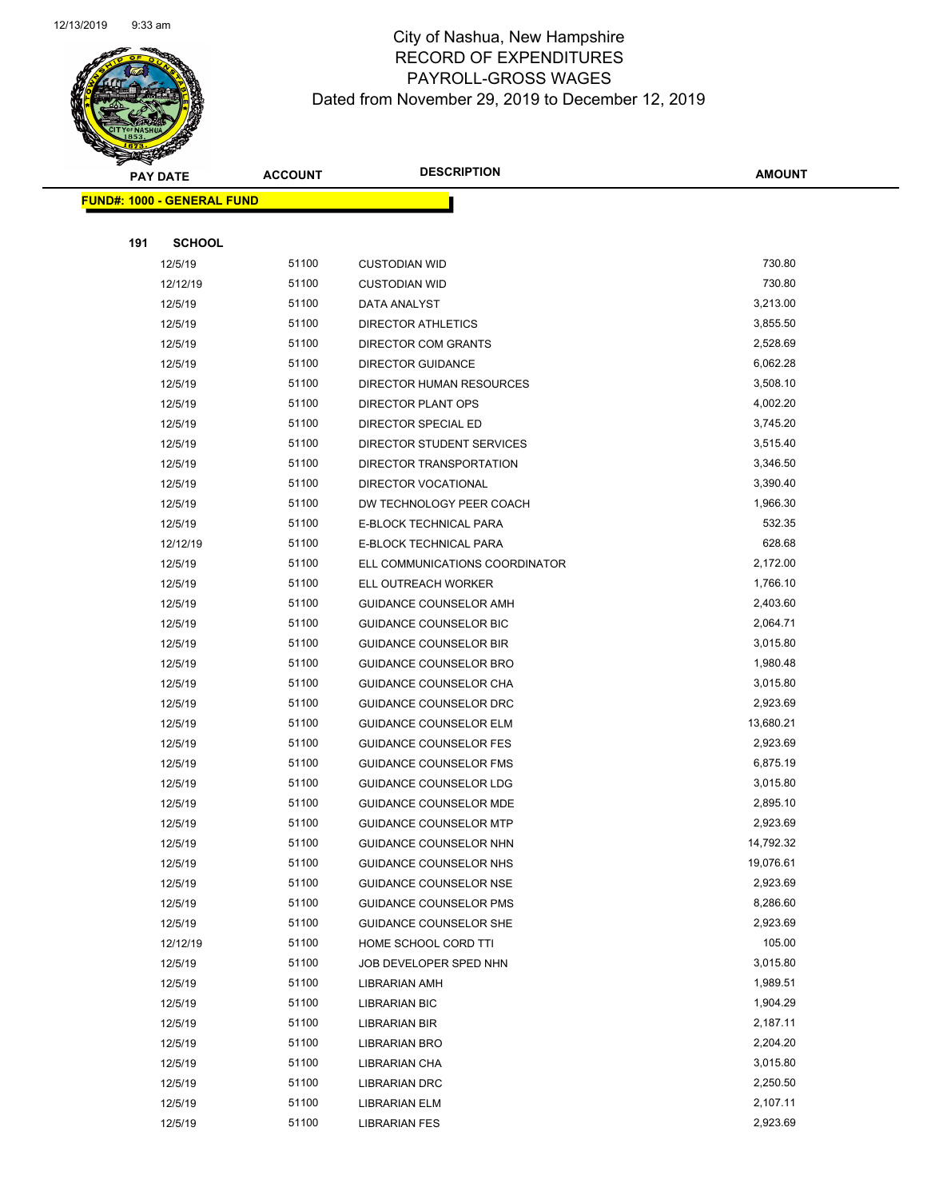

| <b>PAY DATE</b> |                                   | <b>DESCRIPTION</b><br><b>ACCOUNT</b> |                                | <b>AMOUNT</b> |
|-----------------|-----------------------------------|--------------------------------------|--------------------------------|---------------|
|                 | <b>FUND#: 1000 - GENERAL FUND</b> |                                      |                                |               |
|                 |                                   |                                      |                                |               |
| 191             | <b>SCHOOL</b>                     |                                      |                                |               |
|                 | 12/5/19                           | 51100                                | <b>CUSTODIAN WID</b>           | 730.80        |
|                 | 12/12/19                          | 51100                                | <b>CUSTODIAN WID</b>           | 730.80        |
|                 | 12/5/19                           | 51100                                | DATA ANALYST                   | 3,213.00      |
|                 | 12/5/19                           | 51100                                | <b>DIRECTOR ATHLETICS</b>      | 3,855.50      |
|                 | 12/5/19                           | 51100                                | DIRECTOR COM GRANTS            | 2,528.69      |
|                 | 12/5/19                           | 51100                                | <b>DIRECTOR GUIDANCE</b>       | 6,062.28      |
|                 | 12/5/19                           | 51100                                | DIRECTOR HUMAN RESOURCES       | 3,508.10      |
|                 | 12/5/19                           | 51100                                | DIRECTOR PLANT OPS             | 4,002.20      |
|                 | 12/5/19                           | 51100                                | DIRECTOR SPECIAL ED            | 3,745.20      |
|                 | 12/5/19                           | 51100                                | DIRECTOR STUDENT SERVICES      | 3,515.40      |
|                 | 12/5/19                           | 51100                                | DIRECTOR TRANSPORTATION        | 3,346.50      |
|                 | 12/5/19                           | 51100                                | DIRECTOR VOCATIONAL            | 3,390.40      |
|                 | 12/5/19                           | 51100                                | DW TECHNOLOGY PEER COACH       | 1,966.30      |
|                 | 12/5/19                           | 51100                                | E-BLOCK TECHNICAL PARA         | 532.35        |
|                 | 12/12/19                          | 51100                                | E-BLOCK TECHNICAL PARA         | 628.68        |
|                 | 12/5/19                           | 51100                                | ELL COMMUNICATIONS COORDINATOR | 2,172.00      |
|                 | 12/5/19                           | 51100                                | ELL OUTREACH WORKER            | 1,766.10      |
|                 | 12/5/19                           | 51100                                | <b>GUIDANCE COUNSELOR AMH</b>  | 2,403.60      |
|                 | 12/5/19                           | 51100                                | <b>GUIDANCE COUNSELOR BIC</b>  | 2,064.71      |
|                 | 12/5/19                           | 51100                                | <b>GUIDANCE COUNSELOR BIR</b>  | 3,015.80      |
|                 | 12/5/19                           | 51100                                | GUIDANCE COUNSELOR BRO         | 1,980.48      |
|                 | 12/5/19                           | 51100                                | GUIDANCE COUNSELOR CHA         | 3,015.80      |
|                 | 12/5/19                           | 51100                                | GUIDANCE COUNSELOR DRC         | 2,923.69      |
|                 | 12/5/19                           | 51100                                | GUIDANCE COUNSELOR ELM         | 13,680.21     |
|                 | 12/5/19                           | 51100                                | <b>GUIDANCE COUNSELOR FES</b>  | 2,923.69      |
|                 | 12/5/19                           | 51100                                | <b>GUIDANCE COUNSELOR FMS</b>  | 6,875.19      |
|                 | 12/5/19                           | 51100                                | <b>GUIDANCE COUNSELOR LDG</b>  | 3,015.80      |
|                 | 12/5/19                           | 51100                                | GUIDANCE COUNSELOR MDE         | 2,895.10      |
|                 | 12/5/19                           | 51100                                | <b>GUIDANCE COUNSELOR MTP</b>  | 2,923.69      |
|                 | 12/5/19                           | 51100                                | <b>GUIDANCE COUNSELOR NHN</b>  | 14,792.32     |
|                 | 12/5/19                           | 51100                                | <b>GUIDANCE COUNSELOR NHS</b>  | 19,076.61     |
|                 | 12/5/19                           | 51100                                | <b>GUIDANCE COUNSELOR NSE</b>  | 2,923.69      |
|                 | 12/5/19                           | 51100                                | <b>GUIDANCE COUNSELOR PMS</b>  | 8,286.60      |
|                 | 12/5/19                           | 51100                                | GUIDANCE COUNSELOR SHE         | 2,923.69      |
|                 | 12/12/19                          | 51100                                | HOME SCHOOL CORD TTI           | 105.00        |
|                 | 12/5/19                           | 51100                                | JOB DEVELOPER SPED NHN         | 3,015.80      |
|                 | 12/5/19                           | 51100                                | <b>LIBRARIAN AMH</b>           | 1,989.51      |
|                 | 12/5/19                           | 51100                                | <b>LIBRARIAN BIC</b>           | 1,904.29      |
|                 | 12/5/19                           | 51100                                | LIBRARIAN BIR                  | 2,187.11      |
|                 | 12/5/19                           | 51100                                | <b>LIBRARIAN BRO</b>           | 2,204.20      |
|                 | 12/5/19                           | 51100                                | LIBRARIAN CHA                  | 3,015.80      |
|                 | 12/5/19                           | 51100                                | LIBRARIAN DRC                  | 2,250.50      |
|                 | 12/5/19                           | 51100                                | <b>LIBRARIAN ELM</b>           | 2,107.11      |
|                 | 12/5/19                           | 51100                                | <b>LIBRARIAN FES</b>           | 2,923.69      |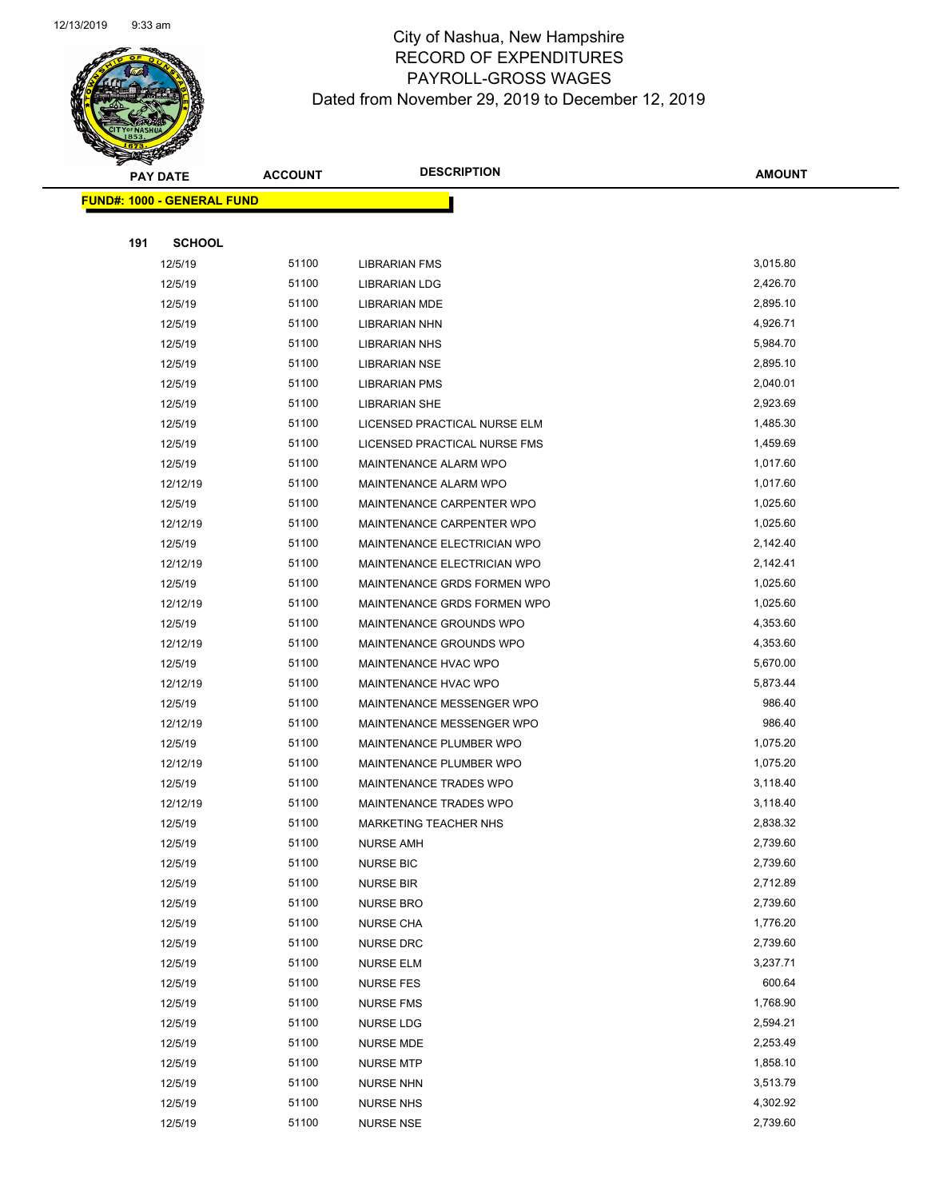Page 62 of 97

|     | <b>PAY DATE</b>                   | <b>ACCOUNT</b> | <b>DESCRIPTION</b>                   | <b>AMOUNT</b>        |
|-----|-----------------------------------|----------------|--------------------------------------|----------------------|
|     | <b>FUND#: 1000 - GENERAL FUND</b> |                |                                      |                      |
|     |                                   |                |                                      |                      |
| 191 | <b>SCHOOL</b>                     |                |                                      |                      |
|     | 12/5/19                           | 51100          | <b>LIBRARIAN FMS</b>                 | 3,015.80             |
|     | 12/5/19                           | 51100          | <b>LIBRARIAN LDG</b>                 | 2,426.70             |
|     | 12/5/19                           | 51100          | <b>LIBRARIAN MDE</b>                 | 2,895.10             |
|     | 12/5/19                           | 51100          | <b>LIBRARIAN NHN</b>                 | 4,926.71             |
|     | 12/5/19                           | 51100          | LIBRARIAN NHS                        | 5,984.70             |
|     | 12/5/19                           | 51100          | <b>LIBRARIAN NSE</b>                 | 2,895.10             |
|     | 12/5/19                           | 51100          | <b>LIBRARIAN PMS</b>                 | 2,040.01             |
|     | 12/5/19                           | 51100          | <b>LIBRARIAN SHE</b>                 | 2,923.69             |
|     | 12/5/19                           | 51100          | LICENSED PRACTICAL NURSE ELM         | 1,485.30             |
|     | 12/5/19                           | 51100          | LICENSED PRACTICAL NURSE FMS         | 1,459.69             |
|     | 12/5/19                           | 51100          | MAINTENANCE ALARM WPO                | 1,017.60             |
|     | 12/12/19                          | 51100          | <b>MAINTENANCE ALARM WPO</b>         | 1,017.60             |
|     | 12/5/19                           | 51100          | MAINTENANCE CARPENTER WPO            | 1,025.60             |
|     | 12/12/19                          | 51100          | MAINTENANCE CARPENTER WPO            | 1,025.60             |
|     | 12/5/19                           | 51100          | MAINTENANCE ELECTRICIAN WPO          | 2,142.40             |
|     | 12/12/19                          | 51100          | MAINTENANCE ELECTRICIAN WPO          | 2,142.41             |
|     | 12/5/19                           | 51100          | MAINTENANCE GRDS FORMEN WPO          | 1,025.60             |
|     | 12/12/19                          | 51100          | MAINTENANCE GRDS FORMEN WPO          | 1,025.60             |
|     | 12/5/19                           | 51100          | MAINTENANCE GROUNDS WPO              | 4,353.60             |
|     | 12/12/19                          | 51100          | MAINTENANCE GROUNDS WPO              | 4,353.60             |
|     | 12/5/19                           | 51100          | MAINTENANCE HVAC WPO                 | 5,670.00             |
|     | 12/12/19                          | 51100          | MAINTENANCE HVAC WPO                 | 5,873.44             |
|     | 12/5/19                           | 51100          | MAINTENANCE MESSENGER WPO            | 986.40               |
|     | 12/12/19                          | 51100          | MAINTENANCE MESSENGER WPO            | 986.40               |
|     | 12/5/19                           | 51100          | MAINTENANCE PLUMBER WPO              | 1,075.20             |
|     | 12/12/19                          | 51100          | MAINTENANCE PLUMBER WPO              | 1,075.20             |
|     | 12/5/19                           | 51100          | MAINTENANCE TRADES WPO               | 3,118.40             |
|     | 12/12/19                          | 51100          | MAINTENANCE TRADES WPO               | 3,118.40             |
|     | 12/5/19                           | 51100          | <b>MARKETING TEACHER NHS</b>         | 2,838.32             |
|     | 12/5/19                           | 51100          | NURSE AMH                            | 2,739.60             |
|     | 12/5/19                           | 51100          | <b>NURSE BIC</b>                     | 2,739.60             |
|     | 12/5/19                           | 51100          | <b>NURSE BIR</b>                     | 2,712.89             |
|     | 12/5/19                           | 51100          | <b>NURSE BRO</b>                     | 2,739.60             |
|     | 12/5/19                           | 51100          | <b>NURSE CHA</b>                     | 1,776.20             |
|     | 12/5/19                           | 51100<br>51100 | <b>NURSE DRC</b>                     | 2,739.60<br>3,237.71 |
|     | 12/5/19                           | 51100          | <b>NURSE ELM</b>                     | 600.64               |
|     | 12/5/19<br>12/5/19                |                | <b>NURSE FES</b>                     | 1,768.90             |
|     | 12/5/19                           | 51100<br>51100 | <b>NURSE FMS</b><br><b>NURSE LDG</b> | 2,594.21             |
|     | 12/5/19                           | 51100          | NURSE MDE                            | 2,253.49             |
|     | 12/5/19                           | 51100          | <b>NURSE MTP</b>                     | 1,858.10             |
|     | 12/5/19                           | 51100          | <b>NURSE NHN</b>                     | 3,513.79             |
|     | 12/5/19                           | 51100          | <b>NURSE NHS</b>                     | 4,302.92             |
|     | 12/5/19                           | 51100          | <b>NURSE NSE</b>                     | 2,739.60             |
|     |                                   |                |                                      |                      |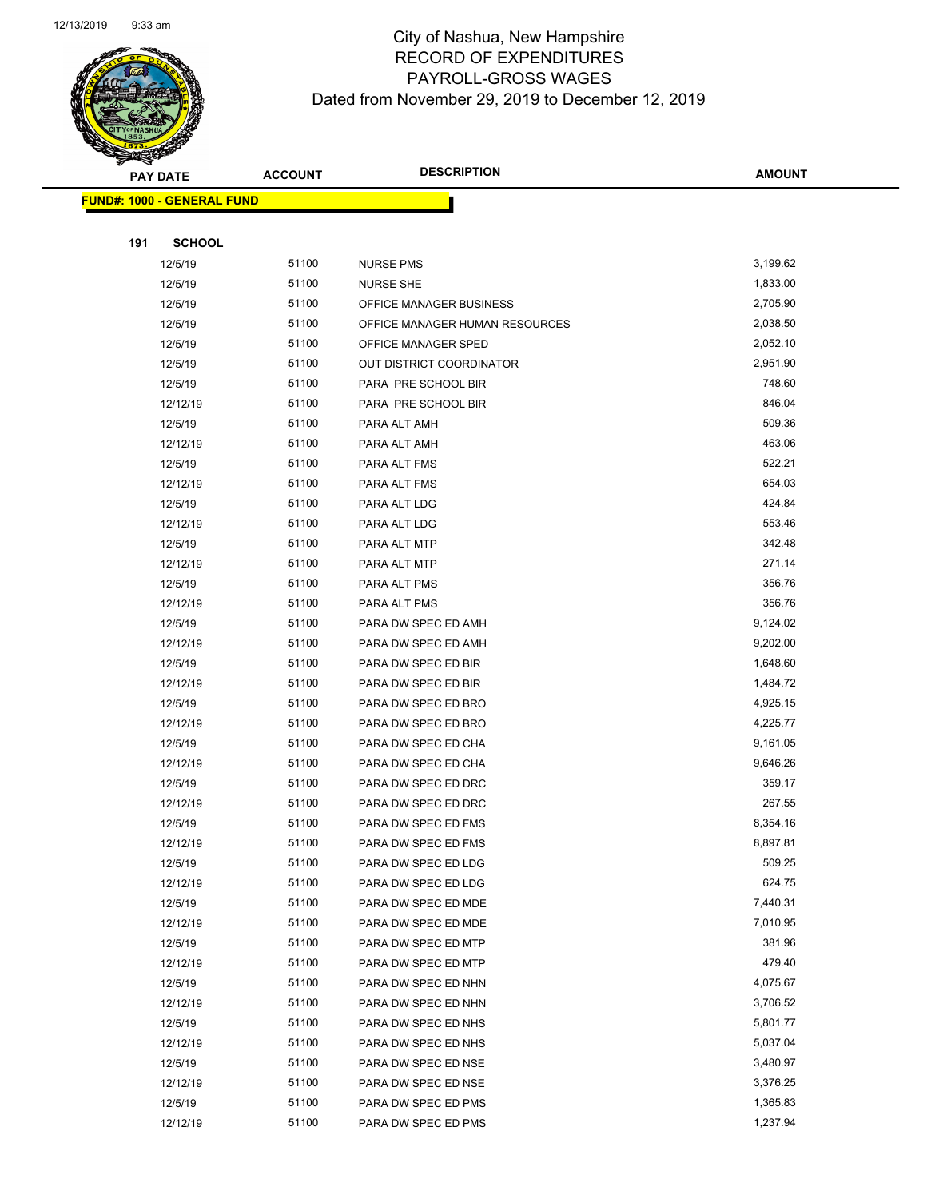

Page 63 of 97

|     | <b>PAY DATE</b>                   | <b>ACCOUNT</b> | <b>DESCRIPTION</b>                         | <b>AMOUNT</b>      |
|-----|-----------------------------------|----------------|--------------------------------------------|--------------------|
|     | <b>FUND#: 1000 - GENERAL FUND</b> |                |                                            |                    |
|     |                                   |                |                                            |                    |
| 191 | <b>SCHOOL</b>                     |                |                                            |                    |
|     | 12/5/19                           | 51100          | <b>NURSE PMS</b>                           | 3,199.62           |
|     | 12/5/19                           | 51100          | <b>NURSE SHE</b>                           | 1,833.00           |
|     | 12/5/19                           | 51100          | OFFICE MANAGER BUSINESS                    | 2,705.90           |
|     | 12/5/19                           | 51100          | OFFICE MANAGER HUMAN RESOURCES             | 2,038.50           |
|     | 12/5/19                           | 51100          | OFFICE MANAGER SPED                        | 2,052.10           |
|     | 12/5/19                           | 51100          | OUT DISTRICT COORDINATOR                   | 2,951.90           |
|     | 12/5/19                           | 51100          | PARA PRE SCHOOL BIR                        | 748.60             |
|     | 12/12/19                          | 51100          | PARA PRE SCHOOL BIR                        | 846.04             |
|     | 12/5/19                           | 51100          | PARA ALT AMH                               | 509.36             |
|     | 12/12/19                          | 51100          | PARA ALT AMH                               | 463.06             |
|     | 12/5/19                           | 51100          | PARA ALT FMS                               | 522.21             |
|     | 12/12/19                          | 51100          | PARA ALT FMS                               | 654.03             |
|     | 12/5/19                           | 51100          | PARA ALT LDG                               | 424.84             |
|     | 12/12/19                          | 51100          | PARA ALT LDG                               | 553.46             |
|     | 12/5/19                           | 51100          | PARA ALT MTP                               | 342.48             |
|     | 12/12/19                          | 51100          | PARA ALT MTP                               | 271.14             |
|     | 12/5/19                           | 51100          | PARA ALT PMS                               | 356.76             |
|     | 12/12/19                          | 51100          | PARA ALT PMS                               | 356.76             |
|     | 12/5/19                           | 51100          | PARA DW SPEC ED AMH                        | 9,124.02           |
|     | 12/12/19                          | 51100          | PARA DW SPEC ED AMH                        | 9,202.00           |
|     | 12/5/19                           | 51100          | PARA DW SPEC ED BIR                        | 1,648.60           |
|     | 12/12/19                          | 51100          | PARA DW SPEC ED BIR                        | 1,484.72           |
|     | 12/5/19                           | 51100          | PARA DW SPEC ED BRO                        | 4,925.15           |
|     | 12/12/19                          | 51100          | PARA DW SPEC ED BRO                        | 4,225.77           |
|     | 12/5/19                           | 51100          | PARA DW SPEC ED CHA                        | 9,161.05           |
|     | 12/12/19                          | 51100          | PARA DW SPEC ED CHA                        | 9,646.26           |
|     | 12/5/19                           | 51100          | PARA DW SPEC ED DRC                        | 359.17             |
|     | 12/12/19                          | 51100          | PARA DW SPEC ED DRC                        | 267.55             |
|     | 12/5/19                           | 51100          | PARA DW SPEC ED FMS                        | 8,354.16           |
|     | 12/12/19                          | 51100          | PARA DW SPEC ED FMS                        | 8,897.81           |
|     | 12/5/19                           | 51100          | PARA DW SPEC ED LDG                        | 509.25             |
|     | 12/12/19                          | 51100          | PARA DW SPEC ED LDG                        | 624.75             |
|     | 12/5/19                           | 51100          | PARA DW SPEC ED MDE                        | 7,440.31           |
|     | 12/12/19                          | 51100<br>51100 | PARA DW SPEC ED MDE                        | 7,010.95<br>381.96 |
|     | 12/5/19<br>12/12/19               | 51100          | PARA DW SPEC ED MTP<br>PARA DW SPEC ED MTP | 479.40             |
|     | 12/5/19                           | 51100          | PARA DW SPEC ED NHN                        | 4,075.67           |
|     | 12/12/19                          | 51100          | PARA DW SPEC ED NHN                        | 3,706.52           |
|     | 12/5/19                           | 51100          | PARA DW SPEC ED NHS                        | 5,801.77           |
|     | 12/12/19                          | 51100          | PARA DW SPEC ED NHS                        | 5,037.04           |
|     | 12/5/19                           | 51100          | PARA DW SPEC ED NSE                        | 3,480.97           |
|     | 12/12/19                          | 51100          | PARA DW SPEC ED NSE                        | 3,376.25           |
|     | 12/5/19                           | 51100          | PARA DW SPEC ED PMS                        | 1,365.83           |
|     | 12/12/19                          | 51100          | PARA DW SPEC ED PMS                        | 1,237.94           |
|     |                                   |                |                                            |                    |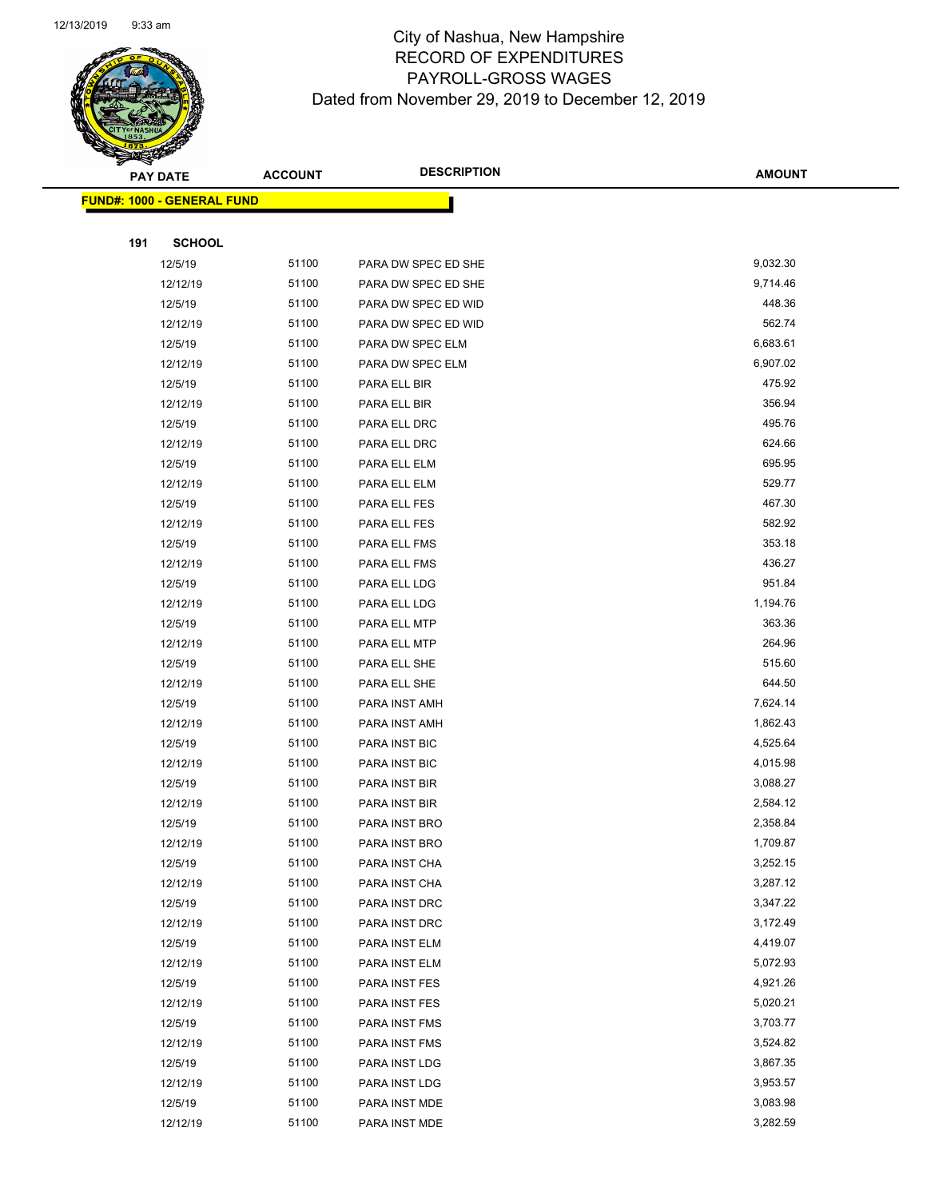

Page 64 of 97

|     | <b>PAY DATE</b>                    | <b>ACCOUNT</b> | <b>DESCRIPTION</b>             | <b>AMOUNT</b>        |
|-----|------------------------------------|----------------|--------------------------------|----------------------|
|     | <u> FUND#: 1000 - GENERAL FUND</u> |                |                                |                      |
|     |                                    |                |                                |                      |
| 191 | <b>SCHOOL</b>                      |                |                                |                      |
|     | 12/5/19                            | 51100          | PARA DW SPEC ED SHE            | 9,032.30             |
|     | 12/12/19                           | 51100          | PARA DW SPEC ED SHE            | 9,714.46             |
|     | 12/5/19                            | 51100          | PARA DW SPEC ED WID            | 448.36               |
|     | 12/12/19                           | 51100          | PARA DW SPEC ED WID            | 562.74               |
|     | 12/5/19                            | 51100          | PARA DW SPEC ELM               | 6,683.61             |
|     | 12/12/19                           | 51100          | PARA DW SPEC ELM               | 6,907.02             |
|     | 12/5/19                            | 51100          | PARA ELL BIR                   | 475.92               |
|     | 12/12/19                           | 51100          | PARA ELL BIR                   | 356.94               |
|     | 12/5/19                            | 51100          | PARA ELL DRC                   | 495.76               |
|     | 12/12/19                           | 51100          | PARA ELL DRC                   | 624.66               |
|     | 12/5/19                            | 51100          | PARA ELL ELM                   | 695.95               |
|     | 12/12/19                           | 51100          | PARA ELL ELM                   | 529.77               |
|     | 12/5/19                            | 51100          | PARA ELL FES                   | 467.30               |
|     | 12/12/19                           | 51100          | PARA ELL FES                   | 582.92               |
|     | 12/5/19                            | 51100          | PARA ELL FMS                   | 353.18               |
|     | 12/12/19                           | 51100          | PARA ELL FMS                   | 436.27               |
|     | 12/5/19                            | 51100          | PARA ELL LDG                   | 951.84               |
|     | 12/12/19                           | 51100          | PARA ELL LDG                   | 1,194.76             |
|     | 12/5/19                            | 51100          | PARA ELL MTP                   | 363.36               |
|     | 12/12/19                           | 51100          | PARA ELL MTP                   | 264.96               |
|     | 12/5/19                            | 51100          | PARA ELL SHE                   | 515.60               |
|     | 12/12/19                           | 51100          | PARA ELL SHE                   | 644.50               |
|     | 12/5/19                            | 51100          | PARA INST AMH                  | 7,624.14             |
|     | 12/12/19                           | 51100          | PARA INST AMH                  | 1,862.43             |
|     | 12/5/19                            | 51100          | PARA INST BIC                  | 4,525.64             |
|     | 12/12/19                           | 51100          | PARA INST BIC                  | 4,015.98             |
|     | 12/5/19                            | 51100          | PARA INST BIR                  | 3,088.27             |
|     | 12/12/19                           | 51100          | PARA INST BIR                  | 2,584.12             |
|     | 12/5/19                            | 51100          | PARA INST BRO                  | 2,358.84             |
|     | 12/12/19                           | 51100          | PARA INST BRO                  | 1,709.87             |
|     | 12/5/19                            | 51100          | PARA INST CHA                  | 3,252.15             |
|     | 12/12/19                           | 51100          | PARA INST CHA                  | 3,287.12             |
|     | 12/5/19                            | 51100          | PARA INST DRC                  | 3,347.22             |
|     | 12/12/19                           | 51100<br>51100 | PARA INST DRC                  | 3,172.49<br>4,419.07 |
|     | 12/5/19<br>12/12/19                | 51100          | PARA INST ELM<br>PARA INST ELM | 5,072.93             |
|     | 12/5/19                            | 51100          | PARA INST FES                  | 4,921.26             |
|     | 12/12/19                           | 51100          | PARA INST FES                  | 5,020.21             |
|     | 12/5/19                            | 51100          | PARA INST FMS                  | 3,703.77             |
|     | 12/12/19                           | 51100          | PARA INST FMS                  | 3,524.82             |
|     | 12/5/19                            | 51100          | PARA INST LDG                  | 3,867.35             |
|     | 12/12/19                           | 51100          | PARA INST LDG                  | 3,953.57             |
|     | 12/5/19                            | 51100          | PARA INST MDE                  | 3,083.98             |
|     | 12/12/19                           | 51100          | PARA INST MDE                  | 3,282.59             |
|     |                                    |                |                                |                      |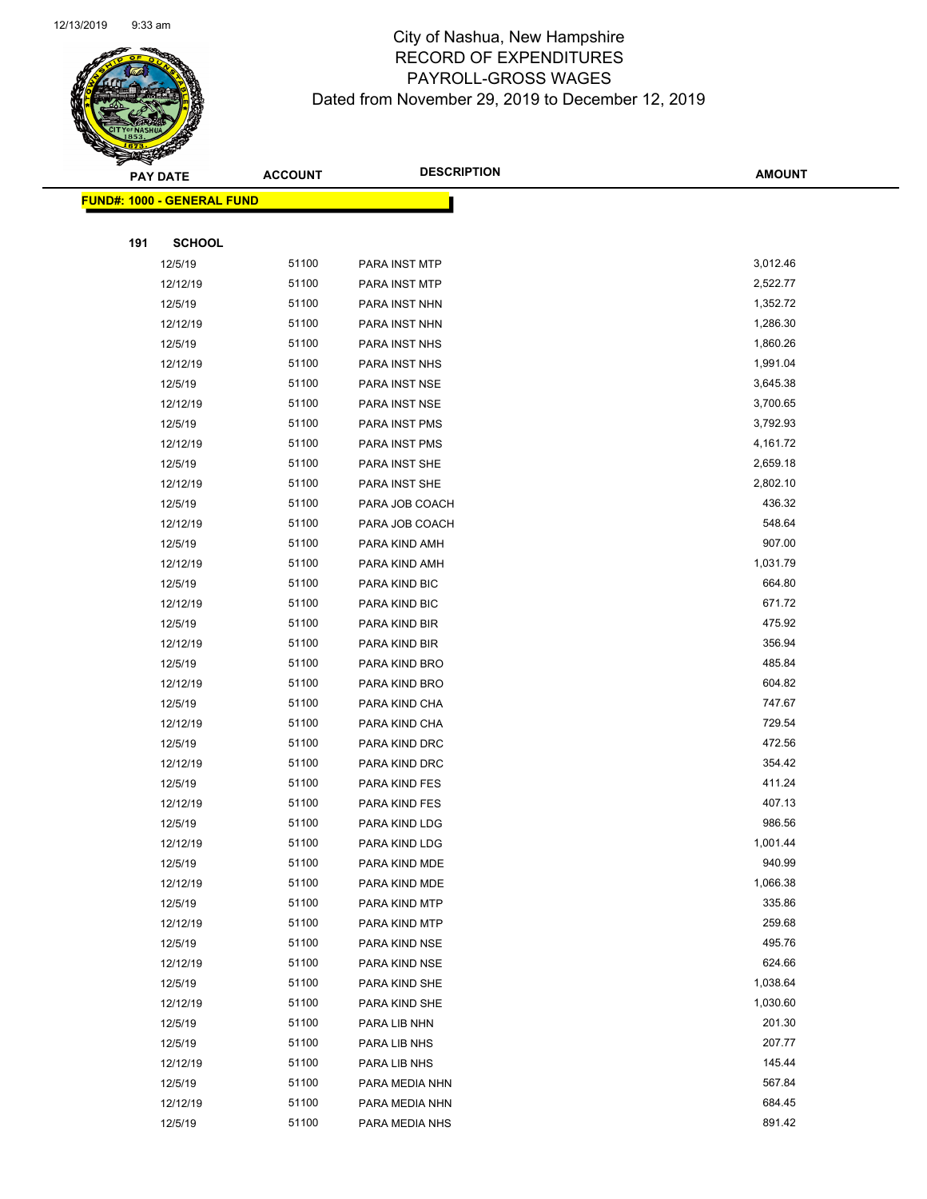

Page 65 of 97

|     | <b>PAY DATE</b>                    | <b>ACCOUNT</b> | <b>DESCRIPTION</b> | <b>AMOUNT</b> |
|-----|------------------------------------|----------------|--------------------|---------------|
|     | <u> FUND#: 1000 - GENERAL FUND</u> |                |                    |               |
|     |                                    |                |                    |               |
| 191 | <b>SCHOOL</b>                      |                |                    |               |
|     | 12/5/19                            | 51100          | PARA INST MTP      | 3,012.46      |
|     | 12/12/19                           | 51100          | PARA INST MTP      | 2,522.77      |
|     | 12/5/19                            | 51100          | PARA INST NHN      | 1,352.72      |
|     | 12/12/19                           | 51100          | PARA INST NHN      | 1,286.30      |
|     | 12/5/19                            | 51100          | PARA INST NHS      | 1,860.26      |
|     | 12/12/19                           | 51100          | PARA INST NHS      | 1,991.04      |
|     | 12/5/19                            | 51100          | PARA INST NSE      | 3,645.38      |
|     | 12/12/19                           | 51100          | PARA INST NSE      | 3,700.65      |
|     | 12/5/19                            | 51100          | PARA INST PMS      | 3,792.93      |
|     | 12/12/19                           | 51100          | PARA INST PMS      | 4,161.72      |
|     | 12/5/19                            | 51100          | PARA INST SHE      | 2,659.18      |
|     | 12/12/19                           | 51100          | PARA INST SHE      | 2,802.10      |
|     | 12/5/19                            | 51100          | PARA JOB COACH     | 436.32        |
|     | 12/12/19                           | 51100          | PARA JOB COACH     | 548.64        |
|     | 12/5/19                            | 51100          | PARA KIND AMH      | 907.00        |
|     | 12/12/19                           | 51100          | PARA KIND AMH      | 1,031.79      |
|     | 12/5/19                            | 51100          | PARA KIND BIC      | 664.80        |
|     | 12/12/19                           | 51100          | PARA KIND BIC      | 671.72        |
|     | 12/5/19                            | 51100          | PARA KIND BIR      | 475.92        |
|     | 12/12/19                           | 51100          | PARA KIND BIR      | 356.94        |
|     | 12/5/19                            | 51100          | PARA KIND BRO      | 485.84        |
|     | 12/12/19                           | 51100          | PARA KIND BRO      | 604.82        |
|     | 12/5/19                            | 51100          | PARA KIND CHA      | 747.67        |
|     | 12/12/19                           | 51100          | PARA KIND CHA      | 729.54        |
|     | 12/5/19                            | 51100          | PARA KIND DRC      | 472.56        |
|     | 12/12/19                           | 51100          | PARA KIND DRC      | 354.42        |
|     | 12/5/19                            | 51100          | PARA KIND FES      | 411.24        |
|     | 12/12/19                           | 51100          | PARA KIND FES      | 407.13        |
|     | 12/5/19                            | 51100          | PARA KIND LDG      | 986.56        |
|     | 12/12/19                           | 51100          | PARA KIND LDG      | 1,001.44      |
|     | 12/5/19                            | 51100          | PARA KIND MDE      | 940.99        |
|     | 12/12/19                           | 51100          | PARA KIND MDE      | 1,066.38      |
|     | 12/5/19                            | 51100          | PARA KIND MTP      | 335.86        |
|     | 12/12/19                           | 51100          | PARA KIND MTP      | 259.68        |
|     | 12/5/19                            | 51100          | PARA KIND NSE      | 495.76        |
|     | 12/12/19                           | 51100          | PARA KIND NSE      | 624.66        |
|     | 12/5/19                            | 51100          | PARA KIND SHE      | 1,038.64      |
|     | 12/12/19                           | 51100          | PARA KIND SHE      | 1,030.60      |
|     | 12/5/19                            | 51100          | PARA LIB NHN       | 201.30        |
|     | 12/5/19                            | 51100          | PARA LIB NHS       | 207.77        |
|     | 12/12/19                           | 51100          | PARA LIB NHS       | 145.44        |
|     | 12/5/19                            | 51100          | PARA MEDIA NHN     | 567.84        |
|     | 12/12/19                           | 51100          | PARA MEDIA NHN     | 684.45        |
|     | 12/5/19                            | 51100          | PARA MEDIA NHS     | 891.42        |
|     |                                    |                |                    |               |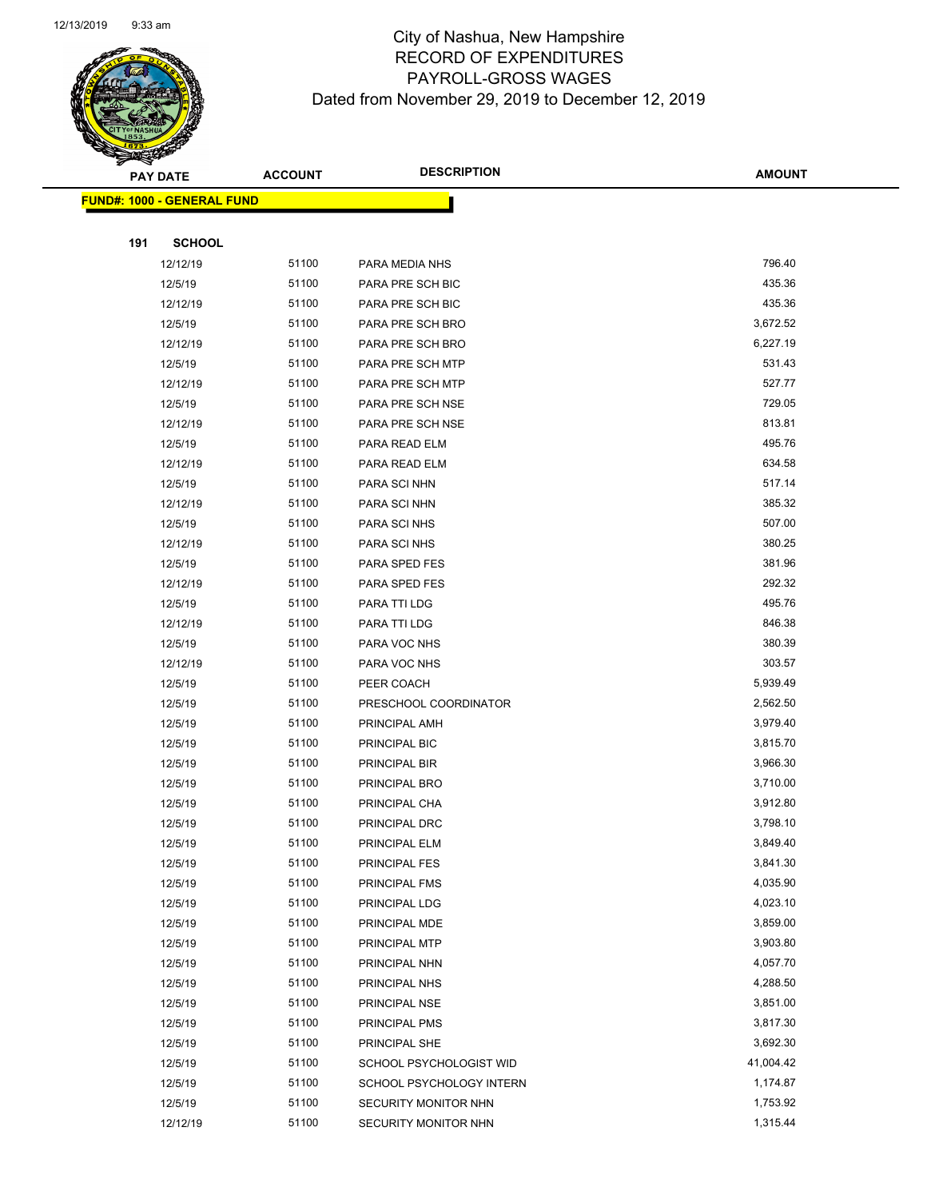

|     | <b>PAY DATE</b>                    | <b>ACCOUNT</b> | <b>DESCRIPTION</b>       | <b>AMOUNT</b> |
|-----|------------------------------------|----------------|--------------------------|---------------|
|     | <u> FUND#: 1000 - GENERAL FUND</u> |                |                          |               |
|     |                                    |                |                          |               |
| 191 | <b>SCHOOL</b>                      |                |                          |               |
|     | 12/12/19                           | 51100          | PARA MEDIA NHS           | 796.40        |
|     | 12/5/19                            | 51100          | PARA PRE SCH BIC         | 435.36        |
|     | 12/12/19                           | 51100          | PARA PRE SCH BIC         | 435.36        |
|     | 12/5/19                            | 51100          | PARA PRE SCH BRO         | 3,672.52      |
|     | 12/12/19                           | 51100          | PARA PRE SCH BRO         | 6,227.19      |
|     | 12/5/19                            | 51100          | PARA PRE SCH MTP         | 531.43        |
|     | 12/12/19                           | 51100          | PARA PRE SCH MTP         | 527.77        |
|     | 12/5/19                            | 51100          | PARA PRE SCH NSE         | 729.05        |
|     | 12/12/19                           | 51100          | PARA PRE SCH NSE         | 813.81        |
|     | 12/5/19                            | 51100          | PARA READ ELM            | 495.76        |
|     | 12/12/19                           | 51100          | PARA READ ELM            | 634.58        |
|     | 12/5/19                            | 51100          | PARA SCI NHN             | 517.14        |
|     | 12/12/19                           | 51100          | PARA SCI NHN             | 385.32        |
|     | 12/5/19                            | 51100          | PARA SCI NHS             | 507.00        |
|     | 12/12/19                           | 51100          | PARA SCI NHS             | 380.25        |
|     | 12/5/19                            | 51100          | PARA SPED FES            | 381.96        |
|     | 12/12/19                           | 51100          | PARA SPED FES            | 292.32        |
|     | 12/5/19                            | 51100          | PARA TTI LDG             | 495.76        |
|     | 12/12/19                           | 51100          | PARA TTI LDG             | 846.38        |
|     | 12/5/19                            | 51100          | PARA VOC NHS             | 380.39        |
|     | 12/12/19                           | 51100          | PARA VOC NHS             | 303.57        |
|     | 12/5/19                            | 51100          | PEER COACH               | 5,939.49      |
|     | 12/5/19                            | 51100          | PRESCHOOL COORDINATOR    | 2,562.50      |
|     | 12/5/19                            | 51100          | PRINCIPAL AMH            | 3,979.40      |
|     | 12/5/19                            | 51100          | PRINCIPAL BIC            | 3,815.70      |
|     | 12/5/19                            | 51100          | PRINCIPAL BIR            | 3,966.30      |
|     | 12/5/19                            | 51100          | PRINCIPAL BRO            | 3,710.00      |
|     | 12/5/19                            | 51100          | PRINCIPAL CHA            | 3,912.80      |
|     | 12/5/19                            | 51100          | PRINCIPAL DRC            | 3,798.10      |
|     | 12/5/19                            | 51100          | PRINCIPAL ELM            | 3,849.40      |
|     | 12/5/19                            | 51100          | PRINCIPAL FES            | 3,841.30      |
|     | 12/5/19                            | 51100          | PRINCIPAL FMS            | 4,035.90      |
|     | 12/5/19                            | 51100          | PRINCIPAL LDG            | 4,023.10      |
|     | 12/5/19                            | 51100          | PRINCIPAL MDE            | 3,859.00      |
|     | 12/5/19                            | 51100          | PRINCIPAL MTP            | 3,903.80      |
|     | 12/5/19                            | 51100          | PRINCIPAL NHN            | 4,057.70      |
|     | 12/5/19                            | 51100          | PRINCIPAL NHS            | 4,288.50      |
|     | 12/5/19                            | 51100          | PRINCIPAL NSE            | 3,851.00      |
|     | 12/5/19                            | 51100          | PRINCIPAL PMS            | 3,817.30      |
|     | 12/5/19                            | 51100          | PRINCIPAL SHE            | 3,692.30      |
|     | 12/5/19                            | 51100          | SCHOOL PSYCHOLOGIST WID  | 41,004.42     |
|     | 12/5/19                            | 51100          | SCHOOL PSYCHOLOGY INTERN | 1,174.87      |
|     | 12/5/19                            | 51100          | SECURITY MONITOR NHN     | 1,753.92      |
|     | 12/12/19                           | 51100          | SECURITY MONITOR NHN     | 1,315.44      |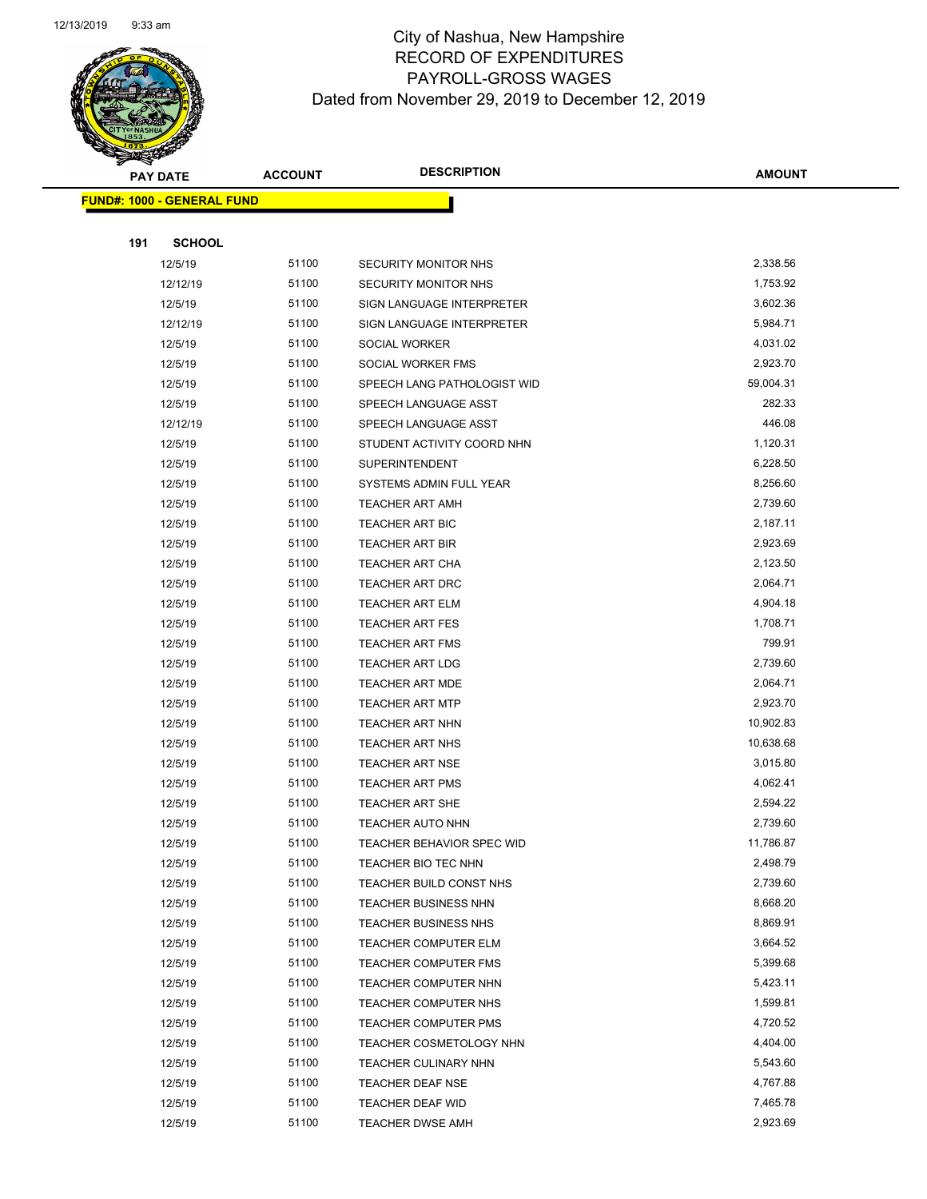

Page 67 of 97

|     | <b>PAY DATE</b>                   | <b>ACCOUNT</b> | <b>DESCRIPTION</b>               | <b>AMOUNT</b> |
|-----|-----------------------------------|----------------|----------------------------------|---------------|
|     | <b>FUND#: 1000 - GENERAL FUND</b> |                |                                  |               |
|     |                                   |                |                                  |               |
| 191 | <b>SCHOOL</b>                     |                |                                  |               |
|     | 12/5/19                           | 51100          | SECURITY MONITOR NHS             | 2,338.56      |
|     | 12/12/19                          | 51100          | <b>SECURITY MONITOR NHS</b>      | 1,753.92      |
|     | 12/5/19                           | 51100          | SIGN LANGUAGE INTERPRETER        | 3,602.36      |
|     | 12/12/19                          | 51100          | SIGN LANGUAGE INTERPRETER        | 5,984.71      |
|     | 12/5/19                           | 51100          | SOCIAL WORKER                    | 4,031.02      |
|     | 12/5/19                           | 51100          | SOCIAL WORKER FMS                | 2,923.70      |
|     | 12/5/19                           | 51100          | SPEECH LANG PATHOLOGIST WID      | 59,004.31     |
|     | 12/5/19                           | 51100          | SPEECH LANGUAGE ASST             | 282.33        |
|     | 12/12/19                          | 51100          | SPEECH LANGUAGE ASST             | 446.08        |
|     | 12/5/19                           | 51100          | STUDENT ACTIVITY COORD NHN       | 1,120.31      |
|     | 12/5/19                           | 51100          | <b>SUPERINTENDENT</b>            | 6,228.50      |
|     | 12/5/19                           | 51100          | SYSTEMS ADMIN FULL YEAR          | 8,256.60      |
|     | 12/5/19                           | 51100          | <b>TEACHER ART AMH</b>           | 2,739.60      |
|     | 12/5/19                           | 51100          | <b>TEACHER ART BIC</b>           | 2,187.11      |
|     | 12/5/19                           | 51100          | <b>TEACHER ART BIR</b>           | 2,923.69      |
|     | 12/5/19                           | 51100          | <b>TEACHER ART CHA</b>           | 2,123.50      |
|     | 12/5/19                           | 51100          | TEACHER ART DRC                  | 2,064.71      |
|     | 12/5/19                           | 51100          | TEACHER ART ELM                  | 4,904.18      |
|     | 12/5/19                           | 51100          | <b>TEACHER ART FES</b>           | 1,708.71      |
|     | 12/5/19                           | 51100          | <b>TEACHER ART FMS</b>           | 799.91        |
|     | 12/5/19                           | 51100          | <b>TEACHER ART LDG</b>           | 2,739.60      |
|     | 12/5/19                           | 51100          | <b>TEACHER ART MDE</b>           | 2,064.71      |
|     | 12/5/19                           | 51100          | <b>TEACHER ART MTP</b>           | 2,923.70      |
|     | 12/5/19                           | 51100          | <b>TEACHER ART NHN</b>           | 10,902.83     |
|     | 12/5/19                           | 51100          | <b>TEACHER ART NHS</b>           | 10,638.68     |
|     | 12/5/19                           | 51100          | <b>TEACHER ART NSE</b>           | 3,015.80      |
|     | 12/5/19                           | 51100          | <b>TEACHER ART PMS</b>           | 4,062.41      |
|     | 12/5/19                           | 51100          | <b>TEACHER ART SHE</b>           | 2,594.22      |
|     | 12/5/19                           | 51100          | <b>TEACHER AUTO NHN</b>          | 2,739.60      |
|     | 12/5/19                           | 51100          | <b>TEACHER BEHAVIOR SPEC WID</b> | 11,786.87     |
|     | 12/5/19                           | 51100          | TEACHER BIO TEC NHN              | 2,498.79      |
|     | 12/5/19                           | 51100          | TEACHER BUILD CONST NHS          | 2,739.60      |
|     | 12/5/19                           | 51100          | <b>TEACHER BUSINESS NHN</b>      | 8,668.20      |
|     | 12/5/19                           | 51100          | TEACHER BUSINESS NHS             | 8,869.91      |
|     | 12/5/19                           | 51100          | <b>TEACHER COMPUTER ELM</b>      | 3,664.52      |
|     | 12/5/19                           | 51100          | <b>TEACHER COMPUTER FMS</b>      | 5,399.68      |
|     | 12/5/19                           | 51100          | TEACHER COMPUTER NHN             | 5,423.11      |
|     | 12/5/19                           | 51100          | TEACHER COMPUTER NHS             | 1,599.81      |
|     | 12/5/19                           | 51100          | <b>TEACHER COMPUTER PMS</b>      | 4,720.52      |
|     | 12/5/19                           | 51100          | TEACHER COSMETOLOGY NHN          | 4,404.00      |
|     | 12/5/19                           | 51100          | <b>TEACHER CULINARY NHN</b>      | 5,543.60      |
|     | 12/5/19                           | 51100          | TEACHER DEAF NSE                 | 4,767.88      |
|     | 12/5/19                           | 51100          | TEACHER DEAF WID                 | 7,465.78      |
|     | 12/5/19                           | 51100          | <b>TEACHER DWSE AMH</b>          | 2,923.69      |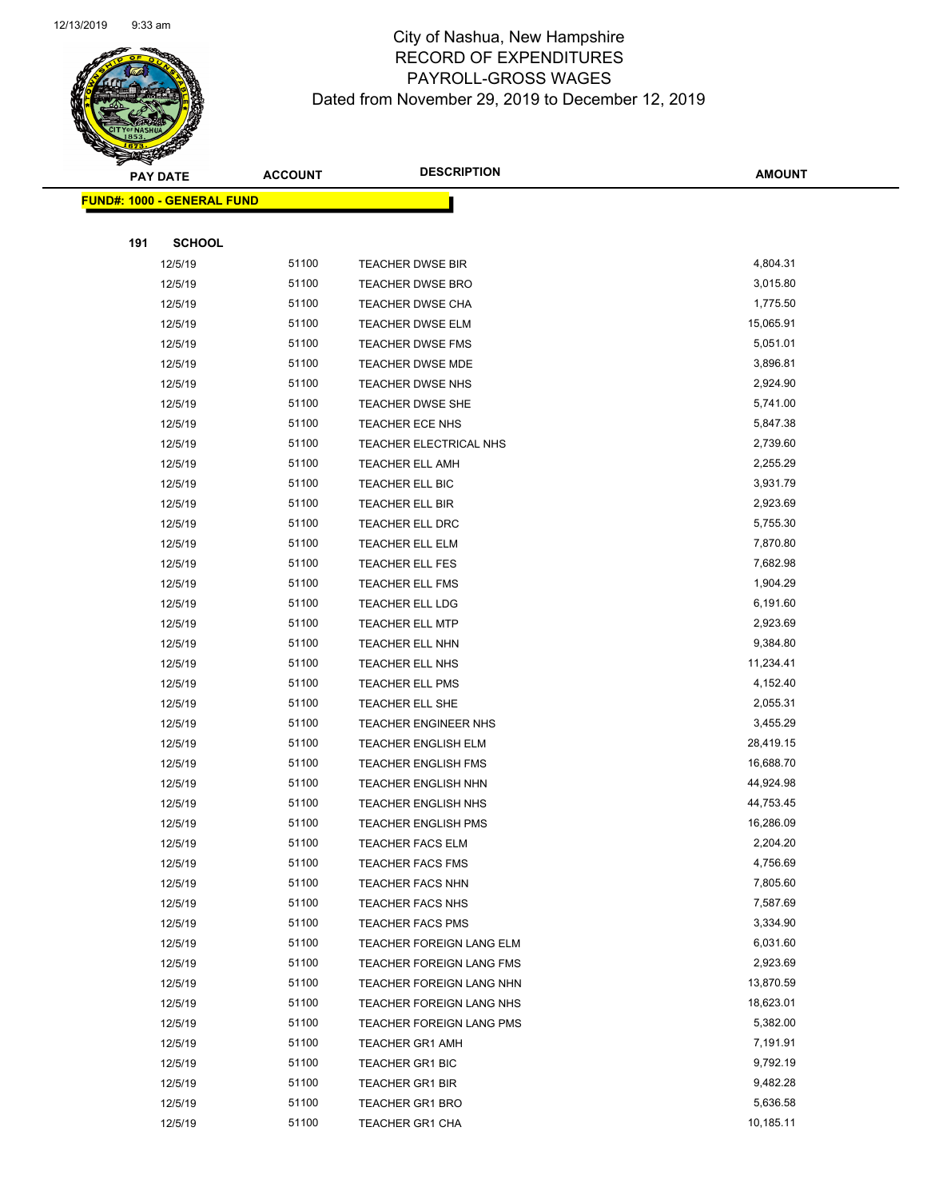

Page 68 of 97

| <b>PAY DATE</b>                    | <b>ACCOUNT</b> | <b>DESCRIPTION</b>          | <b>AMOUNT</b> |
|------------------------------------|----------------|-----------------------------|---------------|
| <u> FUND#: 1000 - GENERAL FUND</u> |                |                             |               |
|                                    |                |                             |               |
| 191<br><b>SCHOOL</b>               |                |                             |               |
| 12/5/19                            | 51100          | <b>TEACHER DWSE BIR</b>     | 4,804.31      |
| 12/5/19                            | 51100          | <b>TEACHER DWSE BRO</b>     | 3,015.80      |
| 12/5/19                            | 51100          | <b>TEACHER DWSE CHA</b>     | 1,775.50      |
| 12/5/19                            | 51100          | <b>TEACHER DWSE ELM</b>     | 15,065.91     |
| 12/5/19                            | 51100          | TEACHER DWSE FMS            | 5,051.01      |
| 12/5/19                            | 51100          | TEACHER DWSE MDE            | 3,896.81      |
| 12/5/19                            | 51100          | <b>TEACHER DWSE NHS</b>     | 2,924.90      |
| 12/5/19                            | 51100          | <b>TEACHER DWSE SHE</b>     | 5,741.00      |
| 12/5/19                            | 51100          | TEACHER ECE NHS             | 5,847.38      |
| 12/5/19                            | 51100          | TEACHER ELECTRICAL NHS      | 2,739.60      |
| 12/5/19                            | 51100          | <b>TEACHER ELL AMH</b>      | 2,255.29      |
| 12/5/19                            | 51100          | TEACHER ELL BIC             | 3,931.79      |
| 12/5/19                            | 51100          | <b>TEACHER ELL BIR</b>      | 2,923.69      |
| 12/5/19                            | 51100          | <b>TEACHER ELL DRC</b>      | 5,755.30      |
| 12/5/19                            | 51100          | <b>TEACHER ELL ELM</b>      | 7,870.80      |
| 12/5/19                            | 51100          | TEACHER ELL FES             | 7,682.98      |
| 12/5/19                            | 51100          | <b>TEACHER ELL FMS</b>      | 1,904.29      |
| 12/5/19                            | 51100          | <b>TEACHER ELL LDG</b>      | 6,191.60      |
| 12/5/19                            | 51100          | <b>TEACHER ELL MTP</b>      | 2,923.69      |
| 12/5/19                            | 51100          | TEACHER ELL NHN             | 9,384.80      |
| 12/5/19                            | 51100          | TEACHER ELL NHS             | 11,234.41     |
| 12/5/19                            | 51100          | <b>TEACHER ELL PMS</b>      | 4,152.40      |
| 12/5/19                            | 51100          | TEACHER ELL SHE             | 2,055.31      |
| 12/5/19                            | 51100          | <b>TEACHER ENGINEER NHS</b> | 3,455.29      |
| 12/5/19                            | 51100          | <b>TEACHER ENGLISH ELM</b>  | 28,419.15     |
| 12/5/19                            | 51100          | <b>TEACHER ENGLISH FMS</b>  | 16,688.70     |
| 12/5/19                            | 51100          | <b>TEACHER ENGLISH NHN</b>  | 44,924.98     |
| 12/5/19                            | 51100          | <b>TEACHER ENGLISH NHS</b>  | 44,753.45     |
| 12/5/19                            | 51100          | <b>TEACHER ENGLISH PMS</b>  | 16,286.09     |
| 12/5/19                            | 51100          | <b>TEACHER FACS ELM</b>     | 2,204.20      |
| 12/5/19                            | 51100          | <b>TEACHER FACS FMS</b>     | 4,756.69      |
| 12/5/19                            | 51100          | <b>TEACHER FACS NHN</b>     | 7,805.60      |
| 12/5/19                            | 51100          | <b>TEACHER FACS NHS</b>     | 7,587.69      |
| 12/5/19                            | 51100          | <b>TEACHER FACS PMS</b>     | 3,334.90      |
| 12/5/19                            | 51100          | TEACHER FOREIGN LANG ELM    | 6,031.60      |
| 12/5/19                            | 51100          | TEACHER FOREIGN LANG FMS    | 2,923.69      |
| 12/5/19                            | 51100          | TEACHER FOREIGN LANG NHN    | 13,870.59     |
| 12/5/19                            | 51100          | TEACHER FOREIGN LANG NHS    | 18,623.01     |
| 12/5/19                            | 51100          | TEACHER FOREIGN LANG PMS    | 5,382.00      |
| 12/5/19                            | 51100          | <b>TEACHER GR1 AMH</b>      | 7,191.91      |
| 12/5/19                            | 51100          | TEACHER GR1 BIC             | 9,792.19      |
| 12/5/19                            | 51100          | <b>TEACHER GR1 BIR</b>      | 9,482.28      |
| 12/5/19                            | 51100          | <b>TEACHER GR1 BRO</b>      | 5,636.58      |
| 12/5/19                            | 51100          | <b>TEACHER GR1 CHA</b>      | 10,185.11     |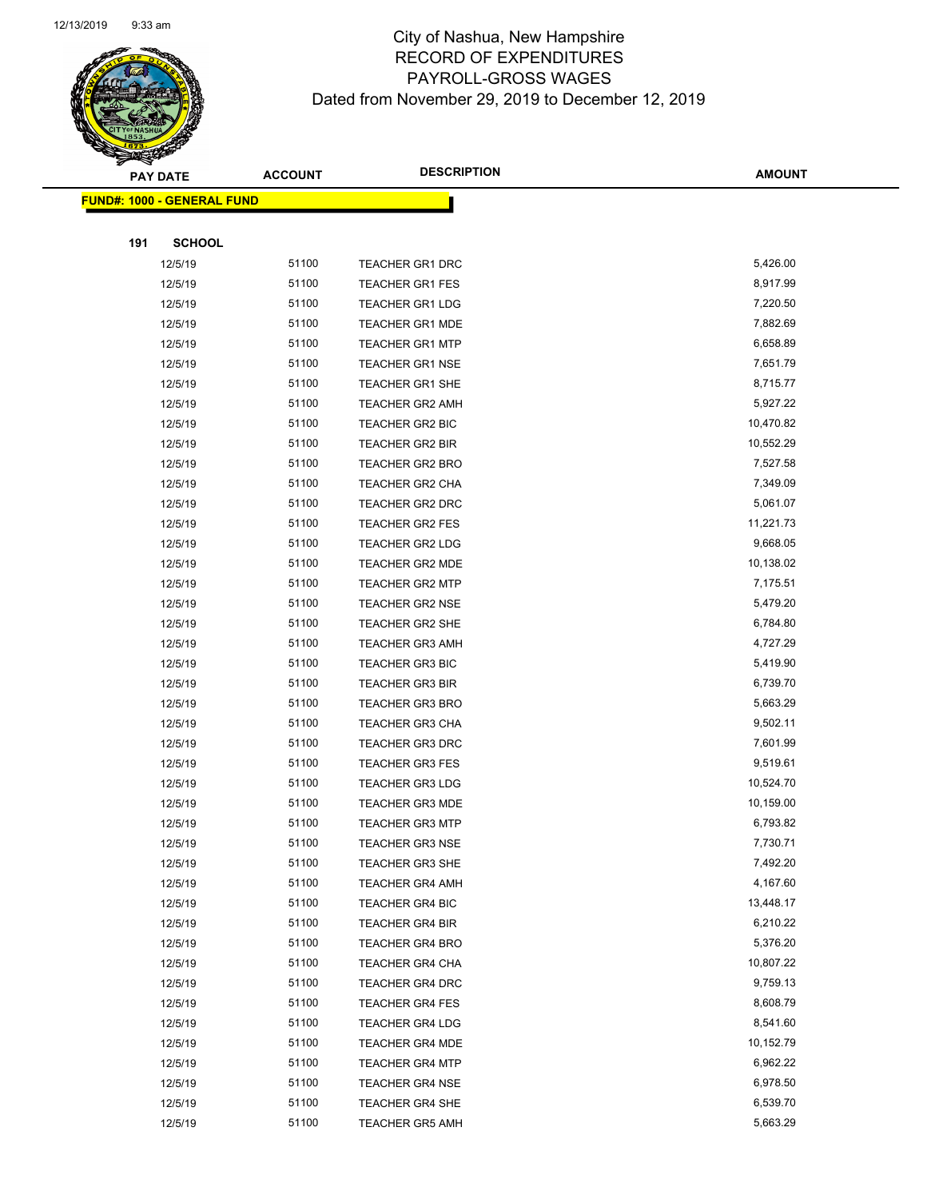

Page 69 of 97

|     | <b>PAY DATE</b>                    | <b>ACCOUNT</b> | <b>DESCRIPTION</b>     | <b>AMOUNT</b> |
|-----|------------------------------------|----------------|------------------------|---------------|
|     | <u> FUND#: 1000 - GENERAL FUND</u> |                |                        |               |
|     |                                    |                |                        |               |
| 191 | <b>SCHOOL</b>                      |                |                        |               |
|     | 12/5/19                            | 51100          | <b>TEACHER GR1 DRC</b> | 5,426.00      |
|     | 12/5/19                            | 51100          | <b>TEACHER GR1 FES</b> | 8,917.99      |
|     | 12/5/19                            | 51100          | <b>TEACHER GR1 LDG</b> | 7,220.50      |
|     | 12/5/19                            | 51100          | <b>TEACHER GR1 MDE</b> | 7,882.69      |
|     | 12/5/19                            | 51100          | <b>TEACHER GR1 MTP</b> | 6,658.89      |
|     | 12/5/19                            | 51100          | <b>TEACHER GR1 NSE</b> | 7,651.79      |
|     | 12/5/19                            | 51100          | <b>TEACHER GR1 SHE</b> | 8,715.77      |
|     | 12/5/19                            | 51100          | <b>TEACHER GR2 AMH</b> | 5,927.22      |
|     | 12/5/19                            | 51100          | TEACHER GR2 BIC        | 10,470.82     |
|     | 12/5/19                            | 51100          | <b>TEACHER GR2 BIR</b> | 10,552.29     |
|     | 12/5/19                            | 51100          | <b>TEACHER GR2 BRO</b> | 7,527.58      |
|     | 12/5/19                            | 51100          | TEACHER GR2 CHA        | 7,349.09      |
|     | 12/5/19                            | 51100          | <b>TEACHER GR2 DRC</b> | 5,061.07      |
|     | 12/5/19                            | 51100          | TEACHER GR2 FES        | 11,221.73     |
|     | 12/5/19                            | 51100          | <b>TEACHER GR2 LDG</b> | 9,668.05      |
|     | 12/5/19                            | 51100          | <b>TEACHER GR2 MDE</b> | 10,138.02     |
|     | 12/5/19                            | 51100          | <b>TEACHER GR2 MTP</b> | 7,175.51      |
|     | 12/5/19                            | 51100          | <b>TEACHER GR2 NSE</b> | 5,479.20      |
|     | 12/5/19                            | 51100          | <b>TEACHER GR2 SHE</b> | 6,784.80      |
|     | 12/5/19                            | 51100          | <b>TEACHER GR3 AMH</b> | 4,727.29      |
|     | 12/5/19                            | 51100          | <b>TEACHER GR3 BIC</b> | 5,419.90      |
|     | 12/5/19                            | 51100          | <b>TEACHER GR3 BIR</b> | 6,739.70      |
|     | 12/5/19                            | 51100          | <b>TEACHER GR3 BRO</b> | 5,663.29      |
|     | 12/5/19                            | 51100          | <b>TEACHER GR3 CHA</b> | 9,502.11      |
|     | 12/5/19                            | 51100          | <b>TEACHER GR3 DRC</b> | 7,601.99      |
|     | 12/5/19                            | 51100          | <b>TEACHER GR3 FES</b> | 9,519.61      |
|     | 12/5/19                            | 51100          | <b>TEACHER GR3 LDG</b> | 10,524.70     |
|     | 12/5/19                            | 51100          | <b>TEACHER GR3 MDE</b> | 10,159.00     |
|     | 12/5/19                            | 51100          | <b>TEACHER GR3 MTP</b> | 6,793.82      |
|     | 12/5/19                            | 51100          | <b>TEACHER GR3 NSE</b> | 7,730.71      |
|     | 12/5/19                            | 51100          | <b>TEACHER GR3 SHE</b> | 7,492.20      |
|     | 12/5/19                            | 51100          | <b>TEACHER GR4 AMH</b> | 4,167.60      |
|     | 12/5/19                            | 51100          | TEACHER GR4 BIC        | 13,448.17     |
|     | 12/5/19                            | 51100          | TEACHER GR4 BIR        | 6,210.22      |
|     | 12/5/19                            | 51100          | <b>TEACHER GR4 BRO</b> | 5,376.20      |
|     | 12/5/19                            | 51100          | TEACHER GR4 CHA        | 10,807.22     |
|     | 12/5/19                            | 51100          | <b>TEACHER GR4 DRC</b> | 9,759.13      |
|     | 12/5/19                            | 51100          | TEACHER GR4 FES        | 8,608.79      |
|     | 12/5/19                            | 51100          | TEACHER GR4 LDG        | 8,541.60      |
|     | 12/5/19                            | 51100          | <b>TEACHER GR4 MDE</b> | 10,152.79     |
|     | 12/5/19                            | 51100          | <b>TEACHER GR4 MTP</b> | 6,962.22      |
|     | 12/5/19                            | 51100          | <b>TEACHER GR4 NSE</b> | 6,978.50      |
|     | 12/5/19                            | 51100          | TEACHER GR4 SHE        | 6,539.70      |
|     | 12/5/19                            | 51100          | <b>TEACHER GR5 AMH</b> | 5,663.29      |
|     |                                    |                |                        |               |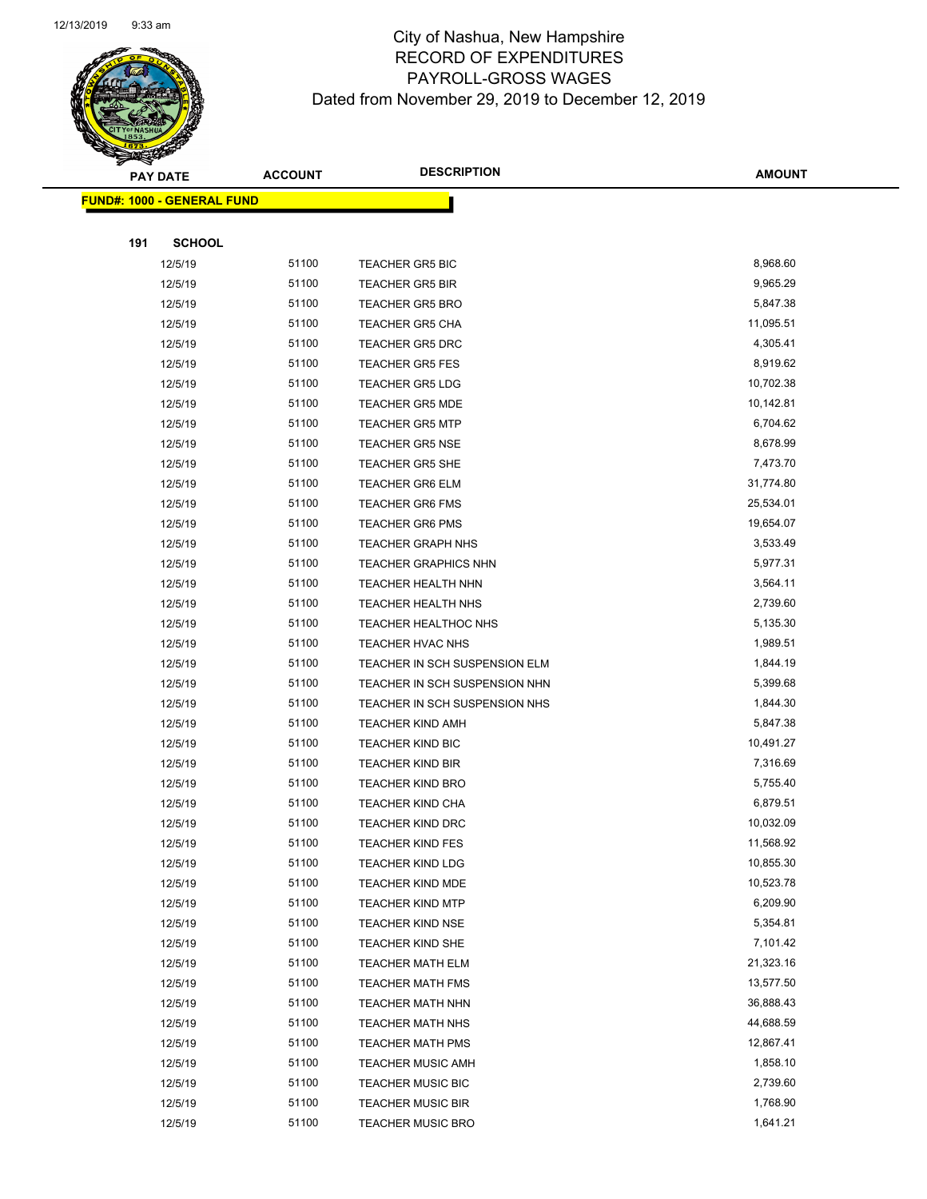

Page 70 of 97

|     | <b>PAY DATE</b>                    | <b>ACCOUNT</b> | <b>DESCRIPTION</b>                                   | <b>AMOUNT</b>          |
|-----|------------------------------------|----------------|------------------------------------------------------|------------------------|
|     | <u> FUND#: 1000 - GENERAL FUND</u> |                |                                                      |                        |
|     |                                    |                |                                                      |                        |
| 191 | <b>SCHOOL</b>                      |                |                                                      |                        |
|     | 12/5/19                            | 51100          | <b>TEACHER GR5 BIC</b>                               | 8,968.60               |
|     | 12/5/19                            | 51100          | <b>TEACHER GR5 BIR</b>                               | 9,965.29               |
|     | 12/5/19                            | 51100          | <b>TEACHER GR5 BRO</b>                               | 5,847.38               |
|     | 12/5/19                            | 51100          | <b>TEACHER GR5 CHA</b>                               | 11,095.51              |
|     | 12/5/19                            | 51100          | <b>TEACHER GR5 DRC</b>                               | 4,305.41               |
|     | 12/5/19                            | 51100          | <b>TEACHER GR5 FES</b>                               | 8,919.62               |
|     | 12/5/19                            | 51100          | <b>TEACHER GR5 LDG</b>                               | 10,702.38              |
|     | 12/5/19                            | 51100          | <b>TEACHER GR5 MDE</b>                               | 10,142.81              |
|     | 12/5/19                            | 51100          | <b>TEACHER GR5 MTP</b>                               | 6,704.62               |
|     | 12/5/19                            | 51100          | <b>TEACHER GR5 NSE</b>                               | 8,678.99               |
|     | 12/5/19                            | 51100          | <b>TEACHER GR5 SHE</b>                               | 7,473.70               |
|     | 12/5/19                            | 51100          | <b>TEACHER GR6 ELM</b>                               | 31,774.80              |
|     | 12/5/19                            | 51100          | <b>TEACHER GR6 FMS</b>                               | 25,534.01              |
|     | 12/5/19                            | 51100          | <b>TEACHER GR6 PMS</b>                               | 19,654.07              |
|     | 12/5/19                            | 51100          | <b>TEACHER GRAPH NHS</b>                             | 3,533.49               |
|     | 12/5/19                            | 51100          | <b>TEACHER GRAPHICS NHN</b>                          | 5,977.31               |
|     | 12/5/19                            | 51100          | TEACHER HEALTH NHN                                   | 3,564.11               |
|     | 12/5/19                            | 51100          | TEACHER HEALTH NHS                                   | 2,739.60               |
|     | 12/5/19                            | 51100          | TEACHER HEALTHOC NHS                                 | 5,135.30               |
|     | 12/5/19                            | 51100          | TEACHER HVAC NHS                                     | 1,989.51               |
|     | 12/5/19                            | 51100          | TEACHER IN SCH SUSPENSION ELM                        | 1,844.19               |
|     | 12/5/19                            | 51100          | TEACHER IN SCH SUSPENSION NHN                        | 5,399.68               |
|     | 12/5/19                            | 51100          | TEACHER IN SCH SUSPENSION NHS                        | 1,844.30               |
|     | 12/5/19                            | 51100          | <b>TEACHER KIND AMH</b>                              | 5,847.38               |
|     | 12/5/19                            | 51100          | TEACHER KIND BIC                                     | 10,491.27              |
|     | 12/5/19                            | 51100          | <b>TEACHER KIND BIR</b>                              | 7,316.69               |
|     | 12/5/19                            | 51100          | <b>TEACHER KIND BRO</b>                              | 5,755.40               |
|     | 12/5/19                            | 51100          | <b>TEACHER KIND CHA</b>                              | 6,879.51               |
|     | 12/5/19                            | 51100          | TEACHER KIND DRC                                     | 10,032.09              |
|     | 12/5/19                            | 51100          | <b>TEACHER KIND FES</b>                              | 11,568.92              |
|     | 12/5/19                            | 51100          | <b>TEACHER KIND LDG</b>                              | 10,855.30              |
|     | 12/5/19                            | 51100          | <b>TEACHER KIND MDE</b>                              | 10,523.78              |
|     | 12/5/19                            | 51100          | <b>TEACHER KIND MTP</b>                              | 6,209.90               |
|     | 12/5/19                            | 51100          | <b>TEACHER KIND NSE</b>                              | 5,354.81               |
|     | 12/5/19                            | 51100          | TEACHER KIND SHE                                     | 7,101.42               |
|     | 12/5/19                            | 51100          | <b>TEACHER MATH ELM</b>                              | 21,323.16              |
|     | 12/5/19                            | 51100          | <b>TEACHER MATH FMS</b>                              | 13,577.50              |
|     | 12/5/19                            | 51100<br>51100 | TEACHER MATH NHN                                     | 36,888.43<br>44,688.59 |
|     | 12/5/19                            | 51100          | <b>TEACHER MATH NHS</b>                              | 12,867.41              |
|     | 12/5/19<br>12/5/19                 | 51100          | <b>TEACHER MATH PMS</b>                              | 1,858.10               |
|     | 12/5/19                            | 51100          | <b>TEACHER MUSIC AMH</b>                             | 2,739.60               |
|     | 12/5/19                            | 51100          | <b>TEACHER MUSIC BIC</b><br><b>TEACHER MUSIC BIR</b> | 1,768.90               |
|     | 12/5/19                            | 51100          | <b>TEACHER MUSIC BRO</b>                             | 1,641.21               |
|     |                                    |                |                                                      |                        |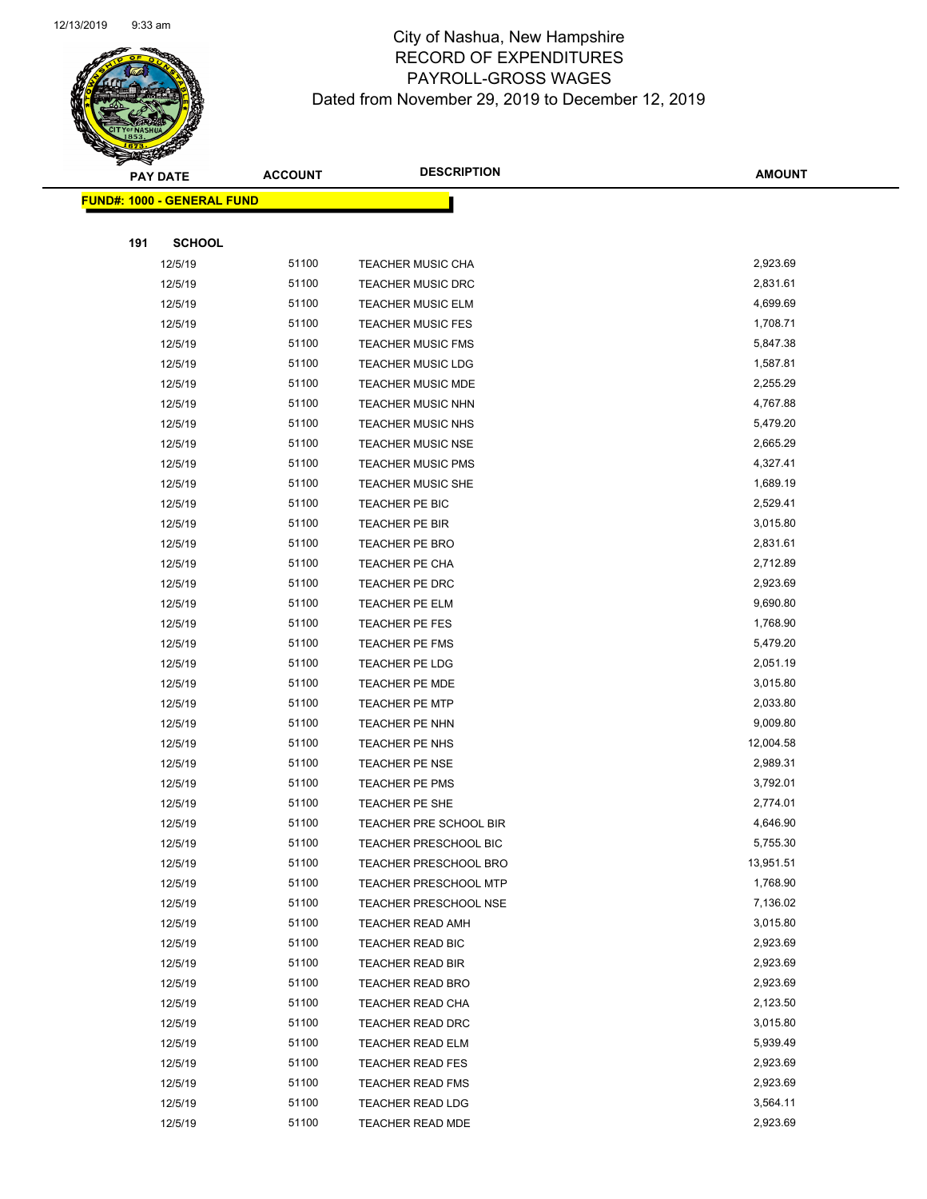

Page 71 of 97

|     | <b>PAY DATE</b>                    | <b>ACCOUNT</b> | <b>DESCRIPTION</b>                   | <b>AMOUNT</b>        |
|-----|------------------------------------|----------------|--------------------------------------|----------------------|
|     | <u> FUND#: 1000 - GENERAL FUND</u> |                |                                      |                      |
|     |                                    |                |                                      |                      |
| 191 | <b>SCHOOL</b>                      |                |                                      |                      |
|     | 12/5/19                            | 51100          | <b>TEACHER MUSIC CHA</b>             | 2,923.69             |
|     | 12/5/19                            | 51100          | <b>TEACHER MUSIC DRC</b>             | 2,831.61             |
|     | 12/5/19                            | 51100          | <b>TEACHER MUSIC ELM</b>             | 4,699.69             |
|     | 12/5/19                            | 51100          | <b>TEACHER MUSIC FES</b>             | 1,708.71             |
|     | 12/5/19                            | 51100          | <b>TEACHER MUSIC FMS</b>             | 5,847.38             |
|     | 12/5/19                            | 51100          | <b>TEACHER MUSIC LDG</b>             | 1,587.81             |
|     | 12/5/19                            | 51100          | <b>TEACHER MUSIC MDE</b>             | 2,255.29             |
|     | 12/5/19                            | 51100          | <b>TEACHER MUSIC NHN</b>             | 4,767.88             |
|     | 12/5/19                            | 51100          | <b>TEACHER MUSIC NHS</b>             | 5,479.20             |
|     | 12/5/19                            | 51100          | <b>TEACHER MUSIC NSE</b>             | 2,665.29             |
|     | 12/5/19                            | 51100          | <b>TEACHER MUSIC PMS</b>             | 4,327.41             |
|     | 12/5/19                            | 51100          | <b>TEACHER MUSIC SHE</b>             | 1,689.19             |
|     | 12/5/19                            | 51100          | TEACHER PE BIC                       | 2,529.41             |
|     | 12/5/19                            | 51100          | <b>TEACHER PE BIR</b>                | 3,015.80             |
|     | 12/5/19                            | 51100          | <b>TEACHER PE BRO</b>                | 2,831.61             |
|     | 12/5/19                            | 51100          | TEACHER PE CHA                       | 2,712.89             |
|     | 12/5/19                            | 51100          | TEACHER PE DRC                       | 2,923.69             |
|     | 12/5/19                            | 51100          | TEACHER PE ELM                       | 9,690.80             |
|     | 12/5/19                            | 51100          | TEACHER PE FES                       | 1,768.90             |
|     | 12/5/19                            | 51100          | TEACHER PE FMS                       | 5,479.20             |
|     | 12/5/19                            | 51100          | TEACHER PE LDG                       | 2,051.19             |
|     | 12/5/19                            | 51100          | <b>TEACHER PE MDE</b>                | 3,015.80             |
|     | 12/5/19                            | 51100          | <b>TEACHER PE MTP</b>                | 2,033.80             |
|     | 12/5/19                            | 51100          | TEACHER PE NHN                       | 9,009.80             |
|     | 12/5/19                            | 51100          | TEACHER PE NHS                       | 12,004.58            |
|     | 12/5/19                            | 51100          | TEACHER PE NSE                       | 2,989.31             |
|     | 12/5/19                            | 51100          | <b>TEACHER PE PMS</b>                | 3,792.01             |
|     | 12/5/19                            | 51100          | TEACHER PE SHE                       | 2,774.01             |
|     | 12/5/19                            | 51100          | TEACHER PRE SCHOOL BIR               | 4,646.90             |
|     | 12/5/19                            | 51100          | <b>TEACHER PRESCHOOL BIC</b>         | 5,755.30             |
|     | 12/5/19                            | 51100          | TEACHER PRESCHOOL BRO                | 13,951.51            |
|     | 12/5/19                            | 51100          | <b>TEACHER PRESCHOOL MTP</b>         | 1,768.90             |
|     | 12/5/19                            | 51100          | <b>TEACHER PRESCHOOL NSE</b>         | 7,136.02             |
|     | 12/5/19                            | 51100<br>51100 | TEACHER READ AMH                     | 3,015.80<br>2,923.69 |
|     | 12/5/19<br>12/5/19                 | 51100          | TEACHER READ BIC<br>TEACHER READ BIR | 2,923.69             |
|     | 12/5/19                            | 51100          | <b>TEACHER READ BRO</b>              | 2,923.69             |
|     | 12/5/19                            | 51100          | TEACHER READ CHA                     | 2,123.50             |
|     | 12/5/19                            | 51100          | TEACHER READ DRC                     | 3,015.80             |
|     | 12/5/19                            | 51100          | <b>TEACHER READ ELM</b>              | 5,939.49             |
|     | 12/5/19                            | 51100          | <b>TEACHER READ FES</b>              | 2,923.69             |
|     | 12/5/19                            | 51100          | <b>TEACHER READ FMS</b>              | 2,923.69             |
|     | 12/5/19                            | 51100          | <b>TEACHER READ LDG</b>              | 3,564.11             |
|     | 12/5/19                            | 51100          | TEACHER READ MDE                     | 2,923.69             |
|     |                                    |                |                                      |                      |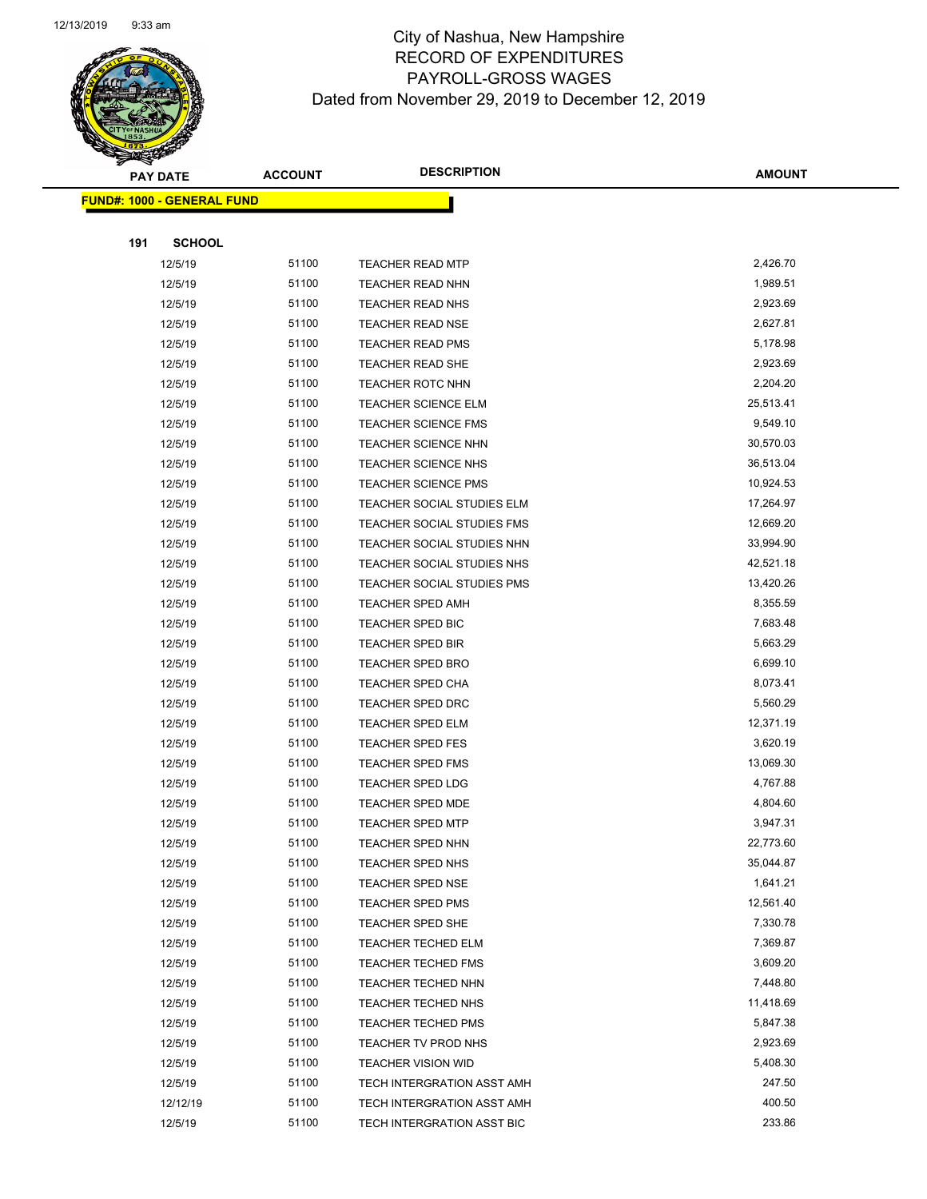

Page 72 of 97

|     | <b>PAY DATE</b>                    | <b>ACCOUNT</b> | <b>DESCRIPTION</b>                               | <b>AMOUNT</b>         |
|-----|------------------------------------|----------------|--------------------------------------------------|-----------------------|
|     | <u> FUND#: 1000 - GENERAL FUND</u> |                |                                                  |                       |
|     |                                    |                |                                                  |                       |
| 191 | <b>SCHOOL</b>                      |                |                                                  |                       |
|     | 12/5/19                            | 51100          | <b>TEACHER READ MTP</b>                          | 2,426.70              |
|     | 12/5/19                            | 51100          | <b>TEACHER READ NHN</b>                          | 1,989.51              |
|     | 12/5/19                            | 51100          | <b>TEACHER READ NHS</b>                          | 2,923.69              |
|     | 12/5/19                            | 51100          | TEACHER READ NSE                                 | 2,627.81              |
|     | 12/5/19                            | 51100          | <b>TEACHER READ PMS</b>                          | 5,178.98              |
|     | 12/5/19                            | 51100          | <b>TEACHER READ SHE</b>                          | 2,923.69              |
|     | 12/5/19                            | 51100          | TEACHER ROTC NHN                                 | 2,204.20              |
|     | 12/5/19                            | 51100          | TEACHER SCIENCE ELM                              | 25,513.41             |
|     | 12/5/19                            | 51100          | <b>TEACHER SCIENCE FMS</b>                       | 9,549.10              |
|     | 12/5/19                            | 51100          | TEACHER SCIENCE NHN                              | 30,570.03             |
|     | 12/5/19                            | 51100          | TEACHER SCIENCE NHS                              | 36,513.04             |
|     | 12/5/19                            | 51100          | <b>TEACHER SCIENCE PMS</b>                       | 10,924.53             |
|     | 12/5/19                            | 51100          | TEACHER SOCIAL STUDIES ELM                       | 17,264.97             |
|     | 12/5/19                            | 51100          | TEACHER SOCIAL STUDIES FMS                       | 12,669.20             |
|     | 12/5/19                            | 51100          | TEACHER SOCIAL STUDIES NHN                       | 33,994.90             |
|     | 12/5/19                            | 51100          | TEACHER SOCIAL STUDIES NHS                       | 42,521.18             |
|     | 12/5/19                            | 51100          | TEACHER SOCIAL STUDIES PMS                       | 13,420.26             |
|     | 12/5/19                            | 51100          | <b>TEACHER SPED AMH</b>                          | 8,355.59              |
|     | 12/5/19                            | 51100          | <b>TEACHER SPED BIC</b>                          | 7,683.48              |
|     | 12/5/19                            | 51100          | <b>TEACHER SPED BIR</b>                          | 5,663.29              |
|     | 12/5/19                            | 51100          | <b>TEACHER SPED BRO</b>                          | 6,699.10              |
|     | 12/5/19                            | 51100          | <b>TEACHER SPED CHA</b>                          | 8,073.41              |
|     | 12/5/19                            | 51100          | <b>TEACHER SPED DRC</b>                          | 5,560.29              |
|     | 12/5/19                            | 51100          | <b>TEACHER SPED ELM</b>                          | 12,371.19             |
|     | 12/5/19                            | 51100          | TEACHER SPED FES                                 | 3,620.19              |
|     | 12/5/19                            | 51100          | <b>TEACHER SPED FMS</b>                          | 13,069.30             |
|     | 12/5/19                            | 51100          | <b>TEACHER SPED LDG</b>                          | 4,767.88              |
|     | 12/5/19                            | 51100          | <b>TEACHER SPED MDE</b>                          | 4,804.60              |
|     | 12/5/19                            | 51100          | <b>TEACHER SPED MTP</b>                          | 3,947.31              |
|     | 12/5/19                            | 51100          | TEACHER SPED NHN                                 | 22,773.60             |
|     | 12/5/19                            | 51100          | TEACHER SPED NHS                                 | 35,044.87             |
|     | 12/5/19                            | 51100          | <b>TEACHER SPED NSE</b>                          | 1,641.21              |
|     | 12/5/19                            | 51100          | <b>TEACHER SPED PMS</b>                          | 12,561.40             |
|     | 12/5/19                            | 51100          | TEACHER SPED SHE                                 | 7,330.78              |
|     | 12/5/19                            | 51100          | TEACHER TECHED ELM                               | 7,369.87              |
|     | 12/5/19                            | 51100          | <b>TEACHER TECHED FMS</b>                        | 3,609.20<br>7,448.80  |
|     | 12/5/19                            | 51100          | TEACHER TECHED NHN                               |                       |
|     | 12/5/19<br>12/5/19                 | 51100<br>51100 | TEACHER TECHED NHS<br><b>TEACHER TECHED PMS</b>  | 11,418.69<br>5,847.38 |
|     | 12/5/19                            | 51100          |                                                  | 2,923.69              |
|     | 12/5/19                            | 51100          | TEACHER TV PROD NHS<br><b>TEACHER VISION WID</b> | 5,408.30              |
|     | 12/5/19                            | 51100          | TECH INTERGRATION ASST AMH                       | 247.50                |
|     | 12/12/19                           | 51100          | TECH INTERGRATION ASST AMH                       | 400.50                |
|     | 12/5/19                            | 51100          | TECH INTERGRATION ASST BIC                       | 233.86                |
|     |                                    |                |                                                  |                       |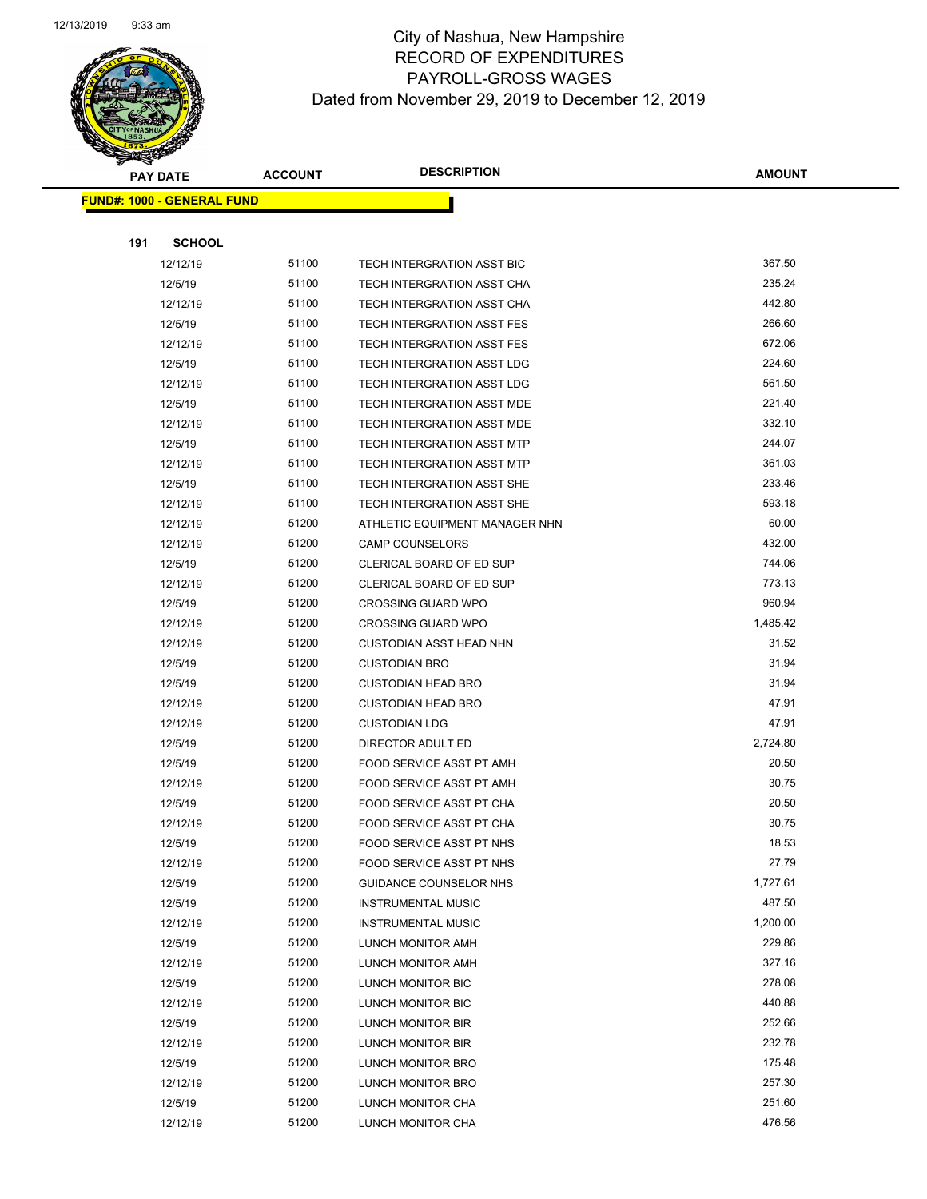

Page 73 of 97

|     | <b>PAY DATE</b>                    | <b>ACCOUNT</b> | <b>DESCRIPTION</b>                | <b>AMOUNT</b> |
|-----|------------------------------------|----------------|-----------------------------------|---------------|
|     | <u> FUND#: 1000 - GENERAL FUND</u> |                |                                   |               |
|     |                                    |                |                                   |               |
| 191 | <b>SCHOOL</b>                      |                |                                   |               |
|     | 12/12/19                           | 51100          | TECH INTERGRATION ASST BIC        | 367.50        |
|     | 12/5/19                            | 51100          | TECH INTERGRATION ASST CHA        | 235.24        |
|     | 12/12/19                           | 51100          | TECH INTERGRATION ASST CHA        | 442.80        |
|     | 12/5/19                            | 51100          | TECH INTERGRATION ASST FES        | 266.60        |
|     | 12/12/19                           | 51100          | TECH INTERGRATION ASST FES        | 672.06        |
|     | 12/5/19                            | 51100          | TECH INTERGRATION ASST LDG        | 224.60        |
|     | 12/12/19                           | 51100          | <b>TECH INTERGRATION ASST LDG</b> | 561.50        |
|     | 12/5/19                            | 51100          | TECH INTERGRATION ASST MDE        | 221.40        |
|     | 12/12/19                           | 51100          | TECH INTERGRATION ASST MDE        | 332.10        |
|     | 12/5/19                            | 51100          | TECH INTERGRATION ASST MTP        | 244.07        |
|     | 12/12/19                           | 51100          | TECH INTERGRATION ASST MTP        | 361.03        |
|     | 12/5/19                            | 51100          | TECH INTERGRATION ASST SHE        | 233.46        |
|     | 12/12/19                           | 51100          | TECH INTERGRATION ASST SHE        | 593.18        |
|     | 12/12/19                           | 51200          | ATHLETIC EQUIPMENT MANAGER NHN    | 60.00         |
|     | 12/12/19                           | 51200          | <b>CAMP COUNSELORS</b>            | 432.00        |
|     | 12/5/19                            | 51200          | CLERICAL BOARD OF ED SUP          | 744.06        |
|     | 12/12/19                           | 51200          | <b>CLERICAL BOARD OF ED SUP</b>   | 773.13        |
|     | 12/5/19                            | 51200          | <b>CROSSING GUARD WPO</b>         | 960.94        |
|     | 12/12/19                           | 51200          | <b>CROSSING GUARD WPO</b>         | 1,485.42      |
|     | 12/12/19                           | 51200          | <b>CUSTODIAN ASST HEAD NHN</b>    | 31.52         |
|     | 12/5/19                            | 51200          | <b>CUSTODIAN BRO</b>              | 31.94         |
|     | 12/5/19                            | 51200          | <b>CUSTODIAN HEAD BRO</b>         | 31.94         |
|     | 12/12/19                           | 51200          | <b>CUSTODIAN HEAD BRO</b>         | 47.91         |
|     | 12/12/19                           | 51200          | <b>CUSTODIAN LDG</b>              | 47.91         |
|     | 12/5/19                            | 51200          | DIRECTOR ADULT ED                 | 2,724.80      |
|     | 12/5/19                            | 51200          | FOOD SERVICE ASST PT AMH          | 20.50         |
|     | 12/12/19                           | 51200          | FOOD SERVICE ASST PT AMH          | 30.75         |
|     | 12/5/19                            | 51200          | <b>FOOD SERVICE ASST PT CHA</b>   | 20.50         |
|     | 12/12/19                           | 51200          | FOOD SERVICE ASST PT CHA          | 30.75         |
|     | 12/5/19                            | 51200          | FOOD SERVICE ASST PT NHS          | 18.53         |
|     | 12/12/19                           | 51200          | FOOD SERVICE ASST PT NHS          | 27.79         |
|     | 12/5/19                            | 51200          | GUIDANCE COUNSELOR NHS            | 1,727.61      |
|     | 12/5/19                            | 51200          | <b>INSTRUMENTAL MUSIC</b>         | 487.50        |
|     | 12/12/19                           | 51200          | <b>INSTRUMENTAL MUSIC</b>         | 1,200.00      |
|     | 12/5/19                            | 51200          | LUNCH MONITOR AMH                 | 229.86        |
|     | 12/12/19                           | 51200          | LUNCH MONITOR AMH                 | 327.16        |
|     | 12/5/19                            | 51200          | LUNCH MONITOR BIC                 | 278.08        |
|     | 12/12/19                           | 51200          | LUNCH MONITOR BIC                 | 440.88        |
|     | 12/5/19                            | 51200          | LUNCH MONITOR BIR                 | 252.66        |
|     | 12/12/19                           | 51200          | LUNCH MONITOR BIR                 | 232.78        |
|     | 12/5/19                            | 51200          | LUNCH MONITOR BRO                 | 175.48        |
|     | 12/12/19                           | 51200          | LUNCH MONITOR BRO                 | 257.30        |
|     | 12/5/19                            | 51200          | LUNCH MONITOR CHA                 | 251.60        |
|     | 12/12/19                           | 51200          | LUNCH MONITOR CHA                 | 476.56        |
|     |                                    |                |                                   |               |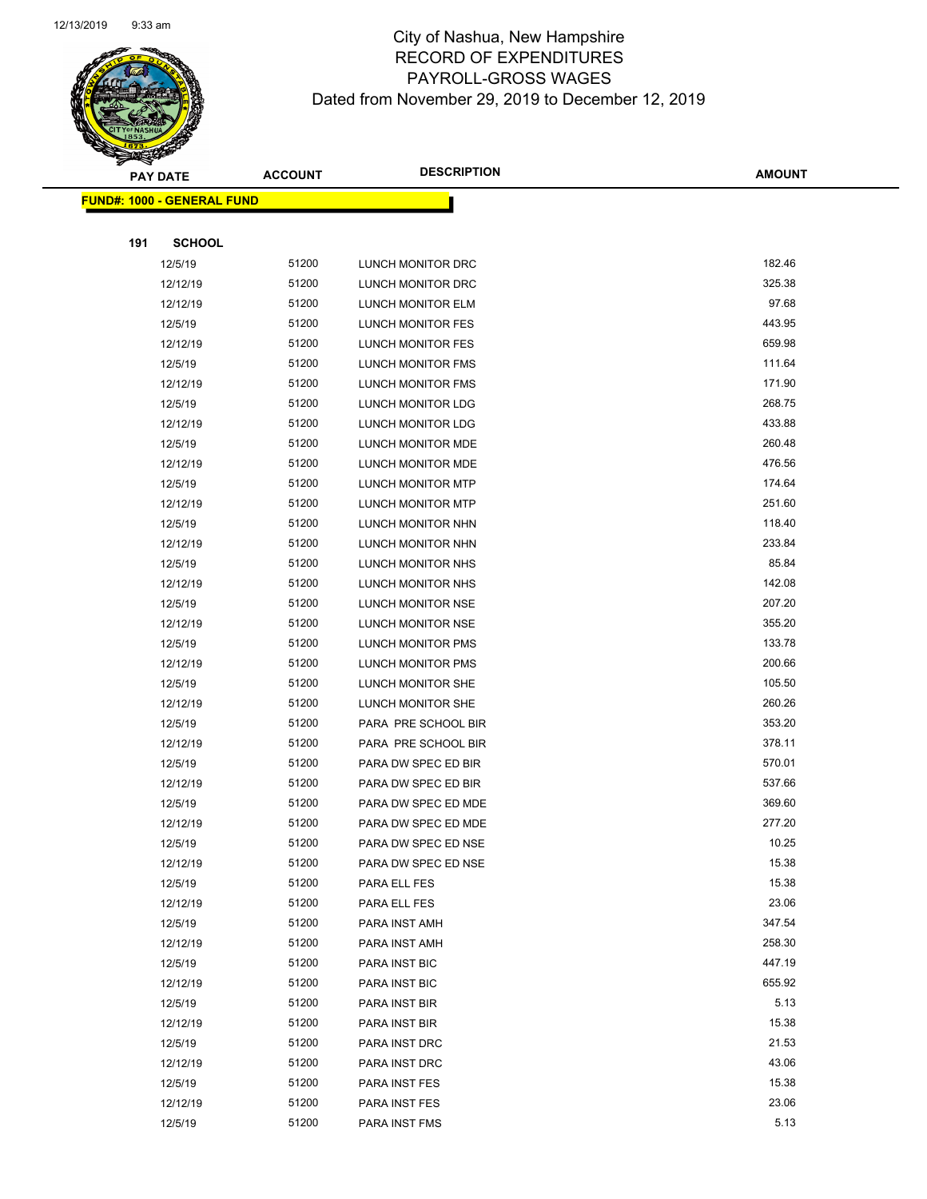

Page 74 of 97

| <b>PAY DATE</b> |     | <b>ACCOUNT</b>                     | <b>DESCRIPTION</b> | <b>AMOUNT</b>            |        |
|-----------------|-----|------------------------------------|--------------------|--------------------------|--------|
|                 |     | <u> FUND#: 1000 - GENERAL FUND</u> |                    |                          |        |
|                 |     |                                    |                    |                          |        |
|                 | 191 | <b>SCHOOL</b>                      |                    |                          |        |
|                 |     | 12/5/19                            | 51200              | LUNCH MONITOR DRC        | 182.46 |
|                 |     | 12/12/19                           | 51200              | LUNCH MONITOR DRC        | 325.38 |
|                 |     | 12/12/19                           | 51200              | LUNCH MONITOR ELM        | 97.68  |
|                 |     | 12/5/19                            | 51200              | LUNCH MONITOR FES        | 443.95 |
|                 |     | 12/12/19                           | 51200              | <b>LUNCH MONITOR FES</b> | 659.98 |
|                 |     | 12/5/19                            | 51200              | LUNCH MONITOR FMS        | 111.64 |
|                 |     | 12/12/19                           | 51200              | LUNCH MONITOR FMS        | 171.90 |
|                 |     | 12/5/19                            | 51200              | LUNCH MONITOR LDG        | 268.75 |
|                 |     | 12/12/19                           | 51200              | LUNCH MONITOR LDG        | 433.88 |
|                 |     | 12/5/19                            | 51200              | LUNCH MONITOR MDE        | 260.48 |
|                 |     | 12/12/19                           | 51200              | LUNCH MONITOR MDE        | 476.56 |
|                 |     | 12/5/19                            | 51200              | LUNCH MONITOR MTP        | 174.64 |
|                 |     | 12/12/19                           | 51200              | LUNCH MONITOR MTP        | 251.60 |
|                 |     | 12/5/19                            | 51200              | LUNCH MONITOR NHN        | 118.40 |
|                 |     | 12/12/19                           | 51200              | LUNCH MONITOR NHN        | 233.84 |
|                 |     | 12/5/19                            | 51200              | LUNCH MONITOR NHS        | 85.84  |
|                 |     | 12/12/19                           | 51200              | LUNCH MONITOR NHS        | 142.08 |
|                 |     | 12/5/19                            | 51200              | LUNCH MONITOR NSE        | 207.20 |
|                 |     | 12/12/19                           | 51200              | LUNCH MONITOR NSE        | 355.20 |
|                 |     | 12/5/19                            | 51200              | <b>LUNCH MONITOR PMS</b> | 133.78 |
|                 |     | 12/12/19                           | 51200              | LUNCH MONITOR PMS        | 200.66 |
|                 |     | 12/5/19                            | 51200              | LUNCH MONITOR SHE        | 105.50 |
|                 |     | 12/12/19                           | 51200              | LUNCH MONITOR SHE        | 260.26 |
|                 |     | 12/5/19                            | 51200              | PARA PRE SCHOOL BIR      | 353.20 |
|                 |     | 12/12/19                           | 51200              | PARA PRE SCHOOL BIR      | 378.11 |
|                 |     | 12/5/19                            | 51200              | PARA DW SPEC ED BIR      | 570.01 |
|                 |     | 12/12/19                           | 51200              | PARA DW SPEC ED BIR      | 537.66 |
|                 |     | 12/5/19                            | 51200              | PARA DW SPEC ED MDE      | 369.60 |
|                 |     | 12/12/19                           | 51200              | PARA DW SPEC ED MDE      | 277.20 |
|                 |     | 12/5/19                            | 51200              | PARA DW SPEC ED NSE      | 10.25  |
|                 |     | 12/12/19                           | 51200              | PARA DW SPEC ED NSE      | 15.38  |
|                 |     | 12/5/19                            | 51200              | PARA ELL FES             | 15.38  |
|                 |     | 12/12/19                           | 51200              | PARA ELL FES             | 23.06  |
|                 |     | 12/5/19                            | 51200              | PARA INST AMH            | 347.54 |
|                 |     | 12/12/19                           | 51200              | PARA INST AMH            | 258.30 |
|                 |     | 12/5/19                            | 51200              | PARA INST BIC            | 447.19 |
|                 |     | 12/12/19                           | 51200              | PARA INST BIC            | 655.92 |
|                 |     | 12/5/19                            | 51200              | PARA INST BIR            | 5.13   |
|                 |     | 12/12/19                           | 51200              | PARA INST BIR            | 15.38  |
|                 |     | 12/5/19                            | 51200              | PARA INST DRC            | 21.53  |
|                 |     | 12/12/19                           | 51200              | PARA INST DRC            | 43.06  |
|                 |     | 12/5/19                            | 51200              | PARA INST FES            | 15.38  |
|                 |     | 12/12/19                           | 51200              | PARA INST FES            | 23.06  |
|                 |     | 12/5/19                            | 51200              | PARA INST FMS            | 5.13   |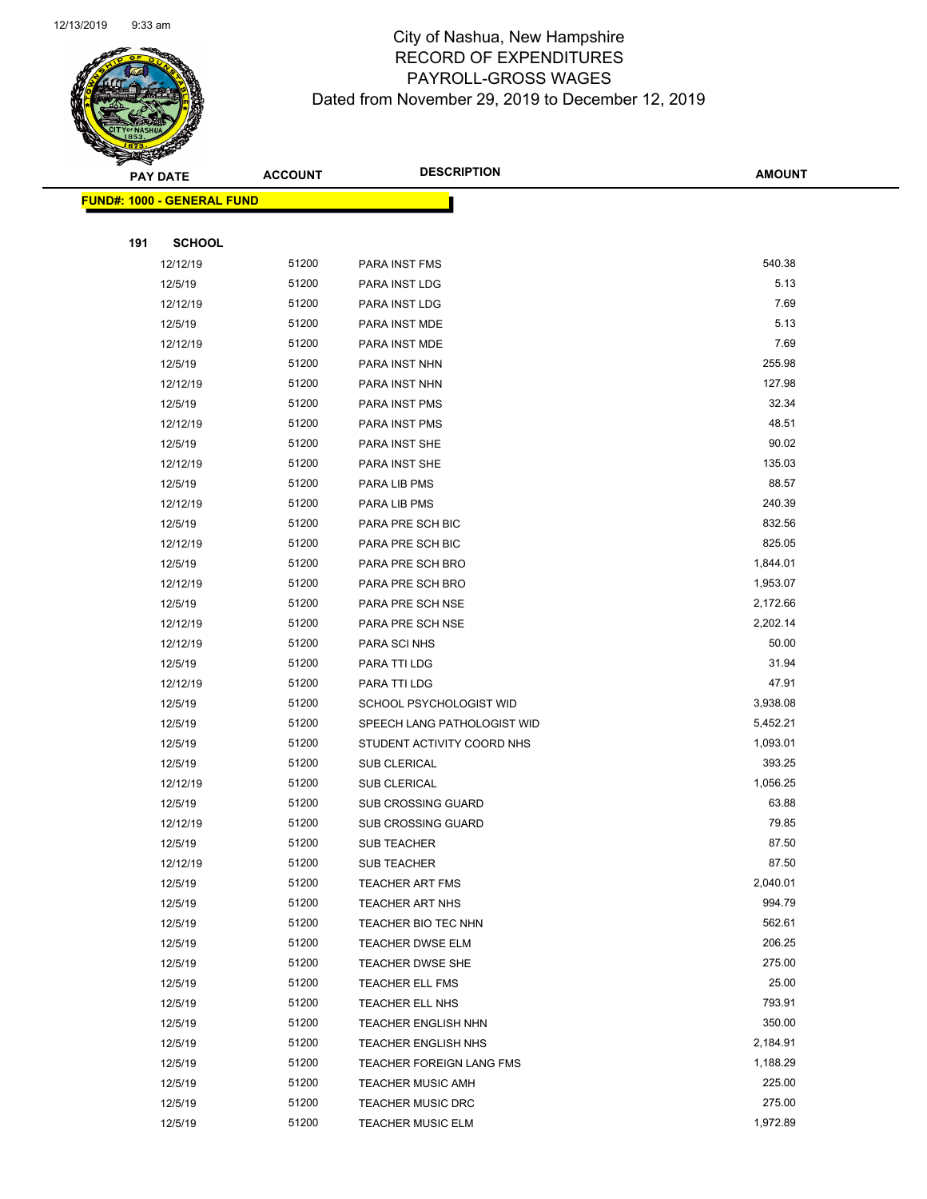

|     | <b>PAY DATE</b>                    | <b>ACCOUNT</b> | <b>DESCRIPTION</b>          | <b>AMOUNT</b> |
|-----|------------------------------------|----------------|-----------------------------|---------------|
|     | <u> FUND#: 1000 - GENERAL FUND</u> |                |                             |               |
|     |                                    |                |                             |               |
| 191 | <b>SCHOOL</b>                      |                |                             |               |
|     | 12/12/19                           | 51200          | PARA INST FMS               | 540.38        |
|     | 12/5/19                            | 51200          | PARA INST LDG               | 5.13          |
|     | 12/12/19                           | 51200          | PARA INST LDG               | 7.69          |
|     | 12/5/19                            | 51200          | PARA INST MDE               | 5.13          |
|     | 12/12/19                           | 51200          | PARA INST MDE               | 7.69          |
|     | 12/5/19                            | 51200          | PARA INST NHN               | 255.98        |
|     | 12/12/19                           | 51200          | PARA INST NHN               | 127.98        |
|     | 12/5/19                            | 51200          | <b>PARA INST PMS</b>        | 32.34         |
|     | 12/12/19                           | 51200          | PARA INST PMS               | 48.51         |
|     | 12/5/19                            | 51200          | PARA INST SHE               | 90.02         |
|     | 12/12/19                           | 51200          | <b>PARA INST SHE</b>        | 135.03        |
|     | 12/5/19                            | 51200          | PARA LIB PMS                | 88.57         |
|     | 12/12/19                           | 51200          | PARA LIB PMS                | 240.39        |
|     | 12/5/19                            | 51200          | PARA PRE SCH BIC            | 832.56        |
|     | 12/12/19                           | 51200          | PARA PRE SCH BIC            | 825.05        |
|     | 12/5/19                            | 51200          | PARA PRE SCH BRO            | 1,844.01      |
|     | 12/12/19                           | 51200          | PARA PRE SCH BRO            | 1,953.07      |
|     | 12/5/19                            | 51200          | PARA PRE SCH NSE            | 2,172.66      |
|     | 12/12/19                           | 51200          | PARA PRE SCH NSE            | 2,202.14      |
|     | 12/12/19                           | 51200          | PARA SCI NHS                | 50.00         |
|     | 12/5/19                            | 51200          | PARA TTI LDG                | 31.94         |
|     | 12/12/19                           | 51200          | PARA TTI LDG                | 47.91         |
|     | 12/5/19                            | 51200          | SCHOOL PSYCHOLOGIST WID     | 3,938.08      |
|     | 12/5/19                            | 51200          | SPEECH LANG PATHOLOGIST WID | 5,452.21      |
|     | 12/5/19                            | 51200          | STUDENT ACTIVITY COORD NHS  | 1,093.01      |
|     | 12/5/19                            | 51200          | <b>SUB CLERICAL</b>         | 393.25        |
|     | 12/12/19                           | 51200          | <b>SUB CLERICAL</b>         | 1,056.25      |
|     | 12/5/19                            | 51200          | <b>SUB CROSSING GUARD</b>   | 63.88         |
|     | 12/12/19                           | 51200          | <b>SUB CROSSING GUARD</b>   | 79.85         |
|     | 12/5/19                            | 51200          | <b>SUB TEACHER</b>          | 87.50         |
|     | 12/12/19                           | 51200          | SUB TEACHER                 | 87.50         |
|     | 12/5/19                            | 51200          | <b>TEACHER ART FMS</b>      | 2,040.01      |
|     | 12/5/19                            | 51200          | <b>TEACHER ART NHS</b>      | 994.79        |
|     | 12/5/19                            | 51200          | TEACHER BIO TEC NHN         | 562.61        |
|     | 12/5/19                            | 51200          | <b>TEACHER DWSE ELM</b>     | 206.25        |
|     | 12/5/19                            | 51200          | TEACHER DWSE SHE            | 275.00        |
|     | 12/5/19                            | 51200          | TEACHER ELL FMS             | 25.00         |
|     | 12/5/19                            | 51200          | TEACHER ELL NHS             | 793.91        |
|     | 12/5/19                            | 51200          | <b>TEACHER ENGLISH NHN</b>  | 350.00        |
|     | 12/5/19                            | 51200          | <b>TEACHER ENGLISH NHS</b>  | 2,184.91      |
|     | 12/5/19                            | 51200          | TEACHER FOREIGN LANG FMS    | 1,188.29      |
|     | 12/5/19                            | 51200          | <b>TEACHER MUSIC AMH</b>    | 225.00        |
|     | 12/5/19                            | 51200          | <b>TEACHER MUSIC DRC</b>    | 275.00        |
|     | 12/5/19                            | 51200          | <b>TEACHER MUSIC ELM</b>    | 1,972.89      |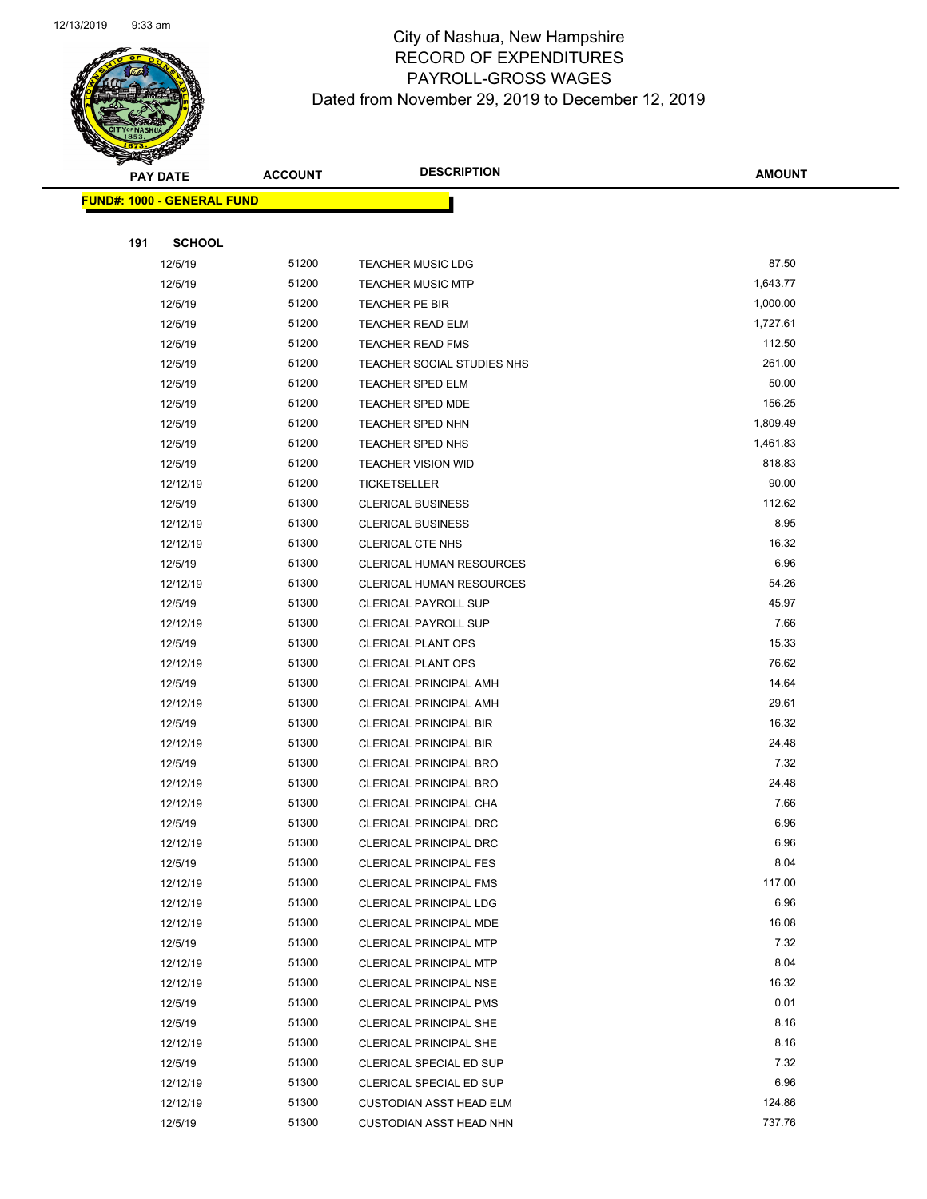

Page 76 of 97

|     | <b>PAY DATE</b>                   | <b>ACCOUNT</b> | <b>DESCRIPTION</b>                                      | <b>AMOUNT</b> |
|-----|-----------------------------------|----------------|---------------------------------------------------------|---------------|
|     | <b>FUND#: 1000 - GENERAL FUND</b> |                |                                                         |               |
|     |                                   |                |                                                         |               |
| 191 | <b>SCHOOL</b>                     |                |                                                         |               |
|     | 12/5/19                           | 51200          | <b>TEACHER MUSIC LDG</b>                                | 87.50         |
|     | 12/5/19                           | 51200          | <b>TEACHER MUSIC MTP</b>                                | 1,643.77      |
|     | 12/5/19                           | 51200          | TEACHER PE BIR                                          | 1,000.00      |
|     | 12/5/19                           | 51200          | <b>TEACHER READ ELM</b>                                 | 1,727.61      |
|     | 12/5/19                           | 51200          | TEACHER READ FMS                                        | 112.50        |
|     | 12/5/19                           | 51200          | TEACHER SOCIAL STUDIES NHS                              | 261.00        |
|     | 12/5/19                           | 51200          | <b>TEACHER SPED ELM</b>                                 | 50.00         |
|     | 12/5/19                           | 51200          | <b>TEACHER SPED MDE</b>                                 | 156.25        |
|     | 12/5/19                           | 51200          | <b>TEACHER SPED NHN</b>                                 | 1,809.49      |
|     | 12/5/19                           | 51200          | TEACHER SPED NHS                                        | 1,461.83      |
|     | 12/5/19                           | 51200          | <b>TEACHER VISION WID</b>                               | 818.83        |
|     | 12/12/19                          | 51200          | <b>TICKETSELLER</b>                                     | 90.00         |
|     | 12/5/19                           | 51300          | <b>CLERICAL BUSINESS</b>                                | 112.62        |
|     | 12/12/19                          | 51300          | <b>CLERICAL BUSINESS</b>                                | 8.95          |
|     | 12/12/19                          | 51300          | <b>CLERICAL CTE NHS</b>                                 | 16.32         |
|     | 12/5/19                           | 51300          | CLERICAL HUMAN RESOURCES                                | 6.96          |
|     | 12/12/19                          | 51300          | CLERICAL HUMAN RESOURCES                                | 54.26         |
|     | 12/5/19                           | 51300          | <b>CLERICAL PAYROLL SUP</b>                             | 45.97         |
|     | 12/12/19                          | 51300          | <b>CLERICAL PAYROLL SUP</b>                             | 7.66          |
|     | 12/5/19                           | 51300          | <b>CLERICAL PLANT OPS</b>                               | 15.33         |
|     | 12/12/19                          | 51300          | <b>CLERICAL PLANT OPS</b>                               | 76.62         |
|     | 12/5/19                           | 51300          | CLERICAL PRINCIPAL AMH                                  | 14.64         |
|     | 12/12/19                          | 51300          | CLERICAL PRINCIPAL AMH                                  | 29.61         |
|     | 12/5/19                           | 51300          | <b>CLERICAL PRINCIPAL BIR</b>                           | 16.32         |
|     | 12/12/19                          | 51300          | <b>CLERICAL PRINCIPAL BIR</b>                           | 24.48         |
|     | 12/5/19                           | 51300<br>51300 | <b>CLERICAL PRINCIPAL BRO</b>                           | 7.32<br>24.48 |
|     | 12/12/19<br>12/12/19              | 51300          | <b>CLERICAL PRINCIPAL BRO</b><br>CLERICAL PRINCIPAL CHA | 7.66          |
|     | 12/5/19                           | 51300          | CLERICAL PRINCIPAL DRC                                  | 6.96          |
|     | 12/12/19                          | 51300          | CLERICAL PRINCIPAL DRC                                  | 6.96          |
|     | 12/5/19                           | 51300          | <b>CLERICAL PRINCIPAL FES</b>                           | 8.04          |
|     | 12/12/19                          | 51300          | <b>CLERICAL PRINCIPAL FMS</b>                           | 117.00        |
|     | 12/12/19                          | 51300          | <b>CLERICAL PRINCIPAL LDG</b>                           | 6.96          |
|     | 12/12/19                          | 51300          | CLERICAL PRINCIPAL MDE                                  | 16.08         |
|     | 12/5/19                           | 51300          | <b>CLERICAL PRINCIPAL MTP</b>                           | 7.32          |
|     | 12/12/19                          | 51300          | <b>CLERICAL PRINCIPAL MTP</b>                           | 8.04          |
|     | 12/12/19                          | 51300          | <b>CLERICAL PRINCIPAL NSE</b>                           | 16.32         |
|     | 12/5/19                           | 51300          | <b>CLERICAL PRINCIPAL PMS</b>                           | 0.01          |
|     | 12/5/19                           | 51300          | <b>CLERICAL PRINCIPAL SHE</b>                           | 8.16          |
|     | 12/12/19                          | 51300          | <b>CLERICAL PRINCIPAL SHE</b>                           | 8.16          |
|     | 12/5/19                           | 51300          | CLERICAL SPECIAL ED SUP                                 | 7.32          |
|     | 12/12/19                          | 51300          | CLERICAL SPECIAL ED SUP                                 | 6.96          |
|     | 12/12/19                          | 51300          | <b>CUSTODIAN ASST HEAD ELM</b>                          | 124.86        |
|     | 12/5/19                           | 51300          | <b>CUSTODIAN ASST HEAD NHN</b>                          | 737.76        |
|     |                                   |                |                                                         |               |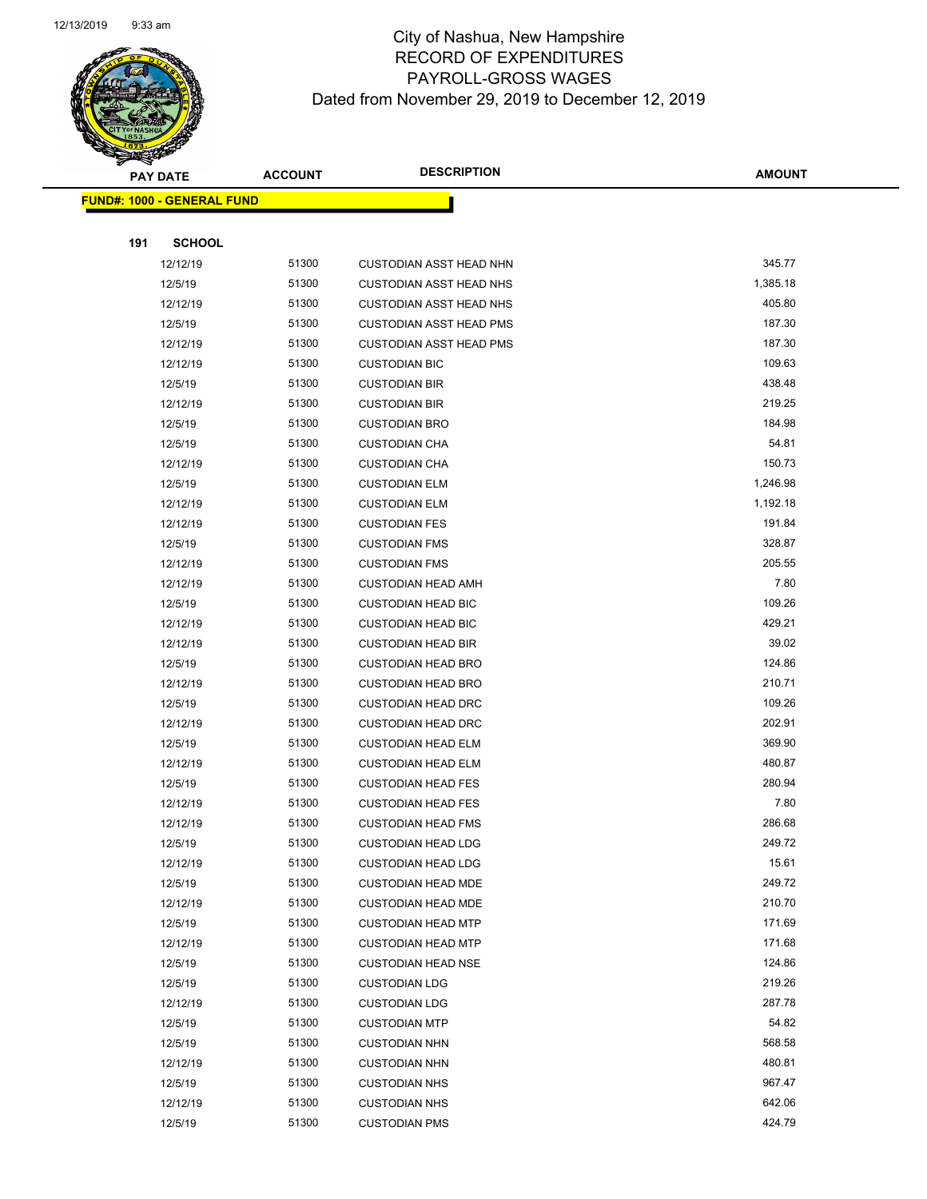

| <b>PAY DATE</b> |          |                                    | <b>ACCOUNT</b> | <b>DESCRIPTION</b>             | <b>AMOUNT</b> |
|-----------------|----------|------------------------------------|----------------|--------------------------------|---------------|
|                 |          | <u> FUND#: 1000 - GENERAL FUND</u> |                |                                |               |
|                 |          |                                    |                |                                |               |
|                 | 191      | <b>SCHOOL</b>                      |                |                                |               |
|                 | 12/12/19 |                                    | 51300          | <b>CUSTODIAN ASST HEAD NHN</b> | 345.77        |
|                 | 12/5/19  |                                    | 51300          | <b>CUSTODIAN ASST HEAD NHS</b> | 1,385.18      |
|                 | 12/12/19 |                                    | 51300          | <b>CUSTODIAN ASST HEAD NHS</b> | 405.80        |
|                 | 12/5/19  |                                    | 51300          | <b>CUSTODIAN ASST HEAD PMS</b> | 187.30        |
|                 | 12/12/19 |                                    | 51300          | <b>CUSTODIAN ASST HEAD PMS</b> | 187.30        |
|                 | 12/12/19 |                                    | 51300          | <b>CUSTODIAN BIC</b>           | 109.63        |
|                 | 12/5/19  |                                    | 51300          | <b>CUSTODIAN BIR</b>           | 438.48        |
|                 | 12/12/19 |                                    | 51300          | <b>CUSTODIAN BIR</b>           | 219.25        |
|                 | 12/5/19  |                                    | 51300          | <b>CUSTODIAN BRO</b>           | 184.98        |
|                 | 12/5/19  |                                    | 51300          | <b>CUSTODIAN CHA</b>           | 54.81         |
|                 | 12/12/19 |                                    | 51300          | <b>CUSTODIAN CHA</b>           | 150.73        |
|                 | 12/5/19  |                                    | 51300          | <b>CUSTODIAN ELM</b>           | 1,246.98      |
|                 | 12/12/19 |                                    | 51300          | <b>CUSTODIAN ELM</b>           | 1,192.18      |
|                 | 12/12/19 |                                    | 51300          | <b>CUSTODIAN FES</b>           | 191.84        |
|                 | 12/5/19  |                                    | 51300          | <b>CUSTODIAN FMS</b>           | 328.87        |
|                 | 12/12/19 |                                    | 51300          | <b>CUSTODIAN FMS</b>           | 205.55        |
|                 | 12/12/19 |                                    | 51300          | <b>CUSTODIAN HEAD AMH</b>      | 7.80          |
|                 | 12/5/19  |                                    | 51300          | <b>CUSTODIAN HEAD BIC</b>      | 109.26        |
|                 | 12/12/19 |                                    | 51300          | <b>CUSTODIAN HEAD BIC</b>      | 429.21        |
|                 | 12/12/19 |                                    | 51300          | <b>CUSTODIAN HEAD BIR</b>      | 39.02         |
|                 | 12/5/19  |                                    | 51300          | <b>CUSTODIAN HEAD BRO</b>      | 124.86        |
|                 | 12/12/19 |                                    | 51300          | <b>CUSTODIAN HEAD BRO</b>      | 210.71        |
|                 | 12/5/19  |                                    | 51300          | <b>CUSTODIAN HEAD DRC</b>      | 109.26        |
|                 | 12/12/19 |                                    | 51300          | <b>CUSTODIAN HEAD DRC</b>      | 202.91        |
|                 | 12/5/19  |                                    | 51300          | <b>CUSTODIAN HEAD ELM</b>      | 369.90        |
|                 | 12/12/19 |                                    | 51300          | <b>CUSTODIAN HEAD ELM</b>      | 480.87        |
|                 | 12/5/19  |                                    | 51300          | <b>CUSTODIAN HEAD FES</b>      | 280.94        |
|                 | 12/12/19 |                                    | 51300          | <b>CUSTODIAN HEAD FES</b>      | 7.80          |
|                 | 12/12/19 |                                    | 51300          | <b>CUSTODIAN HEAD FMS</b>      | 286.68        |
|                 | 12/5/19  |                                    | 51300          | <b>CUSTODIAN HEAD LDG</b>      | 249.72        |
|                 | 12/12/19 |                                    | 51300          | <b>CUSTODIAN HEAD LDG</b>      | 15.61         |
|                 | 12/5/19  |                                    | 51300          | <b>CUSTODIAN HEAD MDE</b>      | 249.72        |
|                 | 12/12/19 |                                    | 51300          | <b>CUSTODIAN HEAD MDE</b>      | 210.70        |
|                 | 12/5/19  |                                    | 51300          | <b>CUSTODIAN HEAD MTP</b>      | 171.69        |
|                 | 12/12/19 |                                    | 51300          | <b>CUSTODIAN HEAD MTP</b>      | 171.68        |
|                 | 12/5/19  |                                    | 51300          | <b>CUSTODIAN HEAD NSE</b>      | 124.86        |
|                 | 12/5/19  |                                    | 51300          | <b>CUSTODIAN LDG</b>           | 219.26        |
|                 | 12/12/19 |                                    | 51300          | <b>CUSTODIAN LDG</b>           | 287.78        |
|                 | 12/5/19  |                                    | 51300          | <b>CUSTODIAN MTP</b>           | 54.82         |
|                 | 12/5/19  |                                    | 51300          | <b>CUSTODIAN NHN</b>           | 568.58        |
|                 | 12/12/19 |                                    | 51300          | <b>CUSTODIAN NHN</b>           | 480.81        |
|                 | 12/5/19  |                                    | 51300          | <b>CUSTODIAN NHS</b>           | 967.47        |
|                 | 12/12/19 |                                    | 51300          | <b>CUSTODIAN NHS</b>           | 642.06        |
|                 | 12/5/19  |                                    | 51300          | <b>CUSTODIAN PMS</b>           | 424.79        |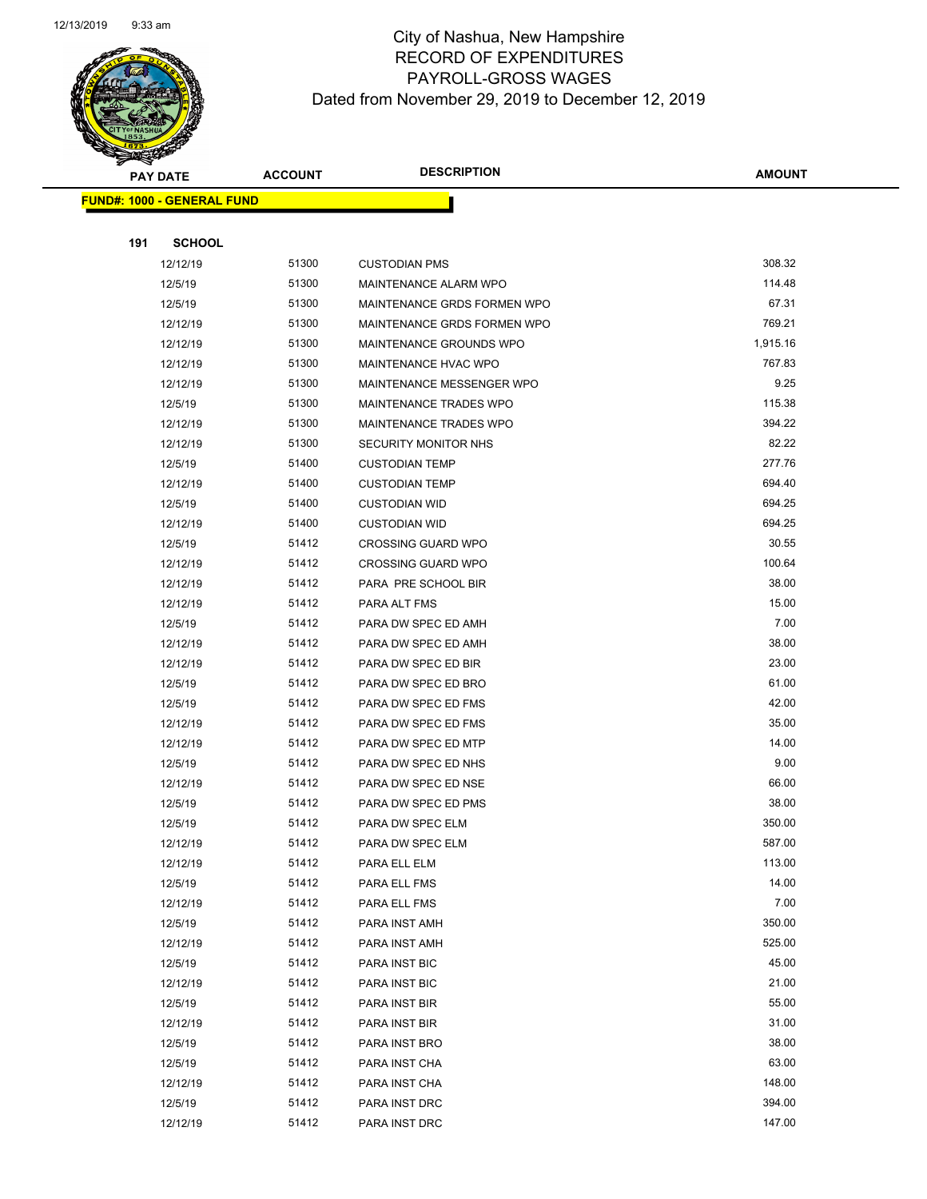

Page 78 of 97

| <b>PAY DATE</b>                   |               | <b>DESCRIPTION</b><br><b>ACCOUNT</b> |                             | <b>AMOUNT</b> |
|-----------------------------------|---------------|--------------------------------------|-----------------------------|---------------|
| <b>FUND#: 1000 - GENERAL FUND</b> |               |                                      |                             |               |
|                                   |               |                                      |                             |               |
| 191                               | <b>SCHOOL</b> |                                      |                             |               |
|                                   | 12/12/19      | 51300                                | <b>CUSTODIAN PMS</b>        | 308.32        |
|                                   | 12/5/19       | 51300                                | MAINTENANCE ALARM WPO       | 114.48        |
|                                   | 12/5/19       | 51300                                | MAINTENANCE GRDS FORMEN WPO | 67.31         |
|                                   | 12/12/19      | 51300                                | MAINTENANCE GRDS FORMEN WPO | 769.21        |
|                                   | 12/12/19      | 51300                                | MAINTENANCE GROUNDS WPO     | 1,915.16      |
|                                   | 12/12/19      | 51300                                | MAINTENANCE HVAC WPO        | 767.83        |
|                                   | 12/12/19      | 51300                                | MAINTENANCE MESSENGER WPO   | 9.25          |
|                                   | 12/5/19       | 51300                                | MAINTENANCE TRADES WPO      | 115.38        |
|                                   | 12/12/19      | 51300                                | MAINTENANCE TRADES WPO      | 394.22        |
|                                   | 12/12/19      | 51300                                | SECURITY MONITOR NHS        | 82.22         |
|                                   | 12/5/19       | 51400                                | <b>CUSTODIAN TEMP</b>       | 277.76        |
|                                   | 12/12/19      | 51400                                | <b>CUSTODIAN TEMP</b>       | 694.40        |
|                                   | 12/5/19       | 51400                                | <b>CUSTODIAN WID</b>        | 694.25        |
|                                   | 12/12/19      | 51400                                | <b>CUSTODIAN WID</b>        | 694.25        |
|                                   | 12/5/19       | 51412                                | <b>CROSSING GUARD WPO</b>   | 30.55         |
|                                   | 12/12/19      | 51412                                | <b>CROSSING GUARD WPO</b>   | 100.64        |
|                                   | 12/12/19      | 51412                                | PARA PRE SCHOOL BIR         | 38.00         |
|                                   | 12/12/19      | 51412                                | PARA ALT FMS                | 15.00         |
|                                   | 12/5/19       | 51412                                | PARA DW SPEC ED AMH         | 7.00          |
|                                   | 12/12/19      | 51412                                | PARA DW SPEC ED AMH         | 38.00         |
|                                   | 12/12/19      | 51412                                | PARA DW SPEC ED BIR         | 23.00         |
|                                   | 12/5/19       | 51412                                | PARA DW SPEC ED BRO         | 61.00         |
|                                   | 12/5/19       | 51412                                | PARA DW SPEC ED FMS         | 42.00         |
|                                   | 12/12/19      | 51412                                | PARA DW SPEC ED FMS         | 35.00         |
|                                   | 12/12/19      | 51412                                | PARA DW SPEC ED MTP         | 14.00         |
|                                   | 12/5/19       | 51412                                | PARA DW SPEC ED NHS         | 9.00          |
|                                   | 12/12/19      | 51412                                | PARA DW SPEC ED NSE         | 66.00         |
|                                   | 12/5/19       | 51412                                | PARA DW SPEC ED PMS         | 38.00         |
|                                   | 12/5/19       | 51412                                | PARA DW SPEC ELM            | 350.00        |
|                                   | 12/12/19      | 51412                                | PARA DW SPEC ELM            | 587.00        |
|                                   | 12/12/19      | 51412                                | PARA ELL ELM                | 113.00        |
|                                   | 12/5/19       | 51412                                | PARA ELL FMS                | 14.00         |
|                                   | 12/12/19      | 51412                                | PARA ELL FMS                | 7.00          |
|                                   | 12/5/19       | 51412                                | PARA INST AMH               | 350.00        |
|                                   | 12/12/19      | 51412                                | PARA INST AMH               | 525.00        |
|                                   | 12/5/19       | 51412                                | PARA INST BIC               | 45.00         |
|                                   | 12/12/19      | 51412                                | PARA INST BIC               | 21.00         |
|                                   | 12/5/19       | 51412                                | PARA INST BIR               | 55.00         |
|                                   | 12/12/19      | 51412                                | PARA INST BIR               | 31.00         |
|                                   | 12/5/19       | 51412                                | PARA INST BRO               | 38.00         |
|                                   | 12/5/19       | 51412                                | PARA INST CHA               | 63.00         |
|                                   | 12/12/19      | 51412                                | PARA INST CHA               | 148.00        |
|                                   | 12/5/19       | 51412                                | PARA INST DRC               | 394.00        |
|                                   | 12/12/19      | 51412                                | PARA INST DRC               | 147.00        |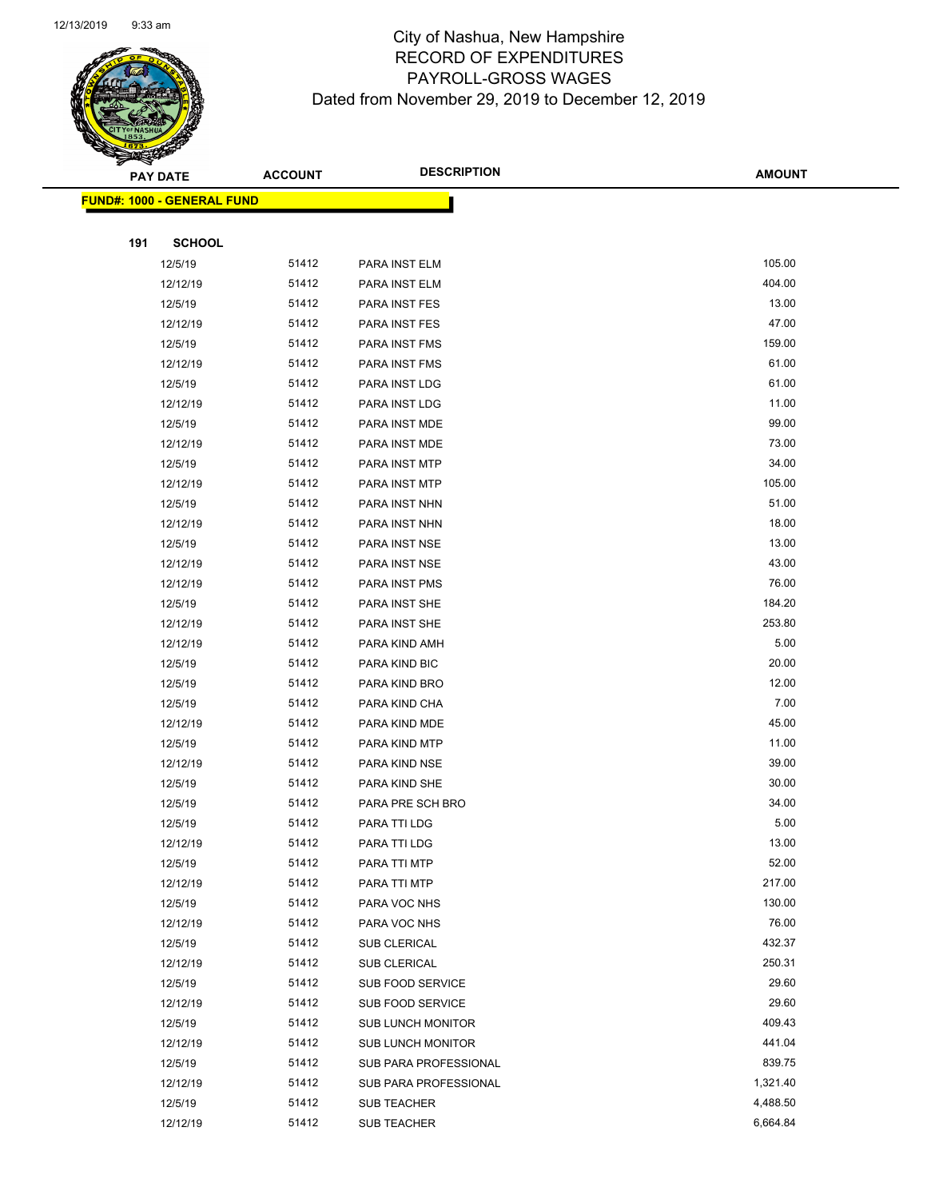

Page 79 of 97

|     | <b>PAY DATE</b>                    | <b>ACCOUNT</b> | <b>DESCRIPTION</b>       | <b>AMOUNT</b> |
|-----|------------------------------------|----------------|--------------------------|---------------|
|     | <u> FUND#: 1000 - GENERAL FUND</u> |                |                          |               |
|     |                                    |                |                          |               |
| 191 | <b>SCHOOL</b>                      |                |                          |               |
|     | 12/5/19                            | 51412          | PARA INST ELM            | 105.00        |
|     | 12/12/19                           | 51412          | PARA INST ELM            | 404.00        |
|     | 12/5/19                            | 51412          | PARA INST FES            | 13.00         |
|     | 12/12/19                           | 51412          | PARA INST FES            | 47.00         |
|     | 12/5/19                            | 51412          | PARA INST FMS            | 159.00        |
|     | 12/12/19                           | 51412          | PARA INST FMS            | 61.00         |
|     | 12/5/19                            | 51412          | PARA INST LDG            | 61.00         |
|     | 12/12/19                           | 51412          | PARA INST LDG            | 11.00         |
|     | 12/5/19                            | 51412          | PARA INST MDE            | 99.00         |
|     | 12/12/19                           | 51412          | PARA INST MDE            | 73.00         |
|     | 12/5/19                            | 51412          | PARA INST MTP            | 34.00         |
|     | 12/12/19                           | 51412          | PARA INST MTP            | 105.00        |
|     | 12/5/19                            | 51412          | PARA INST NHN            | 51.00         |
|     | 12/12/19                           | 51412          | PARA INST NHN            | 18.00         |
|     | 12/5/19                            | 51412          | PARA INST NSE            | 13.00         |
|     | 12/12/19                           | 51412          | PARA INST NSE            | 43.00         |
|     | 12/12/19                           | 51412          | PARA INST PMS            | 76.00         |
|     | 12/5/19                            | 51412          | PARA INST SHE            | 184.20        |
|     | 12/12/19                           | 51412          | PARA INST SHE            | 253.80        |
|     | 12/12/19                           | 51412          | PARA KIND AMH            | 5.00          |
|     | 12/5/19                            | 51412          | PARA KIND BIC            | 20.00         |
|     | 12/5/19                            | 51412          | PARA KIND BRO            | 12.00         |
|     | 12/5/19                            | 51412          | PARA KIND CHA            | 7.00          |
|     | 12/12/19                           | 51412          | PARA KIND MDE            | 45.00         |
|     | 12/5/19                            | 51412          | PARA KIND MTP            | 11.00         |
|     | 12/12/19                           | 51412          | PARA KIND NSE            | 39.00         |
|     | 12/5/19                            | 51412          | PARA KIND SHE            | 30.00         |
|     | 12/5/19                            | 51412          | PARA PRE SCH BRO         | 34.00         |
|     | 12/5/19                            | 51412          | PARA TTI LDG             | 5.00          |
|     | 12/12/19                           | 51412          | PARA TTI LDG             | 13.00         |
|     | 12/5/19                            | 51412          | PARA TTI MTP             | 52.00         |
|     | 12/12/19                           | 51412          | PARA TTI MTP             | 217.00        |
|     | 12/5/19                            | 51412          | PARA VOC NHS             | 130.00        |
|     | 12/12/19                           | 51412          | PARA VOC NHS             | 76.00         |
|     | 12/5/19                            | 51412          | <b>SUB CLERICAL</b>      | 432.37        |
|     | 12/12/19                           | 51412          | <b>SUB CLERICAL</b>      | 250.31        |
|     | 12/5/19                            | 51412          | SUB FOOD SERVICE         | 29.60         |
|     | 12/12/19                           | 51412          | SUB FOOD SERVICE         | 29.60         |
|     | 12/5/19                            | 51412          | <b>SUB LUNCH MONITOR</b> | 409.43        |
|     | 12/12/19                           | 51412          | <b>SUB LUNCH MONITOR</b> | 441.04        |
|     | 12/5/19                            | 51412          | SUB PARA PROFESSIONAL    | 839.75        |
|     | 12/12/19                           | 51412          | SUB PARA PROFESSIONAL    | 1,321.40      |
|     | 12/5/19                            | 51412          | SUB TEACHER              | 4,488.50      |
|     | 12/12/19                           | 51412          | SUB TEACHER              | 6,664.84      |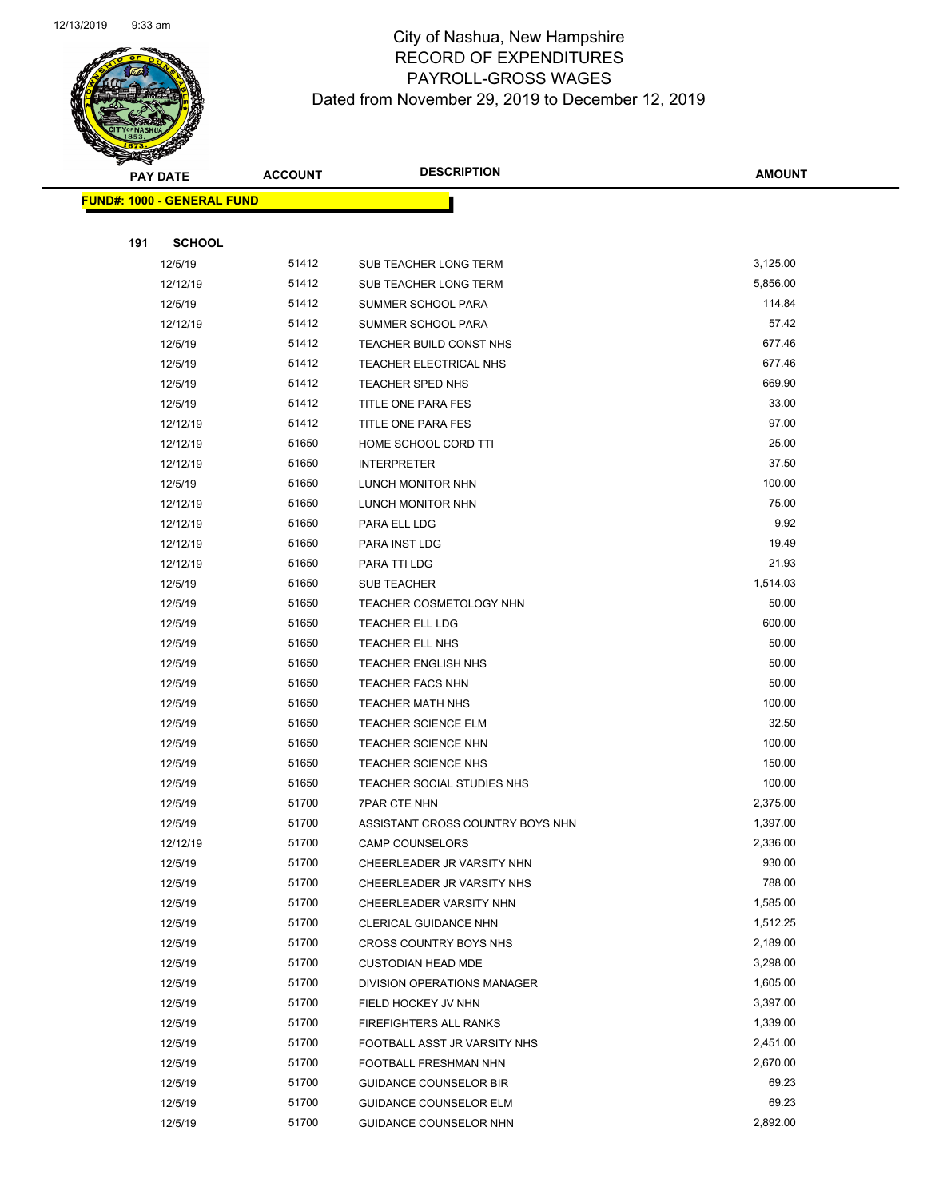

|     | <b>PAY DATE</b>                    | <b>ACCOUNT</b> | <b>DESCRIPTION</b>               | <b>AMOUNT</b> |  |
|-----|------------------------------------|----------------|----------------------------------|---------------|--|
|     | <u> FUND#: 1000 - GENERAL FUND</u> |                |                                  |               |  |
|     |                                    |                |                                  |               |  |
| 191 | <b>SCHOOL</b>                      |                |                                  |               |  |
|     | 12/5/19                            | 51412          | SUB TEACHER LONG TERM            | 3,125.00      |  |
|     | 12/12/19                           | 51412          | SUB TEACHER LONG TERM            | 5,856.00      |  |
|     | 12/5/19                            | 51412          | SUMMER SCHOOL PARA               | 114.84        |  |
|     | 12/12/19                           | 51412          | SUMMER SCHOOL PARA               | 57.42         |  |
|     | 12/5/19                            | 51412          | TEACHER BUILD CONST NHS          | 677.46        |  |
|     | 12/5/19                            | 51412          | TEACHER ELECTRICAL NHS           | 677.46        |  |
|     | 12/5/19                            | 51412          | <b>TEACHER SPED NHS</b>          | 669.90        |  |
|     | 12/5/19                            | 51412          | TITLE ONE PARA FES               | 33.00         |  |
|     | 12/12/19                           | 51412          | TITLE ONE PARA FES               | 97.00         |  |
|     | 12/12/19                           | 51650          | HOME SCHOOL CORD TTI             | 25.00         |  |
|     | 12/12/19                           | 51650          | <b>INTERPRETER</b>               | 37.50         |  |
|     | 12/5/19                            | 51650          | LUNCH MONITOR NHN                | 100.00        |  |
|     | 12/12/19                           | 51650          | LUNCH MONITOR NHN                | 75.00         |  |
|     | 12/12/19                           | 51650          | PARA ELL LDG                     | 9.92          |  |
|     | 12/12/19                           | 51650          | PARA INST LDG                    | 19.49         |  |
|     | 12/12/19                           | 51650          | PARA TTI LDG                     | 21.93         |  |
|     | 12/5/19                            | 51650          | <b>SUB TEACHER</b>               | 1,514.03      |  |
|     | 12/5/19                            | 51650          | <b>TEACHER COSMETOLOGY NHN</b>   | 50.00         |  |
|     | 12/5/19                            | 51650          | TEACHER ELL LDG                  | 600.00        |  |
|     | 12/5/19                            | 51650          | TEACHER ELL NHS                  | 50.00         |  |
|     | 12/5/19                            | 51650          | <b>TEACHER ENGLISH NHS</b>       | 50.00         |  |
|     | 12/5/19                            | 51650          | <b>TEACHER FACS NHN</b>          | 50.00         |  |
|     | 12/5/19                            | 51650          | <b>TEACHER MATH NHS</b>          | 100.00        |  |
|     | 12/5/19                            | 51650          | <b>TEACHER SCIENCE ELM</b>       | 32.50         |  |
|     | 12/5/19                            | 51650          | <b>TEACHER SCIENCE NHN</b>       | 100.00        |  |
|     | 12/5/19                            | 51650          | TEACHER SCIENCE NHS              | 150.00        |  |
|     | 12/5/19                            | 51650          | TEACHER SOCIAL STUDIES NHS       | 100.00        |  |
|     | 12/5/19                            | 51700          | <b>7PAR CTE NHN</b>              | 2,375.00      |  |
|     | 12/5/19                            | 51700          | ASSISTANT CROSS COUNTRY BOYS NHN | 1,397.00      |  |
|     | 12/12/19                           | 51700          | <b>CAMP COUNSELORS</b>           | 2,336.00      |  |
|     | 12/5/19                            | 51700          | CHEERLEADER JR VARSITY NHN       | 930.00        |  |
|     | 12/5/19                            | 51700          | CHEERLEADER JR VARSITY NHS       | 788.00        |  |
|     | 12/5/19                            | 51700          | CHEERLEADER VARSITY NHN          | 1,585.00      |  |
|     | 12/5/19                            | 51700          | CLERICAL GUIDANCE NHN            | 1,512.25      |  |
|     | 12/5/19                            | 51700          | CROSS COUNTRY BOYS NHS           | 2,189.00      |  |
|     | 12/5/19                            | 51700          | <b>CUSTODIAN HEAD MDE</b>        | 3,298.00      |  |
|     | 12/5/19                            | 51700          | DIVISION OPERATIONS MANAGER      | 1,605.00      |  |
|     | 12/5/19                            | 51700          | FIELD HOCKEY JV NHN              | 3,397.00      |  |
|     | 12/5/19                            | 51700          | FIREFIGHTERS ALL RANKS           | 1,339.00      |  |
|     | 12/5/19                            | 51700          | FOOTBALL ASST JR VARSITY NHS     | 2,451.00      |  |
|     | 12/5/19                            | 51700          | FOOTBALL FRESHMAN NHN            | 2,670.00      |  |
|     | 12/5/19                            | 51700          | <b>GUIDANCE COUNSELOR BIR</b>    | 69.23         |  |
|     | 12/5/19                            | 51700          | <b>GUIDANCE COUNSELOR ELM</b>    | 69.23         |  |
|     | 12/5/19                            | 51700          | GUIDANCE COUNSELOR NHN           | 2,892.00      |  |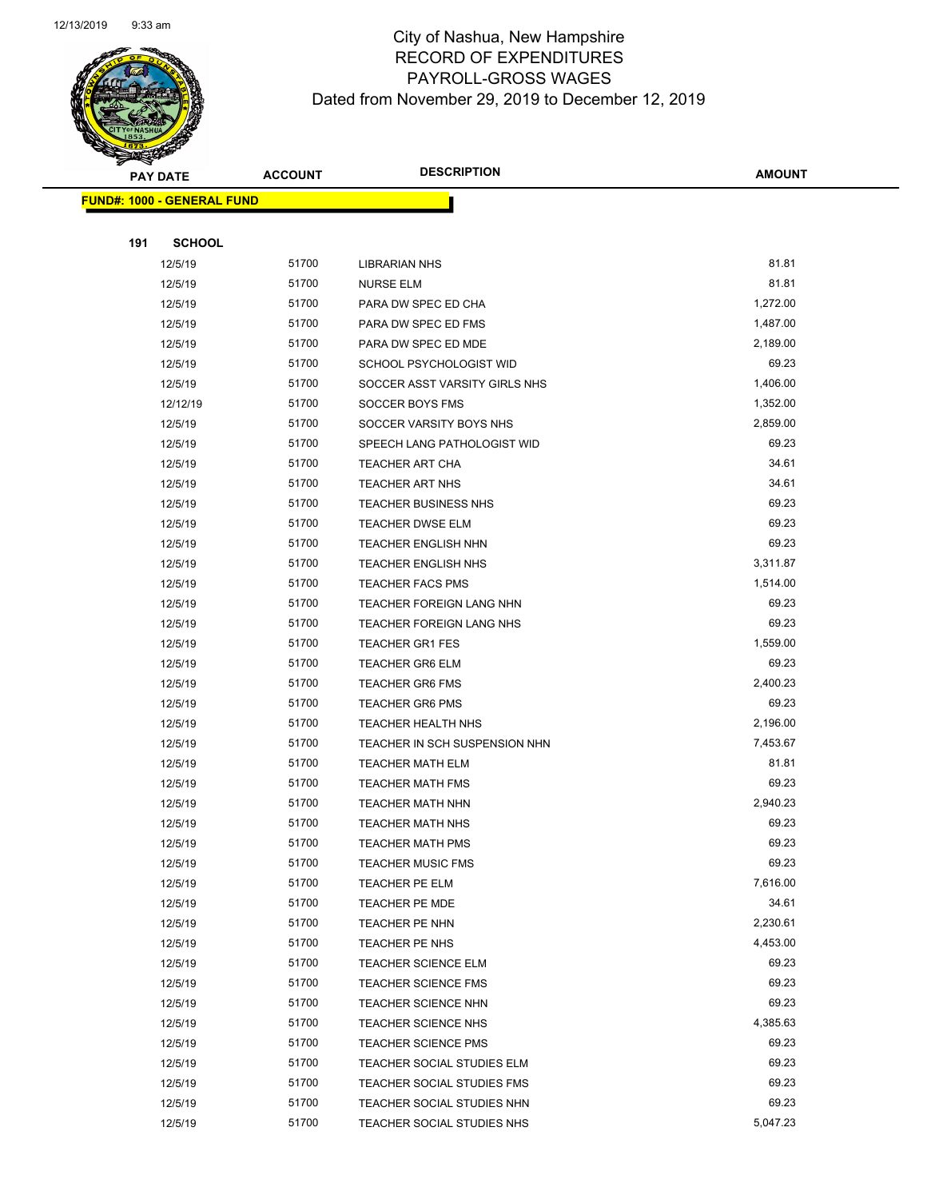

Page 81 of 97

| <b>PAY DATE</b> |                                   | <b>DESCRIPTION</b><br><b>ACCOUNT</b> | <b>AMOUNT</b>                                            |                |
|-----------------|-----------------------------------|--------------------------------------|----------------------------------------------------------|----------------|
|                 | <b>FUND#: 1000 - GENERAL FUND</b> |                                      |                                                          |                |
|                 |                                   |                                      |                                                          |                |
| 191             | <b>SCHOOL</b>                     |                                      |                                                          |                |
|                 | 12/5/19                           | 51700                                | <b>LIBRARIAN NHS</b>                                     | 81.81          |
|                 | 12/5/19                           | 51700                                | <b>NURSE ELM</b>                                         | 81.81          |
|                 | 12/5/19                           | 51700                                | PARA DW SPEC ED CHA                                      | 1,272.00       |
|                 | 12/5/19                           | 51700                                | PARA DW SPEC ED FMS                                      | 1,487.00       |
|                 | 12/5/19                           | 51700                                | PARA DW SPEC ED MDE                                      | 2,189.00       |
|                 | 12/5/19                           | 51700                                | SCHOOL PSYCHOLOGIST WID                                  | 69.23          |
|                 | 12/5/19                           | 51700                                | SOCCER ASST VARSITY GIRLS NHS                            | 1,406.00       |
|                 | 12/12/19                          | 51700                                | SOCCER BOYS FMS                                          | 1,352.00       |
|                 | 12/5/19                           | 51700                                | SOCCER VARSITY BOYS NHS                                  | 2,859.00       |
|                 | 12/5/19                           | 51700                                | SPEECH LANG PATHOLOGIST WID                              | 69.23          |
|                 | 12/5/19                           | 51700                                | TEACHER ART CHA                                          | 34.61          |
|                 | 12/5/19                           | 51700                                | <b>TEACHER ART NHS</b>                                   | 34.61          |
|                 | 12/5/19                           | 51700                                | <b>TEACHER BUSINESS NHS</b>                              | 69.23          |
|                 | 12/5/19                           | 51700                                | <b>TEACHER DWSE ELM</b>                                  | 69.23          |
|                 | 12/5/19                           | 51700                                | <b>TEACHER ENGLISH NHN</b>                               | 69.23          |
|                 | 12/5/19                           | 51700                                | <b>TEACHER ENGLISH NHS</b>                               | 3,311.87       |
|                 | 12/5/19                           | 51700                                | <b>TEACHER FACS PMS</b>                                  | 1,514.00       |
|                 | 12/5/19                           | 51700                                | TEACHER FOREIGN LANG NHN                                 | 69.23          |
|                 | 12/5/19                           | 51700                                | TEACHER FOREIGN LANG NHS                                 | 69.23          |
|                 | 12/5/19                           | 51700                                | <b>TEACHER GR1 FES</b>                                   | 1,559.00       |
|                 | 12/5/19                           | 51700                                | <b>TEACHER GR6 ELM</b>                                   | 69.23          |
|                 | 12/5/19                           | 51700                                | <b>TEACHER GR6 FMS</b>                                   | 2,400.23       |
|                 | 12/5/19                           | 51700                                | <b>TEACHER GR6 PMS</b>                                   | 69.23          |
|                 | 12/5/19                           | 51700                                | <b>TEACHER HEALTH NHS</b>                                | 2,196.00       |
|                 | 12/5/19                           | 51700                                | TEACHER IN SCH SUSPENSION NHN                            | 7,453.67       |
|                 | 12/5/19                           | 51700                                | TEACHER MATH ELM                                         | 81.81          |
|                 | 12/5/19                           | 51700                                | TEACHER MATH FMS                                         | 69.23          |
|                 | 12/5/19                           | 51700                                | TEACHER MATH NHN                                         | 2,940.23       |
|                 | 12/5/19                           | 51700                                | TEACHER MATH NHS                                         | 69.23          |
|                 | 12/5/19                           | 51700                                | <b>TEACHER MATH PMS</b>                                  | 69.23          |
|                 | 12/5/19                           | 51700                                | <b>TEACHER MUSIC FMS</b>                                 | 69.23          |
|                 | 12/5/19                           | 51700                                | <b>TEACHER PE ELM</b>                                    | 7,616.00       |
|                 | 12/5/19                           | 51700                                | <b>TEACHER PE MDE</b>                                    | 34.61          |
|                 | 12/5/19                           | 51700                                | TEACHER PE NHN                                           | 2,230.61       |
|                 | 12/5/19                           | 51700                                | TEACHER PE NHS                                           | 4,453.00       |
|                 | 12/5/19                           | 51700                                | <b>TEACHER SCIENCE ELM</b>                               | 69.23          |
|                 | 12/5/19                           | 51700                                | <b>TEACHER SCIENCE FMS</b>                               | 69.23          |
|                 | 12/5/19                           | 51700                                | <b>TEACHER SCIENCE NHN</b>                               | 69.23          |
|                 | 12/5/19                           | 51700                                | <b>TEACHER SCIENCE NHS</b>                               | 4,385.63       |
|                 | 12/5/19                           | 51700<br>51700                       | <b>TEACHER SCIENCE PMS</b>                               | 69.23<br>69.23 |
|                 | 12/5/19                           | 51700                                | TEACHER SOCIAL STUDIES ELM                               | 69.23          |
|                 | 12/5/19<br>12/5/19                | 51700                                | TEACHER SOCIAL STUDIES FMS<br>TEACHER SOCIAL STUDIES NHN | 69.23          |
|                 | 12/5/19                           | 51700                                | TEACHER SOCIAL STUDIES NHS                               | 5,047.23       |
|                 |                                   |                                      |                                                          |                |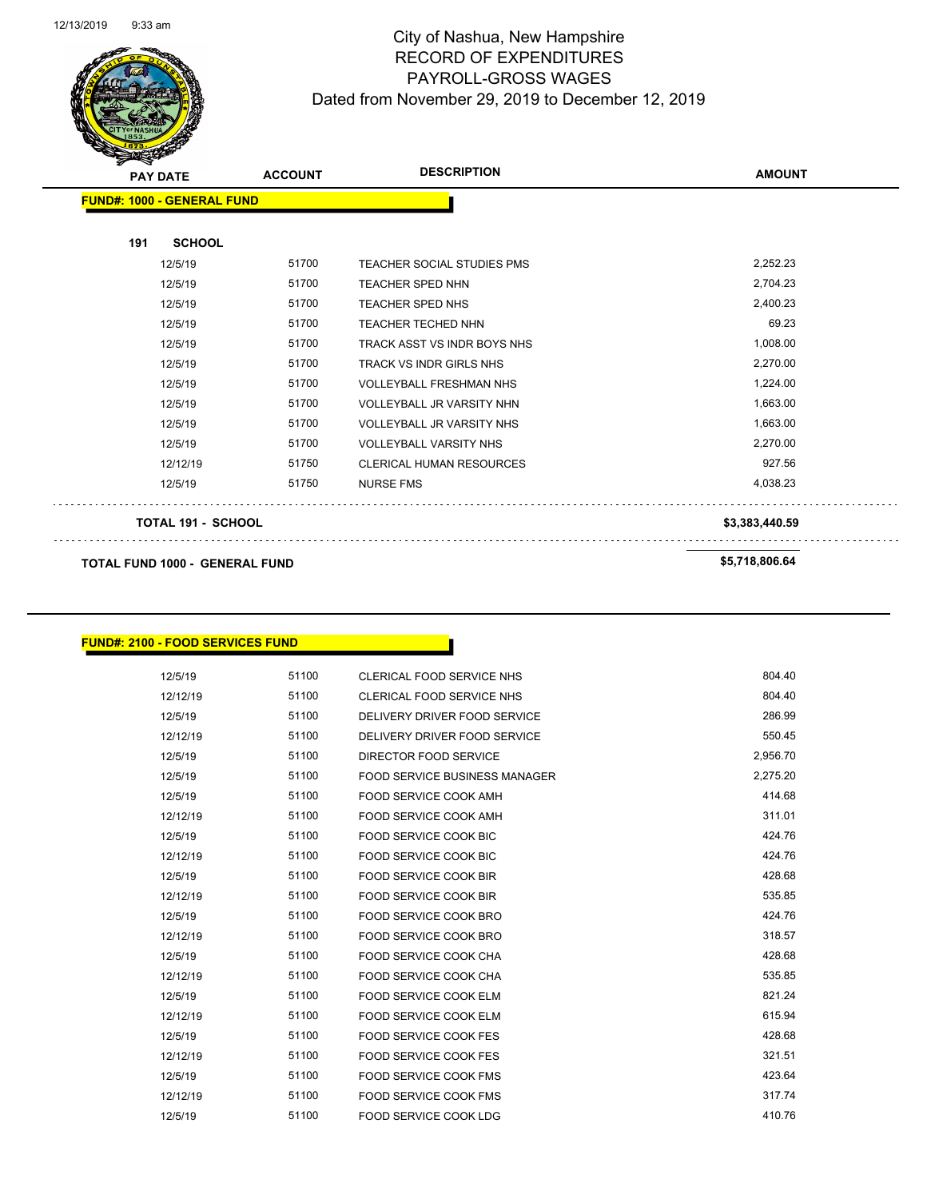

Page 82 of 97

| <del></del><br>$\tilde{\phantom{a}}$<br><b>PAY DATE</b> | <b>ACCOUNT</b> | <b>DESCRIPTION</b>                | <b>AMOUNT</b>  |
|---------------------------------------------------------|----------------|-----------------------------------|----------------|
| <b>FUND#: 1000 - GENERAL FUND</b>                       |                |                                   |                |
| <b>SCHOOL</b><br>191                                    |                |                                   |                |
| 12/5/19                                                 | 51700          | <b>TEACHER SOCIAL STUDIES PMS</b> | 2,252.23       |
| 12/5/19                                                 | 51700          | <b>TEACHER SPED NHN</b>           | 2,704.23       |
| 12/5/19                                                 | 51700          | <b>TEACHER SPED NHS</b>           | 2,400.23       |
| 12/5/19                                                 | 51700          | <b>TEACHER TECHED NHN</b>         | 69.23          |
| 12/5/19                                                 | 51700          | TRACK ASST VS INDR BOYS NHS       | 1,008.00       |
| 12/5/19                                                 | 51700          | <b>TRACK VS INDR GIRLS NHS</b>    | 2,270.00       |
| 12/5/19                                                 | 51700          | <b>VOLLEYBALL FRESHMAN NHS</b>    | 1,224.00       |
| 12/5/19                                                 | 51700          | <b>VOLLEYBALL JR VARSITY NHN</b>  | 1,663.00       |
| 12/5/19                                                 | 51700          | <b>VOLLEYBALL JR VARSITY NHS</b>  | 1,663.00       |
| 12/5/19                                                 | 51700          | <b>VOLLEYBALL VARSITY NHS</b>     | 2,270.00       |
| 12/12/19                                                | 51750          | <b>CLERICAL HUMAN RESOURCES</b>   | 927.56         |
| 12/5/19                                                 | 51750          | <b>NURSE FMS</b>                  | 4,038.23       |
| <b>TOTAL 191 - SCHOOL</b>                               |                |                                   | \$3,383,440.59 |
| <b>TOTAL FUND 1000 - GENERAL FUND</b>                   |                |                                   | \$5,718,806.64 |

### **FUND#: 2100 - FOOD SERVICES FUND**

| 12/5/19  | 51100 | CLERICAL FOOD SERVICE NHS            | 804.40   |
|----------|-------|--------------------------------------|----------|
| 12/12/19 | 51100 | CLERICAL FOOD SERVICE NHS            | 804.40   |
| 12/5/19  | 51100 | DELIVERY DRIVER FOOD SERVICE         | 286.99   |
| 12/12/19 | 51100 | DELIVERY DRIVER FOOD SERVICE         | 550.45   |
| 12/5/19  | 51100 | DIRECTOR FOOD SERVICE                | 2,956.70 |
| 12/5/19  | 51100 | <b>FOOD SERVICE BUSINESS MANAGER</b> | 2,275.20 |
| 12/5/19  | 51100 | <b>FOOD SERVICE COOK AMH</b>         | 414.68   |
| 12/12/19 | 51100 | <b>FOOD SERVICE COOK AMH</b>         | 311.01   |
| 12/5/19  | 51100 | <b>FOOD SERVICE COOK BIC</b>         | 424.76   |
| 12/12/19 | 51100 | <b>FOOD SERVICE COOK BIC</b>         | 424.76   |
| 12/5/19  | 51100 | <b>FOOD SERVICE COOK BIR</b>         | 428.68   |
| 12/12/19 | 51100 | <b>FOOD SERVICE COOK BIR</b>         | 535.85   |
| 12/5/19  | 51100 | FOOD SERVICE COOK BRO                | 424.76   |
| 12/12/19 | 51100 | <b>FOOD SERVICE COOK BRO</b>         | 318.57   |
| 12/5/19  | 51100 | <b>FOOD SERVICE COOK CHA</b>         | 428.68   |
| 12/12/19 | 51100 | FOOD SERVICE COOK CHA                | 535.85   |
| 12/5/19  | 51100 | <b>FOOD SERVICE COOK ELM</b>         | 821.24   |
| 12/12/19 | 51100 | <b>FOOD SERVICE COOK ELM</b>         | 615.94   |
| 12/5/19  | 51100 | <b>FOOD SERVICE COOK FES</b>         | 428.68   |
| 12/12/19 | 51100 | <b>FOOD SERVICE COOK FES</b>         | 321.51   |
| 12/5/19  | 51100 | FOOD SERVICE COOK FMS                | 423.64   |
| 12/12/19 | 51100 | <b>FOOD SERVICE COOK FMS</b>         | 317.74   |
| 12/5/19  | 51100 | <b>FOOD SERVICE COOK LDG</b>         | 410.76   |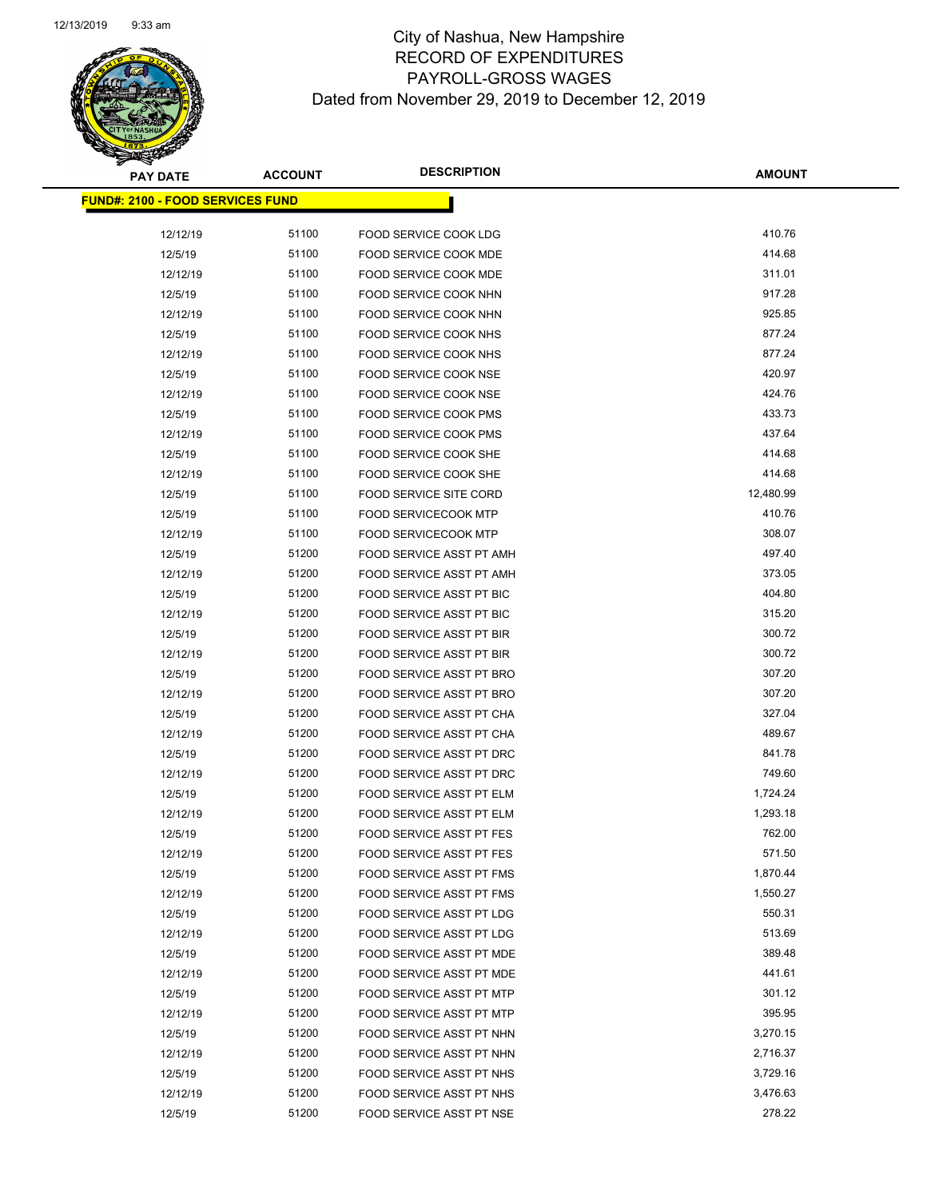Page 83 of 97

| <b>PAY DATE</b>                         | <b>ACCOUNT</b> | <b>DESCRIPTION</b>              | <b>AMOUNT</b> |
|-----------------------------------------|----------------|---------------------------------|---------------|
| <b>FUND#: 2100 - FOOD SERVICES FUND</b> |                |                                 |               |
|                                         |                |                                 |               |
| 12/12/19                                | 51100          | FOOD SERVICE COOK LDG           | 410.76        |
| 12/5/19                                 | 51100          | FOOD SERVICE COOK MDE           | 414.68        |
| 12/12/19                                | 51100          | FOOD SERVICE COOK MDE           | 311.01        |
| 12/5/19                                 | 51100          | FOOD SERVICE COOK NHN           | 917.28        |
| 12/12/19                                | 51100          | FOOD SERVICE COOK NHN           | 925.85        |
| 12/5/19                                 | 51100          | FOOD SERVICE COOK NHS           | 877.24        |
| 12/12/19                                | 51100          | FOOD SERVICE COOK NHS           | 877.24        |
| 12/5/19                                 | 51100          | FOOD SERVICE COOK NSE           | 420.97        |
| 12/12/19                                | 51100          | FOOD SERVICE COOK NSE           | 424.76        |
| 12/5/19                                 | 51100          | FOOD SERVICE COOK PMS           | 433.73        |
| 12/12/19                                | 51100          | FOOD SERVICE COOK PMS           | 437.64        |
| 12/5/19                                 | 51100          | FOOD SERVICE COOK SHE           | 414.68        |
| 12/12/19                                | 51100          | FOOD SERVICE COOK SHE           | 414.68        |
| 12/5/19                                 | 51100          | <b>FOOD SERVICE SITE CORD</b>   | 12,480.99     |
| 12/5/19                                 | 51100          | <b>FOOD SERVICECOOK MTP</b>     | 410.76        |
| 12/12/19                                | 51100          | <b>FOOD SERVICECOOK MTP</b>     | 308.07        |
| 12/5/19                                 | 51200          | FOOD SERVICE ASST PT AMH        | 497.40        |
| 12/12/19                                | 51200          | <b>FOOD SERVICE ASST PT AMH</b> | 373.05        |
| 12/5/19                                 | 51200          | <b>FOOD SERVICE ASST PT BIC</b> | 404.80        |
| 12/12/19                                | 51200          | FOOD SERVICE ASST PT BIC        | 315.20        |
| 12/5/19                                 | 51200          | FOOD SERVICE ASST PT BIR        | 300.72        |
| 12/12/19                                | 51200          | FOOD SERVICE ASST PT BIR        | 300.72        |
| 12/5/19                                 | 51200          | FOOD SERVICE ASST PT BRO        | 307.20        |
| 12/12/19                                | 51200          | FOOD SERVICE ASST PT BRO        | 307.20        |
| 12/5/19                                 | 51200          | FOOD SERVICE ASST PT CHA        | 327.04        |
| 12/12/19                                | 51200          | FOOD SERVICE ASST PT CHA        | 489.67        |
| 12/5/19                                 | 51200          | FOOD SERVICE ASST PT DRC        | 841.78        |
| 12/12/19                                | 51200          | FOOD SERVICE ASST PT DRC        | 749.60        |
| 12/5/19                                 | 51200          | FOOD SERVICE ASST PT ELM        | 1,724.24      |
| 12/12/19                                | 51200          | <b>FOOD SERVICE ASST PT ELM</b> | 1,293.18      |
| 12/5/19                                 | 51200          | <b>FOOD SERVICE ASST PT FES</b> | 762.00        |
| 12/12/19                                | 51200          | FOOD SERVICE ASST PT FES        | 571.50        |
| 12/5/19                                 | 51200          | <b>FOOD SERVICE ASST PT FMS</b> | 1,870.44      |
| 12/12/19                                | 51200          | FOOD SERVICE ASST PT FMS        | 1,550.27      |
| 12/5/19                                 | 51200          | <b>FOOD SERVICE ASST PT LDG</b> | 550.31        |
| 12/12/19                                | 51200          | <b>FOOD SERVICE ASST PT LDG</b> | 513.69        |
| 12/5/19                                 | 51200          | FOOD SERVICE ASST PT MDE        | 389.48        |
| 12/12/19                                | 51200          | FOOD SERVICE ASST PT MDE        | 441.61        |
| 12/5/19                                 | 51200          | <b>FOOD SERVICE ASST PT MTP</b> | 301.12        |
| 12/12/19                                | 51200          | FOOD SERVICE ASST PT MTP        | 395.95        |
| 12/5/19                                 | 51200          | FOOD SERVICE ASST PT NHN        | 3,270.15      |
| 12/12/19                                | 51200          | FOOD SERVICE ASST PT NHN        | 2,716.37      |
| 12/5/19                                 | 51200          | FOOD SERVICE ASST PT NHS        | 3,729.16      |
| 12/12/19                                | 51200          | FOOD SERVICE ASST PT NHS        | 3,476.63      |
| 12/5/19                                 | 51200          | FOOD SERVICE ASST PT NSE        | 278.22        |
|                                         |                |                                 |               |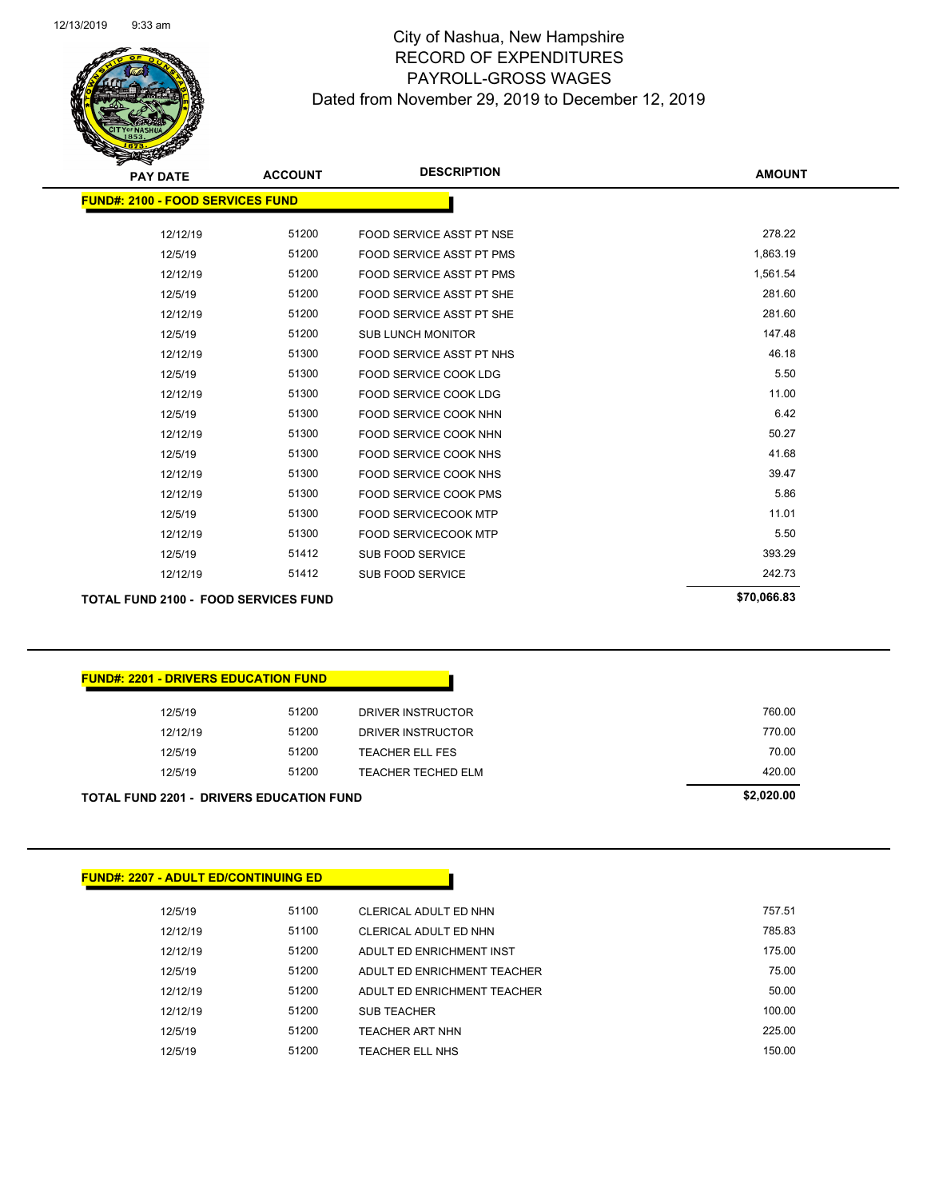Page 84 of 97

| <b>PAY DATE</b>                             | <b>ACCOUNT</b> | <b>DESCRIPTION</b>              | <b>AMOUNT</b> |
|---------------------------------------------|----------------|---------------------------------|---------------|
| <b>FUND#: 2100 - FOOD SERVICES FUND</b>     |                |                                 |               |
| 12/12/19                                    | 51200          | FOOD SERVICE ASST PT NSE        | 278.22        |
| 12/5/19                                     | 51200          | <b>FOOD SERVICE ASST PT PMS</b> | 1,863.19      |
| 12/12/19                                    | 51200          | <b>FOOD SERVICE ASST PT PMS</b> | 1,561.54      |
| 12/5/19                                     | 51200          | FOOD SERVICE ASST PT SHE        | 281.60        |
| 12/12/19                                    | 51200          | FOOD SERVICE ASST PT SHE        | 281.60        |
| 12/5/19                                     | 51200          | <b>SUB LUNCH MONITOR</b>        | 147.48        |
| 12/12/19                                    | 51300          | <b>FOOD SERVICE ASST PT NHS</b> | 46.18         |
| 12/5/19                                     | 51300          | <b>FOOD SERVICE COOK LDG</b>    | 5.50          |
| 12/12/19                                    | 51300          | <b>FOOD SERVICE COOK LDG</b>    | 11.00         |
| 12/5/19                                     | 51300          | FOOD SERVICE COOK NHN           | 6.42          |
| 12/12/19                                    | 51300          | <b>FOOD SERVICE COOK NHN</b>    | 50.27         |
| 12/5/19                                     | 51300          | <b>FOOD SERVICE COOK NHS</b>    | 41.68         |
| 12/12/19                                    | 51300          | <b>FOOD SERVICE COOK NHS</b>    | 39.47         |
| 12/12/19                                    | 51300          | <b>FOOD SERVICE COOK PMS</b>    | 5.86          |
| 12/5/19                                     | 51300          | <b>FOOD SERVICECOOK MTP</b>     | 11.01         |
| 12/12/19                                    | 51300          | <b>FOOD SERVICECOOK MTP</b>     | 5.50          |
| 12/5/19                                     | 51412          | <b>SUB FOOD SERVICE</b>         | 393.29        |
| 12/12/19                                    | 51412          | <b>SUB FOOD SERVICE</b>         | 242.73        |
| <b>TOTAL FUND 2100 - FOOD SERVICES FUND</b> |                |                                 | \$70,066.83   |

| 12/5/19  | 51200 |                           |        |
|----------|-------|---------------------------|--------|
|          |       | <b>TEACHER TECHED ELM</b> | 420.00 |
| 12/5/19  | 51200 | TEACHER ELL FES           | 70.00  |
| 12/12/19 | 51200 | DRIVER INSTRUCTOR         | 770.00 |
| 12/5/19  | 51200 | DRIVER INSTRUCTOR         | 760.00 |

| <b>FUND#: 2207 - ADULT ED/CONTINUING ED</b> |       |                             |        |
|---------------------------------------------|-------|-----------------------------|--------|
| 12/5/19                                     | 51100 | CLERICAL ADULT ED NHN       | 757.51 |
| 12/12/19                                    | 51100 | CLERICAL ADULT ED NHN       | 785.83 |
| 12/12/19                                    | 51200 | ADULT ED ENRICHMENT INST    | 175.00 |
| 12/5/19                                     | 51200 | ADULT ED ENRICHMENT TEACHER | 75.00  |
| 12/12/19                                    | 51200 | ADULT ED ENRICHMENT TEACHER | 50.00  |
| 12/12/19                                    | 51200 | <b>SUB TEACHER</b>          | 100.00 |
| 12/5/19                                     | 51200 | <b>TEACHER ART NHN</b>      | 225.00 |
| 12/5/19                                     | 51200 | <b>TEACHER ELL NHS</b>      | 150.00 |
|                                             |       |                             |        |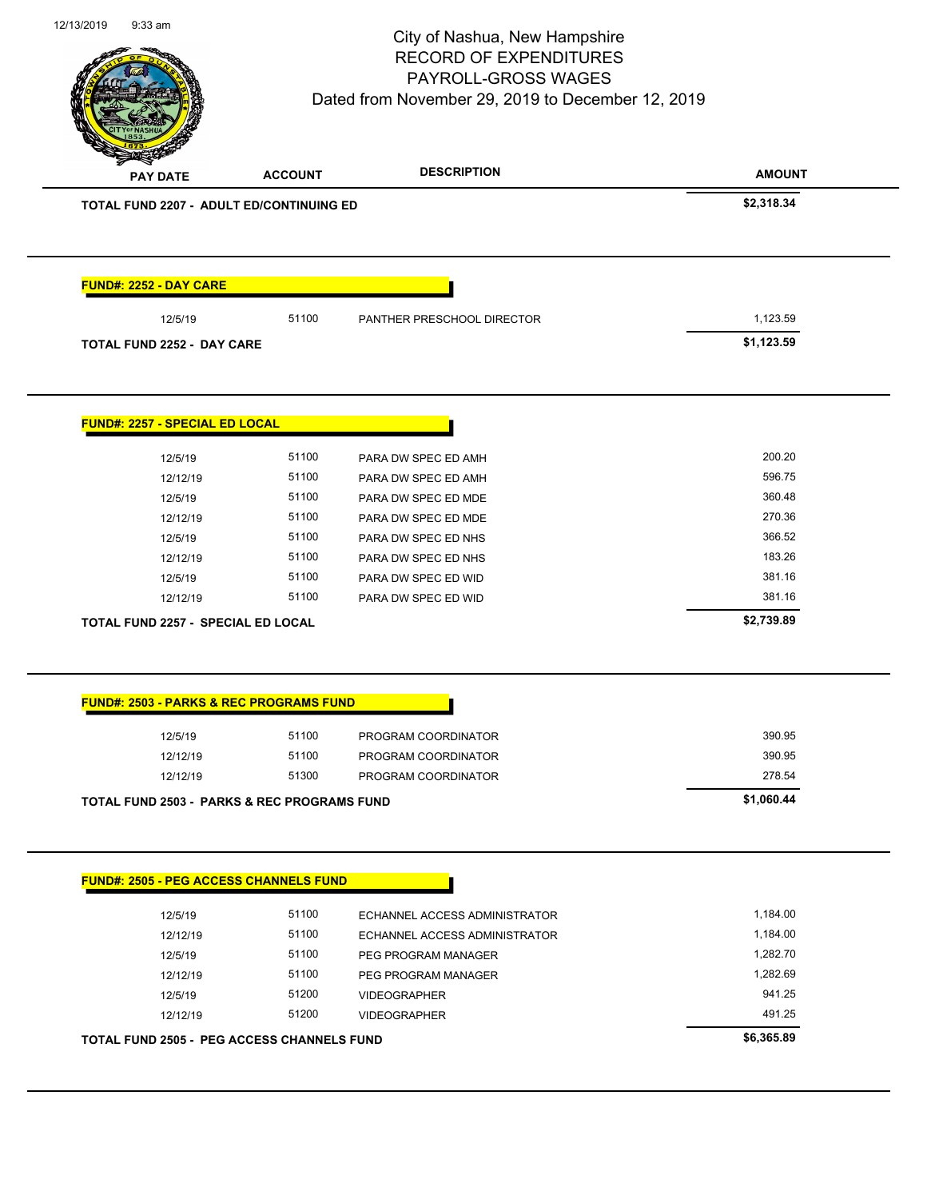Page 85 of 97

| \$2,318.34<br>1,123.59<br>51100<br>12/5/19<br>PANTHER PRESCHOOL DIRECTOR<br>\$1,123.59<br><b>TOTAL FUND 2252 - DAY CARE</b><br><b>FUND#: 2257 - SPECIAL ED LOCAL</b><br>200.20<br>51100<br>12/5/19<br>PARA DW SPEC ED AMH<br>596.75<br>51100<br>12/12/19<br>PARA DW SPEC ED AMH<br>360.48<br>12/5/19<br>51100<br>PARA DW SPEC ED MDE<br>270.36<br>12/12/19<br>51100<br>PARA DW SPEC ED MDE<br>366.52<br>51100<br>12/5/19<br>PARA DW SPEC ED NHS<br>183.26<br>51100<br>12/12/19<br>PARA DW SPEC ED NHS<br>381.16<br>51100<br>12/5/19<br>PARA DW SPEC ED WID<br>381.16<br>51100<br>PARA DW SPEC ED WID<br>12/12/19<br>\$2,739.89<br><b>TOTAL FUND 2257 - SPECIAL ED LOCAL</b><br><b>FUND#: 2503 - PARKS &amp; REC PROGRAMS FUND</b><br>390.95<br>51100<br>12/5/19<br>PROGRAM COORDINATOR<br>390.95<br>51100<br>12/12/19<br>PROGRAM COORDINATOR<br>51300<br>278.54<br>12/12/19<br>PROGRAM COORDINATOR<br>\$1,060.44<br><b>TOTAL FUND 2503 - PARKS &amp; REC PROGRAMS FUND</b><br><b>FUND#: 2505 - PEG ACCESS CHANNELS FUND</b><br>12/5/19<br>51100<br>1,184.00<br>ECHANNEL ACCESS ADMINISTRATOR<br>12/12/19<br>51100<br>ECHANNEL ACCESS ADMINISTRATOR<br>1,184.00<br>51100<br>1,282.70<br>12/5/19<br>PEG PROGRAM MANAGER<br>1,282.69<br>51100<br>12/12/19<br>PEG PROGRAM MANAGER<br>51200<br>941.25<br>12/5/19<br><b>VIDEOGRAPHER</b><br>491.25<br>12/12/19<br>51200<br><b>VIDEOGRAPHER</b><br>\$6,365.89<br><b>TOTAL FUND 2505 - PEG ACCESS CHANNELS FUND</b> | <b>PAY DATE</b>                          | <b>ACCOUNT</b> | <b>DESCRIPTION</b> | <b>AMOUNT</b> |
|-------------------------------------------------------------------------------------------------------------------------------------------------------------------------------------------------------------------------------------------------------------------------------------------------------------------------------------------------------------------------------------------------------------------------------------------------------------------------------------------------------------------------------------------------------------------------------------------------------------------------------------------------------------------------------------------------------------------------------------------------------------------------------------------------------------------------------------------------------------------------------------------------------------------------------------------------------------------------------------------------------------------------------------------------------------------------------------------------------------------------------------------------------------------------------------------------------------------------------------------------------------------------------------------------------------------------------------------------------------------------------------------------------------------------------------------------------------|------------------------------------------|----------------|--------------------|---------------|
|                                                                                                                                                                                                                                                                                                                                                                                                                                                                                                                                                                                                                                                                                                                                                                                                                                                                                                                                                                                                                                                                                                                                                                                                                                                                                                                                                                                                                                                             | TOTAL FUND 2207 - ADULT ED/CONTINUING ED |                |                    |               |
|                                                                                                                                                                                                                                                                                                                                                                                                                                                                                                                                                                                                                                                                                                                                                                                                                                                                                                                                                                                                                                                                                                                                                                                                                                                                                                                                                                                                                                                             | <b>FUND#: 2252 - DAY CARE</b>            |                |                    |               |
|                                                                                                                                                                                                                                                                                                                                                                                                                                                                                                                                                                                                                                                                                                                                                                                                                                                                                                                                                                                                                                                                                                                                                                                                                                                                                                                                                                                                                                                             |                                          |                |                    |               |
|                                                                                                                                                                                                                                                                                                                                                                                                                                                                                                                                                                                                                                                                                                                                                                                                                                                                                                                                                                                                                                                                                                                                                                                                                                                                                                                                                                                                                                                             |                                          |                |                    |               |
|                                                                                                                                                                                                                                                                                                                                                                                                                                                                                                                                                                                                                                                                                                                                                                                                                                                                                                                                                                                                                                                                                                                                                                                                                                                                                                                                                                                                                                                             |                                          |                |                    |               |
|                                                                                                                                                                                                                                                                                                                                                                                                                                                                                                                                                                                                                                                                                                                                                                                                                                                                                                                                                                                                                                                                                                                                                                                                                                                                                                                                                                                                                                                             |                                          |                |                    |               |
|                                                                                                                                                                                                                                                                                                                                                                                                                                                                                                                                                                                                                                                                                                                                                                                                                                                                                                                                                                                                                                                                                                                                                                                                                                                                                                                                                                                                                                                             |                                          |                |                    |               |
|                                                                                                                                                                                                                                                                                                                                                                                                                                                                                                                                                                                                                                                                                                                                                                                                                                                                                                                                                                                                                                                                                                                                                                                                                                                                                                                                                                                                                                                             |                                          |                |                    |               |
|                                                                                                                                                                                                                                                                                                                                                                                                                                                                                                                                                                                                                                                                                                                                                                                                                                                                                                                                                                                                                                                                                                                                                                                                                                                                                                                                                                                                                                                             |                                          |                |                    |               |
|                                                                                                                                                                                                                                                                                                                                                                                                                                                                                                                                                                                                                                                                                                                                                                                                                                                                                                                                                                                                                                                                                                                                                                                                                                                                                                                                                                                                                                                             |                                          |                |                    |               |
|                                                                                                                                                                                                                                                                                                                                                                                                                                                                                                                                                                                                                                                                                                                                                                                                                                                                                                                                                                                                                                                                                                                                                                                                                                                                                                                                                                                                                                                             |                                          |                |                    |               |
|                                                                                                                                                                                                                                                                                                                                                                                                                                                                                                                                                                                                                                                                                                                                                                                                                                                                                                                                                                                                                                                                                                                                                                                                                                                                                                                                                                                                                                                             |                                          |                |                    |               |
|                                                                                                                                                                                                                                                                                                                                                                                                                                                                                                                                                                                                                                                                                                                                                                                                                                                                                                                                                                                                                                                                                                                                                                                                                                                                                                                                                                                                                                                             |                                          |                |                    |               |
|                                                                                                                                                                                                                                                                                                                                                                                                                                                                                                                                                                                                                                                                                                                                                                                                                                                                                                                                                                                                                                                                                                                                                                                                                                                                                                                                                                                                                                                             |                                          |                |                    |               |
|                                                                                                                                                                                                                                                                                                                                                                                                                                                                                                                                                                                                                                                                                                                                                                                                                                                                                                                                                                                                                                                                                                                                                                                                                                                                                                                                                                                                                                                             |                                          |                |                    |               |
|                                                                                                                                                                                                                                                                                                                                                                                                                                                                                                                                                                                                                                                                                                                                                                                                                                                                                                                                                                                                                                                                                                                                                                                                                                                                                                                                                                                                                                                             |                                          |                |                    |               |
|                                                                                                                                                                                                                                                                                                                                                                                                                                                                                                                                                                                                                                                                                                                                                                                                                                                                                                                                                                                                                                                                                                                                                                                                                                                                                                                                                                                                                                                             |                                          |                |                    |               |
|                                                                                                                                                                                                                                                                                                                                                                                                                                                                                                                                                                                                                                                                                                                                                                                                                                                                                                                                                                                                                                                                                                                                                                                                                                                                                                                                                                                                                                                             |                                          |                |                    |               |
|                                                                                                                                                                                                                                                                                                                                                                                                                                                                                                                                                                                                                                                                                                                                                                                                                                                                                                                                                                                                                                                                                                                                                                                                                                                                                                                                                                                                                                                             |                                          |                |                    |               |
|                                                                                                                                                                                                                                                                                                                                                                                                                                                                                                                                                                                                                                                                                                                                                                                                                                                                                                                                                                                                                                                                                                                                                                                                                                                                                                                                                                                                                                                             |                                          |                |                    |               |
|                                                                                                                                                                                                                                                                                                                                                                                                                                                                                                                                                                                                                                                                                                                                                                                                                                                                                                                                                                                                                                                                                                                                                                                                                                                                                                                                                                                                                                                             |                                          |                |                    |               |
|                                                                                                                                                                                                                                                                                                                                                                                                                                                                                                                                                                                                                                                                                                                                                                                                                                                                                                                                                                                                                                                                                                                                                                                                                                                                                                                                                                                                                                                             |                                          |                |                    |               |
|                                                                                                                                                                                                                                                                                                                                                                                                                                                                                                                                                                                                                                                                                                                                                                                                                                                                                                                                                                                                                                                                                                                                                                                                                                                                                                                                                                                                                                                             |                                          |                |                    |               |
|                                                                                                                                                                                                                                                                                                                                                                                                                                                                                                                                                                                                                                                                                                                                                                                                                                                                                                                                                                                                                                                                                                                                                                                                                                                                                                                                                                                                                                                             |                                          |                |                    |               |
|                                                                                                                                                                                                                                                                                                                                                                                                                                                                                                                                                                                                                                                                                                                                                                                                                                                                                                                                                                                                                                                                                                                                                                                                                                                                                                                                                                                                                                                             |                                          |                |                    |               |
|                                                                                                                                                                                                                                                                                                                                                                                                                                                                                                                                                                                                                                                                                                                                                                                                                                                                                                                                                                                                                                                                                                                                                                                                                                                                                                                                                                                                                                                             |                                          |                |                    |               |
|                                                                                                                                                                                                                                                                                                                                                                                                                                                                                                                                                                                                                                                                                                                                                                                                                                                                                                                                                                                                                                                                                                                                                                                                                                                                                                                                                                                                                                                             |                                          |                |                    |               |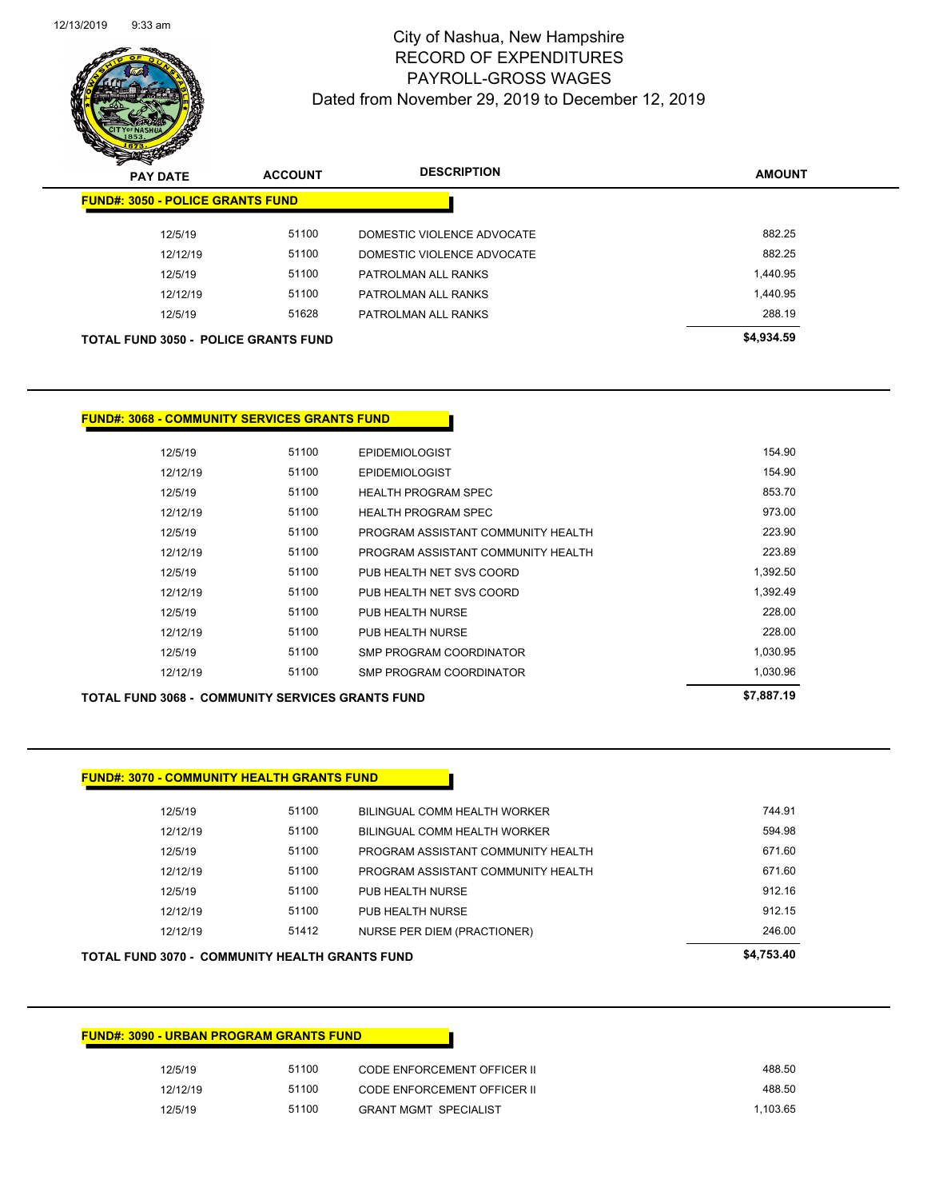| 12/5/19  | 51100 | CODE ENFORCEMENT OFFICER II  | 488.50   |
|----------|-------|------------------------------|----------|
| 12/12/19 | 51100 | CODE ENFORCEMENT OFFICER II  | 488.50   |
| 12/5/19  | 51100 | <b>GRANT MGMT SPECIALIST</b> | 1.103.65 |

### **FUND#: 3090 - URBAN PROGRAM GRANTS FUND**

| TOTAL FUND 3070 -  COMMUNITY HEALTH GRANTS FUND |       |                                    |        |
|-------------------------------------------------|-------|------------------------------------|--------|
| 12/12/19                                        | 51412 | NURSE PER DIEM (PRACTIONER)        | 246.00 |
| 12/12/19                                        | 51100 | PUB HEALTH NURSE                   | 912.15 |
| 12/5/19                                         | 51100 | PUB HEALTH NURSE                   | 912.16 |
| 12/12/19                                        | 51100 | PROGRAM ASSISTANT COMMUNITY HEALTH | 671.60 |
| 12/5/19                                         | 51100 | PROGRAM ASSISTANT COMMUNITY HEALTH | 671.60 |
| 12/12/19                                        | 51100 | BILINGUAL COMM HEALTH WORKER       | 594.98 |
| 12/5/19                                         | 51100 | BILINGUAL COMM HEALTH WORKER       | 744.91 |
|                                                 |       |                                    |        |

### **FUND#: 3070 - COMMUNITY HEALTH GRANTS FUND**

| TOTAL FUND 3068 -  COMMUNITY SERVICES GRANTS FUND |       |                                    | \$7,887.19 |
|---------------------------------------------------|-------|------------------------------------|------------|
| 12/12/19                                          | 51100 | SMP PROGRAM COORDINATOR            | 1,030.96   |
| 12/5/19                                           | 51100 | SMP PROGRAM COORDINATOR            | 1,030.95   |
| 12/12/19                                          | 51100 | PUB HEALTH NURSE                   | 228.00     |
| 12/5/19                                           | 51100 | PUB HEALTH NURSE                   | 228.00     |
| 12/12/19                                          | 51100 | PUB HEALTH NET SVS COORD           | 1,392.49   |
| 12/5/19                                           | 51100 | PUB HEALTH NET SVS COORD           | 1,392.50   |
| 12/12/19                                          | 51100 | PROGRAM ASSISTANT COMMUNITY HEALTH | 223.89     |
| 12/5/19                                           | 51100 | PROGRAM ASSISTANT COMMUNITY HEALTH | 223.90     |
| 12/12/19                                          | 51100 | <b>HEALTH PROGRAM SPEC</b>         | 973.00     |
| 12/5/19                                           | 51100 | <b>HEALTH PROGRAM SPEC</b>         | 853.70     |
| 12/12/19                                          | 51100 | <b>EPIDEMIOLOGIST</b>              | 154.90     |
| 12/5/19                                           | 51100 | <b>EPIDEMIOLOGIST</b>              | 154.90     |

### **FUND#: 3068 - COMMUNITY SERVICES GRANTS FUND**

| ~<br><b>PAY DATE</b>                        | <b>ACCOUNT</b> | <b>DESCRIPTION</b>         | <b>AMOUNT</b> |
|---------------------------------------------|----------------|----------------------------|---------------|
| <b>FUND#: 3050 - POLICE GRANTS FUND</b>     |                |                            |               |
| 12/5/19                                     | 51100          | DOMESTIC VIOLENCE ADVOCATE | 882.25        |
| 12/12/19                                    | 51100          | DOMESTIC VIOLENCE ADVOCATE | 882.25        |
| 12/5/19                                     | 51100          | PATROLMAN ALL RANKS        | 1.440.95      |
| 12/12/19                                    | 51100          | PATROLMAN ALL RANKS        | 1.440.95      |
| 12/5/19                                     | 51628          | PATROLMAN ALL RANKS        | 288.19        |
| <b>TOTAL FUND 3050 - POLICE GRANTS FUND</b> |                |                            | \$4,934.59    |
|                                             |                |                            |               |

12/13/2019 9:33 am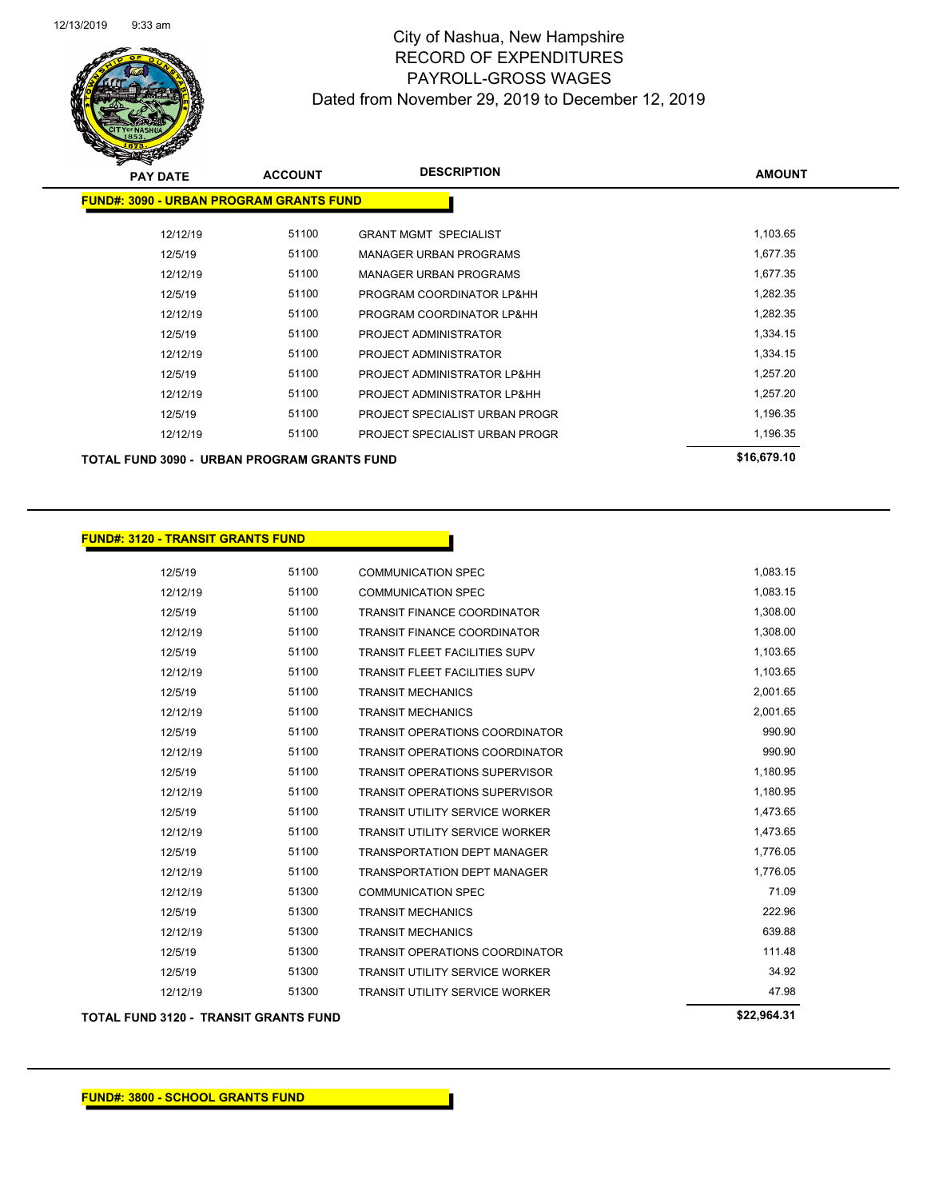

| <b>PAY DATE</b>                                | <b>ACCOUNT</b> | <b>DESCRIPTION</b>             | <b>AMOUNT</b> |
|------------------------------------------------|----------------|--------------------------------|---------------|
| <b>FUND#: 3090 - URBAN PROGRAM GRANTS FUND</b> |                |                                |               |
|                                                |                |                                |               |
| 12/12/19                                       | 51100          | <b>GRANT MGMT SPECIALIST</b>   | 1,103.65      |
| 12/5/19                                        | 51100          | <b>MANAGER URBAN PROGRAMS</b>  | 1,677.35      |
| 12/12/19                                       | 51100          | <b>MANAGER URBAN PROGRAMS</b>  | 1,677.35      |
| 12/5/19                                        | 51100          | PROGRAM COORDINATOR LP&HH      | 1,282.35      |
| 12/12/19                                       | 51100          | PROGRAM COORDINATOR LP&HH      | 1,282.35      |
| 12/5/19                                        | 51100          | PROJECT ADMINISTRATOR          | 1,334.15      |
| 12/12/19                                       | 51100          | PROJECT ADMINISTRATOR          | 1,334.15      |
| 12/5/19                                        | 51100          | PROJECT ADMINISTRATOR LP&HH    | 1,257.20      |
| 12/12/19                                       | 51100          | PROJECT ADMINISTRATOR LP&HH    | 1,257.20      |
| 12/5/19                                        | 51100          | PROJECT SPECIALIST URBAN PROGR | 1,196.35      |
| 12/12/19                                       | 51100          | PROJECT SPECIALIST URBAN PROGR | 1,196.35      |
| TOTAL FUND 3090 - URBAN PROGRAM GRANTS FUND    |                |                                | \$16,679.10   |

### **FUND#: 3120 - TRANSIT GRANTS FUND**

| <b>TOTAL FUND 3120 - TRANSIT GRANTS FUND</b> |       |                                       | \$22,964.31 |
|----------------------------------------------|-------|---------------------------------------|-------------|
| 12/12/19                                     | 51300 | <b>TRANSIT UTILITY SERVICE WORKER</b> | 47.98       |
| 12/5/19                                      | 51300 | <b>TRANSIT UTILITY SERVICE WORKER</b> | 34.92       |
| 12/5/19                                      | 51300 | <b>TRANSIT OPERATIONS COORDINATOR</b> | 111.48      |
| 12/12/19                                     | 51300 | <b>TRANSIT MECHANICS</b>              | 639.88      |
| 12/5/19                                      | 51300 | <b>TRANSIT MECHANICS</b>              | 222.96      |
| 12/12/19                                     | 51300 | <b>COMMUNICATION SPEC</b>             | 71.09       |
| 12/12/19                                     | 51100 | <b>TRANSPORTATION DEPT MANAGER</b>    | 1,776.05    |
| 12/5/19                                      | 51100 | <b>TRANSPORTATION DEPT MANAGER</b>    | 1,776.05    |
| 12/12/19                                     | 51100 | <b>TRANSIT UTILITY SERVICE WORKER</b> | 1,473.65    |
| 12/5/19                                      | 51100 | <b>TRANSIT UTILITY SERVICE WORKER</b> | 1,473.65    |
| 12/12/19                                     | 51100 | <b>TRANSIT OPERATIONS SUPERVISOR</b>  | 1,180.95    |
| 12/5/19                                      | 51100 | <b>TRANSIT OPERATIONS SUPERVISOR</b>  | 1,180.95    |
| 12/12/19                                     | 51100 | <b>TRANSIT OPERATIONS COORDINATOR</b> | 990.90      |
| 12/5/19                                      | 51100 | <b>TRANSIT OPERATIONS COORDINATOR</b> | 990.90      |
| 12/12/19                                     | 51100 | <b>TRANSIT MECHANICS</b>              | 2,001.65    |
| 12/5/19                                      | 51100 | <b>TRANSIT MECHANICS</b>              | 2,001.65    |
| 12/12/19                                     | 51100 | <b>TRANSIT FLEET FACILITIES SUPV</b>  | 1,103.65    |
| 12/5/19                                      | 51100 | <b>TRANSIT FLEET FACILITIES SUPV</b>  | 1,103.65    |
| 12/12/19                                     | 51100 | <b>TRANSIT FINANCE COORDINATOR</b>    | 1,308.00    |
| 12/5/19                                      | 51100 | <b>TRANSIT FINANCE COORDINATOR</b>    | 1,308.00    |
| 12/12/19                                     | 51100 | <b>COMMUNICATION SPEC</b>             | 1,083.15    |
| 12/5/19                                      | 51100 | <b>COMMUNICATION SPEC</b>             | 1,083.15    |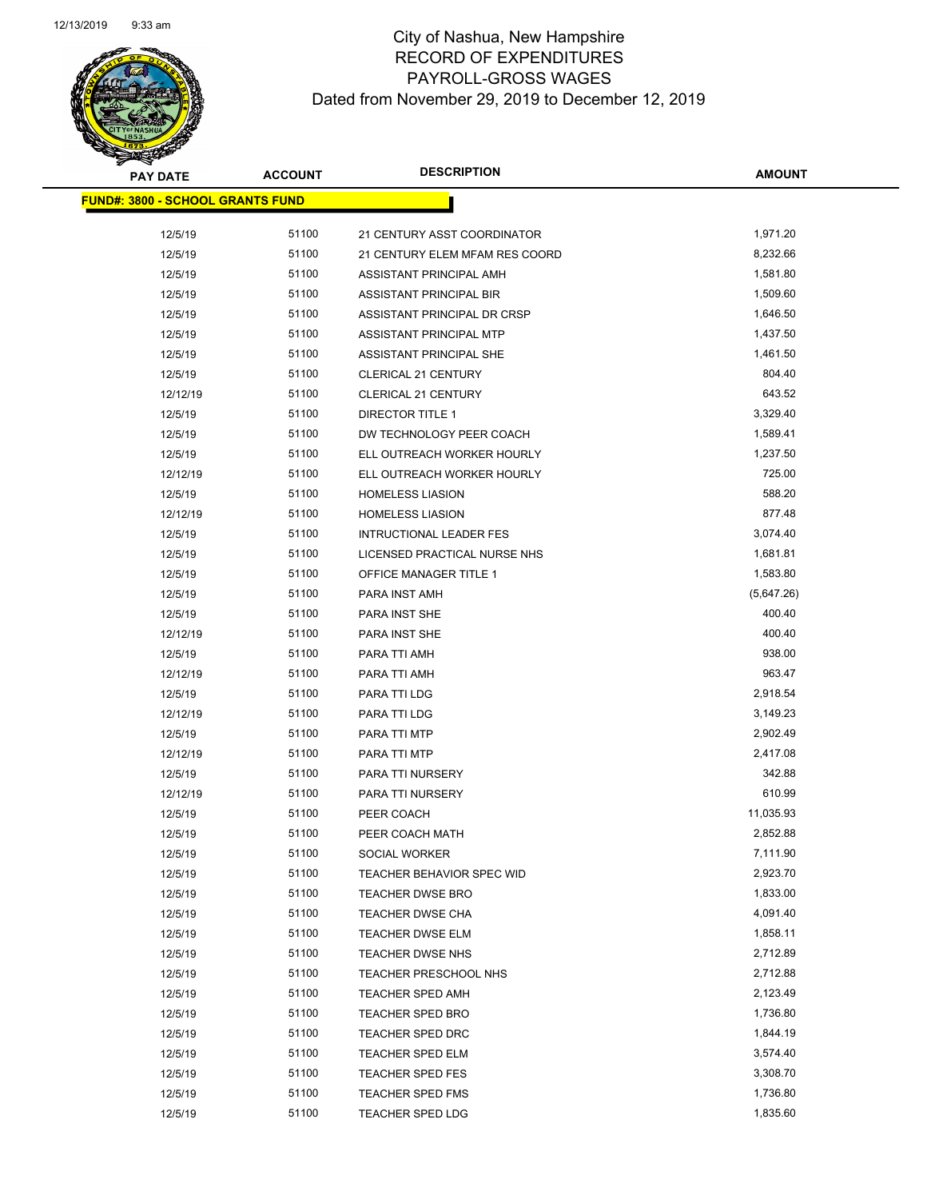| <b>PAY DATE</b>                          | <b>ACCOUNT</b> | <b>DESCRIPTION</b>             | <b>AMOUNT</b>        |
|------------------------------------------|----------------|--------------------------------|----------------------|
| <u> FUND#: 3800 - SCHOOL GRANTS FUND</u> |                |                                |                      |
| 12/5/19                                  | 51100          | 21 CENTURY ASST COORDINATOR    | 1,971.20             |
| 12/5/19                                  | 51100          | 21 CENTURY ELEM MFAM RES COORD | 8,232.66             |
| 12/5/19                                  | 51100          | ASSISTANT PRINCIPAL AMH        | 1,581.80             |
| 12/5/19                                  | 51100          | ASSISTANT PRINCIPAL BIR        | 1,509.60             |
| 12/5/19                                  | 51100          | ASSISTANT PRINCIPAL DR CRSP    | 1,646.50             |
| 12/5/19                                  | 51100          | ASSISTANT PRINCIPAL MTP        | 1,437.50             |
| 12/5/19                                  | 51100          | ASSISTANT PRINCIPAL SHE        | 1,461.50             |
| 12/5/19                                  | 51100          | <b>CLERICAL 21 CENTURY</b>     | 804.40               |
| 12/12/19                                 | 51100          | CLERICAL 21 CENTURY            | 643.52               |
| 12/5/19                                  | 51100          | <b>DIRECTOR TITLE 1</b>        | 3,329.40             |
| 12/5/19                                  | 51100          | DW TECHNOLOGY PEER COACH       | 1,589.41             |
| 12/5/19                                  | 51100          | ELL OUTREACH WORKER HOURLY     | 1,237.50             |
| 12/12/19                                 | 51100          | ELL OUTREACH WORKER HOURLY     | 725.00               |
| 12/5/19                                  | 51100          | <b>HOMELESS LIASION</b>        | 588.20               |
| 12/12/19                                 | 51100          | <b>HOMELESS LIASION</b>        | 877.48               |
| 12/5/19                                  | 51100          | <b>INTRUCTIONAL LEADER FES</b> | 3,074.40             |
| 12/5/19                                  | 51100          | LICENSED PRACTICAL NURSE NHS   | 1,681.81             |
| 12/5/19                                  | 51100          | OFFICE MANAGER TITLE 1         | 1,583.80             |
| 12/5/19                                  | 51100          | PARA INST AMH                  | (5,647.26)           |
| 12/5/19                                  | 51100          | PARA INST SHE                  | 400.40               |
| 12/12/19                                 | 51100          | PARA INST SHE                  | 400.40               |
| 12/5/19                                  | 51100          | PARA TTI AMH                   | 938.00               |
| 12/12/19                                 | 51100          | PARA TTI AMH                   | 963.47               |
| 12/5/19                                  | 51100          | PARA TTI LDG                   | 2,918.54             |
| 12/12/19                                 | 51100          | PARA TTI LDG                   | 3,149.23             |
| 12/5/19                                  | 51100          | PARA TTI MTP                   | 2,902.49             |
| 12/12/19                                 | 51100          | PARA TTI MTP                   | 2,417.08             |
| 12/5/19                                  | 51100          | PARA TTI NURSERY               | 342.88               |
| 12/12/19                                 | 51100          | PARA TTI NURSERY               | 610.99               |
| 12/5/19                                  | 51100          | PEER COACH                     | 11,035.93            |
| 12/5/19                                  | 51100          | PEER COACH MATH                | 2,852.88             |
| 12/5/19                                  | 51100          | SOCIAL WORKER                  | 7,111.90             |
| 12/5/19                                  | 51100          | TEACHER BEHAVIOR SPEC WID      | 2,923.70             |
| 12/5/19                                  | 51100          | <b>TEACHER DWSE BRO</b>        | 1,833.00             |
| 12/5/19                                  | 51100          | TEACHER DWSE CHA               | 4,091.40             |
| 12/5/19                                  | 51100          | <b>TEACHER DWSE ELM</b>        | 1,858.11             |
| 12/5/19                                  | 51100          | TEACHER DWSE NHS               | 2,712.89             |
| 12/5/19                                  | 51100          | TEACHER PRESCHOOL NHS          | 2,712.88             |
| 12/5/19                                  | 51100<br>51100 | <b>TEACHER SPED AMH</b>        | 2,123.49<br>1,736.80 |
| 12/5/19                                  | 51100          | <b>TEACHER SPED BRO</b>        | 1,844.19             |
| 12/5/19                                  |                | <b>TEACHER SPED DRC</b>        | 3,574.40             |
| 12/5/19                                  | 51100<br>51100 | <b>TEACHER SPED ELM</b>        |                      |
| 12/5/19                                  | 51100          | TEACHER SPED FES               | 3,308.70<br>1,736.80 |
| 12/5/19                                  | 51100          | <b>TEACHER SPED FMS</b>        | 1,835.60             |
| 12/5/19                                  |                | <b>TEACHER SPED LDG</b>        |                      |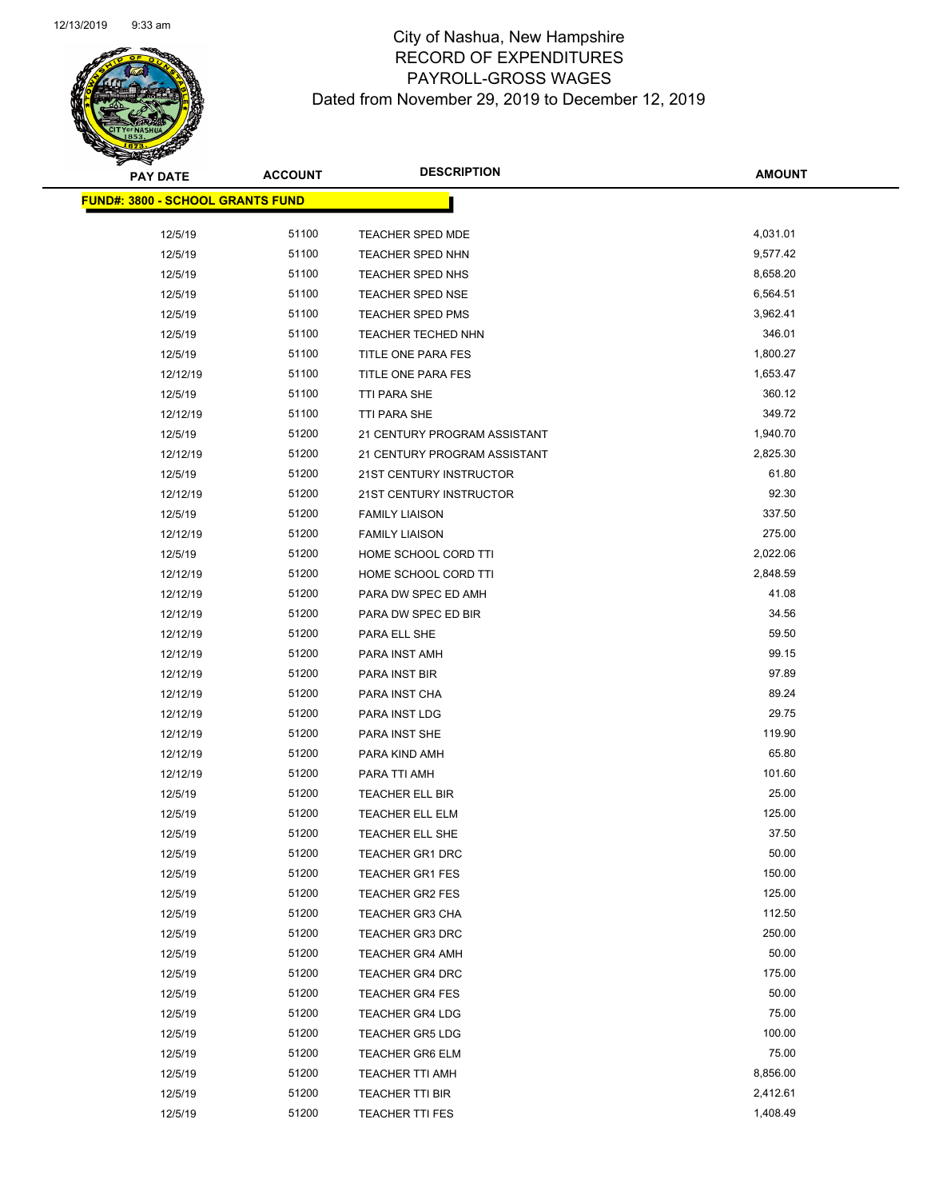Page 89 of 97

| <b>PAY DATE</b>                          | <b>ACCOUNT</b> | <b>DESCRIPTION</b>                        | <b>AMOUNT</b>   |
|------------------------------------------|----------------|-------------------------------------------|-----------------|
| <u> FUND#: 3800 - SCHOOL GRANTS FUND</u> |                |                                           |                 |
|                                          |                |                                           |                 |
| 12/5/19                                  | 51100          | TEACHER SPED MDE                          | 4,031.01        |
| 12/5/19                                  | 51100          | <b>TEACHER SPED NHN</b>                   | 9,577.42        |
| 12/5/19                                  | 51100          | TEACHER SPED NHS                          | 8,658.20        |
| 12/5/19                                  | 51100          | TEACHER SPED NSE                          | 6,564.51        |
| 12/5/19                                  | 51100          | TEACHER SPED PMS                          | 3,962.41        |
| 12/5/19                                  | 51100          | TEACHER TECHED NHN                        | 346.01          |
| 12/5/19                                  | 51100          | TITLE ONE PARA FES                        | 1,800.27        |
| 12/12/19                                 | 51100          | TITLE ONE PARA FES                        | 1,653.47        |
| 12/5/19                                  | 51100          | TTI PARA SHE                              | 360.12          |
| 12/12/19                                 | 51100          | <b>TTI PARA SHE</b>                       | 349.72          |
| 12/5/19                                  | 51200          | 21 CENTURY PROGRAM ASSISTANT              | 1,940.70        |
| 12/12/19                                 | 51200          | 21 CENTURY PROGRAM ASSISTANT              | 2,825.30        |
| 12/5/19                                  | 51200          | 21ST CENTURY INSTRUCTOR                   | 61.80           |
| 12/12/19                                 | 51200          | 21ST CENTURY INSTRUCTOR                   | 92.30           |
| 12/5/19                                  | 51200          | <b>FAMILY LIAISON</b>                     | 337.50          |
| 12/12/19                                 | 51200          | <b>FAMILY LIAISON</b>                     | 275.00          |
| 12/5/19                                  | 51200          | HOME SCHOOL CORD TTI                      | 2,022.06        |
| 12/12/19                                 | 51200          | HOME SCHOOL CORD TTI                      | 2,848.59        |
| 12/12/19                                 | 51200          | PARA DW SPEC ED AMH                       | 41.08           |
| 12/12/19                                 | 51200          | PARA DW SPEC ED BIR                       | 34.56           |
| 12/12/19                                 | 51200          | PARA ELL SHE                              | 59.50           |
| 12/12/19                                 | 51200          | PARA INST AMH                             | 99.15           |
| 12/12/19                                 | 51200          | PARA INST BIR                             | 97.89           |
| 12/12/19                                 | 51200          | PARA INST CHA                             | 89.24           |
| 12/12/19                                 | 51200          | PARA INST LDG                             | 29.75           |
| 12/12/19                                 | 51200          | PARA INST SHE                             | 119.90          |
| 12/12/19                                 | 51200          | PARA KIND AMH                             | 65.80           |
| 12/12/19                                 | 51200          | PARA TTI AMH                              | 101.60<br>25.00 |
| 12/5/19                                  | 51200          | TEACHER ELL BIR                           | 125.00          |
| 12/5/19                                  | 51200          | TEACHER ELL ELM<br><b>TEACHER ELL SHE</b> | 37.50           |
| 12/5/19                                  | 51200          |                                           | 50.00           |
| 12/5/19                                  | 51200<br>51200 | <b>TEACHER GR1 DRC</b>                    | 150.00          |
| 12/5/19                                  | 51200          | TEACHER GR1 FES                           | 125.00          |
| 12/5/19                                  | 51200          | TEACHER GR2 FES<br>TEACHER GR3 CHA        | 112.50          |
| 12/5/19                                  | 51200          | <b>TEACHER GR3 DRC</b>                    | 250.00          |
| 12/5/19                                  | 51200          |                                           | 50.00           |
| 12/5/19                                  |                | <b>TEACHER GR4 AMH</b>                    | 175.00          |
| 12/5/19                                  | 51200<br>51200 | <b>TEACHER GR4 DRC</b>                    | 50.00           |
| 12/5/19                                  |                | <b>TEACHER GR4 FES</b>                    | 75.00           |
| 12/5/19                                  | 51200<br>51200 | <b>TEACHER GR4 LDG</b>                    | 100.00          |
| 12/5/19                                  |                | <b>TEACHER GR5 LDG</b>                    | 75.00           |
| 12/5/19                                  | 51200          | <b>TEACHER GR6 ELM</b>                    | 8,856.00        |
| 12/5/19                                  | 51200<br>51200 | TEACHER TTI AMH                           | 2,412.61        |
| 12/5/19<br>12/5/19                       | 51200          | TEACHER TTI BIR<br><b>TEACHER TTI FES</b> | 1,408.49        |
|                                          |                |                                           |                 |
|                                          |                |                                           |                 |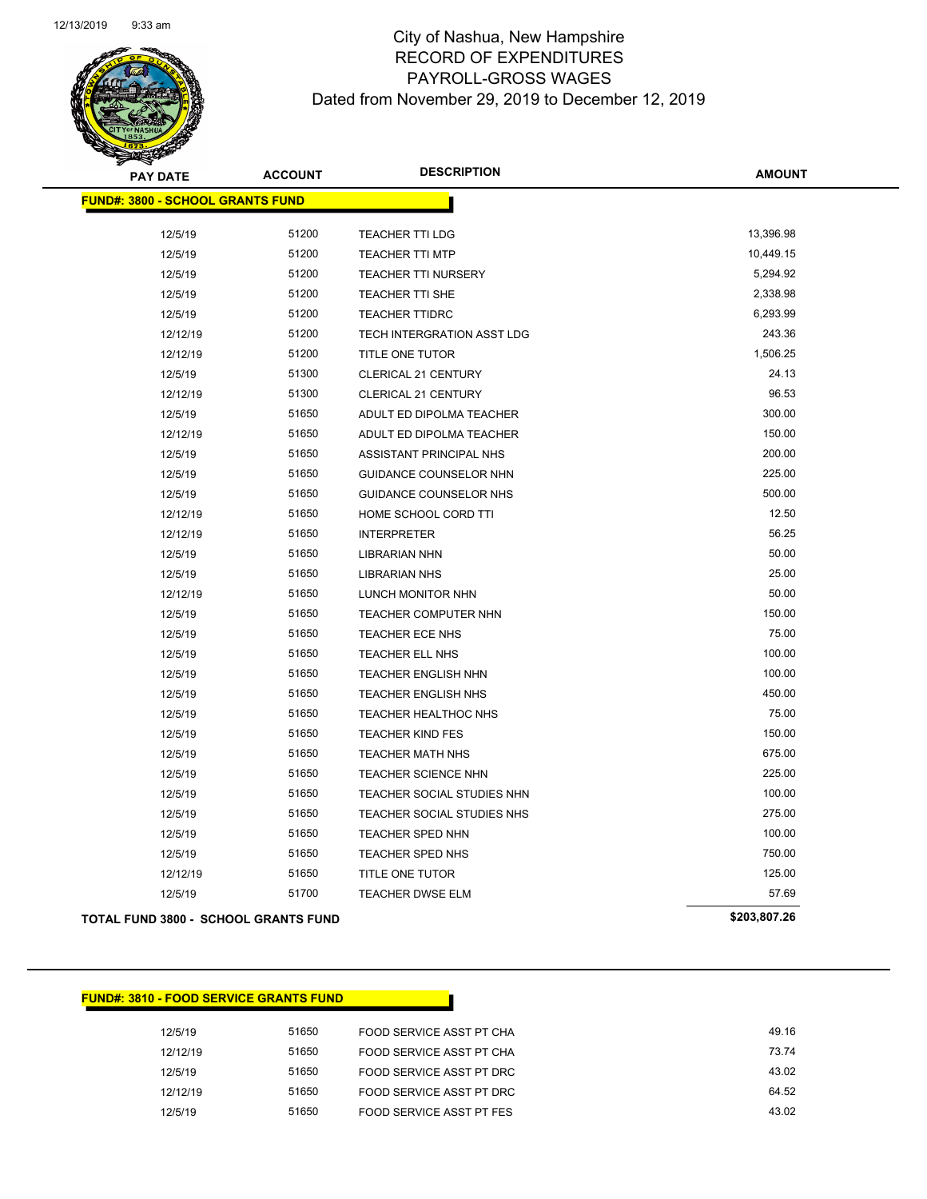

| <b>PAY DATE</b>                             | <b>ACCOUNT</b> | <b>DESCRIPTION</b>            | <b>AMOUNT</b> |
|---------------------------------------------|----------------|-------------------------------|---------------|
| <b>FUND#: 3800 - SCHOOL GRANTS FUND</b>     |                |                               |               |
|                                             |                |                               |               |
| 12/5/19                                     | 51200          | TEACHER TTI LDG               | 13,396.98     |
| 12/5/19                                     | 51200          | <b>TEACHER TTI MTP</b>        | 10,449.15     |
| 12/5/19                                     | 51200          | <b>TEACHER TTI NURSERY</b>    | 5,294.92      |
| 12/5/19                                     | 51200          | TEACHER TTI SHE               | 2,338.98      |
| 12/5/19                                     | 51200          | <b>TEACHER TTIDRC</b>         | 6,293.99      |
| 12/12/19                                    | 51200          | TECH INTERGRATION ASST LDG    | 243.36        |
| 12/12/19                                    | 51200          | TITLE ONE TUTOR               | 1,506.25      |
| 12/5/19                                     | 51300          | <b>CLERICAL 21 CENTURY</b>    | 24.13         |
| 12/12/19                                    | 51300          | CLERICAL 21 CENTURY           | 96.53         |
| 12/5/19                                     | 51650          | ADULT ED DIPOLMA TEACHER      | 300.00        |
| 12/12/19                                    | 51650          | ADULT ED DIPOLMA TEACHER      | 150.00        |
| 12/5/19                                     | 51650          | ASSISTANT PRINCIPAL NHS       | 200.00        |
| 12/5/19                                     | 51650          | GUIDANCE COUNSELOR NHN        | 225.00        |
| 12/5/19                                     | 51650          | <b>GUIDANCE COUNSELOR NHS</b> | 500.00        |
| 12/12/19                                    | 51650          | HOME SCHOOL CORD TTI          | 12.50         |
| 12/12/19                                    | 51650          | <b>INTERPRETER</b>            | 56.25         |
| 12/5/19                                     | 51650          | <b>LIBRARIAN NHN</b>          | 50.00         |
| 12/5/19                                     | 51650          | <b>LIBRARIAN NHS</b>          | 25.00         |
| 12/12/19                                    | 51650          | LUNCH MONITOR NHN             | 50.00         |
| 12/5/19                                     | 51650          | TEACHER COMPUTER NHN          | 150.00        |
| 12/5/19                                     | 51650          | TEACHER ECE NHS               | 75.00         |
| 12/5/19                                     | 51650          | TEACHER ELL NHS               | 100.00        |
| 12/5/19                                     | 51650          | TEACHER ENGLISH NHN           | 100.00        |
| 12/5/19                                     | 51650          | TEACHER ENGLISH NHS           | 450.00        |
| 12/5/19                                     | 51650          | TEACHER HEALTHOC NHS          | 75.00         |
| 12/5/19                                     | 51650          | <b>TEACHER KIND FES</b>       | 150.00        |
| 12/5/19                                     | 51650          | <b>TEACHER MATH NHS</b>       | 675.00        |
| 12/5/19                                     | 51650          | TEACHER SCIENCE NHN           | 225.00        |
| 12/5/19                                     | 51650          | TEACHER SOCIAL STUDIES NHN    | 100.00        |
| 12/5/19                                     | 51650          | TEACHER SOCIAL STUDIES NHS    | 275.00        |
| 12/5/19                                     | 51650          | TEACHER SPED NHN              | 100.00        |
| 12/5/19                                     | 51650          | <b>TEACHER SPED NHS</b>       | 750.00        |
| 12/12/19                                    | 51650          | TITLE ONE TUTOR               | 125.00        |
| 12/5/19                                     | 51700          | TEACHER DWSE ELM              | 57.69         |
| <b>TOTAL FUND 3800 - SCHOOL GRANTS FUND</b> |                |                               | \$203,807.26  |

### **FUND#: 3810 - FOOD SERVICE GRANTS FUND**

| 12/5/19  | 51650 | FOOD SERVICE ASST PT CHA | 49.16 |
|----------|-------|--------------------------|-------|
| 12/12/19 | 51650 | FOOD SERVICE ASST PT CHA | 73.74 |
| 12/5/19  | 51650 | FOOD SERVICE ASST PT DRC | 43.02 |
| 12/12/19 | 51650 | FOOD SERVICE ASST PT DRC | 64.52 |
| 12/5/19  | 51650 | FOOD SERVICE ASST PT FES | 43.02 |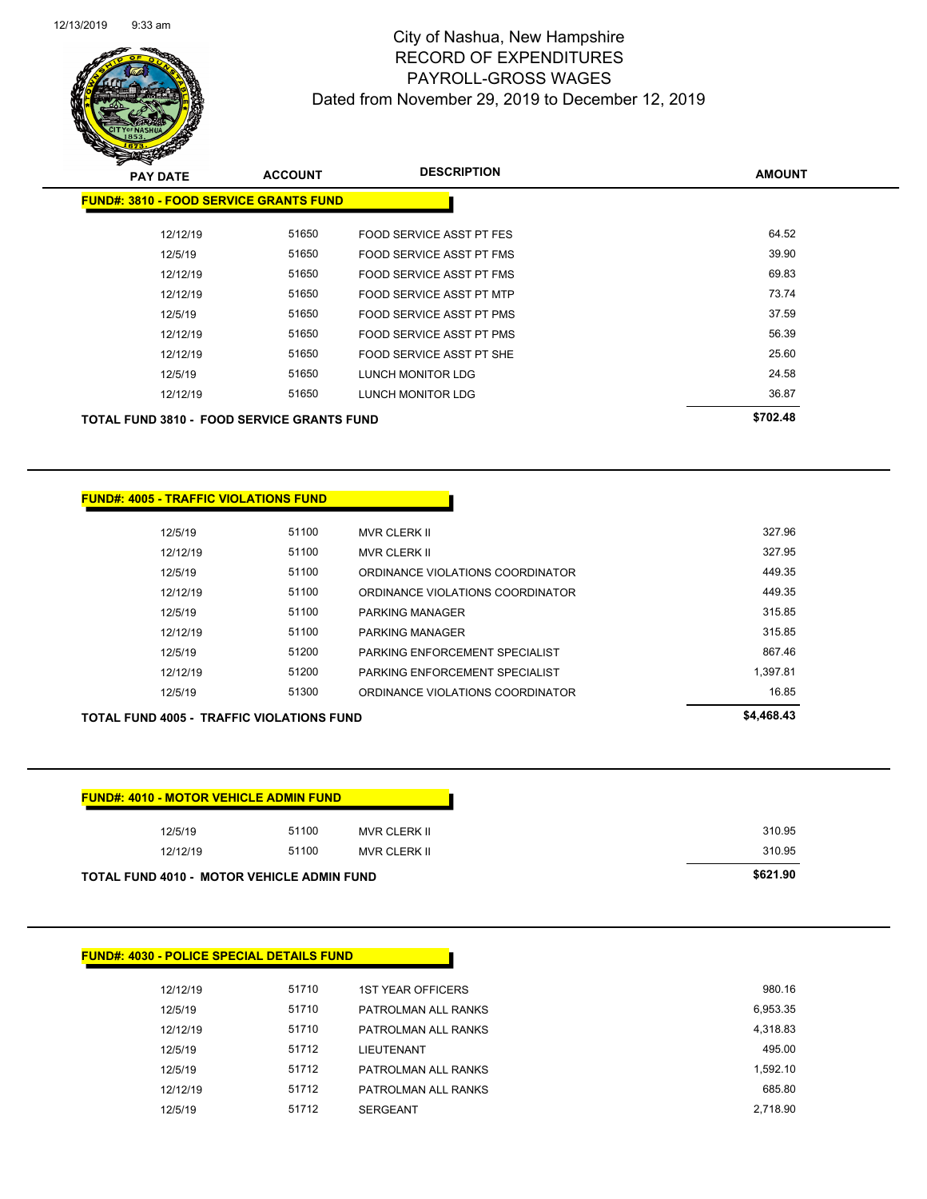| 12/12/19 | 51710 | <b>1ST YEAR OFFICERS</b> |
|----------|-------|--------------------------|
| 12/5/19  | 51710 | PATROLMAN ALL RANKS      |
| 12/12/19 | 51710 | PATROLMAN ALL RANKS      |
| 12/5/19  | 51712 | <b>LIEUTENANT</b>        |
| 12/5/19  | 51712 | PATROLMAN ALL RANKS      |
| 12/12/19 | 51712 | PATROLMAN ALL RANKS      |
| 12/5/19  | 51712 | <b>SERGEANT</b>          |
|          |       |                          |

# **FUND#: 4030 - POLICE SPECIAL DETAILS FUND**

| <b>FUND#: 4010 - MOTOR VEHICLE ADMIN FUND</b>     |       |              |
|---------------------------------------------------|-------|--------------|
| 12/5/19                                           | 51100 | MVR CLERK II |
| 12/12/19                                          | 51100 | MVR CLERK II |
| <b>TOTAL FUND 4010 - MOTOR VEHICLE ADMIN FUND</b> |       |              |

# **TOTAL FUND 4005 - TRAFFIC VIOLATIONS FUND \$4,468.43**

| 12/5/19  | 51100 | <b>MVR CLERK II</b>              | 327.96   |
|----------|-------|----------------------------------|----------|
| 12/12/19 | 51100 | <b>MVR CLERK II</b>              | 327.95   |
| 12/5/19  | 51100 | ORDINANCE VIOLATIONS COORDINATOR | 449.35   |
| 12/12/19 | 51100 | ORDINANCE VIOLATIONS COORDINATOR | 449.35   |
| 12/5/19  | 51100 | <b>PARKING MANAGER</b>           | 315.85   |
| 12/12/19 | 51100 | <b>PARKING MANAGER</b>           | 315.85   |
| 12/5/19  | 51200 | PARKING ENFORCEMENT SPECIALIST   | 86746    |
| 12/12/19 | 51200 | PARKING ENFORCEMENT SPECIALIST   | 1.397.81 |
| 12/5/19  | 51300 | ORDINANCE VIOLATIONS COORDINATOR | 16.85    |
|          |       |                                  |          |

### **FUND#: 4005 - TRAFFIC VIOLATIONS FUND**

|          |       |                          | \$702.48 |
|----------|-------|--------------------------|----------|
| 12/12/19 | 51650 | LUNCH MONITOR LDG        | 36.87    |
| 12/5/19  | 51650 | LUNCH MONITOR LDG        | 24.58    |
| 12/12/19 | 51650 | FOOD SERVICE ASST PT SHE | 25.60    |
| 12/12/19 | 51650 | FOOD SERVICE ASST PT PMS | 56.39    |
| 12/5/19  | 51650 | FOOD SERVICE ASST PT PMS | 37.59    |
|          |       |                          |          |

| CONTRACTOR                                    |                |                          |               |
|-----------------------------------------------|----------------|--------------------------|---------------|
| <b>PAY DATE</b>                               | <b>ACCOUNT</b> | <b>DESCRIPTION</b>       | <b>AMOUNT</b> |
| <b>FUND#: 3810 - FOOD SERVICE GRANTS FUND</b> |                |                          |               |
|                                               |                |                          |               |
| 12/12/19                                      | 51650          | FOOD SERVICE ASST PT FES | 64.52         |
| 12/5/19                                       | 51650          | FOOD SERVICE ASST PT FMS | 39.90         |
| 12/12/19                                      | 51650          | FOOD SERVICE ASST PT FMS | 69.83         |
| 12/12/19                                      | 51650          | FOOD SERVICE ASST PT MTP | 73.74         |
| 12/5/19                                       | 51650          | FOOD SERVICE ASST PT PMS | 37.59         |
| 12/12/19                                      | 51650          | FOOD SERVICE ASST PT PMS | 56.39         |
| 12/12/19                                      | 51650          | FOOD SERVICE ASST PT SHE | 25.60         |
| 12/5/19                                       | 51650          | <b>LUNCH MONITOR LDG</b> | 24.58         |
| 12/12/10                                      | 51650          | LINGH MONITOR LDG        | 36.87         |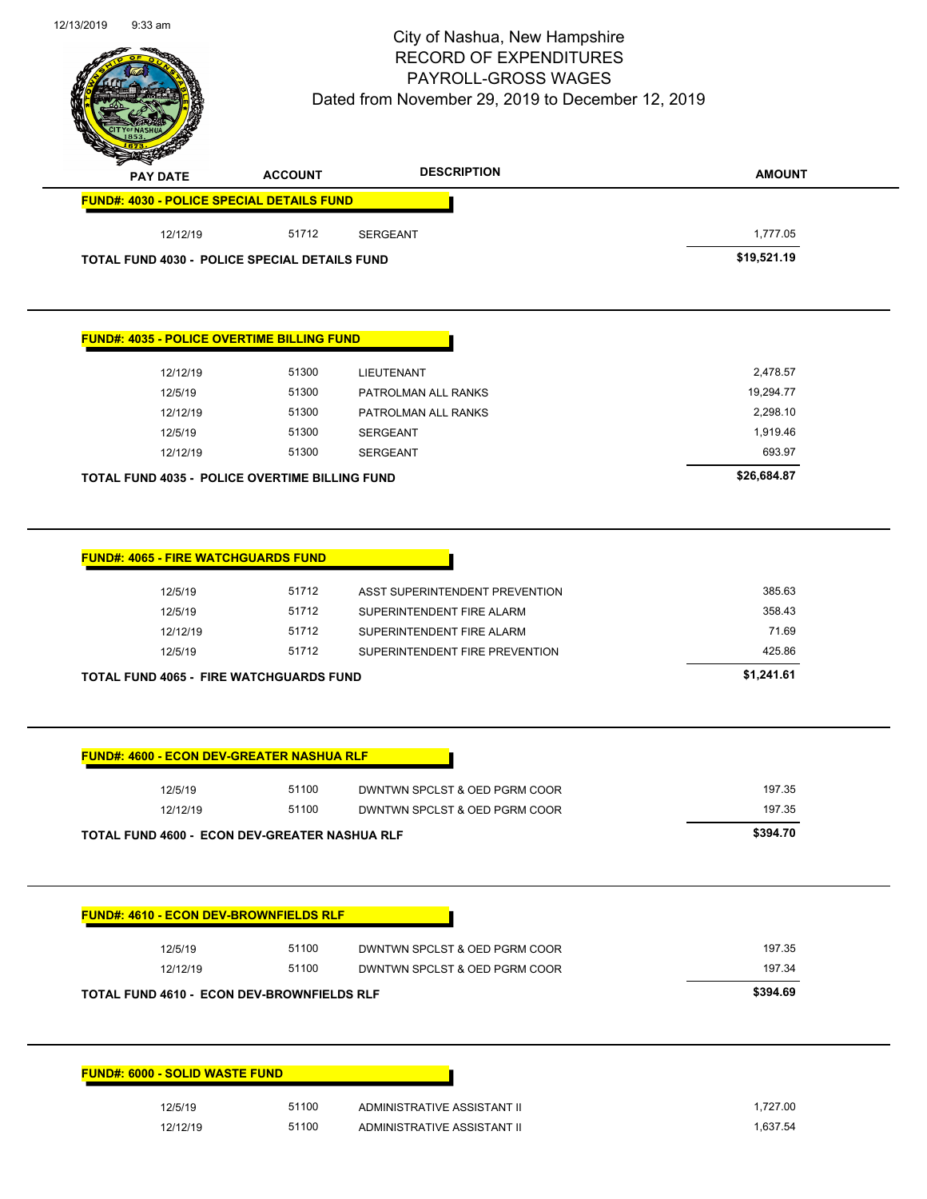Page 92 of 97

| <b>PAY DATE</b>                                      | <b>ACCOUNT</b> | <b>DESCRIPTION</b> | <b>AMOUNT</b> |
|------------------------------------------------------|----------------|--------------------|---------------|
| <b>FUND#: 4030 - POLICE SPECIAL DETAILS FUND</b>     |                |                    |               |
| 12/12/19                                             | 51712          | <b>SERGEANT</b>    | 1,777.05      |
| <b>TOTAL FUND 4030 - POLICE SPECIAL DETAILS FUND</b> |                |                    | \$19,521.19   |

### **FUND#: 4035 - POLICE OVERTIME BILLING FUND**

| TOTAL FUND 4035 - POLICE OVERTIME BILLING FUND |       |                     | \$26,684.87 |
|------------------------------------------------|-------|---------------------|-------------|
| 12/12/19                                       | 51300 | <b>SERGEANT</b>     | 693.97      |
| 12/5/19                                        | 51300 | <b>SERGEANT</b>     | 1,919.46    |
| 12/12/19                                       | 51300 | PATROLMAN ALL RANKS | 2,298.10    |
| 12/5/19                                        | 51300 | PATROLMAN ALL RANKS | 19,294.77   |
| 12/12/19                                       | 51300 | <b>LIEUTENANT</b>   | 2,478.57    |
|                                                |       |                     |             |

|  | <b>FUND#: 4065 - FIRE WATCHGUARDS FUND</b> |
|--|--------------------------------------------|
|--|--------------------------------------------|

| TOTAL FUND 4065 - FIRE WATCHGUARDS FUND |       |                                | \$1,241.61 |
|-----------------------------------------|-------|--------------------------------|------------|
| 12/5/19                                 | 51712 | SUPERINTENDENT FIRE PREVENTION | 425.86     |
| 12/12/19                                | 51712 | SUPERINTENDENT FIRE ALARM      | 71.69      |
| 12/5/19                                 | 51712 | SUPERINTENDENT FIRE ALARM      | 358.43     |
| 12/5/19                                 | 51712 | ASST SUPERINTENDENT PREVENTION | 385.63     |
|                                         |       |                                |            |

|                                                      | 51100 | DWNTWN SPCLST & OED PGRM COOR | 197.35   |
|------------------------------------------------------|-------|-------------------------------|----------|
| 12/12/19                                             | 51100 | DWNTWN SPCLST & OED PGRM COOR | 197.35   |
| <b>TOTAL FUND 4600 - ECON DEV-GREATER NASHUA RLF</b> |       |                               | \$394.70 |
|                                                      |       |                               |          |
|                                                      |       |                               |          |
| <b>FUND#: 4610 - ECON DEV-BROWNFIELDS RLF</b>        |       |                               |          |
|                                                      |       |                               |          |
| 12/5/19                                              | 51100 | DWNTWN SPCLST & OED PGRM COOR | 197.35   |
| 12/12/19                                             | 51100 | DWNTWN SPCLST & OED PGRM COOR | 197.34   |
| TOTAL FUND 4610 - ECON DEV-BROWNFIELDS RLF           |       |                               | \$394.69 |
|                                                      |       |                               |          |
|                                                      |       |                               |          |
|                                                      |       |                               |          |
|                                                      |       |                               |          |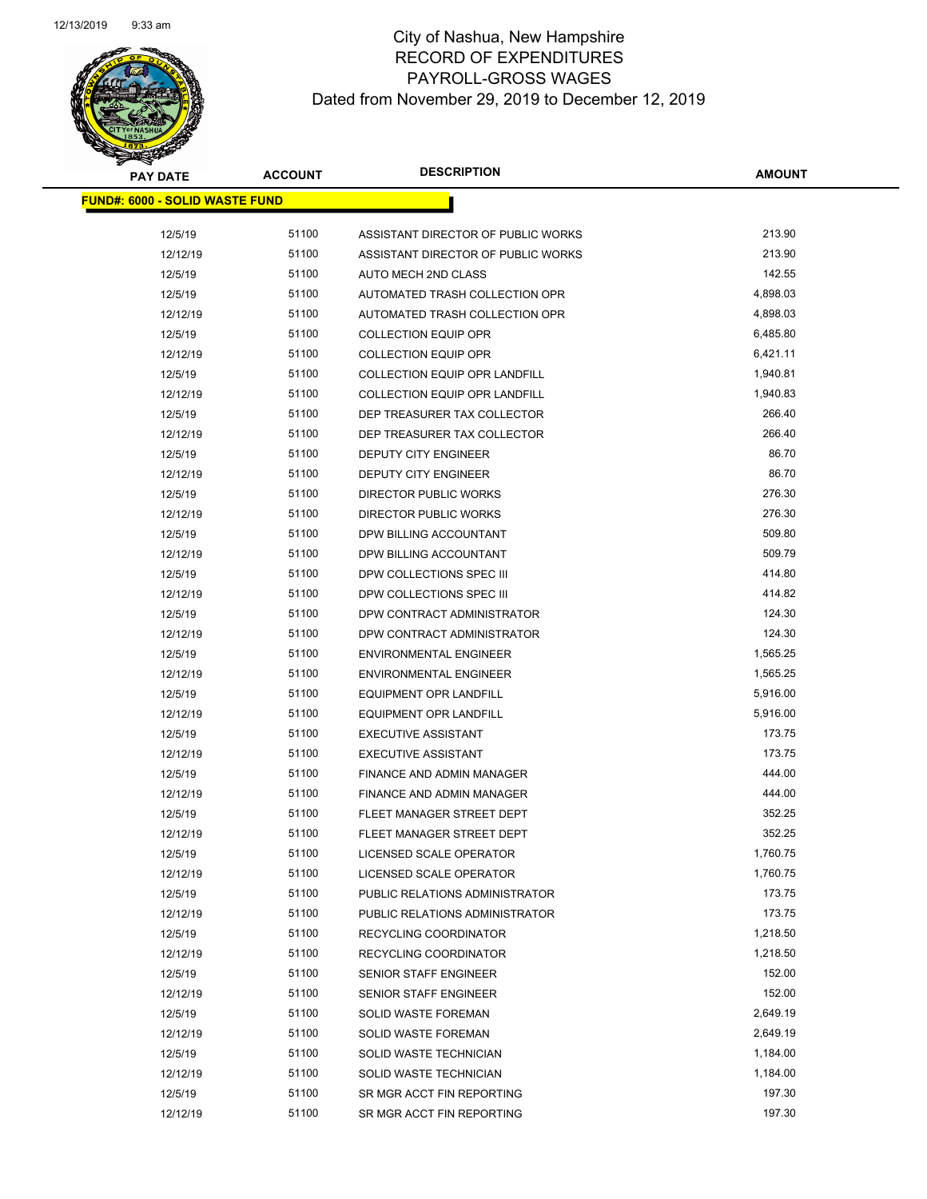| <b>PAY DATE</b>                        | <b>ACCOUNT</b> | <b>DESCRIPTION</b>                   | <b>AMOUNT</b>      |
|----------------------------------------|----------------|--------------------------------------|--------------------|
| <u> FUND#: 6000 - SOLID WASTE FUND</u> |                |                                      |                    |
| 12/5/19                                | 51100          | ASSISTANT DIRECTOR OF PUBLIC WORKS   | 213.90             |
| 12/12/19                               | 51100          | ASSISTANT DIRECTOR OF PUBLIC WORKS   | 213.90             |
|                                        | 51100          | AUTO MECH 2ND CLASS                  | 142.55             |
| 12/5/19                                | 51100          |                                      | 4,898.03           |
| 12/5/19                                |                | AUTOMATED TRASH COLLECTION OPR       |                    |
| 12/12/19                               | 51100          | AUTOMATED TRASH COLLECTION OPR       | 4,898.03           |
| 12/5/19                                | 51100          | <b>COLLECTION EQUIP OPR</b>          | 6,485.80           |
| 12/12/19                               | 51100          | <b>COLLECTION EQUIP OPR</b>          | 6,421.11           |
| 12/5/19                                | 51100          | <b>COLLECTION EQUIP OPR LANDFILL</b> | 1,940.81           |
| 12/12/19                               | 51100          | <b>COLLECTION EQUIP OPR LANDFILL</b> | 1,940.83<br>266.40 |
| 12/5/19                                | 51100          | DEP TREASURER TAX COLLECTOR          |                    |
| 12/12/19                               | 51100          | DEP TREASURER TAX COLLECTOR          | 266.40             |
| 12/5/19                                | 51100          | DEPUTY CITY ENGINEER                 | 86.70              |
| 12/12/19                               | 51100          | <b>DEPUTY CITY ENGINEER</b>          | 86.70              |
| 12/5/19                                | 51100          | <b>DIRECTOR PUBLIC WORKS</b>         | 276.30             |
| 12/12/19                               | 51100          | DIRECTOR PUBLIC WORKS                | 276.30             |
| 12/5/19                                | 51100          | DPW BILLING ACCOUNTANT               | 509.80             |
| 12/12/19                               | 51100          | DPW BILLING ACCOUNTANT               | 509.79             |
| 12/5/19                                | 51100          | DPW COLLECTIONS SPEC III             | 414.80             |
| 12/12/19                               | 51100          | DPW COLLECTIONS SPEC III             | 414.82             |
| 12/5/19                                | 51100          | DPW CONTRACT ADMINISTRATOR           | 124.30             |
| 12/12/19                               | 51100          | DPW CONTRACT ADMINISTRATOR           | 124.30             |
| 12/5/19                                | 51100          | <b>ENVIRONMENTAL ENGINEER</b>        | 1,565.25           |
| 12/12/19                               | 51100          | <b>ENVIRONMENTAL ENGINEER</b>        | 1,565.25           |
| 12/5/19                                | 51100          | EQUIPMENT OPR LANDFILL               | 5,916.00           |
| 12/12/19                               | 51100          | <b>EQUIPMENT OPR LANDFILL</b>        | 5,916.00           |
| 12/5/19                                | 51100          | <b>EXECUTIVE ASSISTANT</b>           | 173.75             |
| 12/12/19                               | 51100          | <b>EXECUTIVE ASSISTANT</b>           | 173.75             |
| 12/5/19                                | 51100          | FINANCE AND ADMIN MANAGER            | 444.00             |
| 12/12/19                               | 51100          | FINANCE AND ADMIN MANAGER            | 444.00             |
| 12/5/19                                | 51100          | FLEET MANAGER STREET DEPT            | 352.25             |
| 12/12/19                               | 51100          | FLEET MANAGER STREET DEPT            | 352.25             |
| 12/5/19                                | 51100          | LICENSED SCALE OPERATOR              | 1,760.75           |
| 12/12/19                               | 51100          | LICENSED SCALE OPERATOR              | 1,760.75<br>173.75 |
| 12/5/19                                | 51100          | PUBLIC RELATIONS ADMINISTRATOR       |                    |
| 12/12/19                               | 51100          | PUBLIC RELATIONS ADMINISTRATOR       | 173.75             |
| 12/5/19                                | 51100          | RECYCLING COORDINATOR                | 1,218.50           |
| 12/12/19                               | 51100          | RECYCLING COORDINATOR                | 1,218.50           |
| 12/5/19                                | 51100          | <b>SENIOR STAFF ENGINEER</b>         | 152.00             |
| 12/12/19                               | 51100          | <b>SENIOR STAFF ENGINEER</b>         | 152.00             |
| 12/5/19                                | 51100          | <b>SOLID WASTE FOREMAN</b>           | 2,649.19           |
| 12/12/19                               | 51100          | SOLID WASTE FOREMAN                  | 2,649.19           |
| 12/5/19                                | 51100          | SOLID WASTE TECHNICIAN               | 1,184.00           |
| 12/12/19                               | 51100          | SOLID WASTE TECHNICIAN               | 1,184.00           |
| 12/5/19                                | 51100          | SR MGR ACCT FIN REPORTING            | 197.30             |
| 12/12/19                               | 51100          | SR MGR ACCT FIN REPORTING            | 197.30             |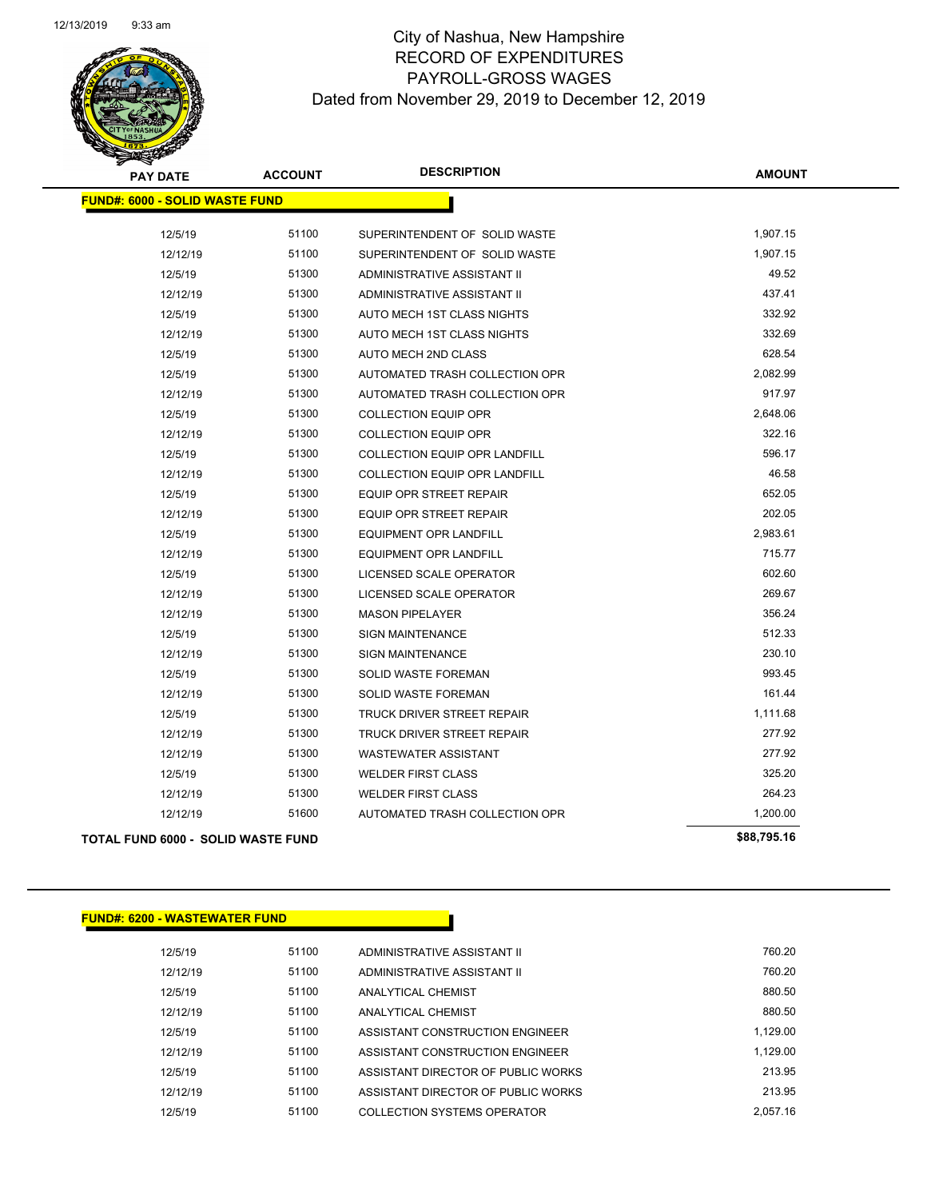| <b>PAY DATE</b>                       | <b>ACCOUNT</b> | <b>DESCRIPTION</b>                   | <b>AMOUNT</b> |
|---------------------------------------|----------------|--------------------------------------|---------------|
| <b>FUND#: 6000 - SOLID WASTE FUND</b> |                |                                      |               |
| 12/5/19                               | 51100          | SUPERINTENDENT OF SOLID WASTE        | 1,907.15      |
| 12/12/19                              | 51100          | SUPERINTENDENT OF SOLID WASTE        | 1,907.15      |
| 12/5/19                               | 51300          | ADMINISTRATIVE ASSISTANT II          | 49.52         |
| 12/12/19                              | 51300          | ADMINISTRATIVE ASSISTANT II          | 437.41        |
| 12/5/19                               | 51300          | AUTO MECH 1ST CLASS NIGHTS           | 332.92        |
| 12/12/19                              | 51300          | AUTO MECH 1ST CLASS NIGHTS           | 332.69        |
| 12/5/19                               | 51300          | AUTO MECH 2ND CLASS                  | 628.54        |
| 12/5/19                               | 51300          | AUTOMATED TRASH COLLECTION OPR       | 2,082.99      |
| 12/12/19                              | 51300          | AUTOMATED TRASH COLLECTION OPR       | 917.97        |
| 12/5/19                               | 51300          | <b>COLLECTION EQUIP OPR</b>          | 2,648.06      |
| 12/12/19                              | 51300          | <b>COLLECTION EQUIP OPR</b>          | 322.16        |
| 12/5/19                               | 51300          | COLLECTION EQUIP OPR LANDFILL        | 596.17        |
| 12/12/19                              | 51300          | <b>COLLECTION EQUIP OPR LANDFILL</b> | 46.58         |
| 12/5/19                               | 51300          | <b>EQUIP OPR STREET REPAIR</b>       | 652.05        |
| 12/12/19                              | 51300          | <b>EQUIP OPR STREET REPAIR</b>       | 202.05        |
| 12/5/19                               | 51300          | <b>EQUIPMENT OPR LANDFILL</b>        | 2,983.61      |
| 12/12/19                              | 51300          | EQUIPMENT OPR LANDFILL               | 715.77        |
| 12/5/19                               | 51300          | LICENSED SCALE OPERATOR              | 602.60        |
| 12/12/19                              | 51300          | LICENSED SCALE OPERATOR              | 269.67        |
| 12/12/19                              | 51300          | <b>MASON PIPELAYER</b>               | 356.24        |
| 12/5/19                               | 51300          | <b>SIGN MAINTENANCE</b>              | 512.33        |
| 12/12/19                              | 51300          | <b>SIGN MAINTENANCE</b>              | 230.10        |
| 12/5/19                               | 51300          | SOLID WASTE FOREMAN                  | 993.45        |
| 12/12/19                              | 51300          | SOLID WASTE FOREMAN                  | 161.44        |
| 12/5/19                               | 51300          | TRUCK DRIVER STREET REPAIR           | 1,111.68      |
| 12/12/19                              | 51300          | <b>TRUCK DRIVER STREET REPAIR</b>    | 277.92        |
| 12/12/19                              | 51300          | <b>WASTEWATER ASSISTANT</b>          | 277.92        |
| 12/5/19                               | 51300          | <b>WELDER FIRST CLASS</b>            | 325.20        |
| 12/12/19                              | 51300          | <b>WELDER FIRST CLASS</b>            | 264.23        |
| 12/12/19                              | 51600          | AUTOMATED TRASH COLLECTION OPR       | 1,200.00      |
| TOTAL FUND 6000 - SOLID WASTE FUND    |                |                                      | \$88,795.16   |

### **FUND#: 6200 - WASTEWATER FUND**

| 12/5/19  | 51100 | ADMINISTRATIVE ASSISTANT II        | 760.20   |
|----------|-------|------------------------------------|----------|
| 12/12/19 | 51100 | ADMINISTRATIVE ASSISTANT II        | 760.20   |
| 12/5/19  | 51100 | <b>ANALYTICAL CHEMIST</b>          | 880.50   |
| 12/12/19 | 51100 | <b>ANALYTICAL CHEMIST</b>          | 880.50   |
| 12/5/19  | 51100 | ASSISTANT CONSTRUCTION ENGINEER    | 1.129.00 |
| 12/12/19 | 51100 | ASSISTANT CONSTRUCTION ENGINEER    | 1.129.00 |
| 12/5/19  | 51100 | ASSISTANT DIRECTOR OF PUBLIC WORKS | 213.95   |
| 12/12/19 | 51100 | ASSISTANT DIRECTOR OF PUBLIC WORKS | 213.95   |
| 12/5/19  | 51100 | COLLECTION SYSTEMS OPERATOR        | 2.057.16 |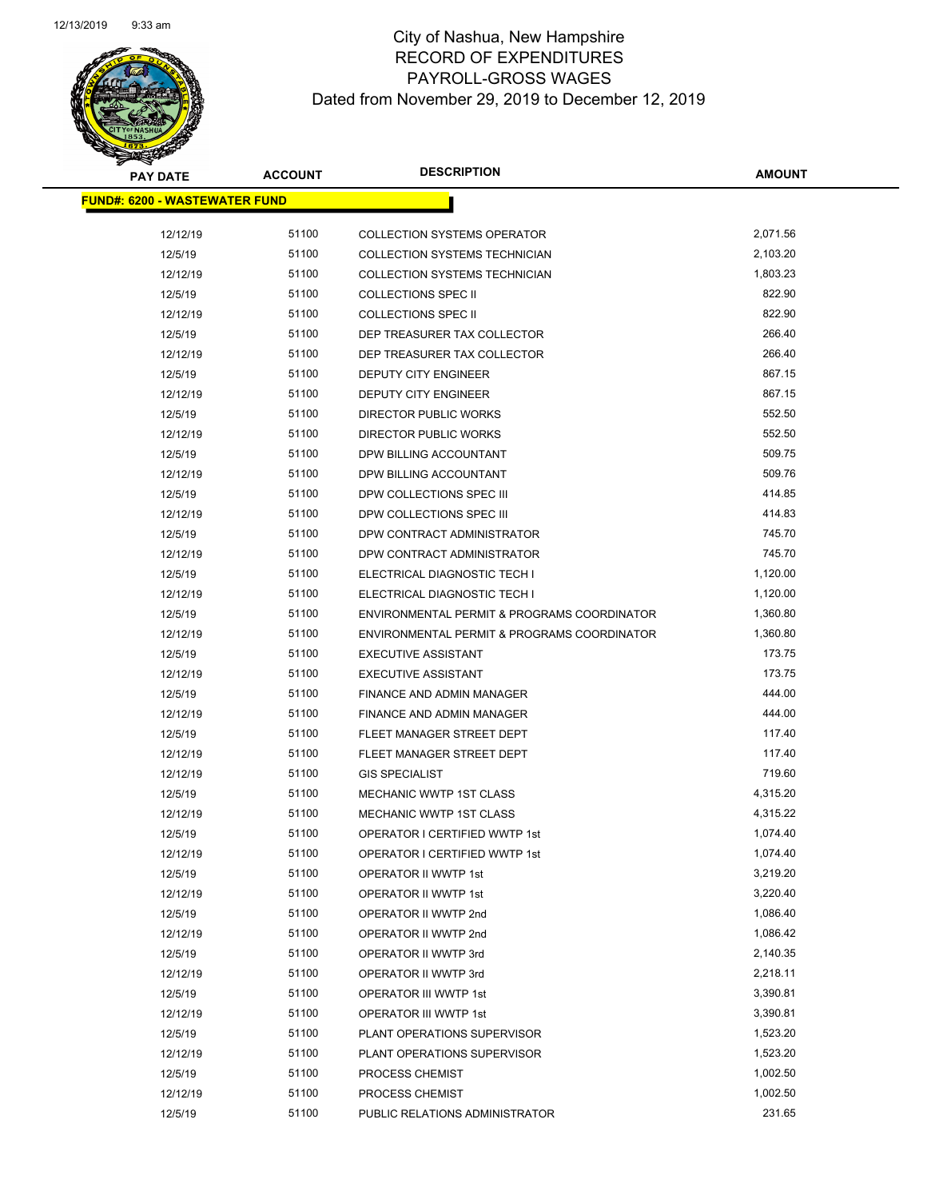| <b>PAY DATE</b>                      | <b>ACCOUNT</b> | <b>DESCRIPTION</b>                           | <b>AMOUNT</b>        |
|--------------------------------------|----------------|----------------------------------------------|----------------------|
| <b>FUND#: 6200 - WASTEWATER FUND</b> |                |                                              |                      |
| 12/12/19                             | 51100          | <b>COLLECTION SYSTEMS OPERATOR</b>           | 2,071.56             |
| 12/5/19                              | 51100          | COLLECTION SYSTEMS TECHNICIAN                | 2,103.20             |
| 12/12/19                             | 51100          | COLLECTION SYSTEMS TECHNICIAN                | 1,803.23             |
| 12/5/19                              | 51100          | <b>COLLECTIONS SPEC II</b>                   | 822.90               |
| 12/12/19                             | 51100          | <b>COLLECTIONS SPEC II</b>                   | 822.90               |
| 12/5/19                              | 51100          | DEP TREASURER TAX COLLECTOR                  | 266.40               |
| 12/12/19                             | 51100          | DEP TREASURER TAX COLLECTOR                  | 266.40               |
| 12/5/19                              | 51100          | DEPUTY CITY ENGINEER                         | 867.15               |
| 12/12/19                             | 51100          | DEPUTY CITY ENGINEER                         | 867.15               |
| 12/5/19                              | 51100          | <b>DIRECTOR PUBLIC WORKS</b>                 | 552.50               |
| 12/12/19                             | 51100          | <b>DIRECTOR PUBLIC WORKS</b>                 | 552.50               |
| 12/5/19                              | 51100          | DPW BILLING ACCOUNTANT                       | 509.75               |
| 12/12/19                             | 51100          | DPW BILLING ACCOUNTANT                       | 509.76               |
| 12/5/19                              | 51100          | DPW COLLECTIONS SPEC III                     | 414.85               |
| 12/12/19                             | 51100          | DPW COLLECTIONS SPEC III                     | 414.83               |
| 12/5/19                              | 51100          | DPW CONTRACT ADMINISTRATOR                   | 745.70               |
| 12/12/19                             | 51100          | DPW CONTRACT ADMINISTRATOR                   | 745.70               |
| 12/5/19                              | 51100          | ELECTRICAL DIAGNOSTIC TECH I                 | 1,120.00             |
| 12/12/19                             | 51100          | ELECTRICAL DIAGNOSTIC TECH I                 | 1,120.00             |
| 12/5/19                              | 51100          | ENVIRONMENTAL PERMIT & PROGRAMS COORDINATOR  | 1,360.80             |
| 12/12/19                             | 51100          | ENVIRONMENTAL PERMIT & PROGRAMS COORDINATOR  | 1,360.80             |
| 12/5/19                              | 51100          | <b>EXECUTIVE ASSISTANT</b>                   | 173.75               |
| 12/12/19                             | 51100          | <b>EXECUTIVE ASSISTANT</b>                   | 173.75               |
| 12/5/19                              | 51100          | FINANCE AND ADMIN MANAGER                    | 444.00               |
| 12/12/19                             | 51100          | FINANCE AND ADMIN MANAGER                    | 444.00               |
| 12/5/19                              | 51100          | FLEET MANAGER STREET DEPT                    | 117.40               |
| 12/12/19                             | 51100          | FLEET MANAGER STREET DEPT                    | 117.40               |
| 12/12/19                             | 51100          | <b>GIS SPECIALIST</b>                        | 719.60               |
| 12/5/19                              | 51100          | MECHANIC WWTP 1ST CLASS                      | 4,315.20             |
| 12/12/19                             | 51100          | MECHANIC WWTP 1ST CLASS                      | 4,315.22             |
| 12/5/19                              | 51100          | OPERATOR I CERTIFIED WWTP 1st                | 1,074.40             |
| 12/12/19                             | 51100<br>51100 | OPERATOR I CERTIFIED WWTP 1st                | 1,074.40             |
| 12/5/19                              | 51100          | OPERATOR II WWTP 1st                         | 3,219.20<br>3,220.40 |
| 12/12/19<br>12/5/19                  | 51100          | OPERATOR II WWTP 1st<br>OPERATOR II WWTP 2nd | 1,086.40             |
| 12/12/19                             | 51100          | OPERATOR II WWTP 2nd                         | 1,086.42             |
| 12/5/19                              | 51100          | OPERATOR II WWTP 3rd                         | 2,140.35             |
| 12/12/19                             | 51100          | OPERATOR II WWTP 3rd                         | 2,218.11             |
| 12/5/19                              | 51100          | <b>OPERATOR III WWTP 1st</b>                 | 3,390.81             |
| 12/12/19                             | 51100          | OPERATOR III WWTP 1st                        | 3,390.81             |
| 12/5/19                              | 51100          | PLANT OPERATIONS SUPERVISOR                  | 1,523.20             |
| 12/12/19                             | 51100          | PLANT OPERATIONS SUPERVISOR                  | 1,523.20             |
| 12/5/19                              | 51100          | PROCESS CHEMIST                              | 1,002.50             |
| 12/12/19                             | 51100          | PROCESS CHEMIST                              | 1,002.50             |
| 12/5/19                              | 51100          | PUBLIC RELATIONS ADMINISTRATOR               | 231.65               |
|                                      |                |                                              |                      |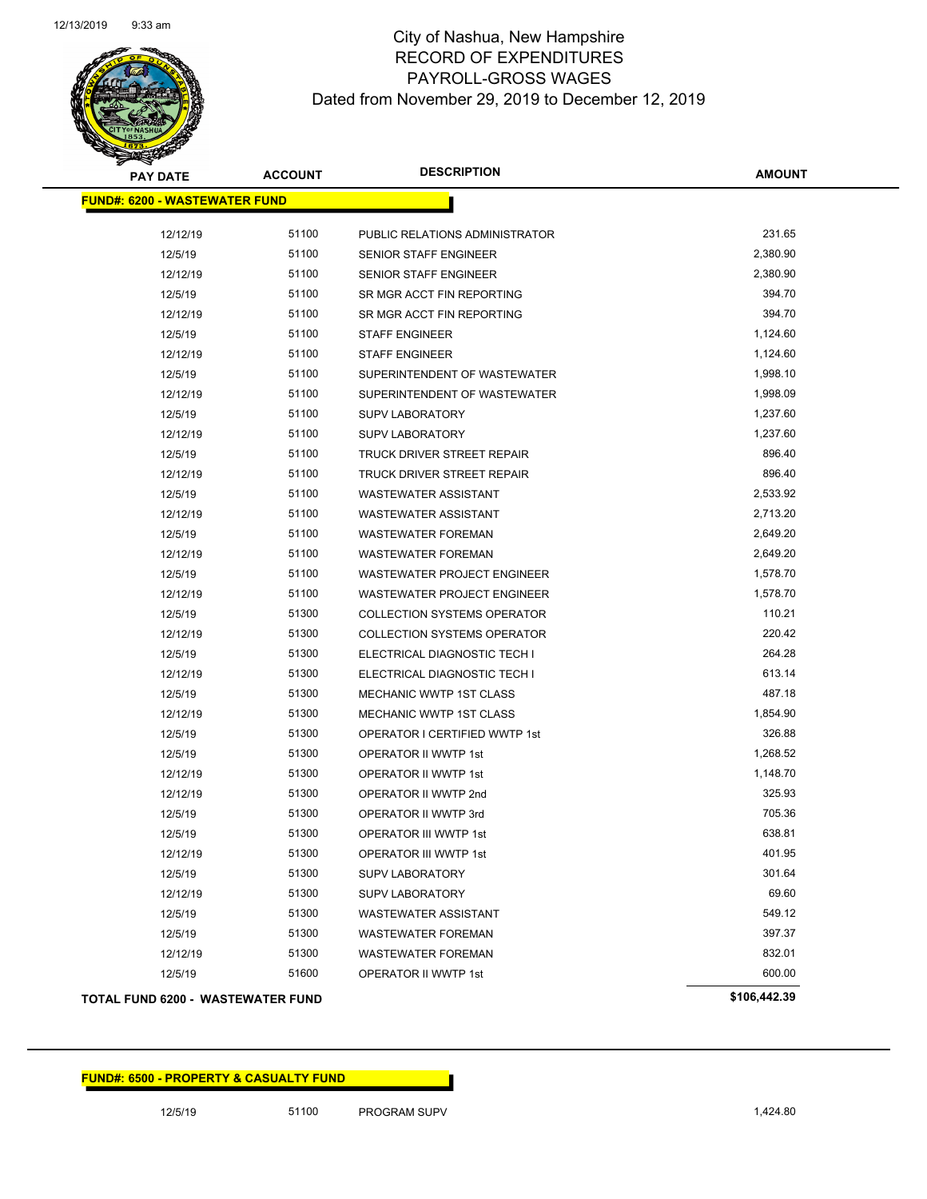

| <b>PAY DATE</b>                          | <b>ACCOUNT</b> | <b>DESCRIPTION</b>                 | <b>AMOUNT</b> |
|------------------------------------------|----------------|------------------------------------|---------------|
| <b>FUND#: 6200 - WASTEWATER FUND</b>     |                |                                    |               |
| 12/12/19                                 | 51100          | PUBLIC RELATIONS ADMINISTRATOR     | 231.65        |
| 12/5/19                                  | 51100          | <b>SENIOR STAFF ENGINEER</b>       | 2,380.90      |
| 12/12/19                                 | 51100          | <b>SENIOR STAFF ENGINEER</b>       | 2,380.90      |
| 12/5/19                                  | 51100          | SR MGR ACCT FIN REPORTING          | 394.70        |
| 12/12/19                                 | 51100          | SR MGR ACCT FIN REPORTING          | 394.70        |
| 12/5/19                                  | 51100          | <b>STAFF ENGINEER</b>              | 1,124.60      |
| 12/12/19                                 | 51100          | <b>STAFF ENGINEER</b>              | 1,124.60      |
| 12/5/19                                  | 51100          | SUPERINTENDENT OF WASTEWATER       | 1,998.10      |
| 12/12/19                                 | 51100          | SUPERINTENDENT OF WASTEWATER       | 1,998.09      |
| 12/5/19                                  | 51100          | <b>SUPV LABORATORY</b>             | 1,237.60      |
| 12/12/19                                 | 51100          | <b>SUPV LABORATORY</b>             | 1,237.60      |
| 12/5/19                                  | 51100          | TRUCK DRIVER STREET REPAIR         | 896.40        |
| 12/12/19                                 | 51100          | TRUCK DRIVER STREET REPAIR         | 896.40        |
| 12/5/19                                  | 51100          | <b>WASTEWATER ASSISTANT</b>        | 2,533.92      |
| 12/12/19                                 | 51100          | <b>WASTEWATER ASSISTANT</b>        | 2,713.20      |
| 12/5/19                                  | 51100          | <b>WASTEWATER FOREMAN</b>          | 2,649.20      |
| 12/12/19                                 | 51100          | <b>WASTEWATER FOREMAN</b>          | 2,649.20      |
| 12/5/19                                  | 51100          | <b>WASTEWATER PROJECT ENGINEER</b> | 1,578.70      |
| 12/12/19                                 | 51100          | <b>WASTEWATER PROJECT ENGINEER</b> | 1,578.70      |
| 12/5/19                                  | 51300          | <b>COLLECTION SYSTEMS OPERATOR</b> | 110.21        |
| 12/12/19                                 | 51300          | <b>COLLECTION SYSTEMS OPERATOR</b> | 220.42        |
| 12/5/19                                  | 51300          | ELECTRICAL DIAGNOSTIC TECH I       | 264.28        |
| 12/12/19                                 | 51300          | ELECTRICAL DIAGNOSTIC TECH I       | 613.14        |
| 12/5/19                                  | 51300          | MECHANIC WWTP 1ST CLASS            | 487.18        |
| 12/12/19                                 | 51300          | MECHANIC WWTP 1ST CLASS            | 1,854.90      |
| 12/5/19                                  | 51300          | OPERATOR I CERTIFIED WWTP 1st      | 326.88        |
| 12/5/19                                  | 51300          | OPERATOR II WWTP 1st               | 1,268.52      |
| 12/12/19                                 | 51300          | OPERATOR II WWTP 1st               | 1,148.70      |
| 12/12/19                                 | 51300          | OPERATOR II WWTP 2nd               | 325.93        |
| 12/5/19                                  | 51300          | OPERATOR II WWTP 3rd               | 705.36        |
| 12/5/19                                  | 51300          | OPERATOR III WWTP 1st              | 638.81        |
| 12/12/19                                 | 51300          | OPERATOR III WWTP 1st              | 401.95        |
| 12/5/19                                  | 51300          | <b>SUPV LABORATORY</b>             | 301.64        |
| 12/12/19                                 | 51300          | <b>SUPV LABORATORY</b>             | 69.60         |
| 12/5/19                                  | 51300          | <b>WASTEWATER ASSISTANT</b>        | 549.12        |
| 12/5/19                                  | 51300          | <b>WASTEWATER FOREMAN</b>          | 397.37        |
| 12/12/19                                 | 51300          | <b>WASTEWATER FOREMAN</b>          | 832.01        |
| 12/5/19                                  | 51600          | OPERATOR II WWTP 1st               | 600.00        |
| <b>TOTAL FUND 6200 - WASTEWATER FUND</b> |                |                                    | \$106,442.39  |

**FUND#: 6500 - PROPERTY & CASUALTY FUND**

12/5/19 51100 PROGRAM SUPV 1,424.80